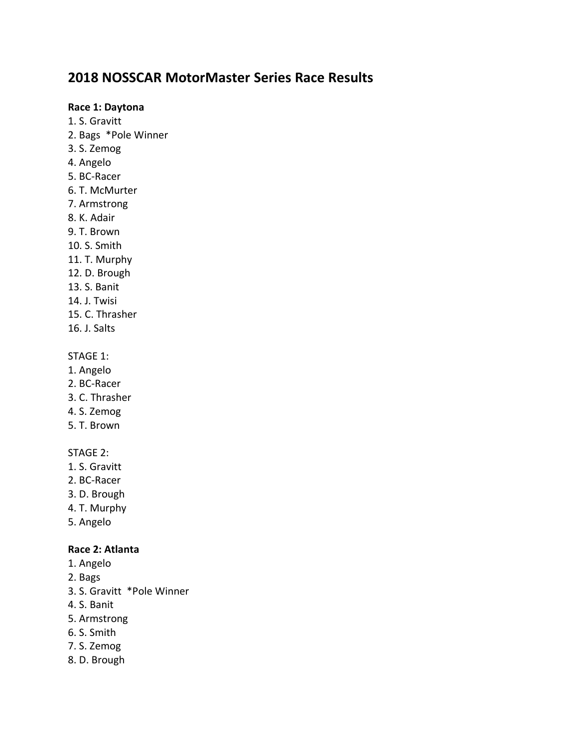# **2018 NOSSCAR MotorMaster Series Race Results**

#### **Race 1: Daytona**

- 1. S. Gravitt
- 2. Bags \*Pole Winner
- 3. S. Zemog
- 4. Angelo
- 5. BC-Racer
- 6. T. McMurter
- 7. Armstrong
- 8. K. Adair
- 9. T. Brown
- 10. S. Smith
- 11. T. Murphy
- 12. D. Brough
- 13. S. Banit
- 14. J. Twisi
- 15. C. Thrasher
- 16. J. Salts

# STAGE 1:

- 1. Angelo
- 2. BC-Racer
- 3. C. Thrasher
- 4. S. Zemog
- 5. T. Brown

# STAGE 2:

- 1. S. Gravitt
- 2. BC-Racer
- 3. D. Brough
- 4. T. Murphy
- 5. Angelo

# **Race 2: Atlanta**

- 1. Angelo
- 2. Bags
- 3. S. Gravitt \*Pole Winner
- 4. S. Banit
- 5. Armstrong
- 6. S. Smith
- 7. S. Zemog
- 8. D. Brough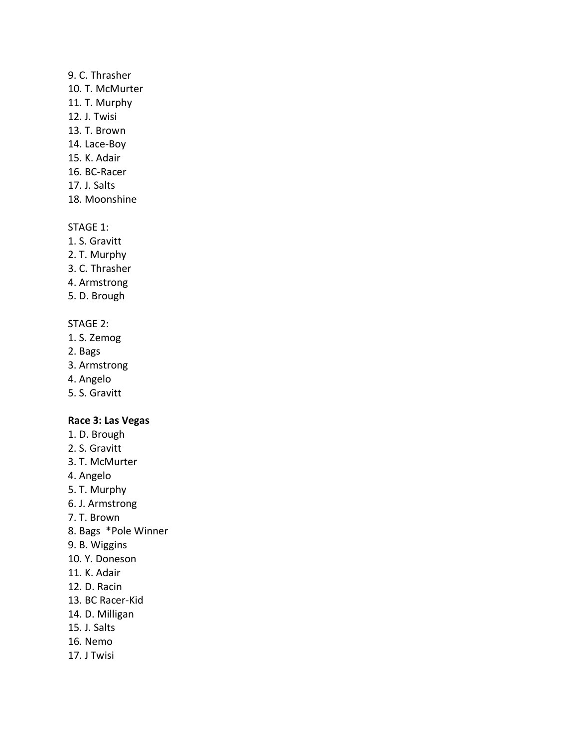# 9. C. Thrasher

- 10. T. McMurter
- 11. T. Murphy
- 12. J. Twisi
- 13. T. Brown
- 14. Lace-Boy
- 15. K. Adair
- 16. BC-Racer
- 17. J. Salts
- 18. Moonshine

### STAGE 1:

- 1. S. Gravitt
- 2. T. Murphy
- 3. C. Thrasher
- 4. Armstrong
- 5. D. Brough

## STAGE 2:

- 1. S. Zemog
- 2. Bags
- 3. Armstrong
- 4. Angelo
- 5. S. Gravitt

# **Race 3: Las Vegas**

- 1. D. Brough
- 2. S. Gravitt
- 3. T. McMurter
- 4. Angelo
- 5. T. Murphy
- 6. J. Armstrong
- 7. T. Brown
- 8. Bags \*Pole Winner
- 9. B. Wiggins
- 10. Y. Doneson
- 11. K. Adair
- 12. D. Racin
- 13. BC Racer-Kid
- 14. D. Milligan
- 15. J. Salts
- 16. Nemo
- 17. J Twisi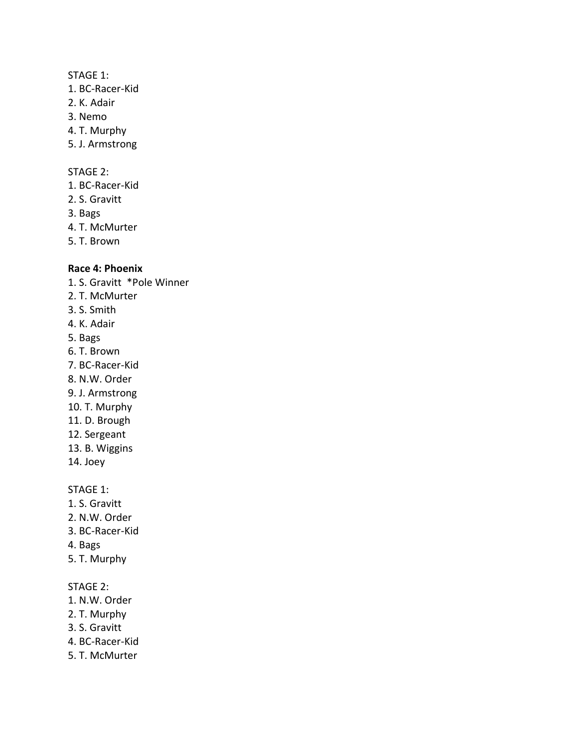#### STAGE 1:

- 1. BC-Racer-Kid
- 2. K. Adair
- 3. Nemo
- 4. T. Murphy
- 5. J. Armstrong

#### STAGE 2:

- 1. BC-Racer-Kid
- 2. S. Gravitt
- 3. Bags
- 4. T. McMurter
- 5. T. Brown

#### **Race 4: Phoenix**

- 1. S. Gravitt \*Pole Winner
- 2. T. McMurter
- 3. S. Smith
- 4. K. Adair
- 5. Bags
- 6. T. Brown
- 7. BC-Racer-Kid
- 8. N.W. Order
- 9. J. Armstrong
- 10. T. Murphy
- 11. D. Brough
- 12. Sergeant
- 13. B. Wiggins
- 14. Joey

STAGE 1:

- 1. S. Gravitt
- 2. N.W. Order
- 3. BC-Racer-Kid
- 4. Bags
- 5. T. Murphy

# STAGE 2:

- 1. N.W. Order
- 2. T. Murphy
- 3. S. Gravitt
- 4. BC-Racer-Kid
- 5. T. McMurter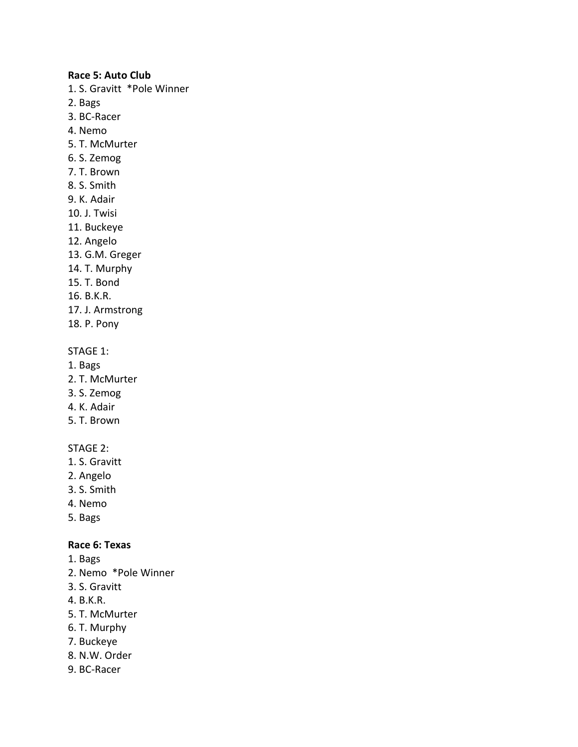#### **Race 5: Auto Club**

- 1. S. Gravitt \*Pole Winner
- 2. Bags
- 3. BC-Racer
- 4. Nemo
- 5. T. McMurter
- 6. S. Zemog
- 7. T. Brown
- 8. S. Smith
- 9. K. Adair
- 10. J. Twisi
- 11. Buckeye
- 12. Angelo
- 13. G.M. Greger
- 14. T. Murphy
- 15. T. Bond
- 16. B.K.R.
- 17. J. Armstrong
- 18. P. Pony

### STAGE 1:

- 1. Bags
- 2. T. McMurter
- 3. S. Zemog
- 4. K. Adair
- 5. T. Brown

# STAGE 2:

- 1. S. Gravitt
- 2. Angelo
- 3. S. Smith
- 4. Nemo
- 5. Bags

### **Race 6: Texas**

- 1. Bags
- 2. Nemo \*Pole Winner
- 3. S. Gravitt
- 4. B.K.R.
- 5. T. McMurter
- 6. T. Murphy
- 7. Buckeye
- 8. N.W. Order
- 9. BC-Racer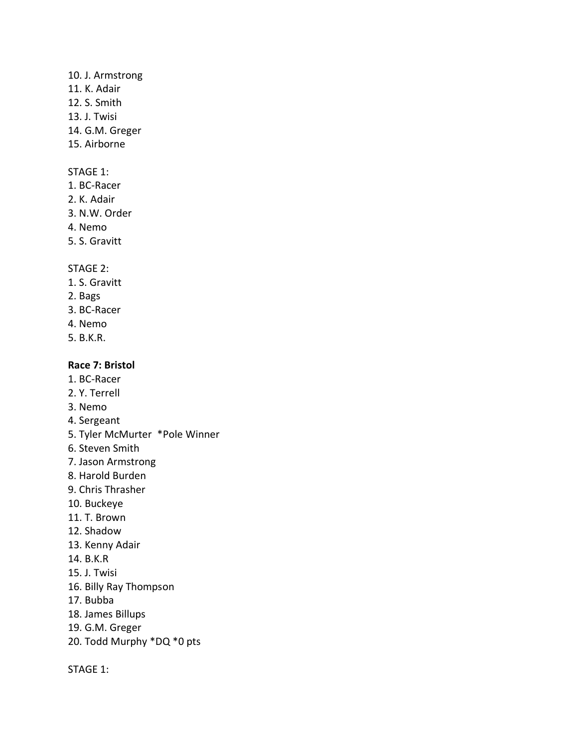### 10. J. Armstrong

- 11. K. Adair
- 12. S. Smith
- 13. J. Twisi
- 14. G.M. Greger
- 15. Airborne

# STAGE 1:

- 1. BC-Racer
- 2. K. Adair
- 3. N.W. Order
- 4. Nemo
- 5. S. Gravitt

# STAGE 2:

- 1. S. Gravitt
- 2. Bags
- 3. BC-Racer
- 4. Nemo
- 5. B.K.R.

# **Race 7: Bristol**

- 1. BC-Racer
- 2. Y. Terrell
- 3. Nemo
- 4. Sergeant
- 5. Tyler McMurter \*Pole Winner
- 6. Steven Smith
- 7. Jason Armstrong
- 8. Harold Burden
- 9. Chris Thrasher
- 10. Buckeye
- 11. T. Brown
- 12. Shadow
- 13. Kenny Adair
- 14. B.K.R
- 15. J. Twisi
- 16. Billy Ray Thompson
- 17. Bubba
- 18. James Billups
- 19. G.M. Greger
- 20. Todd Murphy \*DQ \*0 pts

STAGE 1: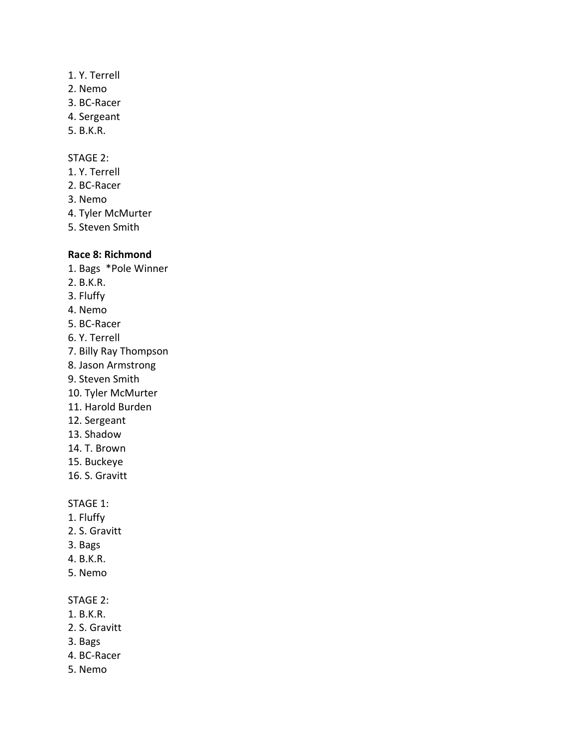- 1. Y. Terrell
- 2. Nemo
- 3. BC-Racer
- 4. Sergeant
- 5. B.K.R.

### STAGE 2:

- 1. Y. Terrell
- 2. BC-Racer
- 3. Nemo
- 4. Tyler McMurter
- 5. Steven Smith

# **Race 8: Richmond**

- 1. Bags \*Pole Winner
- 2. B.K.R.
- 3. Fluffy
- 4. Nemo
- 5. BC-Racer
- 6. Y. Terrell
- 7. Billy Ray Thompson
- 8. Jason Armstrong
- 9. Steven Smith
- 10. Tyler McMurter
- 11. Harold Burden
- 12. Sergeant
- 13. Shadow
- 14. T. Brown
- 15. Buckeye
- 16. S. Gravitt

# STAGE 1:

- 1. Fluffy
- 2. S. Gravitt
- 3. Bags
- 4. B.K.R.
- 5. Nemo

### STAGE 2:

- 1. B.K.R.
- 2. S. Gravitt
- 3. Bags
- 4. BC-Racer
- 5. Nemo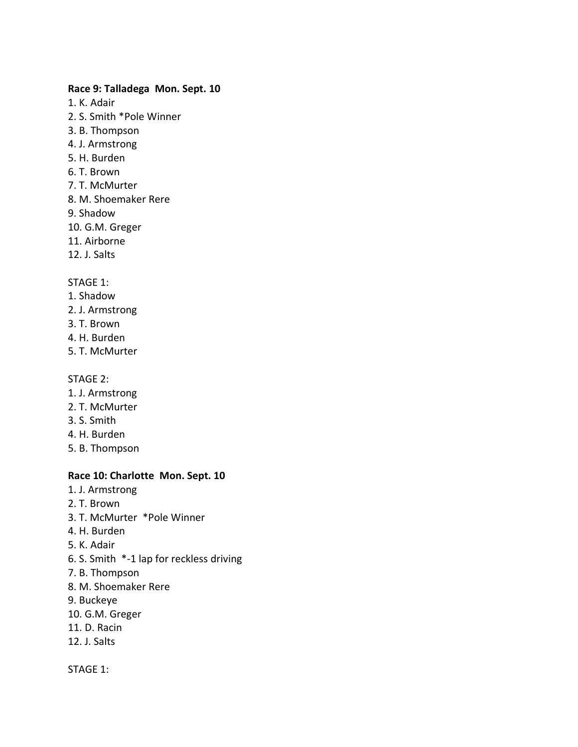# **Race 9: Talladega Mon. Sept. 10**

- 1. K. Adair
- 2. S. Smith \*Pole Winner
- 3. B. Thompson
- 4. J. Armstrong
- 5. H. Burden
- 6. T. Brown
- 7. T. McMurter
- 8. M. Shoemaker Rere
- 9. Shadow
- 10. G.M. Greger
- 11. Airborne
- 12. J. Salts

### STAGE 1:

- 1. Shadow
- 2. J. Armstrong
- 3. T. Brown
- 4. H. Burden
- 5. T. McMurter

#### STAGE 2:

- 1. J. Armstrong
- 2. T. McMurter
- 3. S. Smith
- 4. H. Burden
- 5. B. Thompson

#### **Race 10: Charlotte Mon. Sept. 10**

- 1. J. Armstrong
- 2. T. Brown
- 3. T. McMurter \*Pole Winner
- 4. H. Burden
- 5. K. Adair
- 6. S. Smith \*-1 lap for reckless driving
- 7. B. Thompson
- 8. M. Shoemaker Rere
- 9. Buckeye
- 10. G.M. Greger
- 11. D. Racin
- 12. J. Salts

STAGE 1: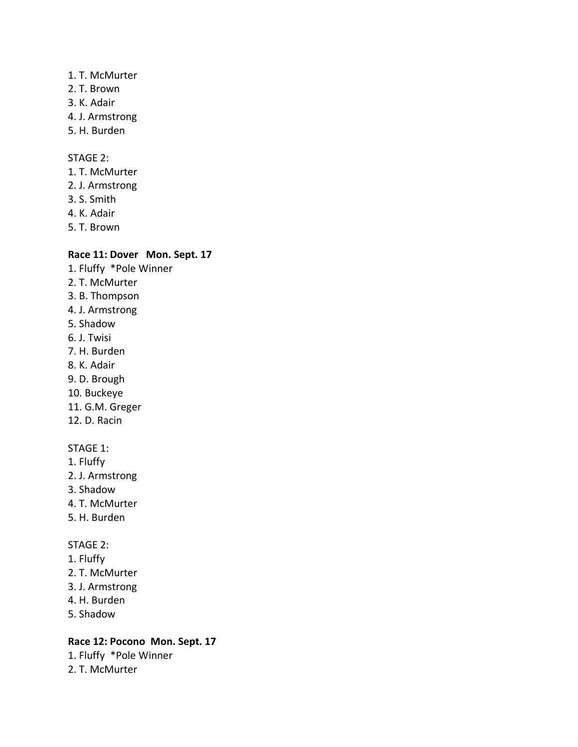#### 1. T. McMurter

- 2. T. Brown
- 3. K. Adair
- 4. J. Armstrong
- 5. H. Burden

# STAGE 2:

- 1. T. McMurter
- 2. J. Armstrong
- 3. S. Smith
- 4. K. Adair
- 5. T. Brown

## **Race 11: Dover Mon. Sept. 17**

- 1. Fluffy \*Pole Winner 2. T. McMurter 3. B. Thompson 4. J. Armstrong 5. Shadow 6. J. Twisi 7. H. Burden 8. K. Adair 9. D. Brough 10. Buckeye 11. G.M. Greger 12. D. Racin STAGE 1:
- 1. Fluffy
- 2. J. Armstrong
- 3. Shadow
- 4. T. McMurter
- 5. H. Burden

## STAGE 2:

- 1. Fluffy
- 2. T. McMurter
- 3. J. Armstrong
- 4. H. Burden
- 5. Shadow

# **Race 12: Pocono Mon. Sept. 17**

1. Fluffy \*Pole Winner 2. T. McMurter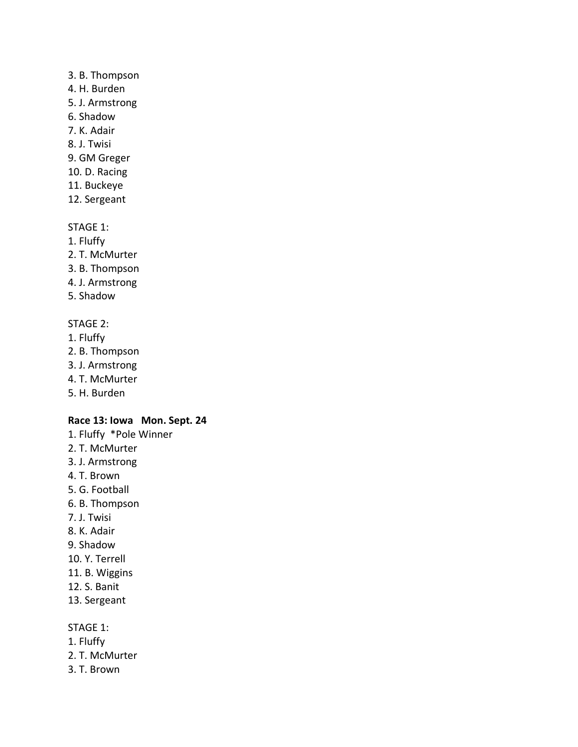#### 3. B. Thompson

- 4. H. Burden
- 5. J. Armstrong
- 6. Shadow
- 7. K. Adair
- 8. J. Twisi
- 9. GM Greger
- 10. D. Racing
- 11. Buckeye
- 12. Sergeant

# STAGE 1:

- 1. Fluffy
- 2. T. McMurter
- 3. B. Thompson
- 4. J. Armstrong
- 5. Shadow

# STAGE 2:

- 1. Fluffy
- 2. B. Thompson
- 3. J. Armstrong
- 4. T. McMurter
- 5. H. Burden

## **Race 13: Iowa Mon. Sept. 24**

- 1. Fluffy \*Pole Winner
- 2. T. McMurter
- 3. J. Armstrong
- 4. T. Brown
- 5. G. Football
- 6. B. Thompson
- 7. J. Twisi
- 8. K. Adair
- 9. Shadow
- 10. Y. Terrell
- 11. B. Wiggins
- 12. S. Banit
- 13. Sergeant

# STAGE 1:

- 1. Fluffy
- 2. T. McMurter
- 3. T. Brown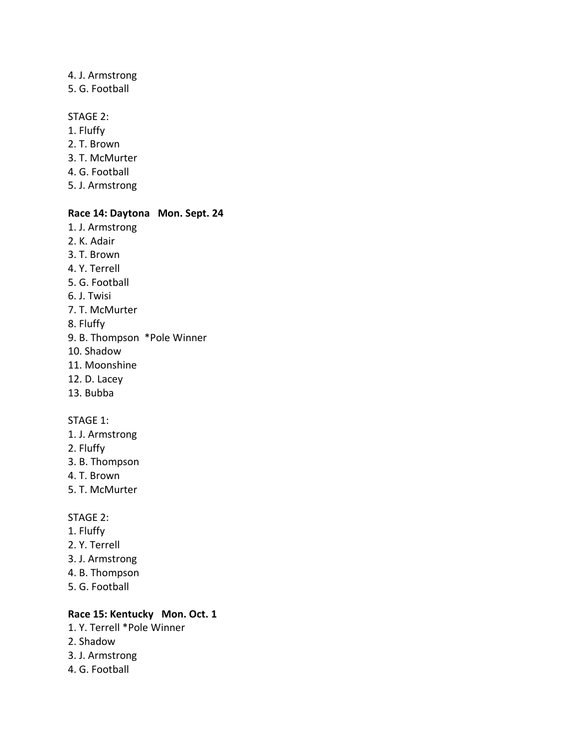### 4. J. Armstrong 5. G. Football

#### STAGE 2:

1. Fluffy 2. T. Brown 3. T. McMurter 4. G. Football 5. J. Armstrong

# **Race 14: Daytona Mon. Sept. 24**

- 1. J. Armstrong 2. K. Adair 3. T. Brown 4. Y. Terrell
- 5. G. Football
- 6. J. Twisi
- 7. T. McMurter
- 8. Fluffy
- 9. B. Thompson \*Pole Winner
- 10. Shadow
- 11. Moonshine
- 12. D. Lacey
- 13. Bubba

#### STAGE 1:

- 1. J. Armstrong
- 2. Fluffy
- 3. B. Thompson
- 4. T. Brown
- 5. T. McMurter

#### STAGE 2:

- 1. Fluffy
- 2. Y. Terrell
- 3. J. Armstrong
- 4. B. Thompson
- 5. G. Football

# **Race 15: Kentucky Mon. Oct. 1**

- 1. Y. Terrell \*Pole Winner
- 2. Shadow
- 3. J. Armstrong
- 4. G. Football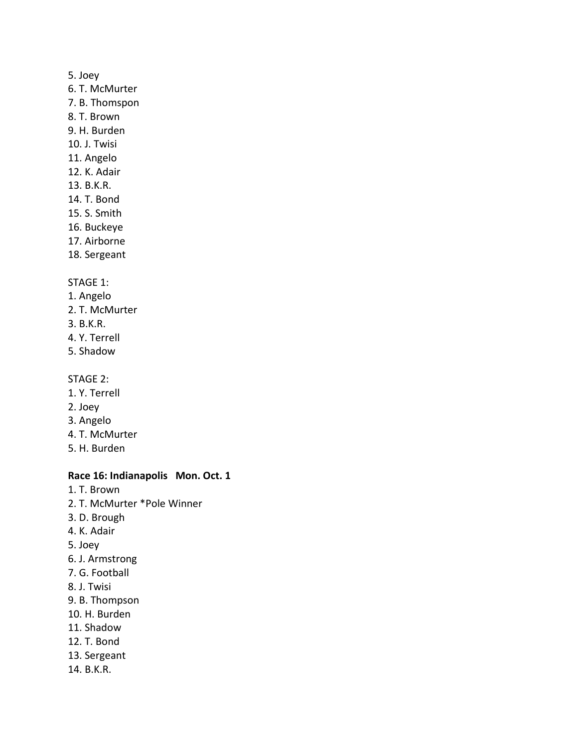#### 5. Joey

- 6. T. McMurter
- 7. B. Thomspon
- 8. T. Brown
- 9. H. Burden
- 10. J. Twisi
- 11. Angelo
- 12. K. Adair
- 13. B.K.R.
- 14. T. Bond
- 15. S. Smith
- 16. Buckeye
- 17. Airborne
- 18. Sergeant

### STAGE 1:

- 1. Angelo
- 2. T. McMurter
- 3. B.K.R.
- 4. Y. Terrell
- 5. Shadow

#### STAGE 2:

- 1. Y. Terrell
- 2. Joey
- 3. Angelo
- 4. T. McMurter
- 5. H. Burden

#### **Race 16: Indianapolis Mon. Oct. 1**

- 1. T. Brown
- 2. T. McMurter \*Pole Winner
- 3. D. Brough
- 4. K. Adair
- 5. Joey
- 6. J. Armstrong
- 7. G. Football
- 8. J. Twisi
- 9. B. Thompson
- 10. H. Burden
- 11. Shadow
- 12. T. Bond
- 13. Sergeant
- 14. B.K.R.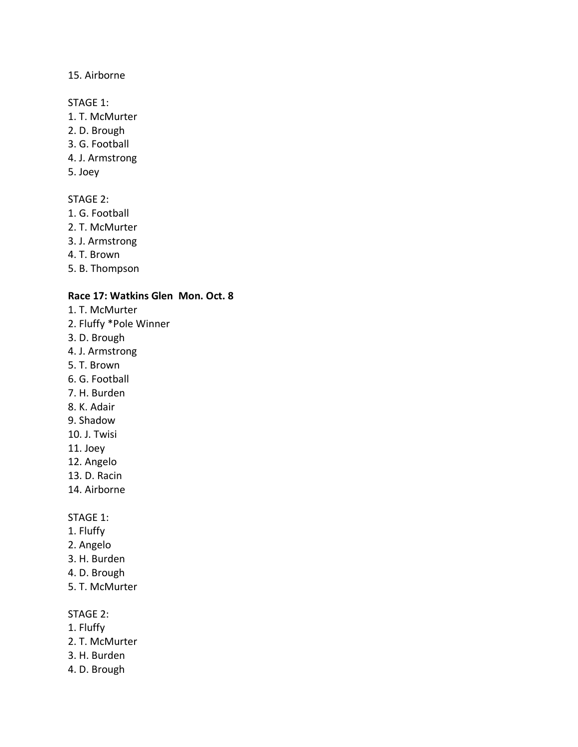# 15. Airborne

#### STAGE 1:

- 1. T. McMurter
- 2. D. Brough
- 3. G. Football
- 4. J. Armstrong
- 5. Joey

## STAGE 2:

- 1. G. Football
- 2. T. McMurter
- 3. J. Armstrong
- 4. T. Brown
- 5. B. Thompson

### **Race 17: Watkins Glen Mon. Oct. 8**

- 1. T. McMurter
- 2. Fluffy \*Pole Winner
- 3. D. Brough
- 4. J. Armstrong
- 5. T. Brown
- 6. G. Football
- 7. H. Burden
- 8. K. Adair
- 9. Shadow
- 10. J. Twisi
- 11. Joey
- 12. Angelo
- 13. D. Racin
- 14. Airborne

#### STAGE 1:

- 1. Fluffy
- 2. Angelo
- 3. H. Burden
- 4. D. Brough
- 5. T. McMurter

## STAGE 2:

- 1. Fluffy
- 2. T. McMurter
- 3. H. Burden
- 4. D. Brough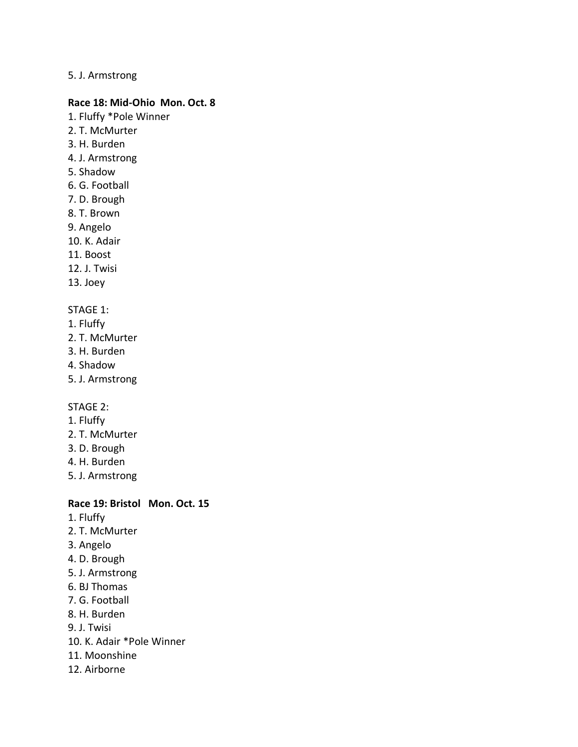### 5. J. Armstrong

#### **Race 18: Mid-Ohio Mon. Oct. 8**

- 1. Fluffy \*Pole Winner
- 2. T. McMurter
- 3. H. Burden
- 4. J. Armstrong
- 5. Shadow
- 6. G. Football
- 7. D. Brough
- 8. T. Brown
- 9. Angelo
- 10. K. Adair
- 11. Boost
- 12. J. Twisi
- 13. Joey

# STAGE 1:

- 1. Fluffy
- 2. T. McMurter
- 3. H. Burden
- 4. Shadow
- 5. J. Armstrong

#### STAGE 2:

- 1. Fluffy
- 2. T. McMurter
- 3. D. Brough
- 4. H. Burden
- 5. J. Armstrong

# **Race 19: Bristol Mon. Oct. 15**

- 1. Fluffy
- 2. T. McMurter
- 3. Angelo
- 4. D. Brough
- 5. J. Armstrong
- 6. BJ Thomas
- 7. G. Football
- 8. H. Burden
- 9. J. Twisi
- 10. K. Adair \*Pole Winner
- 11. Moonshine
- 12. Airborne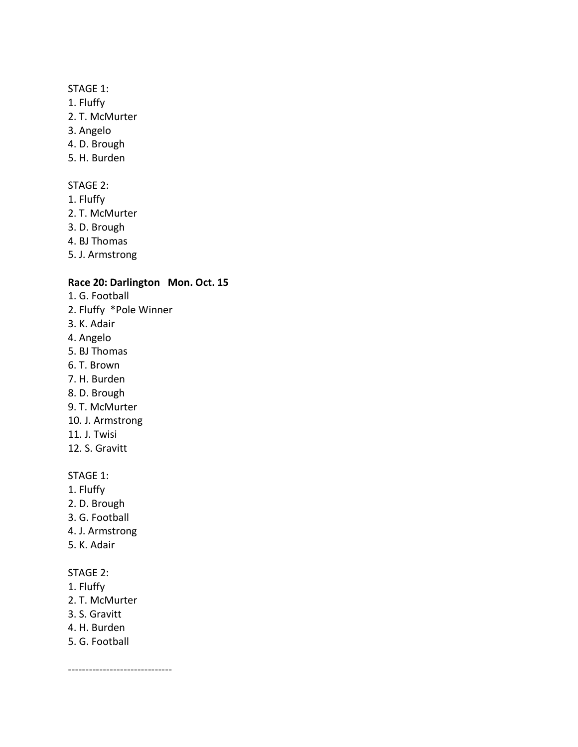# STAGE 1:

- 1. Fluffy
- 2. T. McMurter
- 3. Angelo
- 4. D. Brough
- 5. H. Burden

#### STAGE 2:

- 1. Fluffy
- 2. T. McMurter
- 3. D. Brough
- 4. BJ Thomas
- 5. J. Armstrong

# **Race 20: Darlington Mon. Oct. 15**

- 1. G. Football
- 2. Fluffy \*Pole Winner
- 3. K. Adair
- 4. Angelo
- 5. BJ Thomas
- 6. T. Brown
- 7. H. Burden
- 8. D. Brough
- 9. T. McMurter
- 10. J. Armstrong
- 11. J. Twisi
- 12. S. Gravitt

#### STAGE 1:

- 1. Fluffy
- 2. D. Brough
- 3. G. Football
- 4. J. Armstrong
- 5. K. Adair

# STAGE 2:

- 1. Fluffy
- 2. T. McMurter
- 3. S. Gravitt
- 4. H. Burden
- 5. G. Football

------------------------------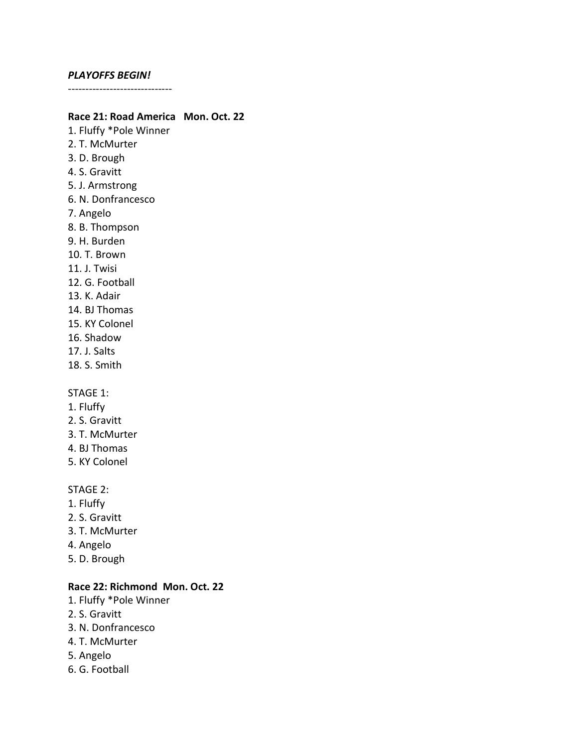#### *PLAYOFFS BEGIN!*

------------------------------

### **Race 21: Road America Mon. Oct. 22**

1. Fluffy \*Pole Winner 2. T. McMurter 3. D. Brough 4. S. Gravitt 5. J. Armstrong 6. N. Donfrancesco 7. Angelo 8. B. Thompson 9. H. Burden 10. T. Brown 11. J. Twisi 12. G. Football 13. K. Adair 14. BJ Thomas 15. KY Colonel 16. Shadow 17. J. Salts 18. S. Smith STAGE 1: 1. Fluffy 2. S. Gravitt 3. T. McMurter 4. BJ Thomas 5. KY Colonel

#### STAGE 2:

- 1. Fluffy
- 2. S. Gravitt
- 3. T. McMurter
- 4. Angelo
- 5. D. Brough

# **Race 22: Richmond Mon. Oct. 22**

- 1. Fluffy \*Pole Winner
- 2. S. Gravitt
- 3. N. Donfrancesco
- 4. T. McMurter
- 5. Angelo
- 6. G. Football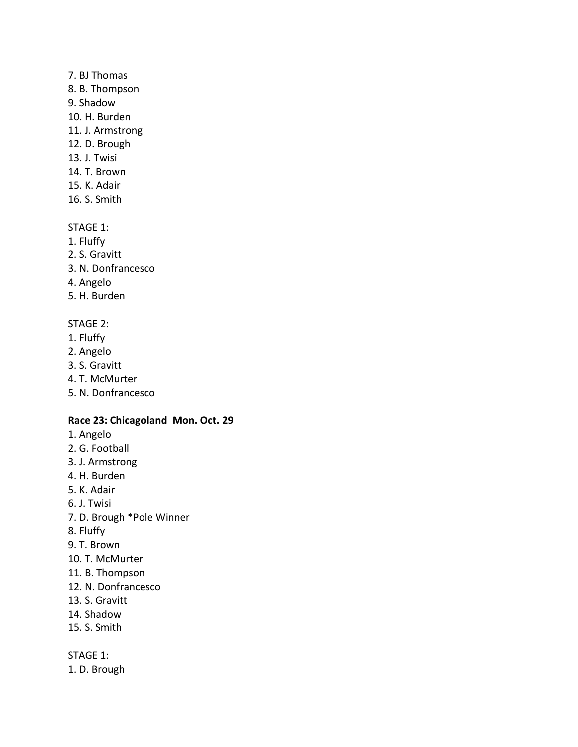#### 7. BJ Thomas

- 8. B. Thompson
- 9. Shadow
- 10. H. Burden
- 11. J. Armstrong
- 12. D. Brough
- 13. J. Twisi
- 14. T. Brown
- 15. K. Adair
- 16. S. Smith

## STAGE 1:

- 1. Fluffy
- 2. S. Gravitt
- 3. N. Donfrancesco
- 4. Angelo
- 5. H. Burden

# STAGE 2:

- 1. Fluffy
- 2. Angelo
- 3. S. Gravitt
- 4. T. McMurter
- 5. N. Donfrancesco

## **Race 23: Chicagoland Mon. Oct. 29**

- 1. Angelo
- 2. G. Football
- 3. J. Armstrong
- 4. H. Burden
- 5. K. Adair
- 6. J. Twisi
- 7. D. Brough \*Pole Winner
- 8. Fluffy
- 9. T. Brown
- 10. T. McMurter
- 11. B. Thompson
- 12. N. Donfrancesco
- 13. S. Gravitt
- 14. Shadow
- 15. S. Smith

STAGE 1:

1. D. Brough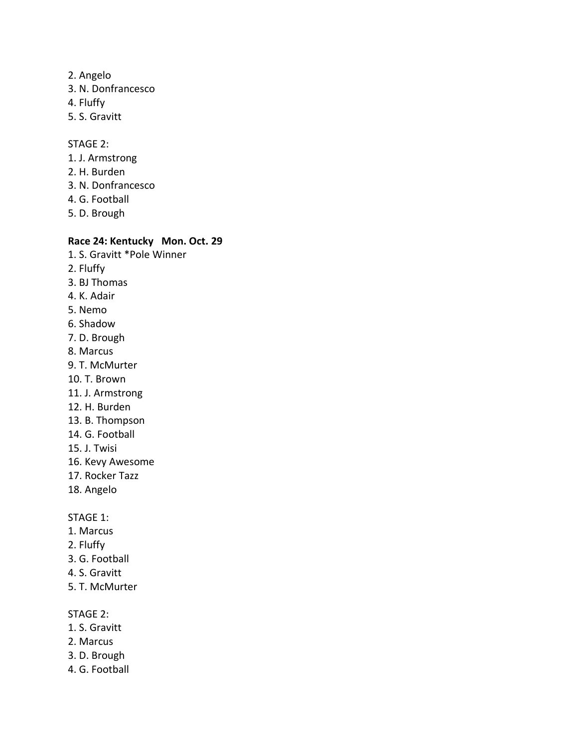- 2. Angelo
- 3. N. Donfrancesco
- 4. Fluffy
- 5. S. Gravitt

#### STAGE 2:

- 1. J. Armstrong
- 2. H. Burden
- 3. N. Donfrancesco
- 4. G. Football
- 5. D. Brough

## **Race 24: Kentucky Mon. Oct. 29**

- 1. S. Gravitt \*Pole Winner
- 2. Fluffy
- 3. BJ Thomas
- 4. K. Adair
- 5. Nemo
- 6. Shadow
- 7. D. Brough
- 8. Marcus
- 9. T. McMurter
- 10. T. Brown
- 11. J. Armstrong
- 12. H. Burden
- 13. B. Thompson
- 14. G. Football
- 15. J. Twisi
- 16. Kevy Awesome
- 17. Rocker Tazz
- 18. Angelo

#### STAGE 1:

- 1. Marcus
- 2. Fluffy
- 3. G. Football
- 4. S. Gravitt
- 5. T. McMurter

#### STAGE 2:

- 1. S. Gravitt
- 2. Marcus
- 3. D. Brough
- 4. G. Football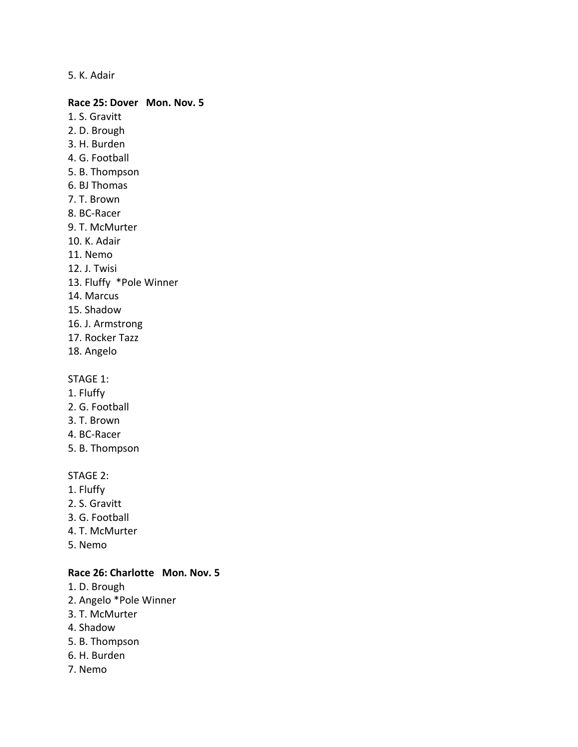5. K. Adair

#### **Race 25: Dover Mon. Nov. 5**

- 1. S. Gravitt
- 2. D. Brough
- 3. H. Burden
- 4. G. Football
- 5. B. Thompson
- 6. BJ Thomas
- 7. T. Brown
- 8. BC-Racer
- 9. T. McMurter
- 10. K. Adair
- 11. Nemo
- 12. J. Twisi
- 13. Fluffy \*Pole Winner
- 14. Marcus
- 15. Shadow
- 16. J. Armstrong
- 17. Rocker Tazz
- 18. Angelo

# STAGE 1:

- 1. Fluffy
- 2. G. Football
- 3. T. Brown
- 4. BC-Racer
- 5. B. Thompson

#### STAGE 2:

- 1. Fluffy
- 2. S. Gravitt
- 3. G. Football
- 4. T. McMurter
- 5. Nemo

### **Race 26: Charlotte Mon. Nov. 5**

- 1. D. Brough
- 2. Angelo \*Pole Winner
- 3. T. McMurter
- 4. Shadow
- 5. B. Thompson
- 6. H. Burden
- 7. Nemo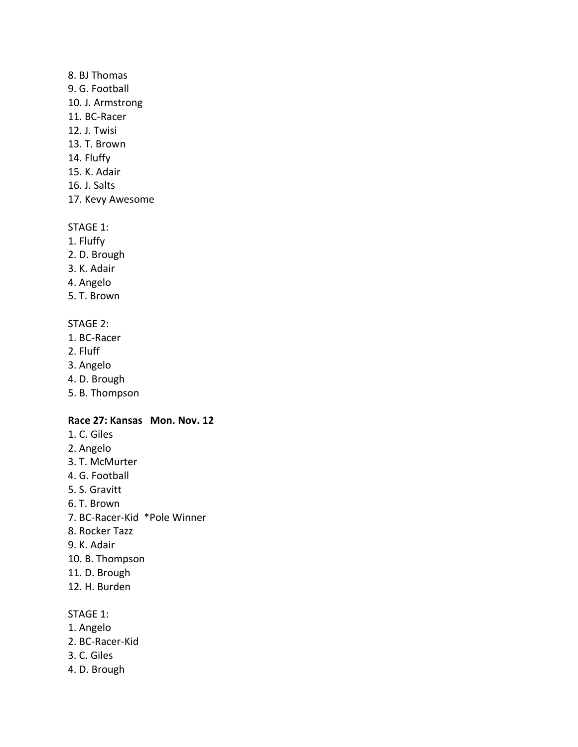#### 8. BJ Thomas

- 9. G. Football
- 10. J. Armstrong
- 11. BC-Racer
- 12. J. Twisi
- 13. T. Brown
- 14. Fluffy
- 15. K. Adair
- 16. J. Salts
- 17. Kevy Awesome

### STAGE 1:

- 1. Fluffy
- 2. D. Brough
- 3. K. Adair
- 4. Angelo
- 5. T. Brown

# STAGE 2:

- 1. BC-Racer
- 2. Fluff
- 3. Angelo
- 4. D. Brough
- 5. B. Thompson

# **Race 27: Kansas Mon. Nov. 12**

- 1. C. Giles
- 2. Angelo
- 3. T. McMurter
- 4. G. Football
- 5. S. Gravitt
- 6. T. Brown
- 7. BC-Racer-Kid \*Pole Winner
- 8. Rocker Tazz
- 9. K. Adair
- 10. B. Thompson
- 11. D. Brough
- 12. H. Burden

# STAGE 1:

- 1. Angelo
- 2. BC-Racer-Kid
- 3. C. Giles
- 4. D. Brough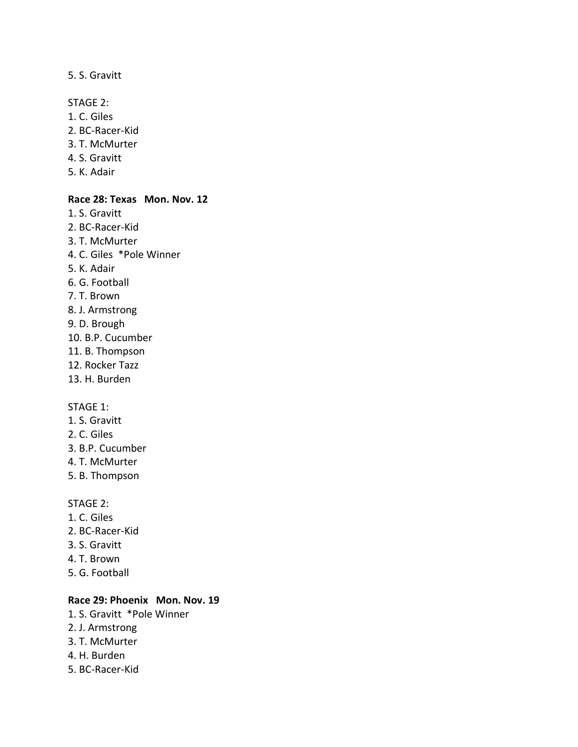#### 5. S. Gravitt

STAGE 2:

- 1. C. Giles
- 2. BC-Racer-Kid
- 3. T. McMurter
- 4. S. Gravitt
- 5. K. Adair

#### **Race 28: Texas Mon. Nov. 12**

- 1. S. Gravitt 2. BC-Racer-Kid 3. T. McMurter
- 4. C. Giles \*Pole Winner
- 5. K. Adair
- 6. G. Football
- 7. T. Brown
- 8. J. Armstrong
- 9. D. Brough
- 10. B.P. Cucumber
- 11. B. Thompson
- 12. Rocker Tazz
- 13. H. Burden

#### STAGE 1:

- 1. S. Gravitt
- 2. C. Giles
- 3. B.P. Cucumber
- 4. T. McMurter
- 5. B. Thompson

#### STAGE 2:

- 1. C. Giles
- 2. BC-Racer-Kid
- 3. S. Gravitt
- 4. T. Brown
- 5. G. Football

#### **Race 29: Phoenix Mon. Nov. 19**

- 1. S. Gravitt \*Pole Winner
- 2. J. Armstrong
- 3. T. McMurter
- 4. H. Burden
- 5. BC-Racer-Kid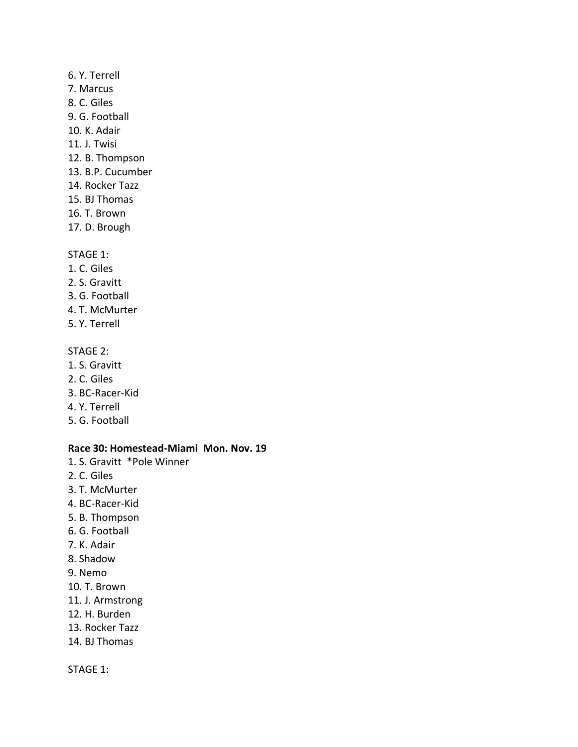# 6. Y. Terrell

- 7. Marcus
- 8. C. Giles
- 9. G. Football
- 10. K. Adair
- 11. J. Twisi
- 12. B. Thompson
- 13. B.P. Cucumber
- 14. Rocker Tazz
- 15. BJ Thomas
- 16. T. Brown
- 17. D. Brough

# STAGE 1:

- 1. C. Giles
- 2. S. Gravitt
- 3. G. Football
- 4. T. McMurter
- 5. Y. Terrell

# STAGE 2:

- 1. S. Gravitt
- 2. C. Giles
- 3. BC-Racer-Kid
- 4. Y. Terrell
- 5. G. Football

# **Race 30: Homestead-Miami Mon. Nov. 19**

- 1. S. Gravitt \*Pole Winner
- 2. C. Giles
- 3. T. McMurter
- 4. BC-Racer-Kid
- 5. B. Thompson
- 6. G. Football
- 7. K. Adair
- 8. Shadow
- 9. Nemo
- 10. T. Brown
- 11. J. Armstrong
- 12. H. Burden
- 13. Rocker Tazz
- 14. BJ Thomas

# STAGE 1: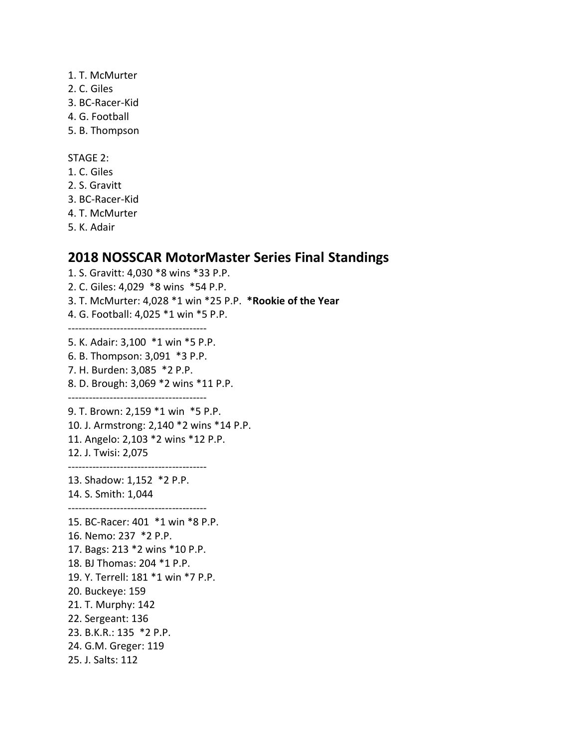- 1. T. McMurter
- 2. C. Giles
- 3. BC-Racer-Kid
- 4. G. Football
- 5. B. Thompson

#### STAGE 2:

- 1. C. Giles
- 2. S. Gravitt
- 3. BC-Racer-Kid
- 4. T. McMurter
- 5. K. Adair

# **2018 NOSSCAR MotorMaster Series Final Standings**

1. S. Gravitt: 4,030 \*8 wins \*33 P.P. 2. C. Giles: 4,029 \*8 wins \*54 P.P. 3. T. McMurter: 4,028 \*1 win \*25 P.P. **\*Rookie of the Year** 4. G. Football: 4,025 \*1 win \*5 P.P. ---------------------------------------- 5. K. Adair: 3,100 \*1 win \*5 P.P. 6. B. Thompson: 3,091 \*3 P.P. 7. H. Burden: 3,085 \*2 P.P. 8. D. Brough: 3,069 \*2 wins \*11 P.P. ---------------------------------------- 9. T. Brown: 2,159 \*1 win \*5 P.P. 10. J. Armstrong: 2,140 \*2 wins \*14 P.P. 11. Angelo: 2,103 \*2 wins \*12 P.P. 12. J. Twisi: 2,075 ---------------------------------------- 13. Shadow: 1,152 \*2 P.P. 14. S. Smith: 1,044 ---------------------------------------- 15. BC-Racer: 401 \*1 win \*8 P.P. 16. Nemo: 237 \*2 P.P. 17. Bags: 213 \*2 wins \*10 P.P. 18. BJ Thomas: 204 \*1 P.P. 19. Y. Terrell: 181 \*1 win \*7 P.P. 20. Buckeye: 159 21. T. Murphy: 142 22. Sergeant: 136 23. B.K.R.: 135 \*2 P.P. 24. G.M. Greger: 119 25. J. Salts: 112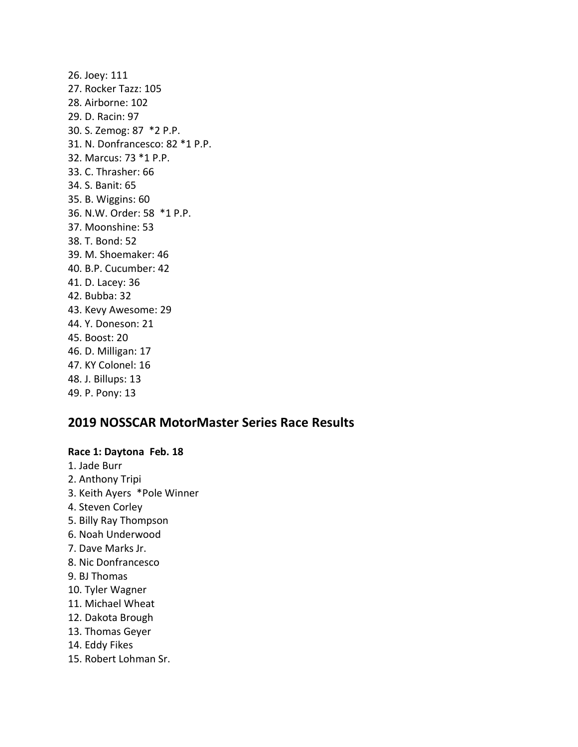26. Joey: 111 27. Rocker Tazz: 105 28. Airborne: 102 29. D. Racin: 97 30. S. Zemog: 87 \*2 P.P. 31. N. Donfrancesco: 82 \*1 P.P. 32. Marcus: 73 \*1 P.P. 33. C. Thrasher: 66 34. S. Banit: 65 35. B. Wiggins: 60 36. N.W. Order: 58 \*1 P.P. 37. Moonshine: 53 38. T. Bond: 52 39. M. Shoemaker: 46 40. B.P. Cucumber: 42 41. D. Lacey: 36 42. Bubba: 32 43. Kevy Awesome: 29 44. Y. Doneson: 21 45. Boost: 20 46. D. Milligan: 17 47. KY Colonel: 16 48. J. Billups: 13 49. P. Pony: 13

# **2019 NOSSCAR MotorMaster Series Race Results**

# **Race 1: Daytona Feb. 18**

- 1. Jade Burr
- 2. Anthony Tripi
- 3. Keith Ayers \*Pole Winner
- 4. Steven Corley
- 5. Billy Ray Thompson
- 6. Noah Underwood
- 7. Dave Marks Jr.
- 8. Nic Donfrancesco
- 9. BJ Thomas
- 10. Tyler Wagner
- 11. Michael Wheat
- 12. Dakota Brough
- 13. Thomas Geyer
- 14. Eddy Fikes
- 15. Robert Lohman Sr.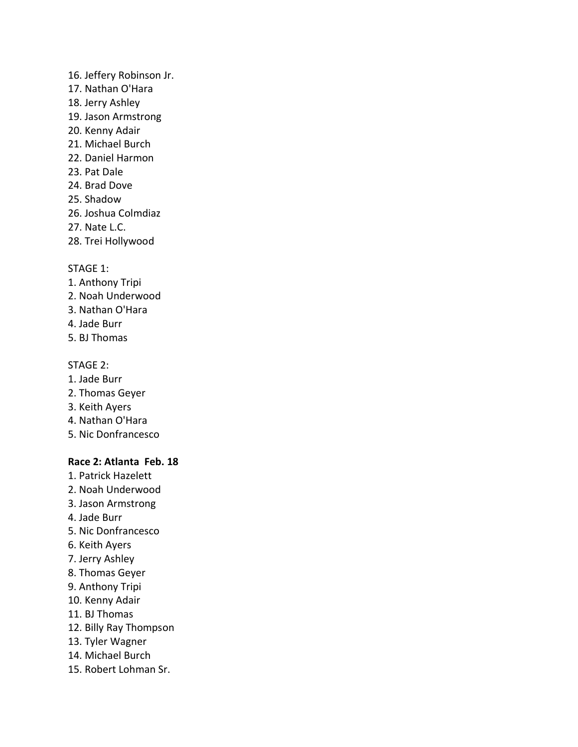- 16. Jeffery Robinson Jr.
- 17. Nathan O'Hara
- 18. Jerry Ashley
- 19. Jason Armstrong
- 20. Kenny Adair
- 21. Michael Burch
- 22. Daniel Harmon
- 23. Pat Dale
- 24. Brad Dove
- 25. Shadow
- 26. Joshua Colmdiaz
- 27. Nate L.C.
- 28. Trei Hollywood

# STAGE 1:

- 1. Anthony Tripi
- 2. Noah Underwood
- 3. Nathan O'Hara
- 4. Jade Burr
- 5. BJ Thomas

# STAGE 2:

- 1. Jade Burr
- 2. Thomas Geyer
- 3. Keith Ayers
- 4. Nathan O'Hara
- 5. Nic Donfrancesco

## **Race 2: Atlanta Feb. 18**

- 1. Patrick Hazelett
- 2. Noah Underwood
- 3. Jason Armstrong
- 4. Jade Burr
- 5. Nic Donfrancesco
- 6. Keith Ayers
- 7. Jerry Ashley
- 8. Thomas Geyer
- 9. Anthony Tripi
- 10. Kenny Adair
- 11. BJ Thomas
- 12. Billy Ray Thompson
- 13. Tyler Wagner
- 14. Michael Burch
- 15. Robert Lohman Sr.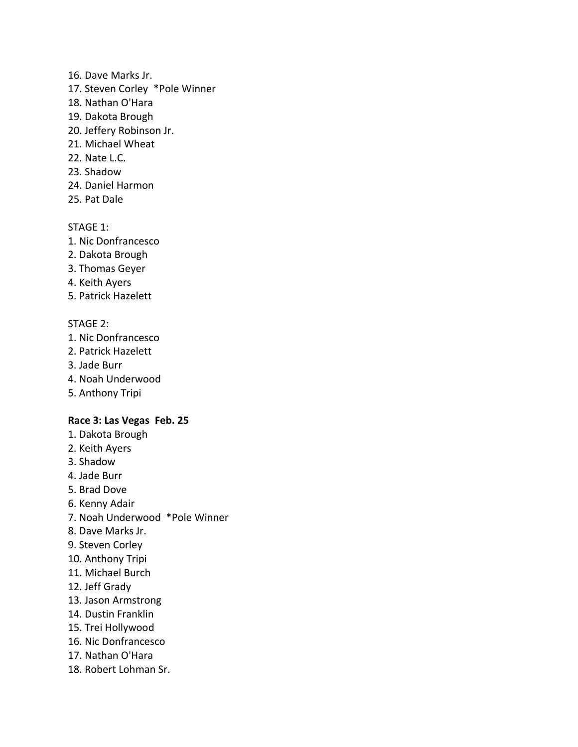### 16. Dave Marks Jr.

- 17. Steven Corley \*Pole Winner
- 18. Nathan O'Hara
- 19. Dakota Brough
- 20. Jeffery Robinson Jr.
- 21. Michael Wheat
- 22. Nate L.C.
- 23. Shadow
- 24. Daniel Harmon
- 25. Pat Dale

## STAGE 1:

- 1. Nic Donfrancesco
- 2. Dakota Brough
- 3. Thomas Geyer
- 4. Keith Ayers
- 5. Patrick Hazelett

# STAGE 2:

- 1. Nic Donfrancesco
- 2. Patrick Hazelett
- 3. Jade Burr
- 4. Noah Underwood
- 5. Anthony Tripi

## **Race 3: Las Vegas Feb. 25**

- 1. Dakota Brough
- 2. Keith Ayers
- 3. Shadow
- 4. Jade Burr
- 5. Brad Dove
- 6. Kenny Adair
- 7. Noah Underwood \*Pole Winner
- 8. Dave Marks Jr.
- 9. Steven Corley
- 10. Anthony Tripi
- 11. Michael Burch
- 12. Jeff Grady
- 13. Jason Armstrong
- 14. Dustin Franklin
- 15. Trei Hollywood
- 16. Nic Donfrancesco
- 17. Nathan O'Hara
- 18. Robert Lohman Sr.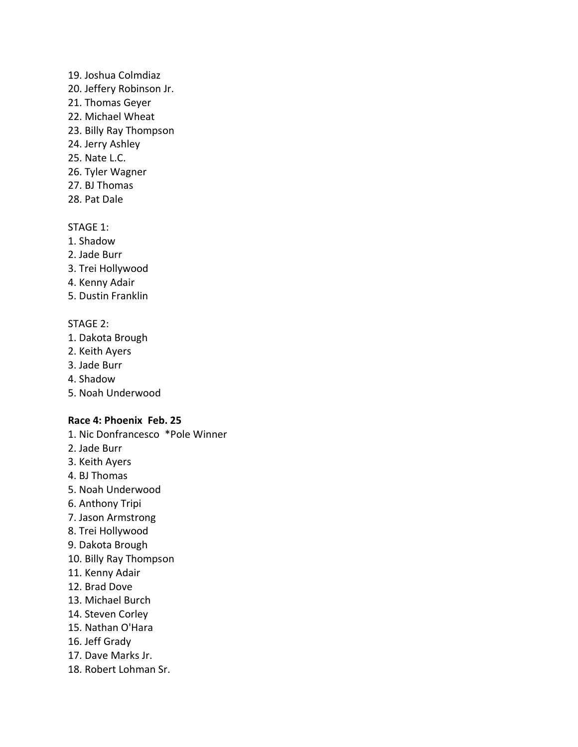#### 19. Joshua Colmdiaz

- 20. Jeffery Robinson Jr.
- 21. Thomas Geyer
- 22. Michael Wheat
- 23. Billy Ray Thompson
- 24. Jerry Ashley
- 25. Nate L.C.
- 26. Tyler Wagner
- 27. BJ Thomas
- 28. Pat Dale

### STAGE 1:

- 1. Shadow
- 2. Jade Burr
- 3. Trei Hollywood
- 4. Kenny Adair
- 5. Dustin Franklin

## STAGE 2:

- 1. Dakota Brough
- 2. Keith Ayers
- 3. Jade Burr
- 4. Shadow
- 5. Noah Underwood

# **Race 4: Phoenix Feb. 25**

- 1. Nic Donfrancesco \*Pole Winner
- 2. Jade Burr
- 3. Keith Ayers
- 4. BJ Thomas
- 5. Noah Underwood
- 6. Anthony Tripi
- 7. Jason Armstrong
- 8. Trei Hollywood
- 9. Dakota Brough
- 10. Billy Ray Thompson
- 11. Kenny Adair
- 12. Brad Dove
- 13. Michael Burch
- 14. Steven Corley
- 15. Nathan O'Hara
- 16. Jeff Grady
- 17. Dave Marks Jr.
- 18. Robert Lohman Sr.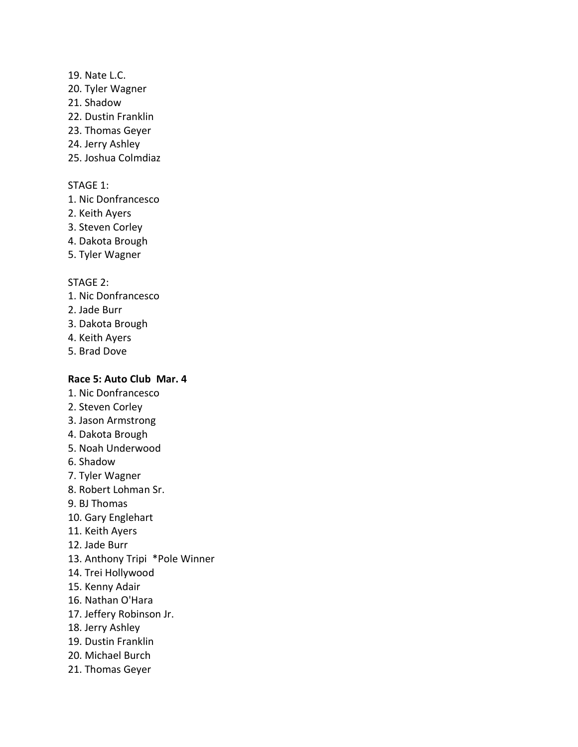### 19. Nate L.C.

- 20. Tyler Wagner
- 21. Shadow
- 22. Dustin Franklin
- 23. Thomas Geyer
- 24. Jerry Ashley
- 25. Joshua Colmdiaz

### STAGE 1:

- 1. Nic Donfrancesco
- 2. Keith Ayers
- 3. Steven Corley
- 4. Dakota Brough
- 5. Tyler Wagner

### STAGE 2:

- 1. Nic Donfrancesco
- 2. Jade Burr
- 3. Dakota Brough
- 4. Keith Ayers
- 5. Brad Dove

# **Race 5: Auto Club Mar. 4**

- 1. Nic Donfrancesco
- 2. Steven Corley
- 3. Jason Armstrong
- 4. Dakota Brough
- 5. Noah Underwood
- 6. Shadow
- 7. Tyler Wagner
- 8. Robert Lohman Sr.
- 9. BJ Thomas
- 10. Gary Englehart
- 11. Keith Ayers
- 12. Jade Burr
- 13. Anthony Tripi \*Pole Winner
- 14. Trei Hollywood
- 15. Kenny Adair
- 16. Nathan O'Hara
- 17. Jeffery Robinson Jr.
- 18. Jerry Ashley
- 19. Dustin Franklin
- 20. Michael Burch
- 21. Thomas Geyer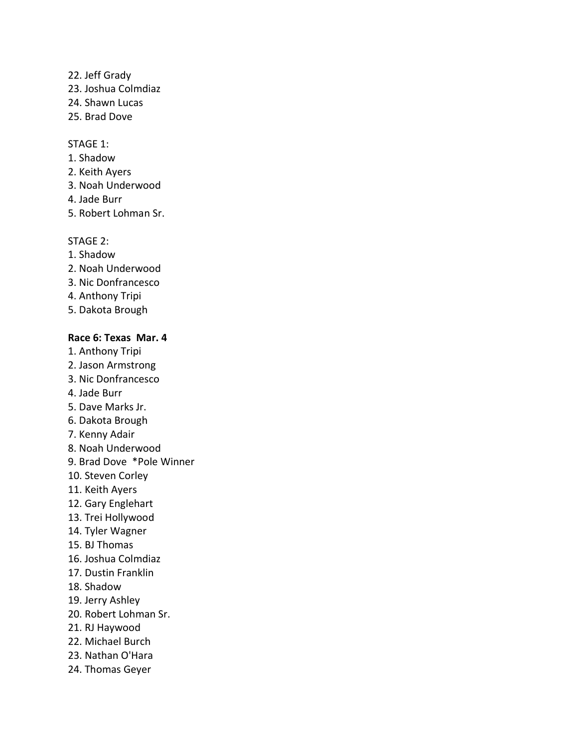- 22. Jeff Grady
- 23. Joshua Colmdiaz
- 24. Shawn Lucas
- 25. Brad Dove

### STAGE 1:

- 1. Shadow
- 2. Keith Ayers
- 3. Noah Underwood
- 4. Jade Burr
- 5. Robert Lohman Sr.

## STAGE 2:

- 1. Shadow
- 2. Noah Underwood
- 3. Nic Donfrancesco
- 4. Anthony Tripi
- 5. Dakota Brough

# **Race 6: Texas Mar. 4**

- 1. Anthony Tripi
- 2. Jason Armstrong
- 3. Nic Donfrancesco
- 4. Jade Burr
- 5. Dave Marks Jr.
- 6. Dakota Brough
- 7. Kenny Adair
- 8. Noah Underwood
- 9. Brad Dove \*Pole Winner
- 10. Steven Corley
- 11. Keith Ayers
- 12. Gary Englehart
- 13. Trei Hollywood
- 14. Tyler Wagner
- 15. BJ Thomas
- 16. Joshua Colmdiaz
- 17. Dustin Franklin
- 18. Shadow
- 19. Jerry Ashley
- 20. Robert Lohman Sr.
- 21. RJ Haywood
- 22. Michael Burch
- 23. Nathan O'Hara
- 24. Thomas Geyer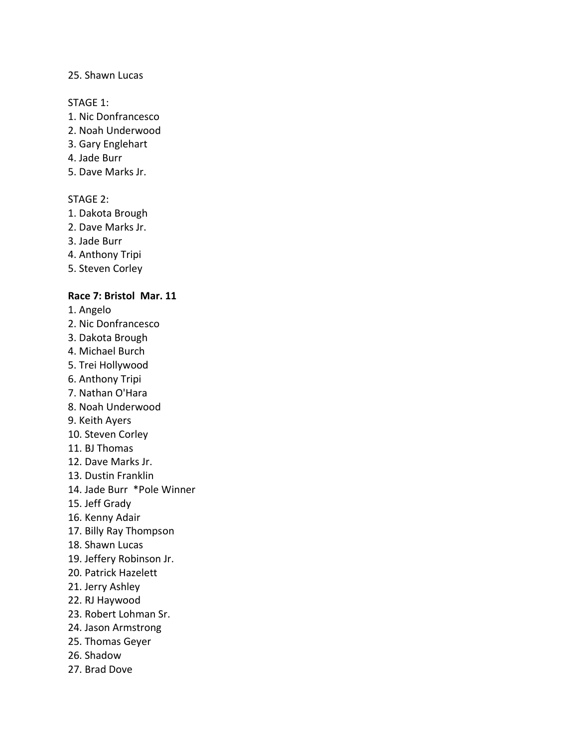### 25. Shawn Lucas

#### STAGE 1:

- 1. Nic Donfrancesco
- 2. Noah Underwood
- 3. Gary Englehart
- 4. Jade Burr
- 5. Dave Marks Jr.

## STAGE 2:

- 1. Dakota Brough
- 2. Dave Marks Jr.
- 3. Jade Burr
- 4. Anthony Tripi
- 5. Steven Corley

### **Race 7: Bristol Mar. 11**

- 1. Angelo
- 2. Nic Donfrancesco
- 3. Dakota Brough
- 4. Michael Burch
- 5. Trei Hollywood
- 6. Anthony Tripi
- 7. Nathan O'Hara
- 8. Noah Underwood
- 9. Keith Ayers
- 10. Steven Corley
- 11. BJ Thomas
- 12. Dave Marks Jr.
- 13. Dustin Franklin
- 14. Jade Burr \*Pole Winner
- 15. Jeff Grady
- 16. Kenny Adair
- 17. Billy Ray Thompson
- 18. Shawn Lucas
- 19. Jeffery Robinson Jr.
- 20. Patrick Hazelett
- 21. Jerry Ashley
- 22. RJ Haywood
- 23. Robert Lohman Sr.
- 24. Jason Armstrong
- 25. Thomas Geyer
- 26. Shadow
- 27. Brad Dove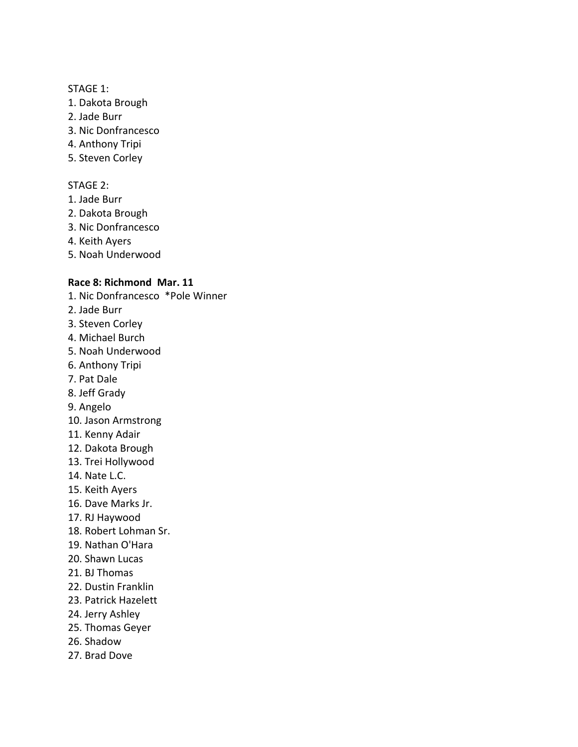### STAGE 1:

- 1. Dakota Brough
- 2. Jade Burr
- 3. Nic Donfrancesco
- 4. Anthony Tripi
- 5. Steven Corley

### STAGE 2:

- 1. Jade Burr
- 2. Dakota Brough
- 3. Nic Donfrancesco
- 4. Keith Ayers
- 5. Noah Underwood

### **Race 8: Richmond Mar. 11**

- 1. Nic Donfrancesco \*Pole Winner
- 2. Jade Burr
- 3. Steven Corley
- 4. Michael Burch
- 5. Noah Underwood
- 6. Anthony Tripi
- 7. Pat Dale
- 8. Jeff Grady
- 9. Angelo
- 10. Jason Armstrong
- 11. Kenny Adair
- 12. Dakota Brough
- 13. Trei Hollywood
- 14. Nate L.C.
- 15. Keith Ayers
- 16. Dave Marks Jr.
- 17. RJ Haywood
- 18. Robert Lohman Sr.
- 19. Nathan O'Hara
- 20. Shawn Lucas
- 21. BJ Thomas
- 22. Dustin Franklin
- 23. Patrick Hazelett
- 24. Jerry Ashley
- 25. Thomas Geyer
- 26. Shadow
- 27. Brad Dove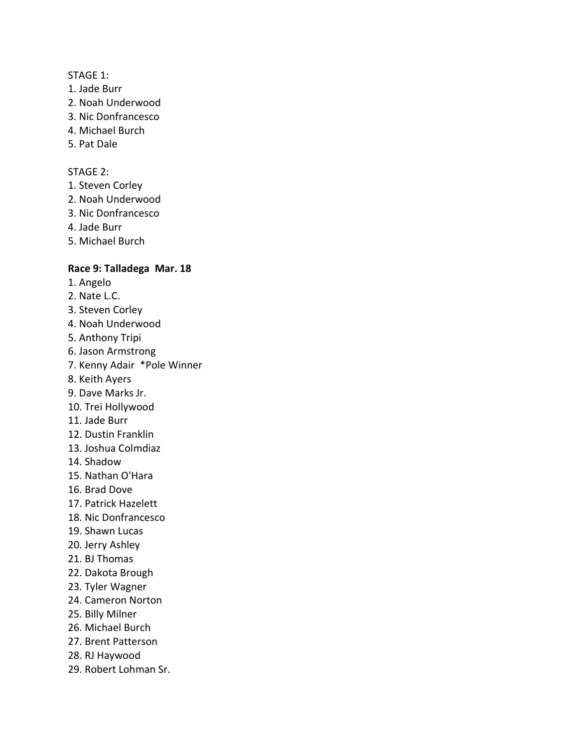### STAGE 1:

- 1. Jade Burr
- 2. Noah Underwood
- 3. Nic Donfrancesco
- 4. Michael Burch
- 5. Pat Dale

#### STAGE 2:

- 1. Steven Corley
- 2. Noah Underwood
- 3. Nic Donfrancesco
- 4. Jade Burr
- 5. Michael Burch

## **Race 9: Talladega Mar. 18**

- 1. Angelo
- 2. Nate L.C.
- 3. Steven Corley
- 4. Noah Underwood
- 5. Anthony Tripi
- 6. Jason Armstrong
- 7. Kenny Adair \*Pole Winner
- 8. Keith Ayers
- 9. Dave Marks Jr.
- 10. Trei Hollywood
- 11. Jade Burr
- 12. Dustin Franklin
- 13. Joshua Colmdiaz
- 14. Shadow
- 15. Nathan O'Hara
- 16. Brad Dove
- 17. Patrick Hazelett
- 18. Nic Donfrancesco
- 19. Shawn Lucas
- 20. Jerry Ashley
- 21. BJ Thomas
- 22. Dakota Brough
- 23. Tyler Wagner
- 24. Cameron Norton
- 25. Billy Milner
- 26. Michael Burch
- 27. Brent Patterson
- 28. RJ Haywood
- 29. Robert Lohman Sr.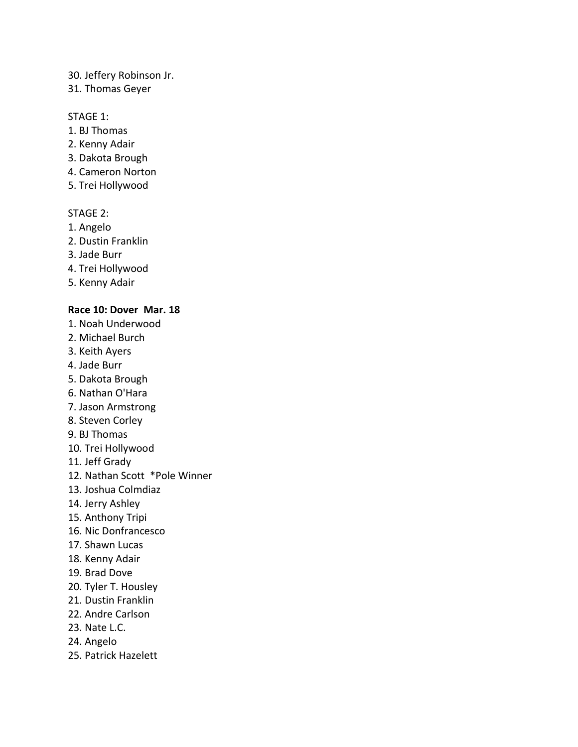### 30. Jeffery Robinson Jr.

### 31. Thomas Geyer

### STAGE 1:

- 1. BJ Thomas
- 2. Kenny Adair
- 3. Dakota Brough
- 4. Cameron Norton
- 5. Trei Hollywood

### STAGE 2:

- 1. Angelo
- 2. Dustin Franklin
- 3. Jade Burr
- 4. Trei Hollywood
- 5. Kenny Adair

### **Race 10: Dover Mar. 18**

- 1. Noah Underwood
- 2. Michael Burch
- 3. Keith Ayers
- 4. Jade Burr
- 5. Dakota Brough
- 6. Nathan O'Hara
- 7. Jason Armstrong
- 8. Steven Corley
- 9. BJ Thomas
- 10. Trei Hollywood
- 11. Jeff Grady
- 12. Nathan Scott \*Pole Winner
- 13. Joshua Colmdiaz
- 14. Jerry Ashley
- 15. Anthony Tripi
- 16. Nic Donfrancesco
- 17. Shawn Lucas
- 18. Kenny Adair
- 19. Brad Dove
- 20. Tyler T. Housley
- 21. Dustin Franklin
- 22. Andre Carlson
- 23. Nate L.C.
- 24. Angelo
- 25. Patrick Hazelett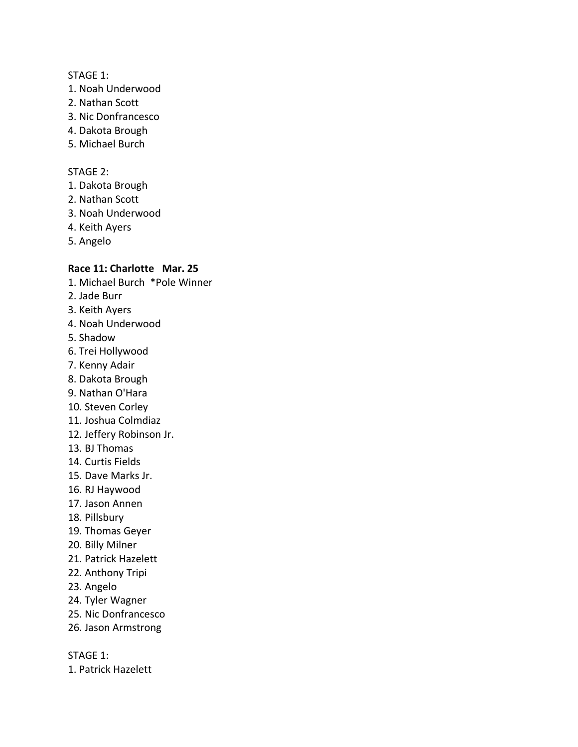#### STAGE 1:

- 1. Noah Underwood
- 2. Nathan Scott
- 3. Nic Donfrancesco
- 4. Dakota Brough
- 5. Michael Burch

#### STAGE 2:

- 1. Dakota Brough
- 2. Nathan Scott
- 3. Noah Underwood
- 4. Keith Ayers
- 5. Angelo

## **Race 11: Charlotte Mar. 25**

- 1. Michael Burch \*Pole Winner
- 2. Jade Burr
- 3. Keith Ayers
- 4. Noah Underwood
- 5. Shadow
- 6. Trei Hollywood
- 7. Kenny Adair
- 8. Dakota Brough
- 9. Nathan O'Hara
- 10. Steven Corley
- 11. Joshua Colmdiaz
- 12. Jeffery Robinson Jr.
- 13. BJ Thomas
- 14. Curtis Fields
- 15. Dave Marks Jr.
- 16. RJ Haywood
- 17. Jason Annen
- 18. Pillsbury
- 19. Thomas Geyer
- 20. Billy Milner
- 21. Patrick Hazelett
- 22. Anthony Tripi
- 23. Angelo
- 24. Tyler Wagner
- 25. Nic Donfrancesco
- 26. Jason Armstrong

STAGE 1:

1. Patrick Hazelett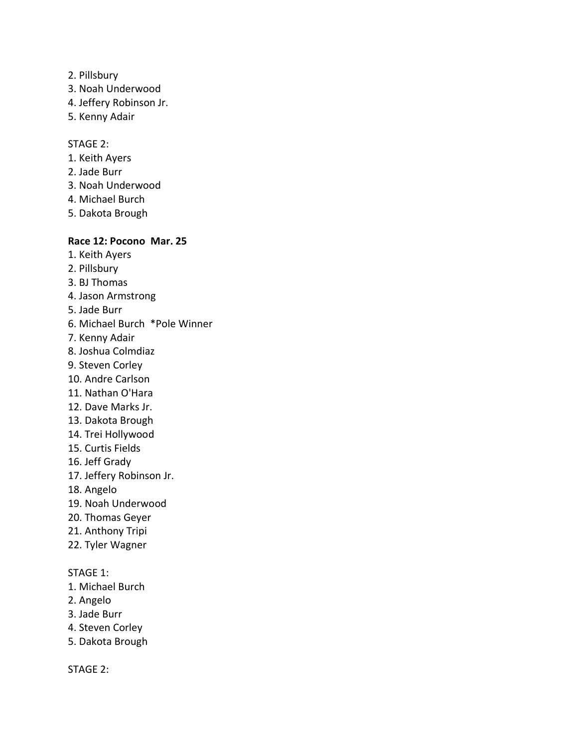- 2. Pillsbury
- 3. Noah Underwood
- 4. Jeffery Robinson Jr.
- 5. Kenny Adair

STAGE 2:

- 1. Keith Ayers
- 2. Jade Burr
- 3. Noah Underwood
- 4. Michael Burch
- 5. Dakota Brough

### **Race 12: Pocono Mar. 25**

- 1. Keith Ayers
- 2. Pillsbury
- 3. BJ Thomas
- 4. Jason Armstrong
- 5. Jade Burr
- 6. Michael Burch \*Pole Winner
- 7. Kenny Adair
- 8. Joshua Colmdiaz
- 9. Steven Corley
- 10. Andre Carlson
- 11. Nathan O'Hara
- 12. Dave Marks Jr.
- 13. Dakota Brough
- 14. Trei Hollywood
- 15. Curtis Fields
- 16. Jeff Grady
- 17. Jeffery Robinson Jr.
- 18. Angelo
- 19. Noah Underwood
- 20. Thomas Geyer
- 21. Anthony Tripi
- 22. Tyler Wagner

### STAGE 1:

- 1. Michael Burch
- 2. Angelo
- 3. Jade Burr
- 4. Steven Corley
- 5. Dakota Brough

STAGE 2: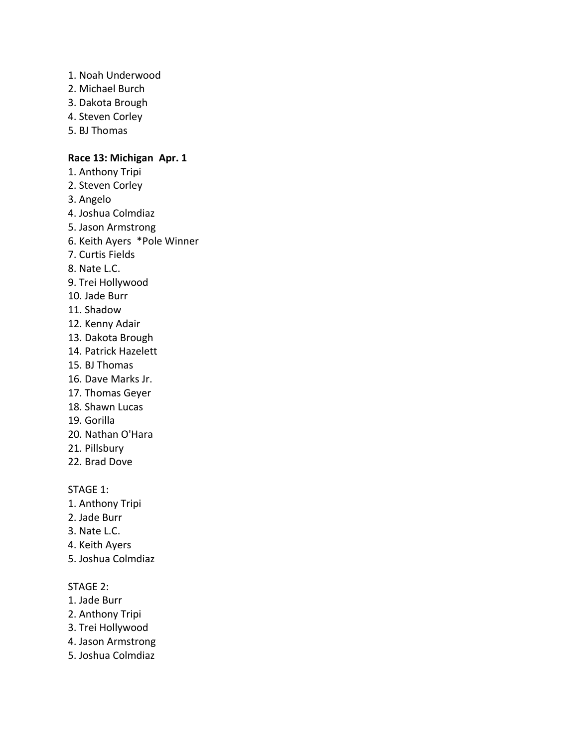- 1. Noah Underwood
- 2. Michael Burch
- 3. Dakota Brough
- 4. Steven Corley
- 5. BJ Thomas

### **Race 13: Michigan Apr. 1**

- 1. Anthony Tripi
- 2. Steven Corley
- 3. Angelo
- 4. Joshua Colmdiaz
- 5. Jason Armstrong
- 6. Keith Ayers \*Pole Winner
- 7. Curtis Fields
- 8. Nate L.C.
- 9. Trei Hollywood
- 10. Jade Burr
- 11. Shadow
- 12. Kenny Adair
- 13. Dakota Brough
- 14. Patrick Hazelett
- 15. BJ Thomas
- 16. Dave Marks Jr.
- 17. Thomas Geyer
- 18. Shawn Lucas
- 19. Gorilla
- 20. Nathan O'Hara
- 21. Pillsbury
- 22. Brad Dove

STAGE 1:

- 1. Anthony Tripi
- 2. Jade Burr
- 3. Nate L.C.
- 4. Keith Ayers
- 5. Joshua Colmdiaz

# STAGE 2:

- 1. Jade Burr
- 2. Anthony Tripi
- 3. Trei Hollywood
- 4. Jason Armstrong
- 5. Joshua Colmdiaz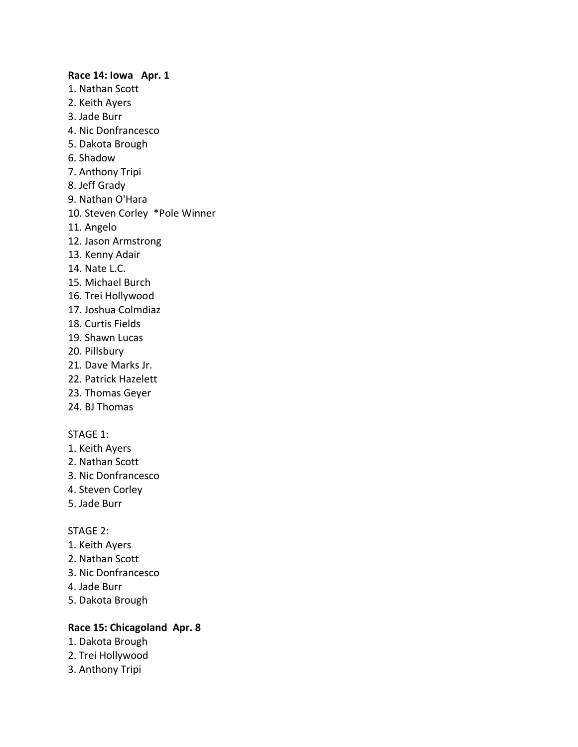# **Race 14: Iowa Apr. 1** 1. Nathan Scott 2. Keith Ayers 3. Jade Burr 4. Nic Donfrancesco 5. Dakota Brough 6. Shadow 7. Anthony Tripi 8. Jeff Grady 9. Nathan O'Hara 10. Steven Corley \*Pole Winner 11. Angelo 12. Jason Armstrong 13. Kenny Adair 14. Nate L.C. 15. Michael Burch 16. Trei Hollywood 17. Joshua Colmdiaz 18. Curtis Fields 19. Shawn Lucas 20. Pillsbury 21. Dave Marks Jr. 22. Patrick Hazelett 23. Thomas Geyer 24. BJ Thomas

### STAGE 1:

- 1. Keith Ayers
- 2. Nathan Scott
- 3. Nic Donfrancesco
- 4. Steven Corley
- 5. Jade Burr

#### STAGE 2:

- 1. Keith Ayers
- 2. Nathan Scott
- 3. Nic Donfrancesco
- 4. Jade Burr
- 5. Dakota Brough

# **Race 15: Chicagoland Apr. 8**

- 1. Dakota Brough
- 2. Trei Hollywood
- 3. Anthony Tripi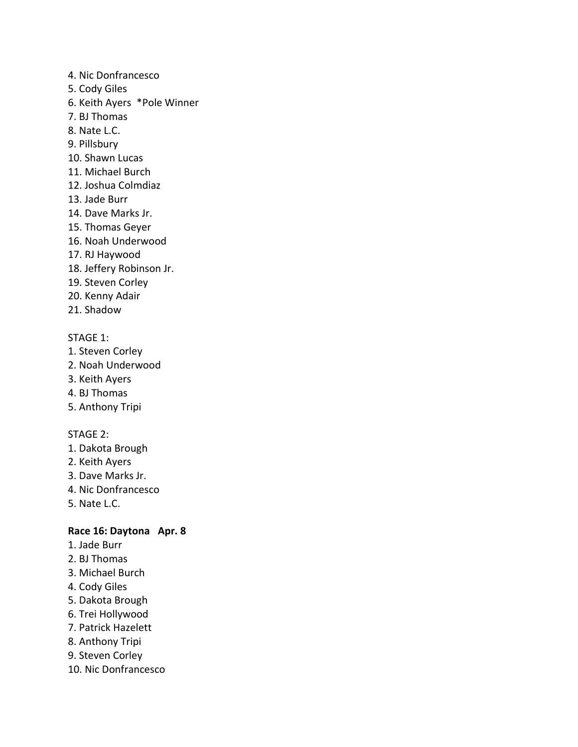- 4. Nic Donfrancesco
- 5. Cody Giles
- 6. Keith Ayers \*Pole Winner
- 7. BJ Thomas
- 8. Nate L.C.
- 9. Pillsbury
- 10. Shawn Lucas
- 11. Michael Burch
- 12. Joshua Colmdiaz
- 13. Jade Burr
- 14. Dave Marks Jr.
- 15. Thomas Geyer
- 16. Noah Underwood
- 17. RJ Haywood
- 18. Jeffery Robinson Jr.
- 19. Steven Corley
- 20. Kenny Adair
- 21. Shadow

- 1. Steven Corley
- 2. Noah Underwood
- 3. Keith Ayers
- 4. BJ Thomas
- 5. Anthony Tripi

# STAGE 2:

- 1. Dakota Brough
- 2. Keith Ayers
- 3. Dave Marks Jr.
- 4. Nic Donfrancesco
- 5. Nate L.C.

### **Race 16: Daytona Apr. 8**

- 1. Jade Burr
- 2. BJ Thomas
- 3. Michael Burch
- 4. Cody Giles
- 5. Dakota Brough
- 6. Trei Hollywood
- 7. Patrick Hazelett
- 8. Anthony Tripi
- 9. Steven Corley
- 10. Nic Donfrancesco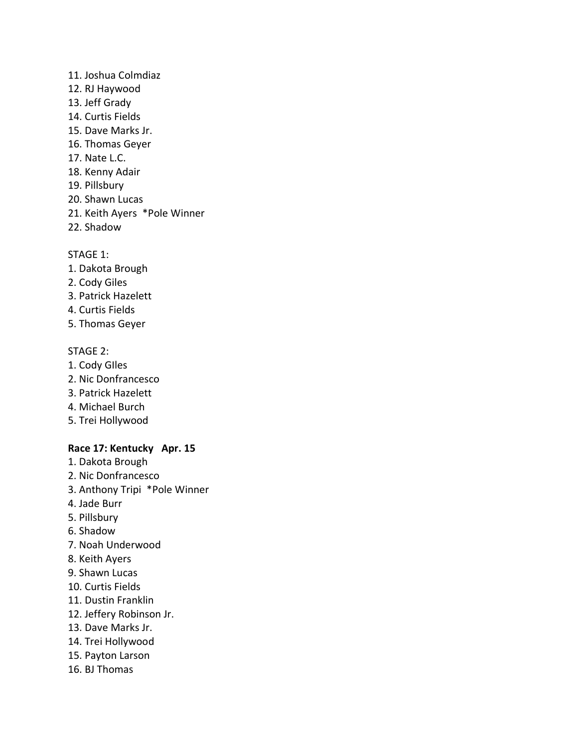# 11. Joshua Colmdiaz

- 12. RJ Haywood
- 13. Jeff Grady
- 14. Curtis Fields
- 15. Dave Marks Jr.
- 16. Thomas Geyer
- 17. Nate L.C.
- 18. Kenny Adair
- 19. Pillsbury
- 20. Shawn Lucas
- 21. Keith Ayers \*Pole Winner
- 22. Shadow

# STAGE 1:

- 1. Dakota Brough
- 2. Cody Giles
- 3. Patrick Hazelett
- 4. Curtis Fields
- 5. Thomas Geyer

# STAGE 2:

- 1. Cody GIles
- 2. Nic Donfrancesco
- 3. Patrick Hazelett
- 4. Michael Burch
- 5. Trei Hollywood

# **Race 17: Kentucky Apr. 15**

- 1. Dakota Brough
- 2. Nic Donfrancesco
- 3. Anthony Tripi \*Pole Winner
- 4. Jade Burr
- 5. Pillsbury
- 6. Shadow
- 7. Noah Underwood
- 8. Keith Ayers
- 9. Shawn Lucas
- 10. Curtis Fields
- 11. Dustin Franklin
- 12. Jeffery Robinson Jr.
- 13. Dave Marks Jr.
- 14. Trei Hollywood
- 15. Payton Larson
- 16. BJ Thomas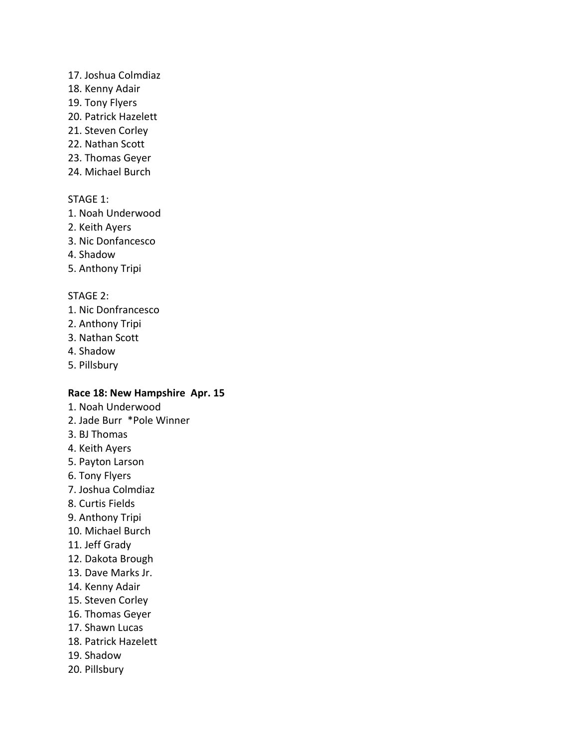### 17. Joshua Colmdiaz

- 18. Kenny Adair
- 19. Tony Flyers
- 20. Patrick Hazelett
- 21. Steven Corley
- 22. Nathan Scott
- 23. Thomas Geyer
- 24. Michael Burch

### STAGE 1:

- 1. Noah Underwood
- 2. Keith Ayers
- 3. Nic Donfancesco
- 4. Shadow
- 5. Anthony Tripi

### STAGE 2:

- 1. Nic Donfrancesco
- 2. Anthony Tripi
- 3. Nathan Scott
- 4. Shadow
- 5. Pillsbury

# **Race 18: New Hampshire Apr. 15**

- 1. Noah Underwood
- 2. Jade Burr \*Pole Winner
- 3. BJ Thomas
- 4. Keith Ayers
- 5. Payton Larson
- 6. Tony Flyers
- 7. Joshua Colmdiaz
- 8. Curtis Fields
- 9. Anthony Tripi
- 10. Michael Burch
- 11. Jeff Grady
- 12. Dakota Brough
- 13. Dave Marks Jr.
- 14. Kenny Adair
- 15. Steven Corley
- 16. Thomas Geyer
- 17. Shawn Lucas
- 18. Patrick Hazelett
- 19. Shadow
- 20. Pillsbury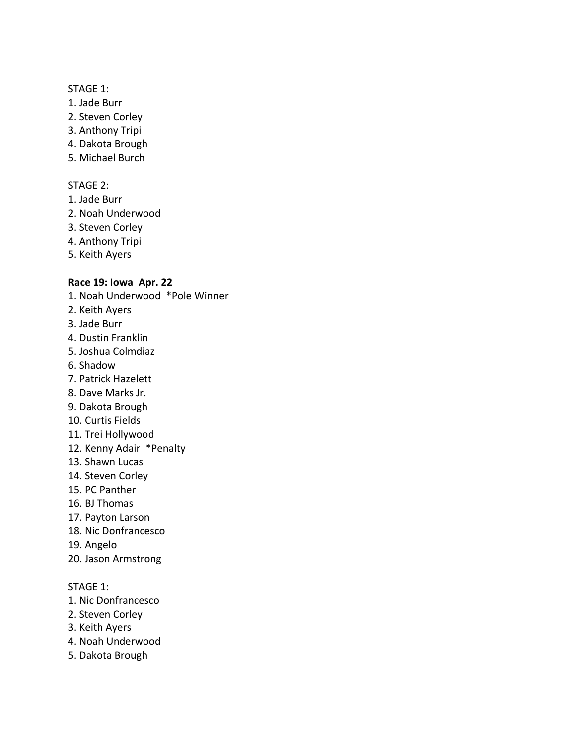- 1. Jade Burr
- 2. Steven Corley
- 3. Anthony Tripi
- 4. Dakota Brough
- 5. Michael Burch

### STAGE 2:

- 1. Jade Burr
- 2. Noah Underwood
- 3. Steven Corley
- 4. Anthony Tripi
- 5. Keith Ayers

# **Race 19: Iowa Apr. 22**

- 1. Noah Underwood \*Pole Winner
- 2. Keith Ayers
- 3. Jade Burr
- 4. Dustin Franklin
- 5. Joshua Colmdiaz
- 6. Shadow
- 7. Patrick Hazelett
- 8. Dave Marks Jr.
- 9. Dakota Brough
- 10. Curtis Fields
- 11. Trei Hollywood
- 12. Kenny Adair \*Penalty
- 13. Shawn Lucas
- 14. Steven Corley
- 15. PC Panther
- 16. BJ Thomas
- 17. Payton Larson
- 18. Nic Donfrancesco
- 19. Angelo
- 20. Jason Armstrong

- 1. Nic Donfrancesco
- 2. Steven Corley
- 3. Keith Ayers
- 4. Noah Underwood
- 5. Dakota Brough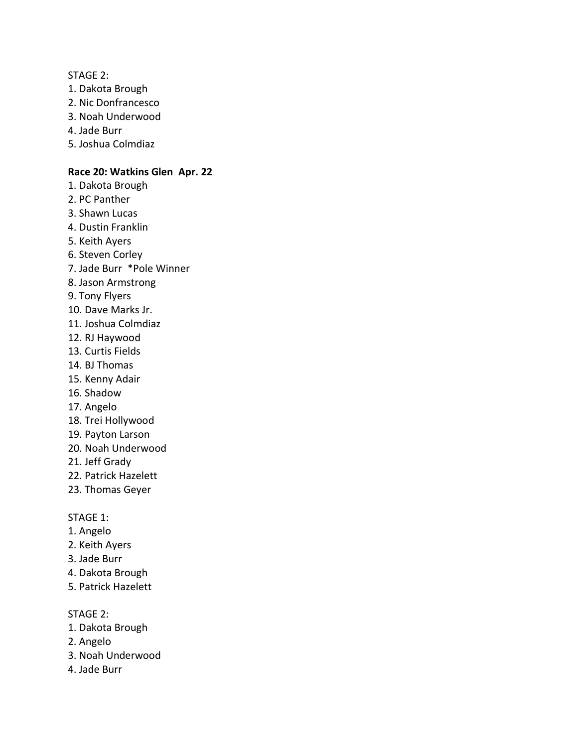STAGE 2:

- 1. Dakota Brough
- 2. Nic Donfrancesco
- 3. Noah Underwood
- 4. Jade Burr
- 5. Joshua Colmdiaz

### **Race 20: Watkins Glen Apr. 22**

- 1. Dakota Brough
- 2. PC Panther
- 3. Shawn Lucas
- 4. Dustin Franklin
- 5. Keith Ayers
- 6. Steven Corley
- 7. Jade Burr \*Pole Winner
- 8. Jason Armstrong
- 9. Tony Flyers
- 10. Dave Marks Jr.
- 11. Joshua Colmdiaz
- 12. RJ Haywood
- 13. Curtis Fields
- 14. BJ Thomas
- 15. Kenny Adair
- 16. Shadow
- 17. Angelo
- 18. Trei Hollywood
- 19. Payton Larson
- 20. Noah Underwood
- 21. Jeff Grady
- 22. Patrick Hazelett
- 23. Thomas Geyer

### STAGE 1:

- 1. Angelo
- 2. Keith Ayers
- 3. Jade Burr
- 4. Dakota Brough
- 5. Patrick Hazelett

STAGE 2:

- 1. Dakota Brough
- 2. Angelo
- 3. Noah Underwood
- 4. Jade Burr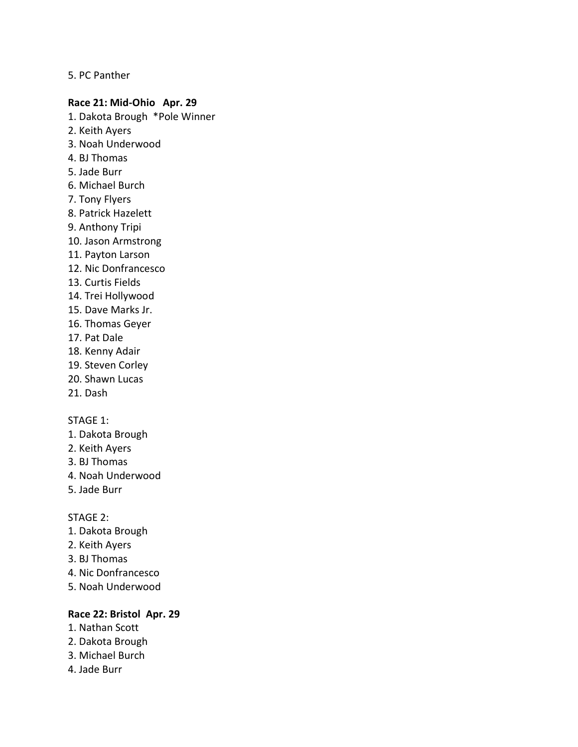5. PC Panther

### **Race 21: Mid-Ohio Apr. 29**

- 1. Dakota Brough \*Pole Winner
- 2. Keith Ayers
- 3. Noah Underwood
- 4. BJ Thomas
- 5. Jade Burr
- 6. Michael Burch
- 7. Tony Flyers
- 8. Patrick Hazelett
- 9. Anthony Tripi
- 10. Jason Armstrong
- 11. Payton Larson
- 12. Nic Donfrancesco
- 13. Curtis Fields
- 14. Trei Hollywood
- 15. Dave Marks Jr.
- 16. Thomas Geyer
- 17. Pat Dale
- 18. Kenny Adair
- 19. Steven Corley
- 20. Shawn Lucas
- 21. Dash

### STAGE 1:

- 1. Dakota Brough
- 2. Keith Ayers
- 3. BJ Thomas
- 4. Noah Underwood
- 5. Jade Burr

STAGE 2:

- 1. Dakota Brough
- 2. Keith Ayers
- 3. BJ Thomas
- 4. Nic Donfrancesco
- 5. Noah Underwood

### **Race 22: Bristol Apr. 29**

- 1. Nathan Scott
- 2. Dakota Brough
- 3. Michael Burch
- 4. Jade Burr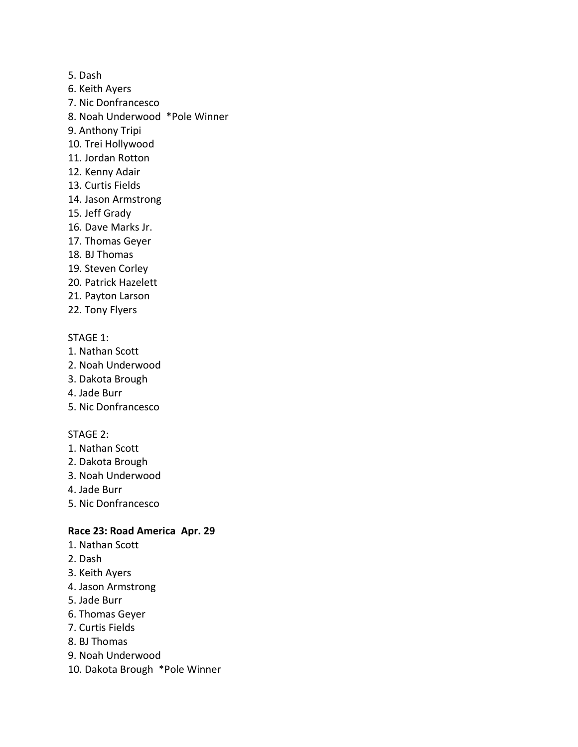- 5. Dash
- 6. Keith Ayers
- 7. Nic Donfrancesco
- 8. Noah Underwood \*Pole Winner
- 9. Anthony Tripi
- 10. Trei Hollywood
- 11. Jordan Rotton
- 12. Kenny Adair
- 13. Curtis Fields
- 14. Jason Armstrong
- 15. Jeff Grady
- 16. Dave Marks Jr.
- 17. Thomas Geyer
- 18. BJ Thomas
- 19. Steven Corley
- 20. Patrick Hazelett
- 21. Payton Larson
- 22. Tony Flyers

- 1. Nathan Scott
- 2. Noah Underwood
- 3. Dakota Brough
- 4. Jade Burr
- 5. Nic Donfrancesco

# STAGE 2:

- 1. Nathan Scott
- 2. Dakota Brough
- 3. Noah Underwood
- 4. Jade Burr
- 5. Nic Donfrancesco

# **Race 23: Road America Apr. 29**

- 1. Nathan Scott
- 2. Dash
- 3. Keith Ayers
- 4. Jason Armstrong
- 5. Jade Burr
- 6. Thomas Geyer
- 7. Curtis Fields
- 8. BJ Thomas
- 9. Noah Underwood
- 10. Dakota Brough \*Pole Winner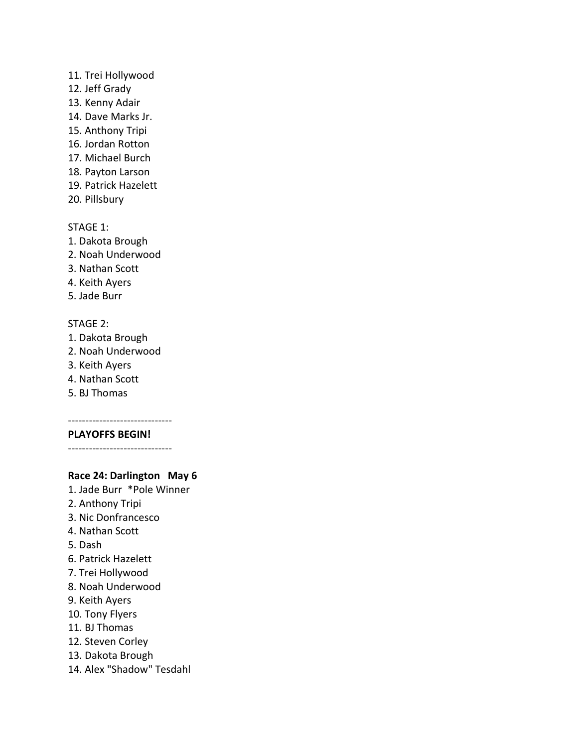### 11. Trei Hollywood

- 12. Jeff Grady
- 13. Kenny Adair
- 14. Dave Marks Jr.
- 15. Anthony Tripi
- 16. Jordan Rotton
- 17. Michael Burch
- 18. Payton Larson
- 19. Patrick Hazelett
- 20. Pillsbury

# STAGE 1:

- 1. Dakota Brough
- 2. Noah Underwood
- 3. Nathan Scott
- 4. Keith Ayers
- 5. Jade Burr

# STAGE 2:

- 1. Dakota Brough
- 2. Noah Underwood
- 3. Keith Ayers
- 4. Nathan Scott
- 5. BJ Thomas

#### ------------------------------ **PLAYOFFS BEGIN!**

------------------------------

# **Race 24: Darlington May 6**

- 1. Jade Burr \*Pole Winner
- 2. Anthony Tripi
- 3. Nic Donfrancesco
- 4. Nathan Scott
- 5. Dash
- 6. Patrick Hazelett
- 7. Trei Hollywood
- 8. Noah Underwood
- 9. Keith Ayers
- 10. Tony Flyers
- 11. BJ Thomas
- 12. Steven Corley
- 13. Dakota Brough
- 14. Alex "Shadow" Tesdahl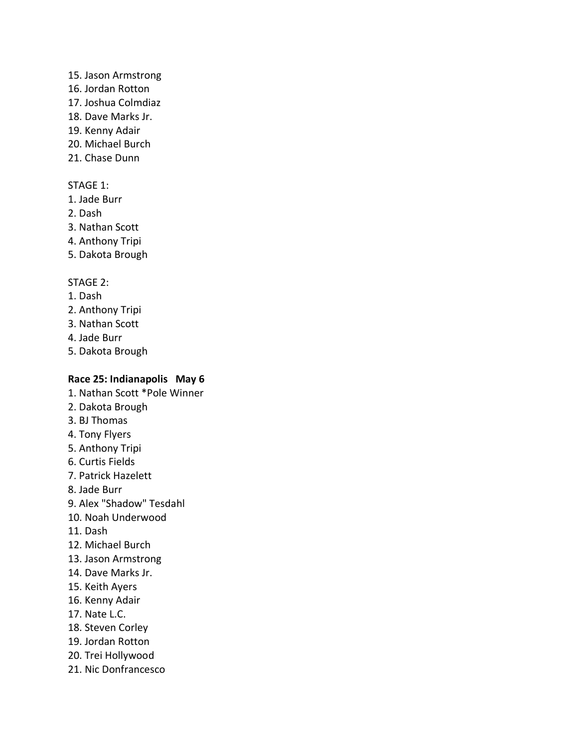### 15. Jason Armstrong

- 16. Jordan Rotton
- 17. Joshua Colmdiaz
- 18. Dave Marks Jr.
- 19. Kenny Adair
- 20. Michael Burch
- 21. Chase Dunn

# STAGE 1:

- 1. Jade Burr
- 2. Dash
- 3. Nathan Scott
- 4. Anthony Tripi
- 5. Dakota Brough

# STAGE 2:

- 1. Dash
- 2. Anthony Tripi
- 3. Nathan Scott
- 4. Jade Burr
- 5. Dakota Brough

# **Race 25: Indianapolis May 6**

- 1. Nathan Scott \*Pole Winner 2. Dakota Brough 3. BJ Thomas 4. Tony Flyers 5. Anthony Tripi 6. Curtis Fields 7. Patrick Hazelett 8. Jade Burr 9. Alex "Shadow" Tesdahl 10. Noah Underwood 11. Dash 12. Michael Burch 13. Jason Armstrong 14. Dave Marks Jr. 15. Keith Ayers 16. Kenny Adair 17. Nate L.C.
- 18. Steven Corley
- 19. Jordan Rotton
- 20. Trei Hollywood
- 21. Nic Donfrancesco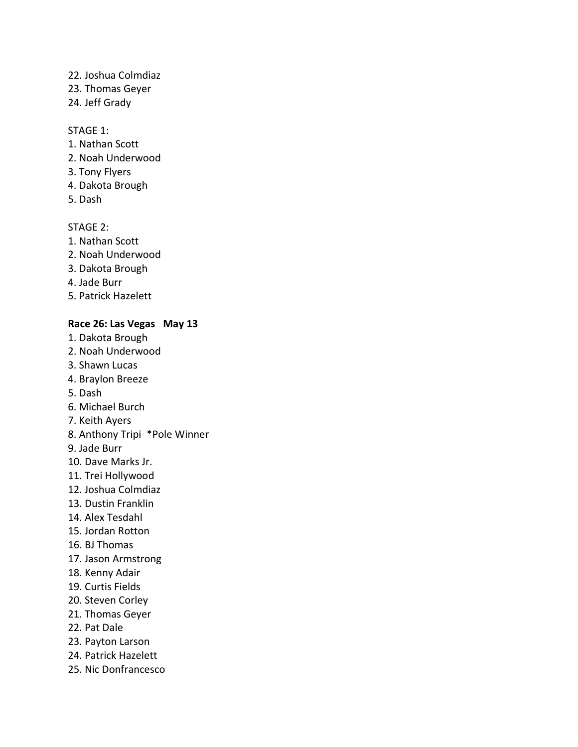# 22. Joshua Colmdiaz

- 23. Thomas Geyer
- 24. Jeff Grady

# STAGE 1:

- 1. Nathan Scott
- 2. Noah Underwood
- 3. Tony Flyers
- 4. Dakota Brough
- 5. Dash

# STAGE 2:

- 1. Nathan Scott
- 2. Noah Underwood
- 3. Dakota Brough
- 4. Jade Burr
- 5. Patrick Hazelett

# **Race 26: Las Vegas May 13**

- 1. Dakota Brough
- 2. Noah Underwood
- 3. Shawn Lucas
- 4. Braylon Breeze
- 5. Dash
- 6. Michael Burch
- 7. Keith Ayers
- 8. Anthony Tripi \*Pole Winner
- 9. Jade Burr
- 10. Dave Marks Jr.
- 11. Trei Hollywood
- 12. Joshua Colmdiaz
- 13. Dustin Franklin
- 14. Alex Tesdahl
- 15. Jordan Rotton
- 16. BJ Thomas
- 17. Jason Armstrong
- 18. Kenny Adair
- 19. Curtis Fields
- 20. Steven Corley
- 21. Thomas Geyer
- 22. Pat Dale
- 23. Payton Larson
- 24. Patrick Hazelett
- 25. Nic Donfrancesco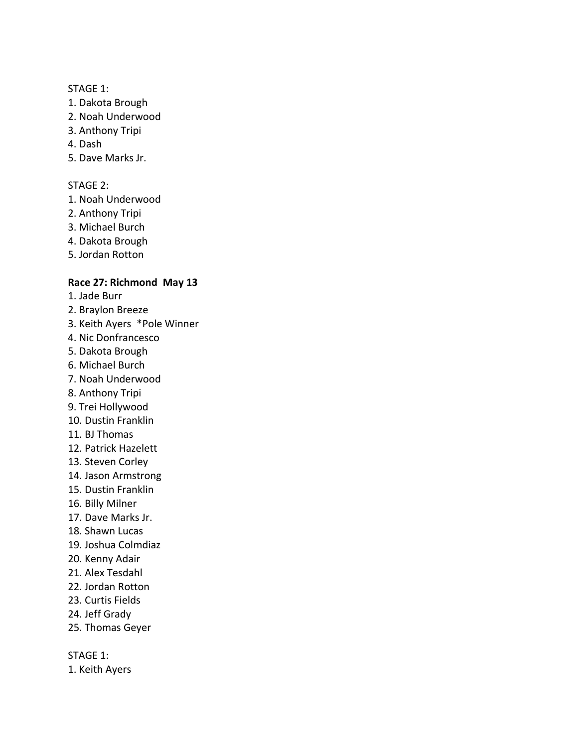- 1. Dakota Brough
- 2. Noah Underwood
- 3. Anthony Tripi
- 4. Dash
- 5. Dave Marks Jr.

## STAGE 2:

- 1. Noah Underwood
- 2. Anthony Tripi
- 3. Michael Burch
- 4. Dakota Brough
- 5. Jordan Rotton

# **Race 27: Richmond May 13**

- 1. Jade Burr
- 2. Braylon Breeze
- 3. Keith Ayers \*Pole Winner
- 4. Nic Donfrancesco
- 5. Dakota Brough
- 6. Michael Burch
- 7. Noah Underwood
- 8. Anthony Tripi
- 9. Trei Hollywood
- 10. Dustin Franklin
- 11. BJ Thomas
- 12. Patrick Hazelett
- 13. Steven Corley
- 14. Jason Armstrong
- 15. Dustin Franklin
- 16. Billy Milner
- 17. Dave Marks Jr.
- 18. Shawn Lucas
- 19. Joshua Colmdiaz
- 20. Kenny Adair
- 21. Alex Tesdahl
- 22. Jordan Rotton
- 23. Curtis Fields
- 24. Jeff Grady
- 25. Thomas Geyer

STAGE 1:

1. Keith Ayers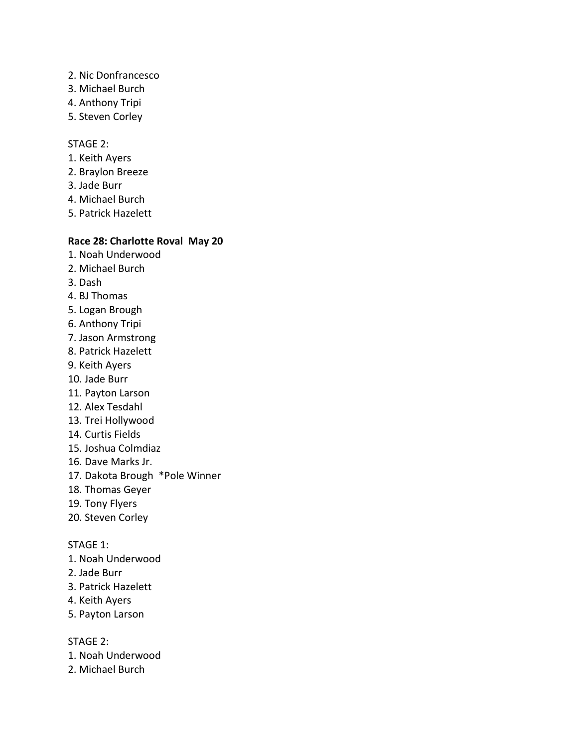- 2. Nic Donfrancesco
- 3. Michael Burch
- 4. Anthony Tripi
- 5. Steven Corley

### STAGE 2:

- 1. Keith Ayers
- 2. Braylon Breeze
- 3. Jade Burr
- 4. Michael Burch
- 5. Patrick Hazelett

# **Race 28: Charlotte Roval May 20**

- 1. Noah Underwood
- 2. Michael Burch
- 3. Dash
- 4. BJ Thomas
- 5. Logan Brough
- 6. Anthony Tripi
- 7. Jason Armstrong
- 8. Patrick Hazelett
- 9. Keith Ayers
- 10. Jade Burr
- 11. Payton Larson
- 12. Alex Tesdahl
- 13. Trei Hollywood
- 14. Curtis Fields
- 15. Joshua Colmdiaz
- 16. Dave Marks Jr.
- 17. Dakota Brough \*Pole Winner
- 18. Thomas Geyer
- 19. Tony Flyers
- 20. Steven Corley

STAGE 1:

- 1. Noah Underwood
- 2. Jade Burr
- 3. Patrick Hazelett
- 4. Keith Ayers
- 5. Payton Larson

STAGE 2:

- 1. Noah Underwood
- 2. Michael Burch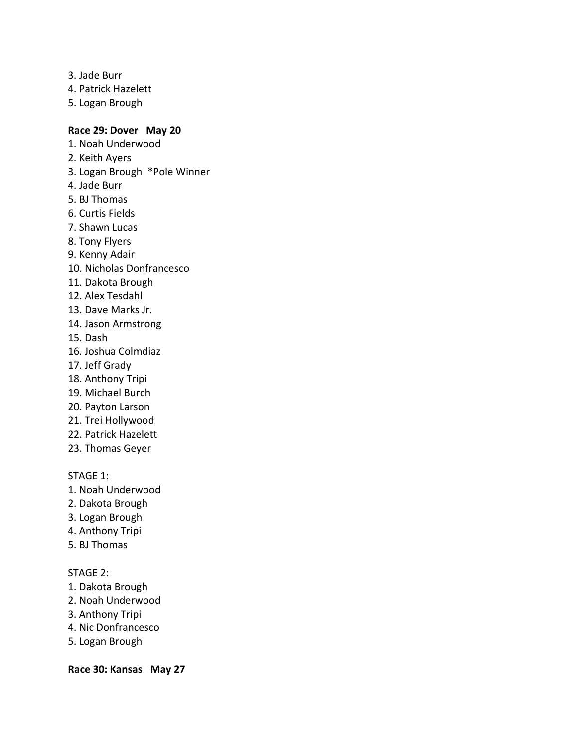- 3. Jade Burr
- 4. Patrick Hazelett
- 5. Logan Brough

### **Race 29: Dover May 20**

- 1. Noah Underwood
- 2. Keith Ayers
- 3. Logan Brough \*Pole Winner
- 4. Jade Burr
- 5. BJ Thomas
- 6. Curtis Fields
- 7. Shawn Lucas
- 8. Tony Flyers
- 9. Kenny Adair
- 10. Nicholas Donfrancesco
- 11. Dakota Brough
- 12. Alex Tesdahl
- 13. Dave Marks Jr.
- 14. Jason Armstrong
- 15. Dash
- 16. Joshua Colmdiaz
- 17. Jeff Grady
- 18. Anthony Tripi
- 19. Michael Burch
- 20. Payton Larson
- 21. Trei Hollywood
- 22. Patrick Hazelett
- 23. Thomas Geyer

STAGE 1:

- 1. Noah Underwood
- 2. Dakota Brough
- 3. Logan Brough
- 4. Anthony Tripi
- 5. BJ Thomas

### STAGE 2:

- 1. Dakota Brough
- 2. Noah Underwood
- 3. Anthony Tripi
- 4. Nic Donfrancesco
- 5. Logan Brough

**Race 30: Kansas May 27**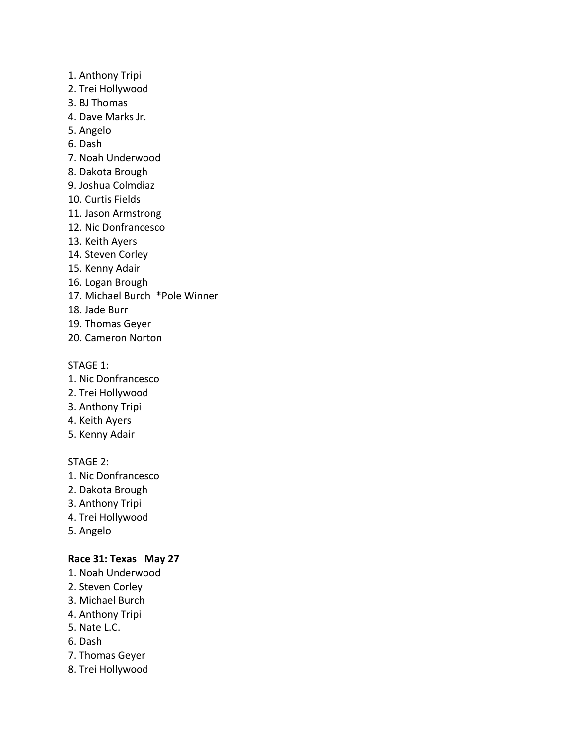- 1. Anthony Tripi
- 2. Trei Hollywood
- 3. BJ Thomas
- 4. Dave Marks Jr.
- 5. Angelo
- 6. Dash
- 7. Noah Underwood
- 8. Dakota Brough
- 9. Joshua Colmdiaz
- 10. Curtis Fields
- 11. Jason Armstrong
- 12. Nic Donfrancesco
- 13. Keith Ayers
- 14. Steven Corley
- 15. Kenny Adair
- 16. Logan Brough
- 17. Michael Burch \*Pole Winner
- 18. Jade Burr
- 19. Thomas Geyer
- 20. Cameron Norton

- 1. Nic Donfrancesco
- 2. Trei Hollywood
- 3. Anthony Tripi
- 4. Keith Ayers
- 5. Kenny Adair

# STAGE 2:

- 1. Nic Donfrancesco
- 2. Dakota Brough
- 3. Anthony Tripi
- 4. Trei Hollywood
- 5. Angelo

# **Race 31: Texas May 27**

- 1. Noah Underwood
- 2. Steven Corley
- 3. Michael Burch
- 4. Anthony Tripi
- 5. Nate L.C.
- 6. Dash
- 7. Thomas Geyer
- 8. Trei Hollywood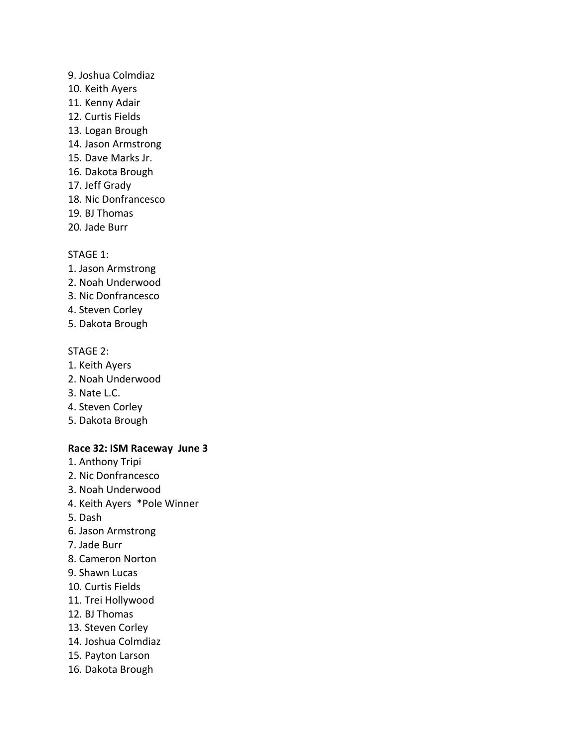- 9. Joshua Colmdiaz 10. Keith Ayers 11. Kenny Adair 12. Curtis Fields 13. Logan Brough 14. Jason Armstrong 15. Dave Marks Jr. 16. Dakota Brough 17. Jeff Grady 18. Nic Donfrancesco 19. BJ Thomas
- 20. Jade Burr

- 1. Jason Armstrong
- 2. Noah Underwood
- 3. Nic Donfrancesco
- 4. Steven Corley
- 5. Dakota Brough

#### STAGE 2:

- 1. Keith Ayers
- 2. Noah Underwood
- 3. Nate L.C.
- 4. Steven Corley
- 5. Dakota Brough

### **Race 32: ISM Raceway June 3**

- 1. Anthony Tripi
- 2. Nic Donfrancesco
- 3. Noah Underwood
- 4. Keith Ayers \*Pole Winner
- 5. Dash
- 6. Jason Armstrong
- 7. Jade Burr
- 8. Cameron Norton
- 9. Shawn Lucas
- 10. Curtis Fields
- 11. Trei Hollywood
- 12. BJ Thomas
- 13. Steven Corley
- 14. Joshua Colmdiaz
- 15. Payton Larson
- 16. Dakota Brough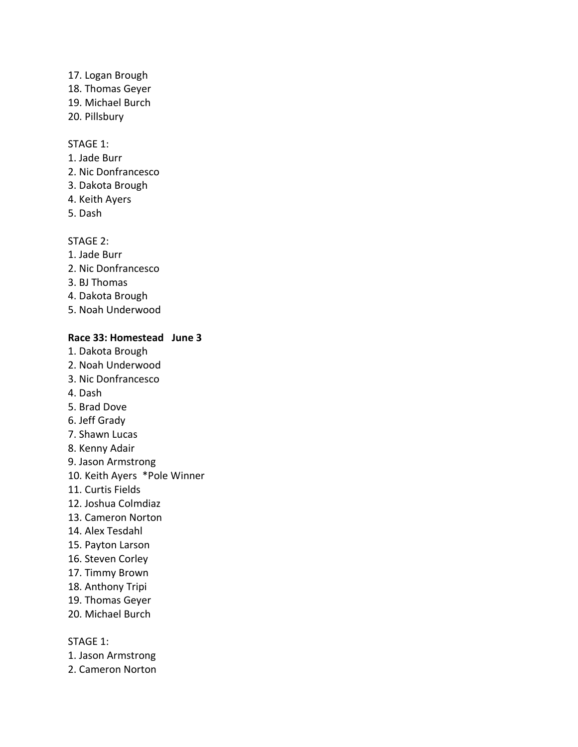- 17. Logan Brough 18. Thomas Geyer 19. Michael Burch
- 20. Pillsbury

- 1. Jade Burr
- 2. Nic Donfrancesco
- 3. Dakota Brough
- 4. Keith Ayers
- 5. Dash

# STAGE 2:

- 1. Jade Burr
- 2. Nic Donfrancesco
- 3. BJ Thomas
- 4. Dakota Brough
- 5. Noah Underwood

# **Race 33: Homestead June 3**

- 1. Dakota Brough
- 2. Noah Underwood
- 3. Nic Donfrancesco
- 4. Dash
- 5. Brad Dove
- 6. Jeff Grady
- 7. Shawn Lucas
- 8. Kenny Adair
- 9. Jason Armstrong
- 10. Keith Ayers \*Pole Winner
- 11. Curtis Fields
- 12. Joshua Colmdiaz
- 13. Cameron Norton
- 14. Alex Tesdahl
- 15. Payton Larson
- 16. Steven Corley
- 17. Timmy Brown
- 18. Anthony Tripi
- 19. Thomas Geyer
- 20. Michael Burch

- 1. Jason Armstrong
- 2. Cameron Norton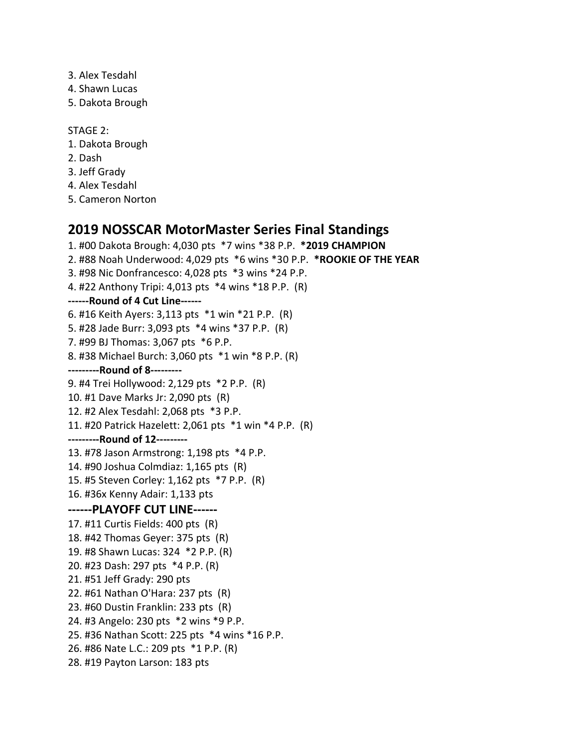- 3. Alex Tesdahl
- 4. Shawn Lucas
- 5. Dakota Brough

STAGE 2:

- 1. Dakota Brough
- 2. Dash
- 3. Jeff Grady
- 4. Alex Tesdahl
- 5. Cameron Norton

# **2019 NOSSCAR MotorMaster Series Final Standings**

1. #00 Dakota Brough: 4,030 pts \*7 wins \*38 P.P. **\*2019 CHAMPION** 2. #88 Noah Underwood: 4,029 pts \*6 wins \*30 P.P. **\*ROOKIE OF THE YEAR** 3. #98 Nic Donfrancesco: 4,028 pts \*3 wins \*24 P.P. 4. #22 Anthony Tripi: 4,013 pts \*4 wins \*18 P.P. (R) **------Round of 4 Cut Line------** 6. #16 Keith Ayers: 3,113 pts \*1 win \*21 P.P. (R) 5. #28 Jade Burr: 3,093 pts \*4 wins \*37 P.P. (R) 7. #99 BJ Thomas: 3,067 pts \*6 P.P. 8. #38 Michael Burch: 3,060 pts \*1 win \*8 P.P. (R) **---------Round of 8---------** 9. #4 Trei Hollywood: 2,129 pts \*2 P.P. (R) 10. #1 Dave Marks Jr: 2,090 pts (R) 12. #2 Alex Tesdahl: 2,068 pts \*3 P.P. 11. #20 Patrick Hazelett: 2,061 pts \*1 win \*4 P.P. (R) **---------Round of 12---------** 13. #78 Jason Armstrong: 1,198 pts \*4 P.P. 14. #90 Joshua Colmdiaz: 1,165 pts (R) 15. #5 Steven Corley: 1,162 pts \*7 P.P. (R) 16. #36x Kenny Adair: 1,133 pts **------PLAYOFF CUT LINE------** 17. #11 Curtis Fields: 400 pts (R) 18. #42 Thomas Geyer: 375 pts (R) 19. #8 Shawn Lucas: 324 \*2 P.P. (R) 20. #23 Dash: 297 pts \*4 P.P. (R) 21. #51 Jeff Grady: 290 pts 22. #61 Nathan O'Hara: 237 pts (R) 23. #60 Dustin Franklin: 233 pts (R) 24. #3 Angelo: 230 pts \*2 wins \*9 P.P. 25. #36 Nathan Scott: 225 pts \*4 wins \*16 P.P. 26. #86 Nate L.C.: 209 pts \*1 P.P. (R) 28. #19 Payton Larson: 183 pts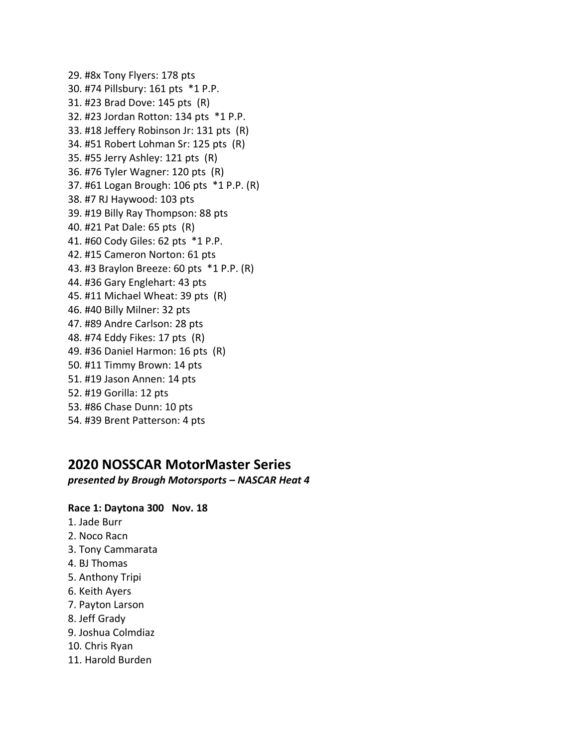29. #8x Tony Flyers: 178 pts 30. #74 Pillsbury: 161 pts \*1 P.P. 31. #23 Brad Dove: 145 pts (R) 32. #23 Jordan Rotton: 134 pts \*1 P.P. 33. #18 Jeffery Robinson Jr: 131 pts (R) 34. #51 Robert Lohman Sr: 125 pts (R) 35. #55 Jerry Ashley: 121 pts (R) 36. #76 Tyler Wagner: 120 pts (R) 37. #61 Logan Brough: 106 pts \*1 P.P. (R) 38. #7 RJ Haywood: 103 pts 39. #19 Billy Ray Thompson: 88 pts 40. #21 Pat Dale: 65 pts (R) 41. #60 Cody Giles: 62 pts \*1 P.P. 42. #15 Cameron Norton: 61 pts 43. #3 Braylon Breeze: 60 pts \*1 P.P. (R) 44. #36 Gary Englehart: 43 pts 45. #11 Michael Wheat: 39 pts (R) 46. #40 Billy Milner: 32 pts 47. #89 Andre Carlson: 28 pts 48. #74 Eddy Fikes: 17 pts (R) 49. #36 Daniel Harmon: 16 pts (R) 50. #11 Timmy Brown: 14 pts 51. #19 Jason Annen: 14 pts 52. #19 Gorilla: 12 pts 53. #86 Chase Dunn: 10 pts 54. #39 Brent Patterson: 4 pts

# **2020 NOSSCAR MotorMaster Series**

*presented by Brough Motorsports – NASCAR Heat 4*

### **Race 1: Daytona 300 Nov. 18**

- 1. Jade Burr
- 2. Noco Racn
- 3. Tony Cammarata
- 4. BJ Thomas
- 5. Anthony Tripi
- 6. Keith Ayers
- 7. Payton Larson
- 8. Jeff Grady
- 9. Joshua Colmdiaz
- 10. Chris Ryan
- 11. Harold Burden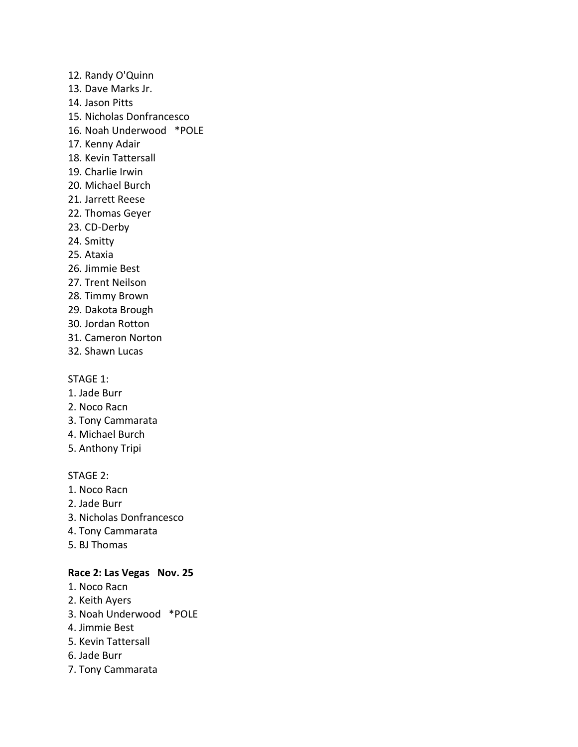12. Randy O'Quinn

- 13. Dave Marks Jr.
- 14. Jason Pitts
- 15. Nicholas Donfrancesco
- 16. Noah Underwood \*POLE
- 17. Kenny Adair
- 18. Kevin Tattersall
- 19. Charlie Irwin
- 20. Michael Burch
- 21. Jarrett Reese
- 22. Thomas Geyer
- 23. CD-Derby
- 24. Smitty
- 25. Ataxia
- 26. Jimmie Best
- 27. Trent Neilson
- 28. Timmy Brown
- 29. Dakota Brough
- 30. Jordan Rotton
- 31. Cameron Norton
- 32. Shawn Lucas

### STAGE 1:

- 1. Jade Burr
- 2. Noco Racn
- 3. Tony Cammarata
- 4. Michael Burch
- 5. Anthony Tripi

### STAGE 2:

- 1. Noco Racn
- 2. Jade Burr
- 3. Nicholas Donfrancesco
- 4. Tony Cammarata
- 5. BJ Thomas

## **Race 2: Las Vegas Nov. 25**

- 1. Noco Racn
- 2. Keith Ayers
- 3. Noah Underwood \*POLE
- 4. Jimmie Best
- 5. Kevin Tattersall
- 6. Jade Burr
- 7. Tony Cammarata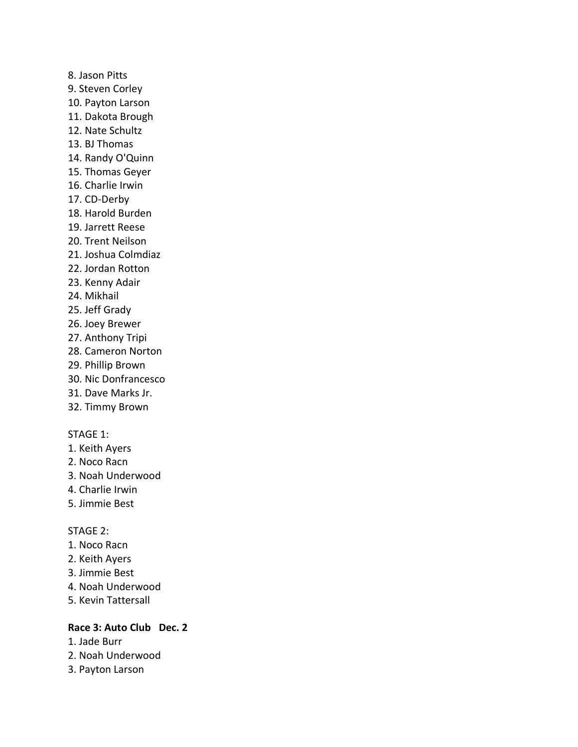8. Jason Pitts 9. Steven Corley 10. Payton Larson 11. Dakota Brough 12. Nate Schultz 13. BJ Thomas 14. Randy O'Quinn 15. Thomas Geyer 16. Charlie Irwin 17. CD-Derby 18. Harold Burden 19. Jarrett Reese 20. Trent Neilson 21. Joshua Colmdiaz 22. Jordan Rotton 23. Kenny Adair 24. Mikhail 25. Jeff Grady 26. Joey Brewer 27. Anthony Tripi 28. Cameron Norton 29. Phillip Brown 30. Nic Donfrancesco 31. Dave Marks Jr.

32. Timmy Brown

#### STAGE 1:

- 1. Keith Ayers
- 2. Noco Racn
- 3. Noah Underwood
- 4. Charlie Irwin
- 5. Jimmie Best

#### STAGE 2:

- 1. Noco Racn
- 2. Keith Ayers
- 3. Jimmie Best
- 4. Noah Underwood
- 5. Kevin Tattersall

# **Race 3: Auto Club Dec. 2**

- 1. Jade Burr
- 2. Noah Underwood
- 3. Payton Larson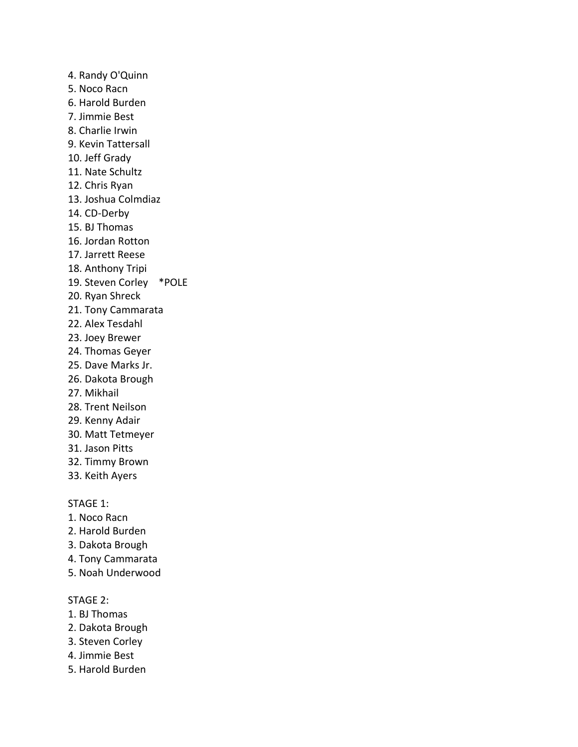4. Randy O'Quinn 5. Noco Racn 6. Harold Burden 7. Jimmie Best 8. Charlie Irwin 9. Kevin Tattersall 10. Jeff Grady 11. Nate Schultz 12. Chris Ryan 13. Joshua Colmdiaz 14. CD-Derby 15. BJ Thomas 16. Jordan Rotton 17. Jarrett Reese 18. Anthony Tripi 19. Steven Corley \*POLE 20. Ryan Shreck 21. Tony Cammarata 22. Alex Tesdahl 23. Joey Brewer 24. Thomas Geyer 25. Dave Marks Jr. 26. Dakota Brough 27. Mikhail 28. Trent Neilson 29. Kenny Adair 30. Matt Tetmeyer 31. Jason Pitts

- 32. Timmy Brown
- 33. Keith Ayers

### STAGE 1:

- 1. Noco Racn
- 2. Harold Burden
- 3. Dakota Brough
- 4. Tony Cammarata
- 5. Noah Underwood

#### STAGE 2:

- 1. BJ Thomas
- 2. Dakota Brough
- 3. Steven Corley
- 4. Jimmie Best
- 5. Harold Burden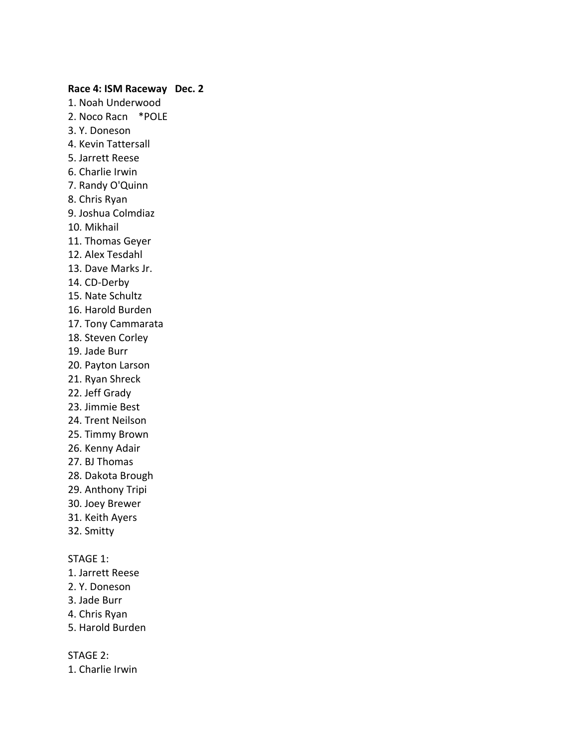#### **Race 4: ISM Raceway Dec. 2**

1. Noah Underwood 2. Noco Racn \*POLE 3. Y. Doneson 4. Kevin Tattersall 5. Jarrett Reese 6. Charlie Irwin 7. Randy O'Quinn 8. Chris Ryan 9. Joshua Colmdiaz 10. Mikhail 11. Thomas Geyer 12. Alex Tesdahl 13. Dave Marks Jr. 14. CD-Derby 15. Nate Schultz 16. Harold Burden 17. Tony Cammarata 18. Steven Corley 19. Jade Burr 20. Payton Larson 21. Ryan Shreck 22. Jeff Grady 23. Jimmie Best 24. Trent Neilson 25. Timmy Brown 26. Kenny Adair 27. BJ Thomas 28. Dakota Brough 29. Anthony Tripi 30. Joey Brewer 31. Keith Ayers 32. Smitty

# STAGE 1:

- 1. Jarrett Reese
- 2. Y. Doneson
- 3. Jade Burr
- 4. Chris Ryan
- 5. Harold Burden

STAGE 2:

1. Charlie Irwin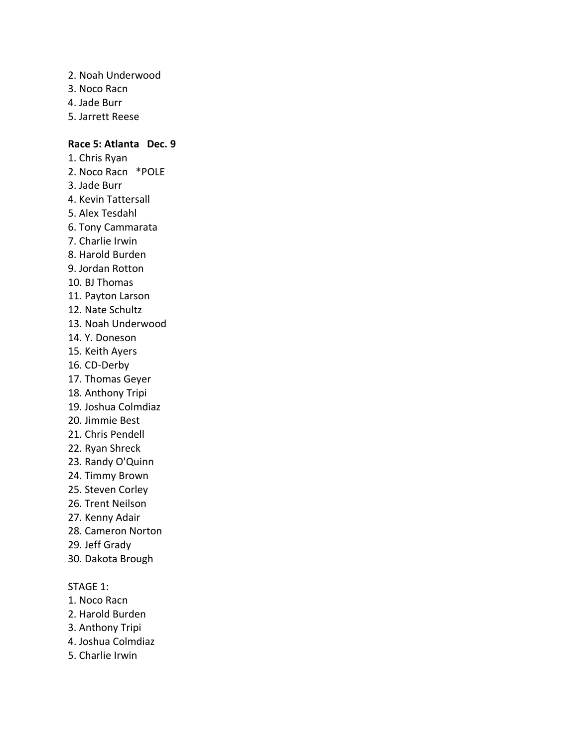- 2. Noah Underwood
- 3. Noco Racn
- 4. Jade Burr
- 5. Jarrett Reese

### **Race 5: Atlanta Dec. 9**

- 1. Chris Ryan 2. Noco Racn \*POLE 3. Jade Burr 4. Kevin Tattersall 5. Alex Tesdahl 6. Tony Cammarata 7. Charlie Irwin 8. Harold Burden 9. Jordan Rotton 10. BJ Thomas 11. Payton Larson 12. Nate Schultz 13. Noah Underwood 14. Y. Doneson 15. Keith Ayers 16. CD-Derby 17. Thomas Geyer 18. Anthony Tripi 19. Joshua Colmdiaz 20. Jimmie Best 21. Chris Pendell 22. Ryan Shreck 23. Randy O'Quinn 24. Timmy Brown 25. Steven Corley 26. Trent Neilson
- 27. Kenny Adair
- 28. Cameron Norton
- 29. Jeff Grady
- 30. Dakota Brough

- 1. Noco Racn
- 2. Harold Burden
- 3. Anthony Tripi
- 4. Joshua Colmdiaz
- 5. Charlie Irwin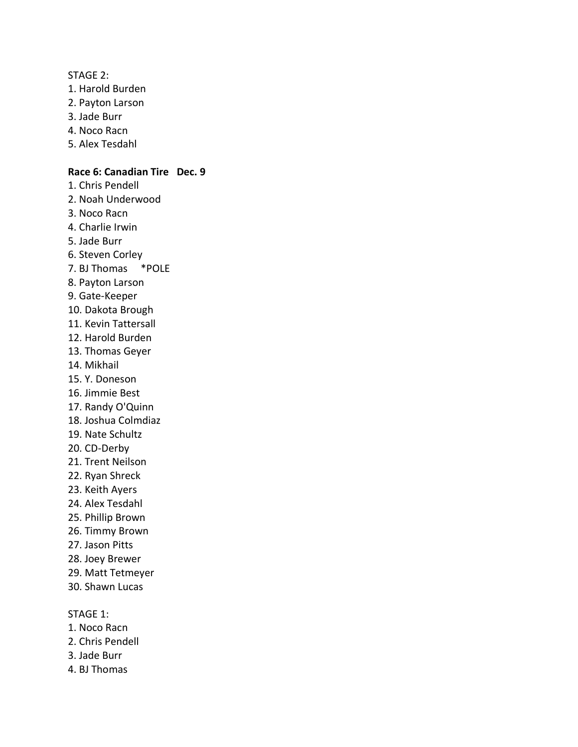STAGE 2:

- 1. Harold Burden
- 2. Payton Larson
- 3. Jade Burr
- 4. Noco Racn
- 5. Alex Tesdahl

### **Race 6: Canadian Tire Dec. 9**

- 1. Chris Pendell
- 2. Noah Underwood
- 3. Noco Racn
- 4. Charlie Irwin
- 5. Jade Burr
- 6. Steven Corley
- 7. BJ Thomas \*POLE
- 8. Payton Larson
- 9. Gate-Keeper
- 10. Dakota Brough
- 11. Kevin Tattersall
- 12. Harold Burden
- 13. Thomas Geyer
- 14. Mikhail
- 15. Y. Doneson
- 16. Jimmie Best
- 17. Randy O'Quinn
- 18. Joshua Colmdiaz
- 19. Nate Schultz
- 20. CD-Derby
- 21. Trent Neilson
- 22. Ryan Shreck
- 23. Keith Ayers
- 24. Alex Tesdahl
- 25. Phillip Brown
- 26. Timmy Brown
- 27. Jason Pitts
- 28. Joey Brewer
- 29. Matt Tetmeyer
- 30. Shawn Lucas

- 1. Noco Racn
- 2. Chris Pendell
- 3. Jade Burr
- 4. BJ Thomas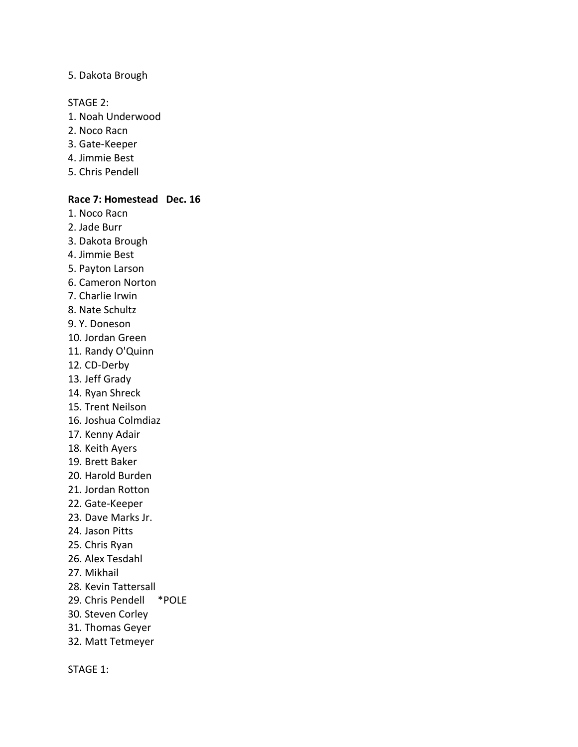### 5. Dakota Brough

STAGE 2:

- 1. Noah Underwood
- 2. Noco Racn
- 3. Gate-Keeper
- 4. Jimmie Best
- 5. Chris Pendell

#### **Race 7: Homestead Dec. 16**

- 1. Noco Racn
- 2. Jade Burr
- 3. Dakota Brough
- 4. Jimmie Best
- 5. Payton Larson
- 6. Cameron Norton
- 7. Charlie Irwin
- 8. Nate Schultz
- 9. Y. Doneson
- 10. Jordan Green
- 11. Randy O'Quinn
- 12. CD-Derby
- 13. Jeff Grady
- 14. Ryan Shreck
- 15. Trent Neilson
- 16. Joshua Colmdiaz
- 17. Kenny Adair
- 18. Keith Ayers
- 19. Brett Baker
- 20. Harold Burden
- 21. Jordan Rotton
- 22. Gate-Keeper
- 23. Dave Marks Jr.
- 24. Jason Pitts
- 25. Chris Ryan
- 26. Alex Tesdahl
- 27. Mikhail
- 28. Kevin Tattersall
- 29. Chris Pendell \*POLE
- 30. Steven Corley
- 31. Thomas Geyer
- 32. Matt Tetmeyer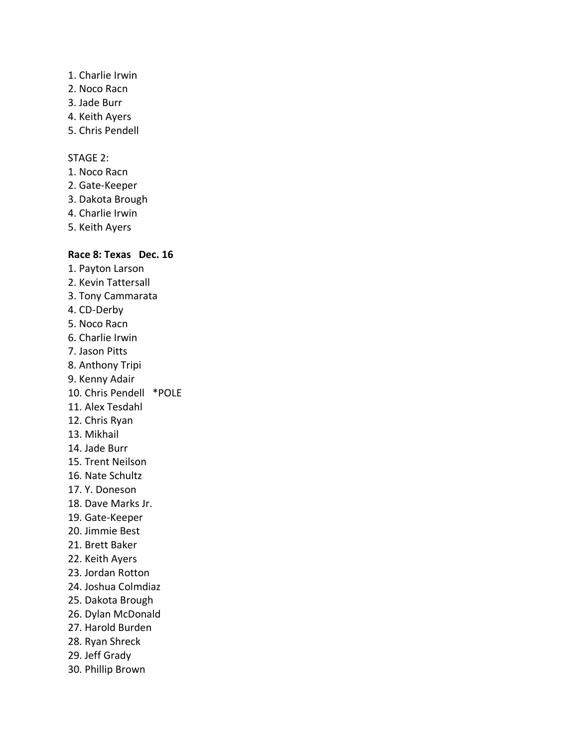- 1. Charlie Irwin
- 2. Noco Racn
- 3. Jade Burr
- 4. Keith Ayers
- 5. Chris Pendell

# STAGE 2:

- 1. Noco Racn
- 2. Gate-Keeper
- 3. Dakota Brough
- 4. Charlie Irwin
- 5. Keith Ayers

# **Race 8: Texas Dec. 16**

1. Payton Larson 2. Kevin Tattersall 3. Tony Cammarata 4. CD-Derby 5. Noco Racn 6. Charlie Irwin 7. Jason Pitts 8. Anthony Tripi 9. Kenny Adair 10. Chris Pendell \*POLE 11. Alex Tesdahl 12. Chris Ryan 13. Mikhail 14. Jade Burr 15. Trent Neilson 16. Nate Schultz 17. Y. Doneson 18. Dave Marks Jr. 19. Gate-Keeper 20. Jimmie Best 21. Brett Baker 22. Keith Ayers 23. Jordan Rotton 24. Joshua Colmdiaz 25. Dakota Brough 26. Dylan McDonald 27. Harold Burden 28. Ryan Shreck 29. Jeff Grady 30. Phillip Brown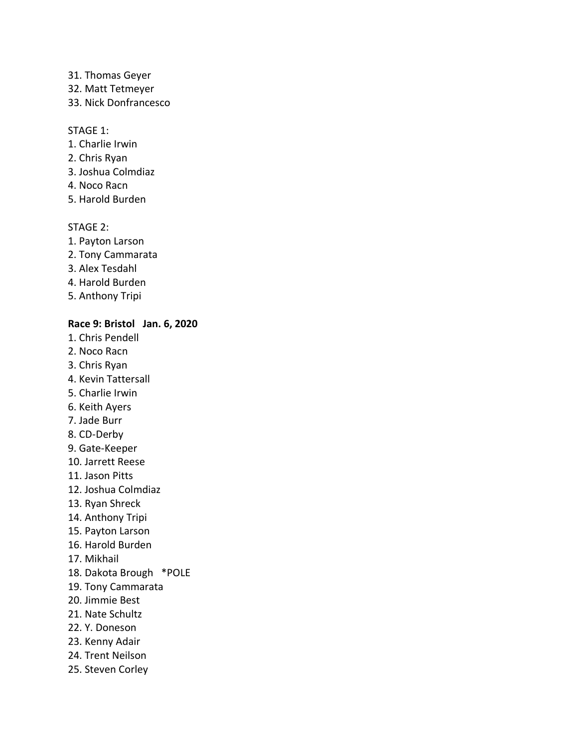- 31. Thomas Geyer
- 32. Matt Tetmeyer
- 33. Nick Donfrancesco

- 1. Charlie Irwin
- 2. Chris Ryan
- 3. Joshua Colmdiaz
- 4. Noco Racn
- 5. Harold Burden

### STAGE 2:

- 1. Payton Larson
- 2. Tony Cammarata
- 3. Alex Tesdahl
- 4. Harold Burden
- 5. Anthony Tripi

# **Race 9: Bristol Jan. 6, 2020**

- 1. Chris Pendell
- 2. Noco Racn
- 3. Chris Ryan
- 4. Kevin Tattersall
- 5. Charlie Irwin
- 6. Keith Ayers
- 7. Jade Burr
- 8. CD-Derby
- 9. Gate-Keeper
- 10. Jarrett Reese
- 11. Jason Pitts
- 12. Joshua Colmdiaz
- 13. Ryan Shreck
- 14. Anthony Tripi
- 15. Payton Larson
- 16. Harold Burden
- 17. Mikhail
- 18. Dakota Brough \*POLE
- 19. Tony Cammarata
- 20. Jimmie Best
- 21. Nate Schultz
- 22. Y. Doneson
- 23. Kenny Adair
- 24. Trent Neilson
- 25. Steven Corley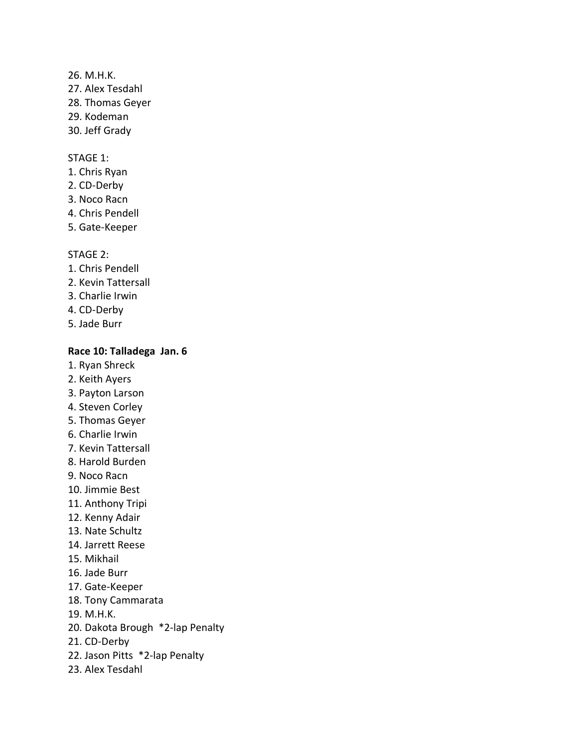26. M.H.K. 27. Alex Tesdahl 28. Thomas Geyer 29. Kodeman 30. Jeff Grady

#### STAGE 1:

- 1. Chris Ryan
- 2. CD-Derby
- 3. Noco Racn
- 4. Chris Pendell
- 5. Gate-Keeper

#### STAGE 2:

- 1. Chris Pendell
- 2. Kevin Tattersall
- 3. Charlie Irwin
- 4. CD-Derby
- 5. Jade Burr

### **Race 10: Talladega Jan. 6**

- 1. Ryan Shreck
- 2. Keith Ayers
- 3. Payton Larson
- 4. Steven Corley
- 5. Thomas Geyer
- 6. Charlie Irwin
- 7. Kevin Tattersall
- 8. Harold Burden
- 9. Noco Racn
- 10. Jimmie Best
- 11. Anthony Tripi
- 12. Kenny Adair
- 13. Nate Schultz
- 14. Jarrett Reese
- 15. Mikhail
- 16. Jade Burr
- 17. Gate-Keeper
- 18. Tony Cammarata
- 19. M.H.K.
- 20. Dakota Brough \*2-lap Penalty
- 21. CD-Derby
- 22. Jason Pitts \*2-lap Penalty
- 23. Alex Tesdahl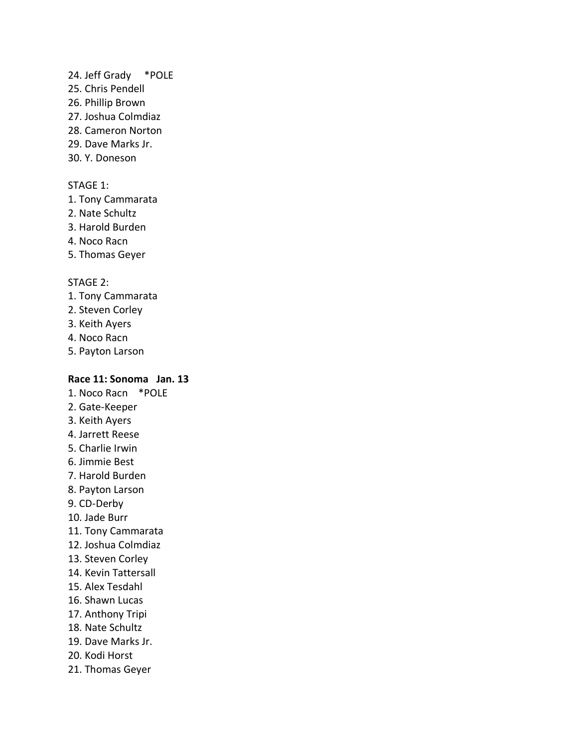### 24. Jeff Grady \*POLE

- 25. Chris Pendell
- 26. Phillip Brown
- 27. Joshua Colmdiaz
- 28. Cameron Norton
- 29. Dave Marks Jr.
- 30. Y. Doneson

## STAGE 1:

- 1. Tony Cammarata
- 2. Nate Schultz
- 3. Harold Burden
- 4. Noco Racn
- 5. Thomas Geyer

### STAGE 2:

- 1. Tony Cammarata
- 2. Steven Corley
- 3. Keith Ayers
- 4. Noco Racn
- 5. Payton Larson

# **Race 11: Sonoma Jan. 13**

- 1. Noco Racn \*POLE
- 2. Gate-Keeper
- 3. Keith Ayers
- 4. Jarrett Reese
- 5. Charlie Irwin
- 6. Jimmie Best
- 7. Harold Burden
- 8. Payton Larson
- 9. CD-Derby
- 10. Jade Burr
- 11. Tony Cammarata
- 12. Joshua Colmdiaz
- 13. Steven Corley
- 14. Kevin Tattersall
- 15. Alex Tesdahl
- 16. Shawn Lucas
- 17. Anthony Tripi
- 18. Nate Schultz
- 19. Dave Marks Jr.
- 20. Kodi Horst
- 21. Thomas Geyer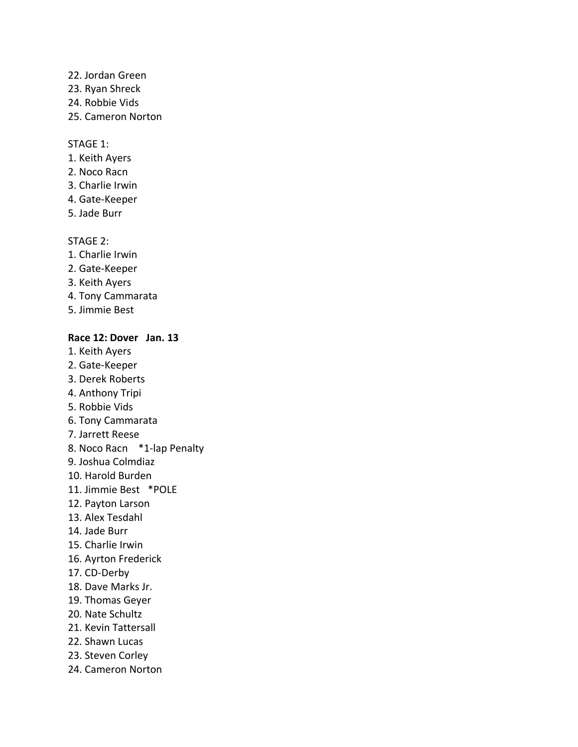- 22. Jordan Green
- 23. Ryan Shreck
- 24. Robbie Vids
- 25. Cameron Norton

- 1. Keith Ayers
- 2. Noco Racn
- 3. Charlie Irwin
- 4. Gate-Keeper
- 5. Jade Burr

# STAGE 2:

- 1. Charlie Irwin
- 2. Gate-Keeper
- 3. Keith Ayers
- 4. Tony Cammarata
- 5. Jimmie Best

# **Race 12: Dover Jan. 13**

- 1. Keith Ayers
- 2. Gate-Keeper
- 3. Derek Roberts
- 4. Anthony Tripi
- 5. Robbie Vids
- 6. Tony Cammarata
- 7. Jarrett Reese
- 8. Noco Racn \*1-lap Penalty
- 9. Joshua Colmdiaz
- 10. Harold Burden
- 11. Jimmie Best \*POLE
- 12. Payton Larson
- 13. Alex Tesdahl
- 14. Jade Burr
- 15. Charlie Irwin
- 16. Ayrton Frederick
- 17. CD-Derby
- 18. Dave Marks Jr.
- 19. Thomas Geyer
- 20. Nate Schultz
- 21. Kevin Tattersall
- 22. Shawn Lucas
- 23. Steven Corley
- 24. Cameron Norton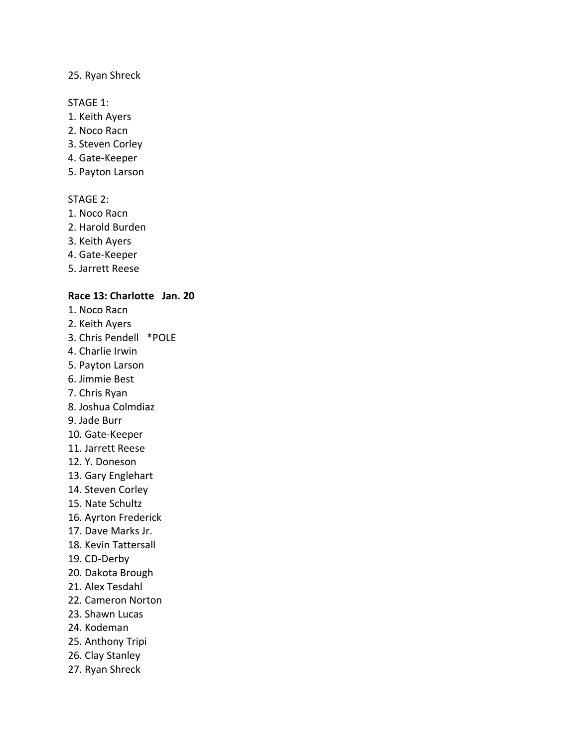### 25. Ryan Shreck

#### STAGE 1:

- 1. Keith Ayers
- 2. Noco Racn
- 3. Steven Corley
- 4. Gate-Keeper
- 5. Payton Larson

# STAGE 2:

- 1. Noco Racn
- 2. Harold Burden
- 3. Keith Ayers
- 4. Gate-Keeper
- 5. Jarrett Reese

# **Race 13: Charlotte Jan. 20**

- 1. Noco Racn
- 2. Keith Ayers
- 3. Chris Pendell \*POLE
- 4. Charlie Irwin
- 5. Payton Larson
- 6. Jimmie Best
- 7. Chris Ryan
- 8. Joshua Colmdiaz
- 9. Jade Burr
- 10. Gate-Keeper
- 11. Jarrett Reese
- 12. Y. Doneson
- 13. Gary Englehart
- 14. Steven Corley
- 15. Nate Schultz
- 16. Ayrton Frederick
- 17. Dave Marks Jr.
- 18. Kevin Tattersall
- 19. CD-Derby
- 20. Dakota Brough
- 21. Alex Tesdahl
- 22. Cameron Norton
- 23. Shawn Lucas
- 24. Kodeman
- 25. Anthony Tripi
- 26. Clay Stanley
- 27. Ryan Shreck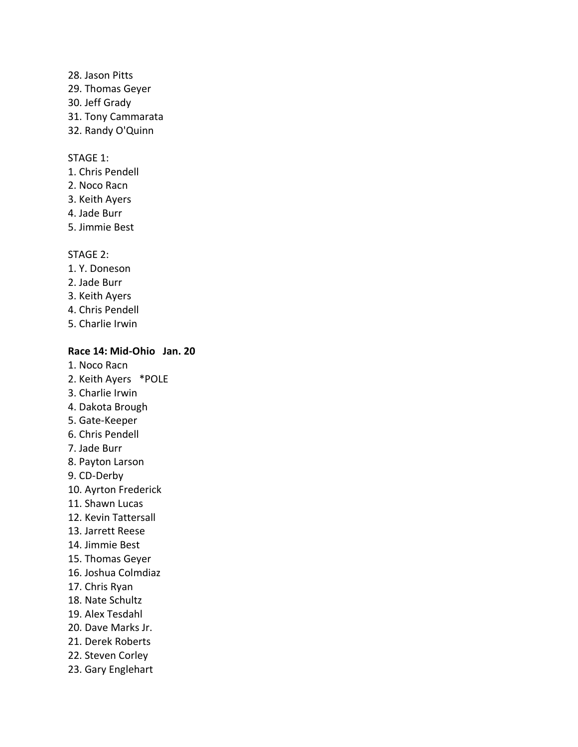- 28. Jason Pitts
- 29. Thomas Geyer
- 30. Jeff Grady
- 31. Tony Cammarata
- 32. Randy O'Quinn

- 1. Chris Pendell
- 2. Noco Racn
- 3. Keith Ayers
- 4. Jade Burr
- 5. Jimmie Best

### STAGE 2:

- 1. Y. Doneson
- 2. Jade Burr
- 3. Keith Ayers
- 4. Chris Pendell
- 5. Charlie Irwin

### **Race 14: Mid-Ohio Jan. 20**

- 1. Noco Racn
- 2. Keith Ayers \*POLE
- 3. Charlie Irwin
- 4. Dakota Brough
- 5. Gate-Keeper
- 6. Chris Pendell
- 7. Jade Burr
- 8. Payton Larson
- 9. CD-Derby
- 10. Ayrton Frederick
- 11. Shawn Lucas
- 12. Kevin Tattersall
- 13. Jarrett Reese
- 14. Jimmie Best
- 15. Thomas Geyer
- 16. Joshua Colmdiaz
- 17. Chris Ryan
- 18. Nate Schultz
- 19. Alex Tesdahl
- 20. Dave Marks Jr.
- 21. Derek Roberts
- 22. Steven Corley
- 23. Gary Englehart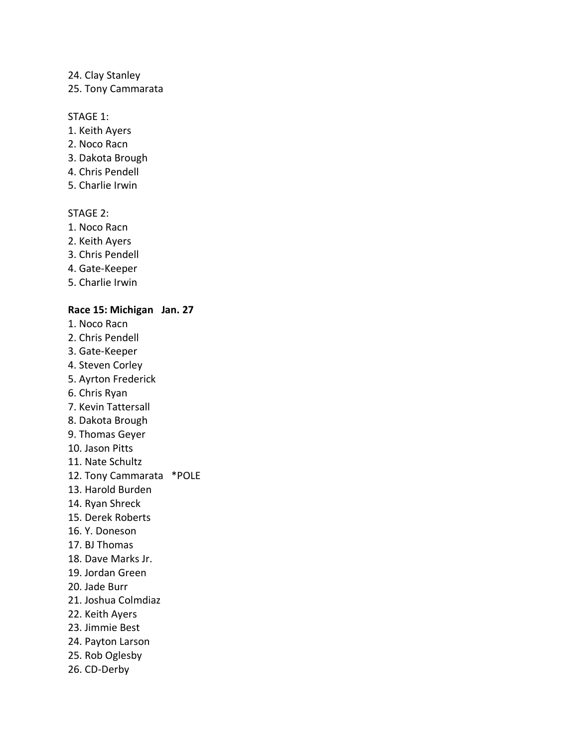### 24. Clay Stanley

25. Tony Cammarata

### STAGE 1:

- 1. Keith Ayers
- 2. Noco Racn
- 3. Dakota Brough
- 4. Chris Pendell
- 5. Charlie Irwin

# STAGE 2:

- 1. Noco Racn
- 2. Keith Ayers
- 3. Chris Pendell
- 4. Gate-Keeper
- 5. Charlie Irwin

### **Race 15: Michigan Jan. 27**

- 1. Noco Racn
- 2. Chris Pendell
- 3. Gate-Keeper
- 4. Steven Corley
- 5. Ayrton Frederick
- 6. Chris Ryan
- 7. Kevin Tattersall
- 8. Dakota Brough
- 9. Thomas Geyer
- 10. Jason Pitts
- 11. Nate Schultz
- 12. Tony Cammarata \*POLE
- 13. Harold Burden
- 14. Ryan Shreck
- 15. Derek Roberts
- 16. Y. Doneson
- 17. BJ Thomas
- 18. Dave Marks Jr.
- 19. Jordan Green
- 20. Jade Burr
- 21. Joshua Colmdiaz
- 22. Keith Ayers
- 23. Jimmie Best
- 24. Payton Larson
- 25. Rob Oglesby
- 26. CD-Derby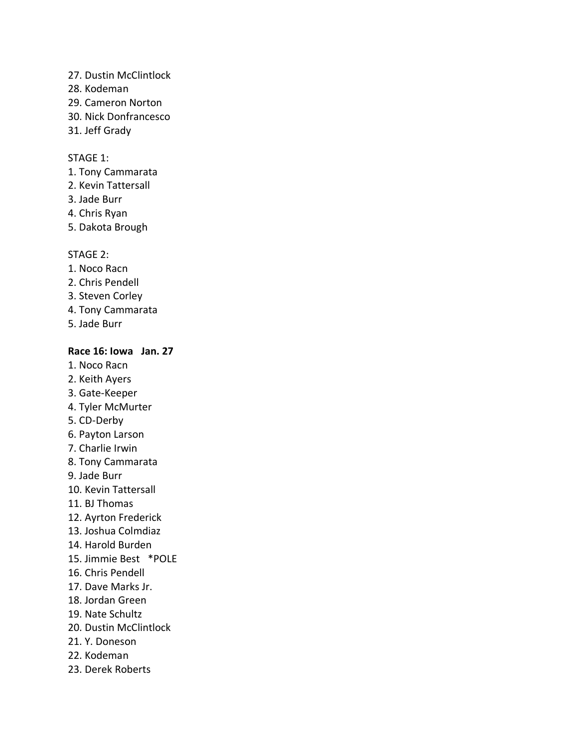- 27. Dustin McClintlock
- 28. Kodeman
- 29. Cameron Norton
- 30. Nick Donfrancesco
- 31. Jeff Grady

- 1. Tony Cammarata
- 2. Kevin Tattersall
- 3. Jade Burr
- 4. Chris Ryan
- 5. Dakota Brough

### STAGE 2:

- 1. Noco Racn
- 2. Chris Pendell
- 3. Steven Corley
- 4. Tony Cammarata
- 5. Jade Burr

### **Race 16: Iowa Jan. 27**

- 1. Noco Racn
- 2. Keith Ayers
- 3. Gate-Keeper
- 4. Tyler McMurter
- 5. CD-Derby
- 6. Payton Larson
- 7. Charlie Irwin
- 8. Tony Cammarata
- 9. Jade Burr
- 10. Kevin Tattersall
- 11. BJ Thomas
- 12. Ayrton Frederick
- 13. Joshua Colmdiaz
- 14. Harold Burden
- 15. Jimmie Best \*POLE
- 16. Chris Pendell
- 17. Dave Marks Jr.
- 18. Jordan Green
- 19. Nate Schultz
- 20. Dustin McClintlock
- 21. Y. Doneson
- 22. Kodeman
- 23. Derek Roberts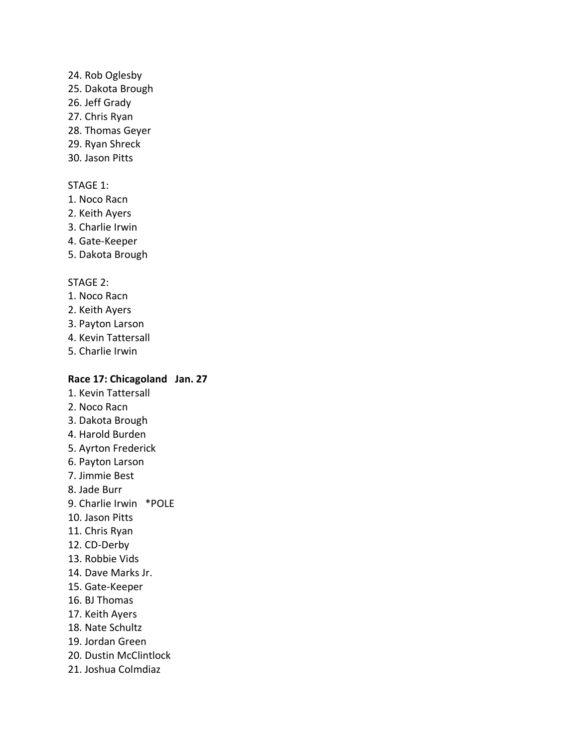### 24. Rob Oglesby

- 25. Dakota Brough
- 26. Jeff Grady
- 27. Chris Ryan
- 28. Thomas Geyer
- 29. Ryan Shreck
- 30. Jason Pitts

# STAGE 1:

- 1. Noco Racn
- 2. Keith Ayers
- 3. Charlie Irwin
- 4. Gate-Keeper
- 5. Dakota Brough

# STAGE 2:

- 1. Noco Racn
- 2. Keith Ayers
- 3. Payton Larson
- 4. Kevin Tattersall
- 5. Charlie Irwin

# **Race 17: Chicagoland Jan. 27**

- 1. Kevin Tattersall
- 2. Noco Racn
- 3. Dakota Brough
- 4. Harold Burden
- 5. Ayrton Frederick
- 6. Payton Larson
- 7. Jimmie Best
- 8. Jade Burr
- 9. Charlie Irwin \*POLE
- 10. Jason Pitts
- 11. Chris Ryan
- 12. CD-Derby
- 13. Robbie Vids
- 14. Dave Marks Jr.
- 15. Gate-Keeper
- 16. BJ Thomas
- 17. Keith Ayers
- 18. Nate Schultz
- 19. Jordan Green
- 20. Dustin McClintlock
- 21. Joshua Colmdiaz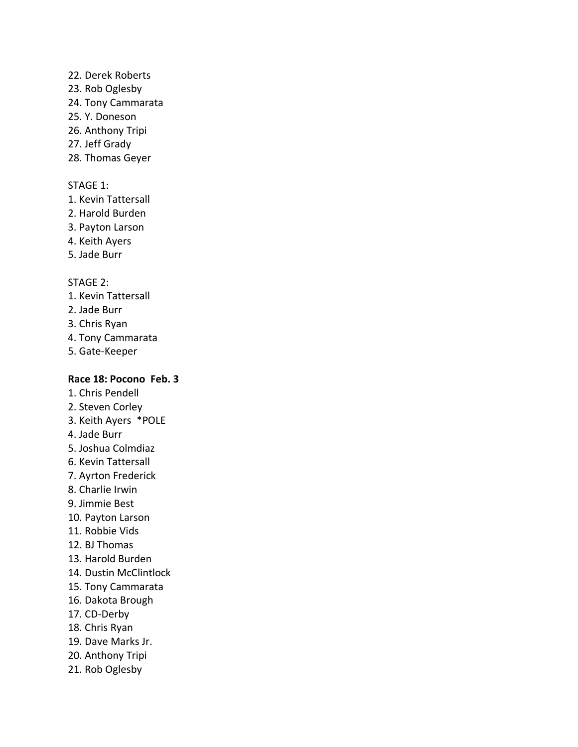# 22. Derek Roberts

- 23. Rob Oglesby
- 24. Tony Cammarata
- 25. Y. Doneson
- 26. Anthony Tripi
- 27. Jeff Grady
- 28. Thomas Geyer

# STAGE 1:

- 1. Kevin Tattersall
- 2. Harold Burden
- 3. Payton Larson
- 4. Keith Ayers
- 5. Jade Burr

# STAGE 2:

- 1. Kevin Tattersall
- 2. Jade Burr
- 3. Chris Ryan
- 4. Tony Cammarata
- 5. Gate-Keeper

# **Race 18: Pocono Feb. 3**

- 1. Chris Pendell
- 2. Steven Corley
- 3. Keith Ayers \*POLE
- 4. Jade Burr
- 5. Joshua Colmdiaz
- 6. Kevin Tattersall
- 7. Ayrton Frederick
- 8. Charlie Irwin
- 9. Jimmie Best
- 10. Payton Larson
- 11. Robbie Vids
- 12. BJ Thomas
- 13. Harold Burden
- 14. Dustin McClintlock
- 15. Tony Cammarata
- 16. Dakota Brough
- 17. CD-Derby
- 18. Chris Ryan
- 19. Dave Marks Jr.
- 20. Anthony Tripi
- 21. Rob Oglesby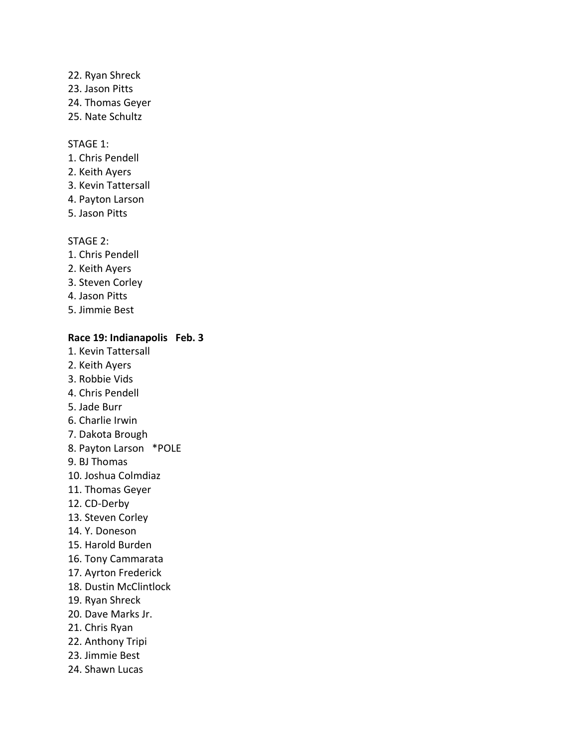# 22. Ryan Shreck 23. Jason Pitts 24. Thomas Geyer

25. Nate Schultz

### STAGE 1:

- 1. Chris Pendell
- 2. Keith Ayers
- 3. Kevin Tattersall
- 4. Payton Larson
- 5. Jason Pitts

### STAGE 2:

- 1. Chris Pendell
- 2. Keith Ayers
- 3. Steven Corley
- 4. Jason Pitts
- 5. Jimmie Best

# **Race 19: Indianapolis Feb. 3**

- 1. Kevin Tattersall
- 2. Keith Ayers
- 3. Robbie Vids
- 4. Chris Pendell
- 5. Jade Burr
- 6. Charlie Irwin
- 7. Dakota Brough
- 8. Payton Larson \*POLE
- 9. BJ Thomas
- 10. Joshua Colmdiaz
- 11. Thomas Geyer
- 12. CD-Derby
- 13. Steven Corley
- 14. Y. Doneson
- 15. Harold Burden
- 16. Tony Cammarata
- 17. Ayrton Frederick
- 18. Dustin McClintlock
- 19. Ryan Shreck
- 20. Dave Marks Jr.
- 21. Chris Ryan
- 22. Anthony Tripi
- 23. Jimmie Best
- 24. Shawn Lucas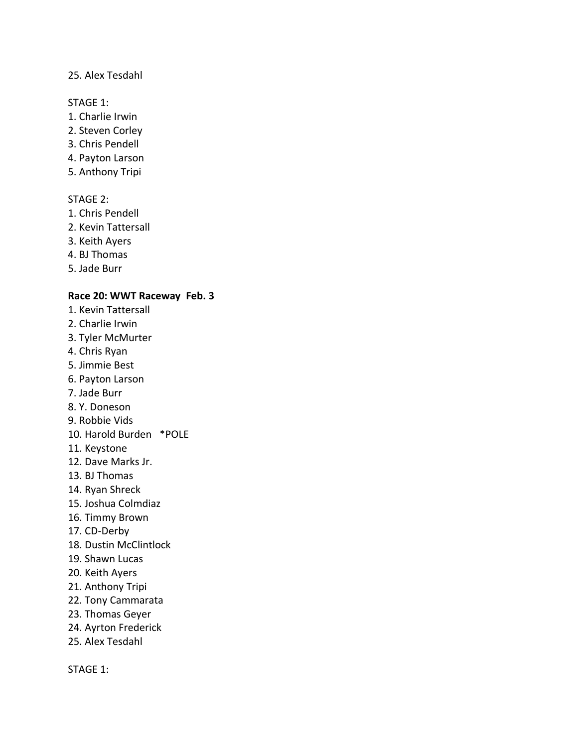### 25. Alex Tesdahl

### STAGE 1:

- 1. Charlie Irwin
- 2. Steven Corley
- 3. Chris Pendell
- 4. Payton Larson
- 5. Anthony Tripi

# STAGE 2:

- 1. Chris Pendell
- 2. Kevin Tattersall
- 3. Keith Ayers
- 4. BJ Thomas
- 5. Jade Burr

### **Race 20: WWT Raceway Feb. 3**

- 1. Kevin Tattersall
- 2. Charlie Irwin
- 3. Tyler McMurter
- 4. Chris Ryan
- 5. Jimmie Best
- 6. Payton Larson
- 7. Jade Burr
- 8. Y. Doneson
- 9. Robbie Vids
- 10. Harold Burden \*POLE
- 11. Keystone
- 12. Dave Marks Jr.
- 13. BJ Thomas
- 14. Ryan Shreck
- 15. Joshua Colmdiaz
- 16. Timmy Brown
- 17. CD-Derby
- 18. Dustin McClintlock
- 19. Shawn Lucas
- 20. Keith Ayers
- 21. Anthony Tripi
- 22. Tony Cammarata
- 23. Thomas Geyer
- 24. Ayrton Frederick
- 25. Alex Tesdahl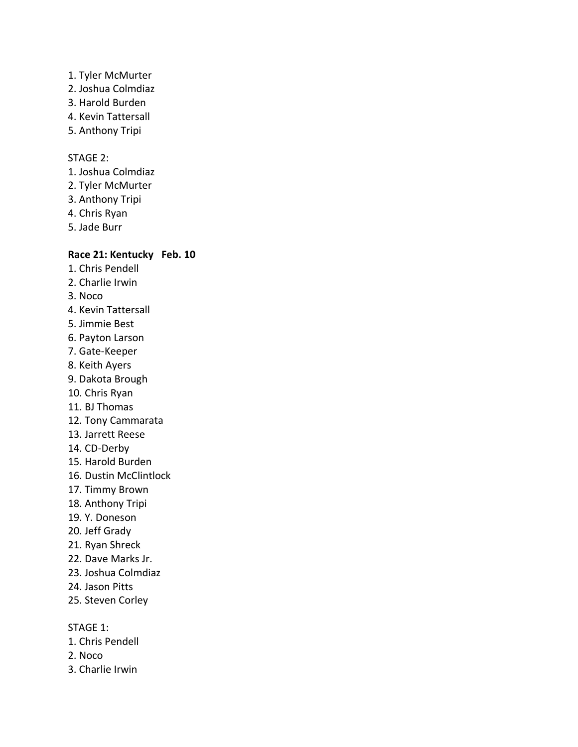- 1. Tyler McMurter
- 2. Joshua Colmdiaz
- 3. Harold Burden
- 4. Kevin Tattersall
- 5. Anthony Tripi

- 1. Joshua Colmdiaz
- 2. Tyler McMurter
- 3. Anthony Tripi
- 4. Chris Ryan
- 5. Jade Burr

# **Race 21: Kentucky Feb. 10**

- 1. Chris Pendell
- 2. Charlie Irwin
- 3. Noco
- 4. Kevin Tattersall
- 5. Jimmie Best
- 6. Payton Larson
- 7. Gate-Keeper
- 8. Keith Ayers
- 9. Dakota Brough
- 10. Chris Ryan
- 11. BJ Thomas
- 12. Tony Cammarata
- 13. Jarrett Reese
- 14. CD-Derby
- 15. Harold Burden
- 16. Dustin McClintlock
- 17. Timmy Brown
- 18. Anthony Tripi
- 19. Y. Doneson
- 20. Jeff Grady
- 21. Ryan Shreck
- 22. Dave Marks Jr.
- 23. Joshua Colmdiaz
- 24. Jason Pitts
- 25. Steven Corley

- 1. Chris Pendell
- 2. Noco
- 3. Charlie Irwin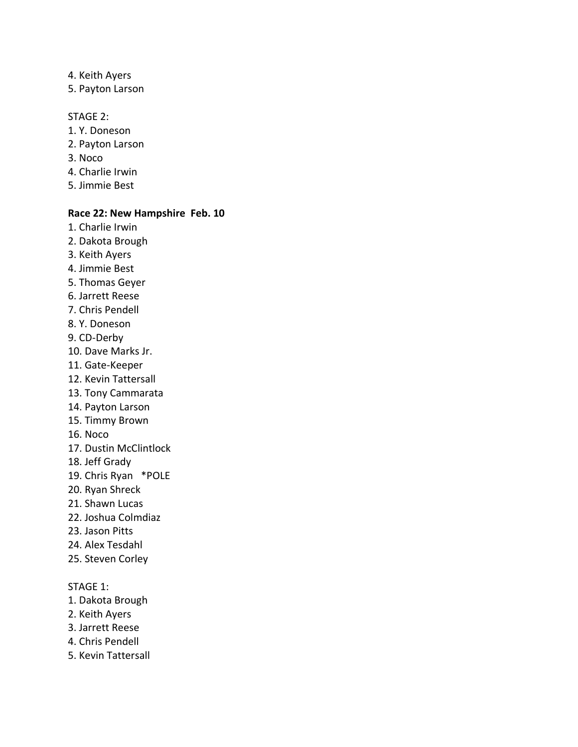- 4. Keith Ayers
- 5. Payton Larson

- 1. Y. Doneson
- 2. Payton Larson
- 3. Noco
- 4. Charlie Irwin
- 5. Jimmie Best

### **Race 22: New Hampshire Feb. 10**

- 1. Charlie Irwin
- 2. Dakota Brough
- 3. Keith Ayers
- 4. Jimmie Best
- 5. Thomas Geyer
- 6. Jarrett Reese
- 7. Chris Pendell
- 8. Y. Doneson
- 9. CD-Derby
- 10. Dave Marks Jr.
- 11. Gate-Keeper
- 12. Kevin Tattersall
- 13. Tony Cammarata
- 14. Payton Larson
- 15. Timmy Brown
- 16. Noco
- 17. Dustin McClintlock
- 18. Jeff Grady
- 19. Chris Ryan \*POLE
- 20. Ryan Shreck
- 21. Shawn Lucas
- 22. Joshua Colmdiaz
- 23. Jason Pitts
- 24. Alex Tesdahl
- 25. Steven Corley

- 1. Dakota Brough
- 2. Keith Ayers
- 3. Jarrett Reese
- 4. Chris Pendell
- 5. Kevin Tattersall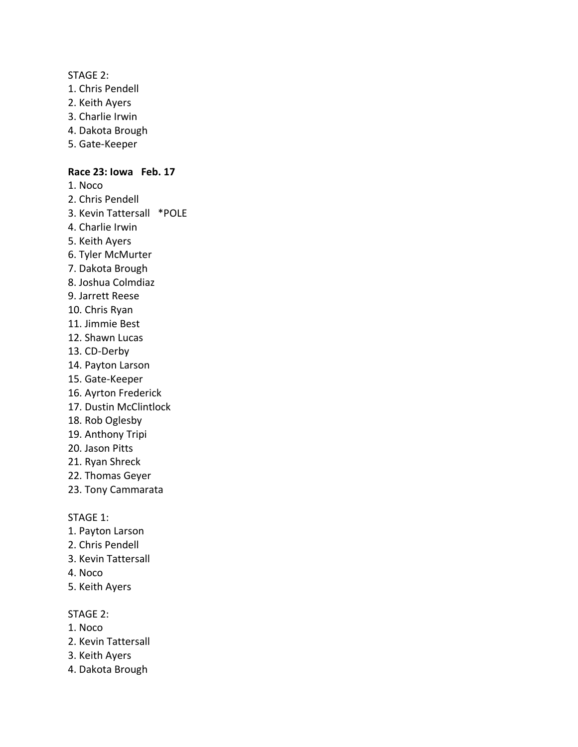- 1. Chris Pendell
- 2. Keith Ayers
- 3. Charlie Irwin
- 4. Dakota Brough
- 5. Gate-Keeper

### **Race 23: Iowa Feb. 17**

- 1. Noco
- 2. Chris Pendell
- 3. Kevin Tattersall \*POLE
- 4. Charlie Irwin
- 5. Keith Ayers
- 6. Tyler McMurter
- 7. Dakota Brough
- 8. Joshua Colmdiaz
- 9. Jarrett Reese
- 10. Chris Ryan
- 11. Jimmie Best
- 12. Shawn Lucas
- 13. CD-Derby
- 14. Payton Larson
- 15. Gate-Keeper
- 16. Ayrton Frederick
- 17. Dustin McClintlock
- 18. Rob Oglesby
- 19. Anthony Tripi
- 20. Jason Pitts
- 21. Ryan Shreck
- 22. Thomas Geyer
- 23. Tony Cammarata

STAGE 1:

- 1. Payton Larson
- 2. Chris Pendell
- 3. Kevin Tattersall
- 4. Noco
- 5. Keith Ayers

# STAGE 2:

- 1. Noco
- 2. Kevin Tattersall
- 3. Keith Ayers
- 4. Dakota Brough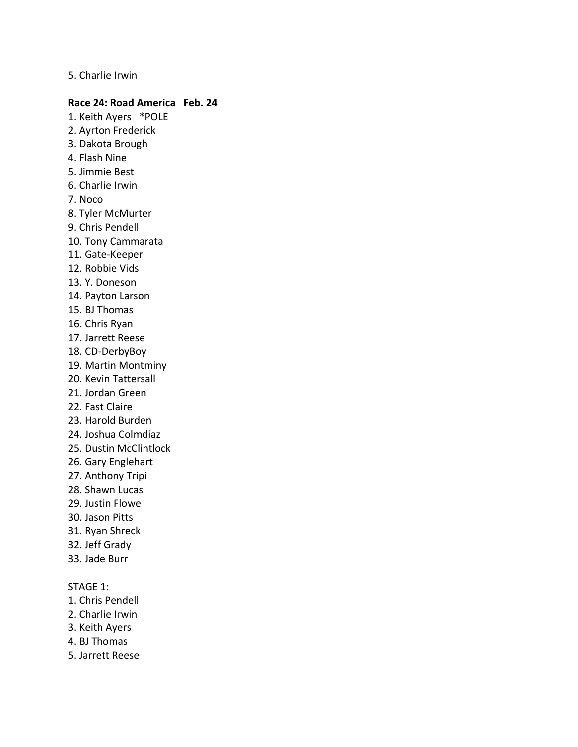### 5. Charlie Irwin

#### **Race 24: Road America Feb. 24**

- 1. Keith Ayers \*POLE 2. Ayrton Frederick 3. Dakota Brough 4. Flash Nine 5. Jimmie Best 6. Charlie Irwin 7. Noco 8. Tyler McMurter
- 9. Chris Pendell
- 10. Tony Cammarata
- 11. Gate-Keeper
- 12. Robbie Vids
- 13. Y. Doneson
- 14. Payton Larson
- 15. BJ Thomas
- 16. Chris Ryan
- 17. Jarrett Reese
- 18. CD-DerbyBoy
- 19. Martin Montminy
- 20. Kevin Tattersall
- 21. Jordan Green
- 22. Fast Claire
- 23. Harold Burden
- 24. Joshua Colmdiaz
- 25. Dustin McClintlock
- 26. Gary Englehart
- 27. Anthony Tripi
- 28. Shawn Lucas
- 29. Justin Flowe
- 30. Jason Pitts
- 31. Ryan Shreck
- 32. Jeff Grady
- 33. Jade Burr

- 1. Chris Pendell
- 2. Charlie Irwin
- 3. Keith Ayers
- 4. BJ Thomas
- 5. Jarrett Reese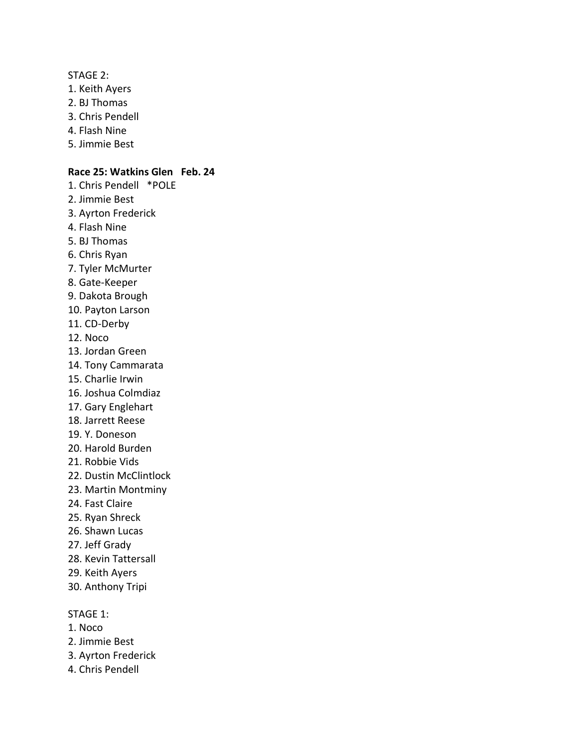- 1. Keith Ayers
- 2. BJ Thomas
- 3. Chris Pendell
- 4. Flash Nine
- 5. Jimmie Best

### **Race 25: Watkins Glen Feb. 24**

- 1. Chris Pendell \*POLE
- 2. Jimmie Best
- 3. Ayrton Frederick
- 4. Flash Nine
- 5. BJ Thomas
- 6. Chris Ryan
- 7. Tyler McMurter
- 8. Gate-Keeper
- 9. Dakota Brough
- 10. Payton Larson
- 11. CD-Derby
- 12. Noco
- 13. Jordan Green
- 14. Tony Cammarata
- 15. Charlie Irwin
- 16. Joshua Colmdiaz
- 17. Gary Englehart
- 18. Jarrett Reese
- 19. Y. Doneson
- 20. Harold Burden
- 21. Robbie Vids
- 22. Dustin McClintlock
- 23. Martin Montminy
- 24. Fast Claire
- 25. Ryan Shreck
- 26. Shawn Lucas
- 27. Jeff Grady
- 28. Kevin Tattersall
- 29. Keith Ayers
- 30. Anthony Tripi

- 1. Noco
- 2. Jimmie Best
- 3. Ayrton Frederick
- 4. Chris Pendell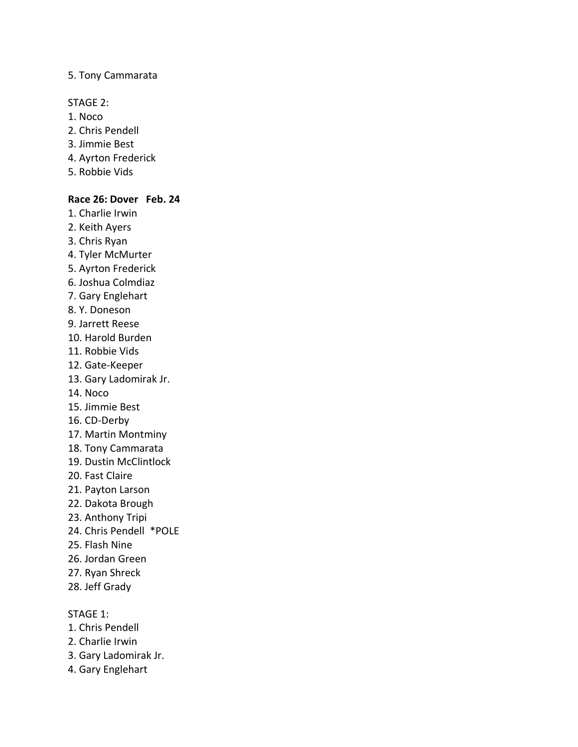### 5. Tony Cammarata

### STAGE 2:

- 1. Noco
- 2. Chris Pendell
- 3. Jimmie Best
- 4. Ayrton Frederick
- 5. Robbie Vids

# **Race 26: Dover Feb. 24**

- 1. Charlie Irwin
- 2. Keith Ayers
- 3. Chris Ryan
- 4. Tyler McMurter
- 5. Ayrton Frederick
- 6. Joshua Colmdiaz
- 7. Gary Englehart
- 8. Y. Doneson
- 9. Jarrett Reese
- 10. Harold Burden
- 11. Robbie Vids
- 12. Gate-Keeper
- 13. Gary Ladomirak Jr.
- 14. Noco
- 15. Jimmie Best
- 16. CD-Derby
- 17. Martin Montminy
- 18. Tony Cammarata
- 19. Dustin McClintlock
- 20. Fast Claire
- 21. Payton Larson
- 22. Dakota Brough
- 23. Anthony Tripi
- 24. Chris Pendell \*POLE
- 25. Flash Nine
- 26. Jordan Green
- 27. Ryan Shreck
- 28. Jeff Grady

- 1. Chris Pendell
- 2. Charlie Irwin
- 3. Gary Ladomirak Jr.
- 4. Gary Englehart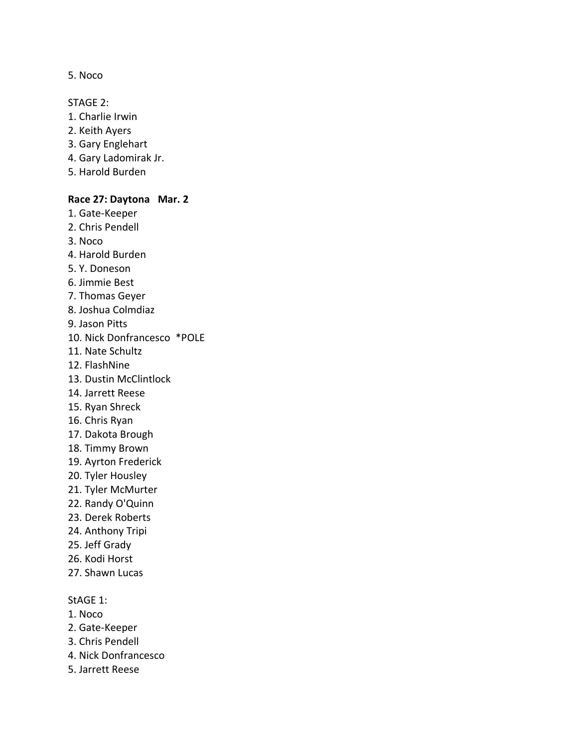5. Noco

STAGE 2:

- 1. Charlie Irwin
- 2. Keith Ayers
- 3. Gary Englehart
- 4. Gary Ladomirak Jr.
- 5. Harold Burden

#### **Race 27: Daytona Mar. 2**

- 1. Gate-Keeper 2. Chris Pendell 3. Noco 4. Harold Burden 5. Y. Doneson 6. Jimmie Best 7. Thomas Geyer 8. Joshua Colmdiaz 9. Jason Pitts 10. Nick Donfrancesco \*POLE 11. Nate Schultz 12. FlashNine 13. Dustin McClintlock 14. Jarrett Reese 15. Ryan Shreck 16. Chris Ryan 17. Dakota Brough 18. Timmy Brown 19. Ayrton Frederick 20. Tyler Housley 21. Tyler McMurter 22. Randy O'Quinn 23. Derek Roberts 24. Anthony Tripi 25. Jeff Grady
- 26. Kodi Horst
- 27. Shawn Lucas

### StAGE 1:

- 1. Noco
- 2. Gate-Keeper
- 3. Chris Pendell
- 4. Nick Donfrancesco
- 5. Jarrett Reese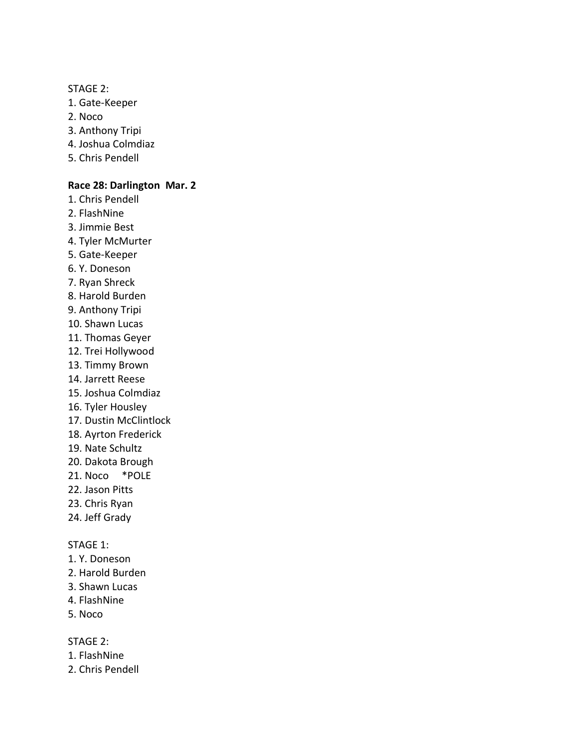- 1. Gate-Keeper
- 2. Noco
- 3. Anthony Tripi
- 4. Joshua Colmdiaz
- 5. Chris Pendell

### **Race 28: Darlington Mar. 2**

- 1. Chris Pendell
- 2. FlashNine
- 3. Jimmie Best
- 4. Tyler McMurter
- 5. Gate-Keeper
- 6. Y. Doneson
- 7. Ryan Shreck
- 8. Harold Burden
- 9. Anthony Tripi
- 10. Shawn Lucas
- 11. Thomas Geyer
- 12. Trei Hollywood
- 13. Timmy Brown
- 14. Jarrett Reese
- 15. Joshua Colmdiaz
- 16. Tyler Housley
- 17. Dustin McClintlock
- 18. Ayrton Frederick
- 19. Nate Schultz
- 20. Dakota Brough
- 21. Noco \*POLE
- 22. Jason Pitts
- 23. Chris Ryan
- 24. Jeff Grady

### STAGE 1:

- 1. Y. Doneson
- 2. Harold Burden
- 3. Shawn Lucas
- 4. FlashNine
- 5. Noco

### STAGE 2:

- 1. FlashNine
- 2. Chris Pendell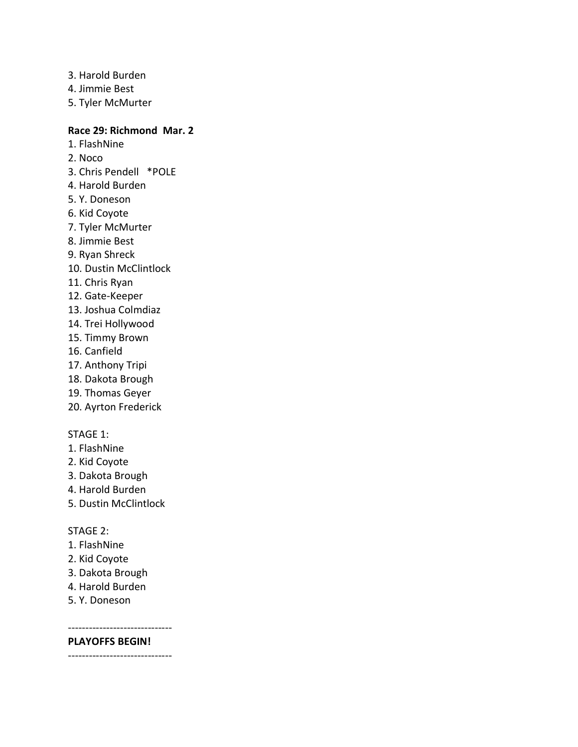- 3. Harold Burden
- 4. Jimmie Best
- 5. Tyler McMurter

# **Race 29: Richmond Mar. 2**

- 1. FlashNine
- 2. Noco
- 3. Chris Pendell \*POLE
- 4. Harold Burden
- 5. Y. Doneson
- 6. Kid Coyote
- 7. Tyler McMurter
- 8. Jimmie Best
- 9. Ryan Shreck
- 10. Dustin McClintlock
- 11. Chris Ryan
- 12. Gate-Keeper
- 13. Joshua Colmdiaz
- 14. Trei Hollywood
- 15. Timmy Brown
- 16. Canfield
- 17. Anthony Tripi
- 18. Dakota Brough
- 19. Thomas Geyer
- 20. Ayrton Frederick

### STAGE 1:

- 1. FlashNine
- 2. Kid Coyote
- 3. Dakota Brough
- 4. Harold Burden
- 5. Dustin McClintlock

### STAGE 2:

- 1. FlashNine
- 2. Kid Coyote
- 3. Dakota Brough
- 4. Harold Burden
- 5. Y. Doneson

------------------------------

# **PLAYOFFS BEGIN!**

------------------------------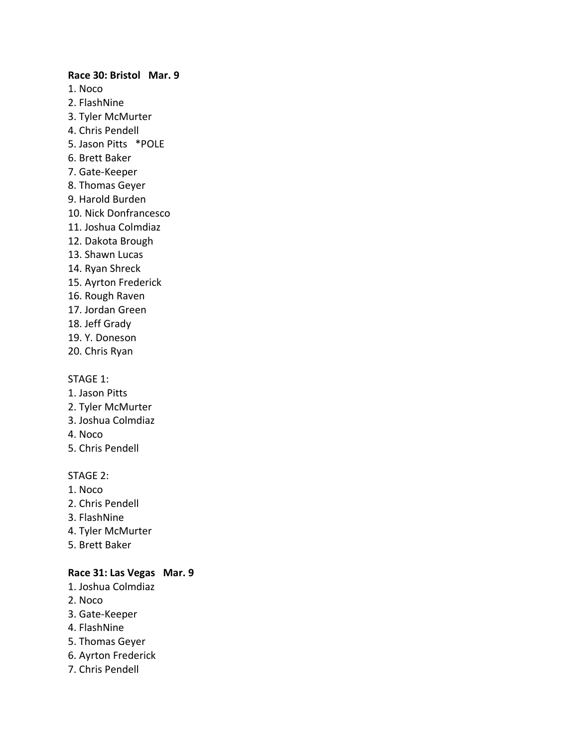# **Race 30: Bristol Mar. 9** 1. Noco 2. FlashNine 3. Tyler McMurter 4. Chris Pendell 5. Jason Pitts \*POLE 6. Brett Baker 7. Gate-Keeper 8. Thomas Geyer 9. Harold Burden 10. Nick Donfrancesco 11. Joshua Colmdiaz 12. Dakota Brough 13. Shawn Lucas 14. Ryan Shreck 15. Ayrton Frederick 16. Rough Raven 17. Jordan Green 18. Jeff Grady 19. Y. Doneson

20. Chris Ryan

### STAGE 1:

- 1. Jason Pitts
- 2. Tyler McMurter
- 3. Joshua Colmdiaz
- 4. Noco
- 5. Chris Pendell

### STAGE 2:

- 1. Noco
- 2. Chris Pendell
- 3. FlashNine
- 4. Tyler McMurter
- 5. Brett Baker

# **Race 31: Las Vegas Mar. 9**

- 1. Joshua Colmdiaz
- 2. Noco
- 3. Gate-Keeper
- 4. FlashNine
- 5. Thomas Geyer
- 6. Ayrton Frederick
- 7. Chris Pendell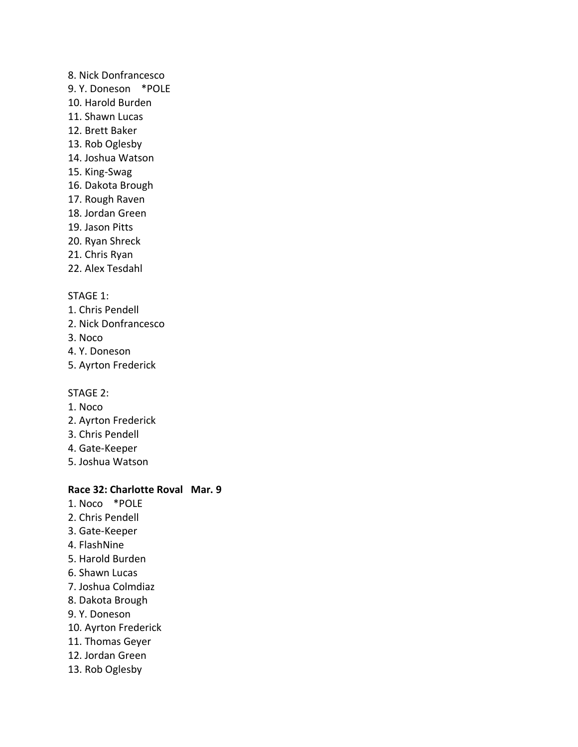### 8. Nick Donfrancesco

- 9. Y. Doneson \*POLE
- 10. Harold Burden
- 11. Shawn Lucas
- 12. Brett Baker
- 13. Rob Oglesby
- 14. Joshua Watson
- 15. King-Swag
- 16. Dakota Brough
- 17. Rough Raven
- 18. Jordan Green
- 19. Jason Pitts
- 20. Ryan Shreck
- 21. Chris Ryan
- 22. Alex Tesdahl

# STAGE 1:

- 1. Chris Pendell
- 2. Nick Donfrancesco
- 3. Noco
- 4. Y. Doneson
- 5. Ayrton Frederick

# STAGE 2:

- 1. Noco
- 2. Ayrton Frederick
- 3. Chris Pendell
- 4. Gate-Keeper
- 5. Joshua Watson

# **Race 32: Charlotte Roval Mar. 9**

- 1. Noco \*POLE
- 2. Chris Pendell
- 3. Gate-Keeper
- 4. FlashNine
- 5. Harold Burden
- 6. Shawn Lucas
- 7. Joshua Colmdiaz
- 8. Dakota Brough
- 9. Y. Doneson
- 10. Ayrton Frederick
- 11. Thomas Geyer
- 12. Jordan Green
- 13. Rob Oglesby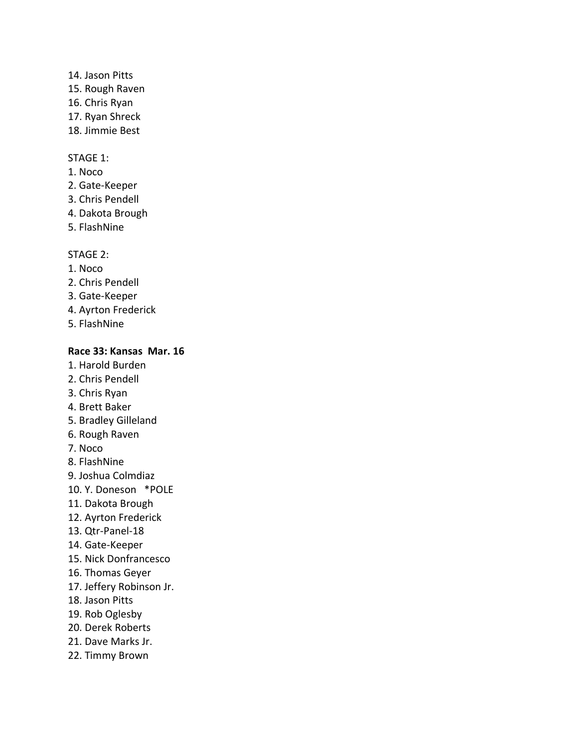# 14. Jason Pitts

- 15. Rough Raven
- 16. Chris Ryan
- 17. Ryan Shreck
- 18. Jimmie Best

# STAGE 1:

- 1. Noco
- 2. Gate-Keeper
- 3. Chris Pendell
- 4. Dakota Brough
- 5. FlashNine

# STAGE 2:

- 1. Noco
- 2. Chris Pendell
- 3. Gate-Keeper
- 4. Ayrton Frederick
- 5. FlashNine

# **Race 33: Kansas Mar. 16**

- 1. Harold Burden
- 2. Chris Pendell
- 3. Chris Ryan
- 4. Brett Baker
- 5. Bradley Gilleland
- 6. Rough Raven
- 7. Noco
- 8. FlashNine
- 9. Joshua Colmdiaz
- 10. Y. Doneson \*POLE
- 11. Dakota Brough
- 12. Ayrton Frederick
- 13. Qtr-Panel-18
- 14. Gate-Keeper
- 15. Nick Donfrancesco
- 16. Thomas Geyer
- 17. Jeffery Robinson Jr.
- 18. Jason Pitts
- 19. Rob Oglesby
- 20. Derek Roberts
- 21. Dave Marks Jr.
- 22. Timmy Brown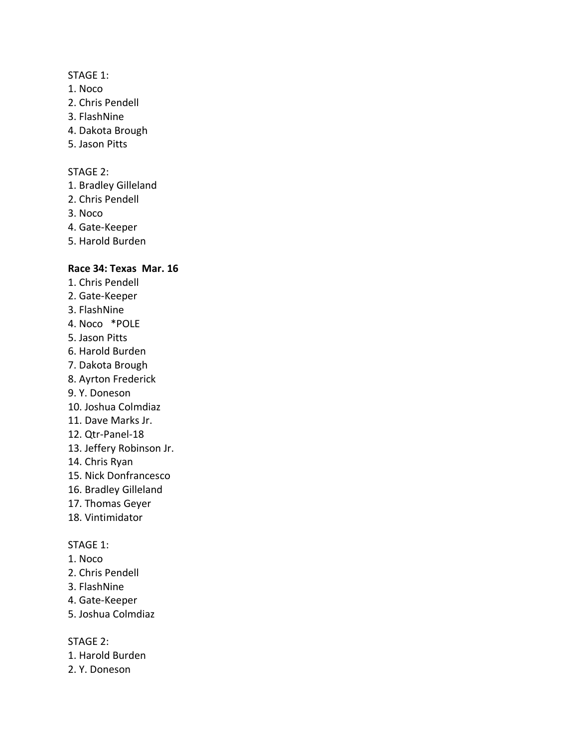### STAGE 1:

- 1. Noco
- 2. Chris Pendell
- 3. FlashNine
- 4. Dakota Brough
- 5. Jason Pitts

### STAGE 2:

- 1. Bradley Gilleland
- 2. Chris Pendell
- 3. Noco
- 4. Gate-Keeper
- 5. Harold Burden

# **Race 34: Texas Mar. 16**

- 1. Chris Pendell
- 2. Gate-Keeper
- 3. FlashNine
- 4. Noco \*POLE
- 5. Jason Pitts
- 6. Harold Burden
- 7. Dakota Brough
- 8. Ayrton Frederick
- 9. Y. Doneson
- 10. Joshua Colmdiaz
- 11. Dave Marks Jr.
- 12. Qtr-Panel-18
- 13. Jeffery Robinson Jr.
- 14. Chris Ryan
- 15. Nick Donfrancesco
- 16. Bradley Gilleland
- 17. Thomas Geyer
- 18. Vintimidator

### STAGE 1:

- 1. Noco
- 2. Chris Pendell
- 3. FlashNine
- 4. Gate-Keeper
- 5. Joshua Colmdiaz

STAGE 2:

- 1. Harold Burden
- 2. Y. Doneson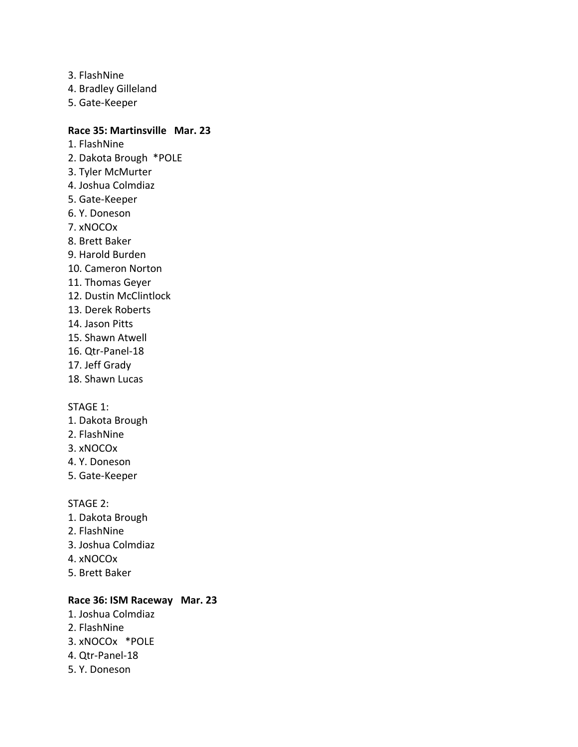- 3. FlashNine
- 4. Bradley Gilleland
- 5. Gate-Keeper

# **Race 35: Martinsville Mar. 23**

- 1. FlashNine
- 2. Dakota Brough \*POLE
- 3. Tyler McMurter
- 4. Joshua Colmdiaz
- 5. Gate-Keeper
- 6. Y. Doneson
- 7. xNOCOx
- 8. Brett Baker
- 9. Harold Burden
- 10. Cameron Norton
- 11. Thomas Geyer
- 12. Dustin McClintlock
- 13. Derek Roberts
- 14. Jason Pitts
- 15. Shawn Atwell
- 16. Qtr-Panel-18
- 17. Jeff Grady
- 18. Shawn Lucas

### STAGE 1:

- 1. Dakota Brough
- 2. FlashNine
- 3. xNOCOx
- 4. Y. Doneson
- 5. Gate-Keeper

### STAGE 2:

- 1. Dakota Brough
- 2. FlashNine
- 3. Joshua Colmdiaz
- 4. xNOCOx
- 5. Brett Baker

### **Race 36: ISM Raceway Mar. 23**

- 1. Joshua Colmdiaz
- 2. FlashNine
- 3. xNOCOx \*POLE
- 4. Qtr-Panel-18
- 5. Y. Doneson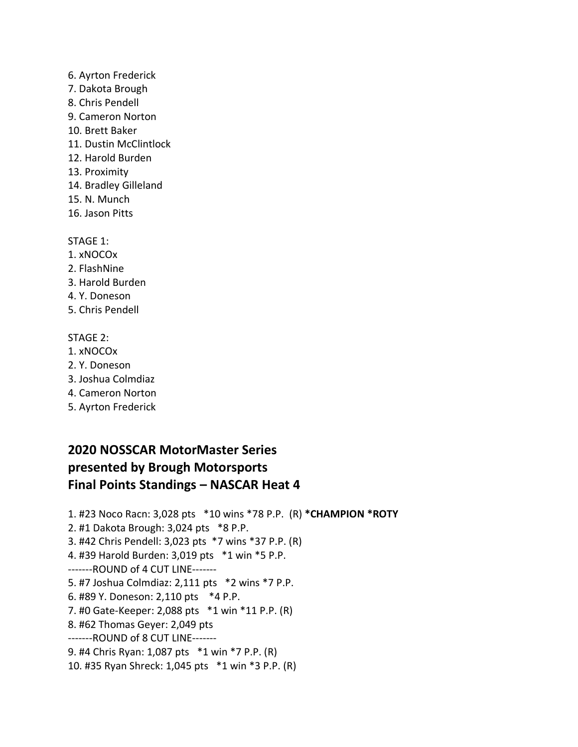- 6. Ayrton Frederick
- 7. Dakota Brough
- 8. Chris Pendell
- 9. Cameron Norton
- 10. Brett Baker
- 11. Dustin McClintlock
- 12. Harold Burden
- 13. Proximity
- 14. Bradley Gilleland
- 15. N. Munch
- 16. Jason Pitts

STAGE 1:

- 1. xNOCOx
- 2. FlashNine
- 3. Harold Burden
- 4. Y. Doneson
- 5. Chris Pendell

# STAGE 2:

- 1. xNOCOx
- 2. Y. Doneson
- 3. Joshua Colmdiaz
- 4. Cameron Norton
- 5. Ayrton Frederick

# **2020 NOSSCAR MotorMaster Series presented by Brough Motorsports Final Points Standings – NASCAR Heat 4**

1. #23 Noco Racn: 3,028 pts \*10 wins \*78 P.P. (R) **\*CHAMPION \*ROTY** 2. #1 Dakota Brough: 3,024 pts \*8 P.P. 3. #42 Chris Pendell: 3,023 pts \*7 wins \*37 P.P. (R) 4. #39 Harold Burden: 3,019 pts \*1 win \*5 P.P. -------ROUND of 4 CUT LINE------- 5. #7 Joshua Colmdiaz: 2,111 pts \*2 wins \*7 P.P. 6. #89 Y. Doneson: 2,110 pts \*4 P.P. 7. #0 Gate-Keeper: 2,088 pts \*1 win \*11 P.P. (R) 8. #62 Thomas Geyer: 2,049 pts -------ROUND of 8 CUT LINE------- 9. #4 Chris Ryan: 1,087 pts \*1 win \*7 P.P. (R) 10. #35 Ryan Shreck: 1,045 pts \*1 win \*3 P.P. (R)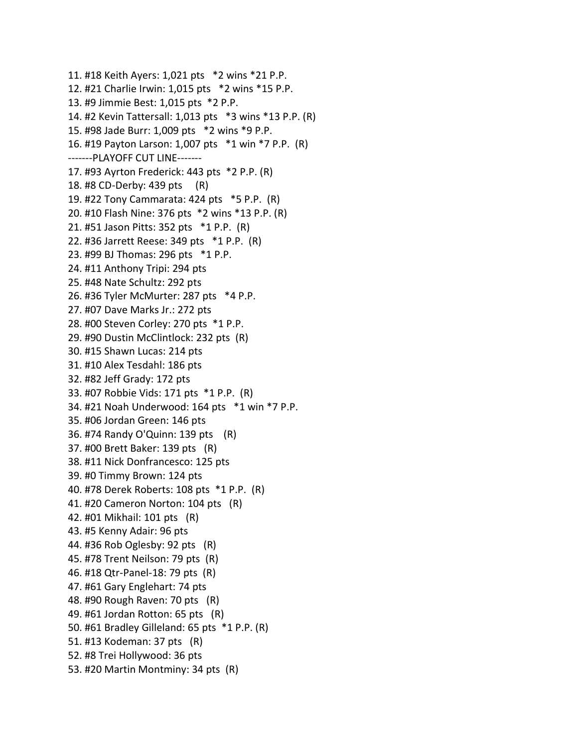11. #18 Keith Ayers: 1,021 pts \*2 wins \*21 P.P. 12. #21 Charlie Irwin: 1,015 pts \*2 wins \*15 P.P. 13. #9 Jimmie Best: 1,015 pts \*2 P.P. 14. #2 Kevin Tattersall: 1,013 pts \*3 wins \*13 P.P. (R) 15. #98 Jade Burr: 1,009 pts \*2 wins \*9 P.P. 16. #19 Payton Larson: 1,007 pts \*1 win \*7 P.P. (R) -------PLAYOFF CUT LINE------- 17. #93 Ayrton Frederick: 443 pts \*2 P.P. (R) 18. #8 CD-Derby: 439 pts (R) 19. #22 Tony Cammarata: 424 pts \*5 P.P. (R) 20. #10 Flash Nine: 376 pts \*2 wins \*13 P.P. (R) 21. #51 Jason Pitts: 352 pts \*1 P.P. (R) 22. #36 Jarrett Reese: 349 pts \*1 P.P. (R) 23. #99 BJ Thomas: 296 pts \*1 P.P. 24. #11 Anthony Tripi: 294 pts 25. #48 Nate Schultz: 292 pts 26. #36 Tyler McMurter: 287 pts \*4 P.P. 27. #07 Dave Marks Jr.: 272 pts 28. #00 Steven Corley: 270 pts \*1 P.P. 29. #90 Dustin McClintlock: 232 pts (R) 30. #15 Shawn Lucas: 214 pts 31. #10 Alex Tesdahl: 186 pts 32. #82 Jeff Grady: 172 pts 33. #07 Robbie Vids: 171 pts \*1 P.P. (R) 34. #21 Noah Underwood: 164 pts \*1 win \*7 P.P. 35. #06 Jordan Green: 146 pts 36. #74 Randy O'Quinn: 139 pts (R) 37. #00 Brett Baker: 139 pts (R) 38. #11 Nick Donfrancesco: 125 pts 39. #0 Timmy Brown: 124 pts 40. #78 Derek Roberts: 108 pts \*1 P.P. (R) 41. #20 Cameron Norton: 104 pts (R) 42. #01 Mikhail: 101 pts (R) 43. #5 Kenny Adair: 96 pts 44. #36 Rob Oglesby: 92 pts (R) 45. #78 Trent Neilson: 79 pts (R) 46. #18 Qtr-Panel-18: 79 pts (R) 47. #61 Gary Englehart: 74 pts 48. #90 Rough Raven: 70 pts (R) 49. #61 Jordan Rotton: 65 pts (R) 50. #61 Bradley Gilleland: 65 pts \*1 P.P. (R) 51. #13 Kodeman: 37 pts (R) 52. #8 Trei Hollywood: 36 pts 53. #20 Martin Montminy: 34 pts (R)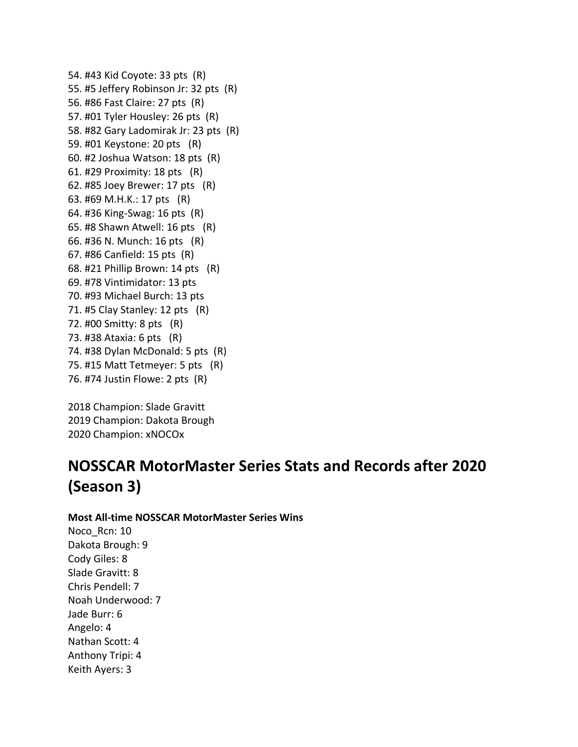54. #43 Kid Coyote: 33 pts (R) 55. #5 Jeffery Robinson Jr: 32 pts (R) 56. #86 Fast Claire: 27 pts (R) 57. #01 Tyler Housley: 26 pts (R) 58. #82 Gary Ladomirak Jr: 23 pts (R) 59. #01 Keystone: 20 pts (R) 60. #2 Joshua Watson: 18 pts (R) 61. #29 Proximity: 18 pts (R) 62. #85 Joey Brewer: 17 pts (R) 63. #69 M.H.K.: 17 pts (R) 64. #36 King-Swag: 16 pts (R) 65. #8 Shawn Atwell: 16 pts (R) 66. #36 N. Munch: 16 pts (R) 67. #86 Canfield: 15 pts (R) 68. #21 Phillip Brown: 14 pts (R) 69. #78 Vintimidator: 13 pts 70. #93 Michael Burch: 13 pts 71. #5 Clay Stanley: 12 pts (R) 72. #00 Smitty: 8 pts (R) 73. #38 Ataxia: 6 pts (R) 74. #38 Dylan McDonald: 5 pts (R) 75. #15 Matt Tetmeyer: 5 pts (R) 76. #74 Justin Flowe: 2 pts (R)

2018 Champion: Slade Gravitt 2019 Champion: Dakota Brough 2020 Champion: xNOCOx

# **NOSSCAR MotorMaster Series Stats and Records after 2020 (Season 3)**

**Most All-time NOSSCAR MotorMaster Series Wins**

Noco Rcn: 10 Dakota Brough: 9 Cody Giles: 8 Slade Gravitt: 8 Chris Pendell: 7 Noah Underwood: 7 Jade Burr: 6 Angelo: 4 Nathan Scott: 4 Anthony Tripi: 4 Keith Ayers: 3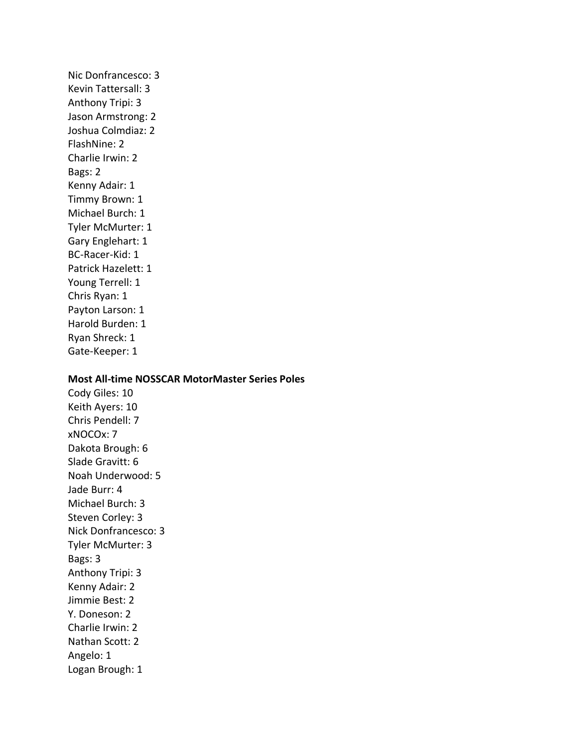Nic Donfrancesco: 3 Kevin Tattersall: 3 Anthony Tripi: 3 Jason Armstrong: 2 Joshua Colmdiaz: 2 FlashNine: 2 Charlie Irwin: 2 Bags: 2 Kenny Adair: 1 Timmy Brown: 1 Michael Burch: 1 Tyler McMurter: 1 Gary Englehart: 1 BC-Racer-Kid: 1 Patrick Hazelett: 1 Young Terrell: 1 Chris Ryan: 1 Payton Larson: 1 Harold Burden: 1 Ryan Shreck: 1 Gate-Keeper: 1

#### **Most All-time NOSSCAR MotorMaster Series Poles**

Cody Giles: 10 Keith Ayers: 10 Chris Pendell: 7 xNOCOx: 7 Dakota Brough: 6 Slade Gravitt: 6 Noah Underwood: 5 Jade Burr: 4 Michael Burch: 3 Steven Corley: 3 Nick Donfrancesco: 3 Tyler McMurter: 3 Bags: 3 Anthony Tripi: 3 Kenny Adair: 2 Jimmie Best: 2 Y. Doneson: 2 Charlie Irwin: 2 Nathan Scott: 2 Angelo: 1 Logan Brough: 1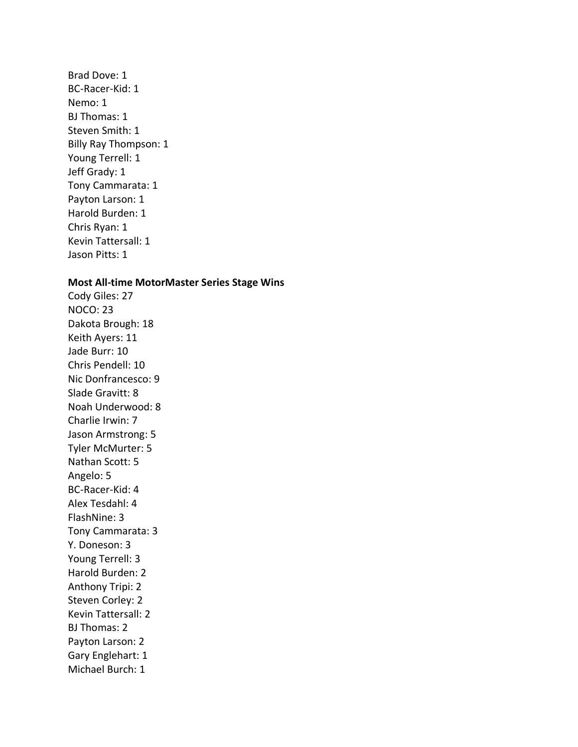Brad Dove: 1 BC-Racer-Kid: 1 Nemo: 1 BJ Thomas: 1 Steven Smith: 1 Billy Ray Thompson: 1 Young Terrell: 1 Jeff Grady: 1 Tony Cammarata: 1 Payton Larson: 1 Harold Burden: 1 Chris Ryan: 1 Kevin Tattersall: 1 Jason Pitts: 1

#### **Most All-time MotorMaster Series Stage Wins**

Cody Giles: 27 NOCO: 23 Dakota Brough: 18 Keith Ayers: 11 Jade Burr: 10 Chris Pendell: 10 Nic Donfrancesco: 9 Slade Gravitt: 8 Noah Underwood: 8 Charlie Irwin: 7 Jason Armstrong: 5 Tyler McMurter: 5 Nathan Scott: 5 Angelo: 5 BC-Racer-Kid: 4 Alex Tesdahl: 4 FlashNine: 3 Tony Cammarata: 3 Y. Doneson: 3 Young Terrell: 3 Harold Burden: 2 Anthony Tripi: 2 Steven Corley: 2 Kevin Tattersall: 2 BJ Thomas: 2 Payton Larson: 2 Gary Englehart: 1 Michael Burch: 1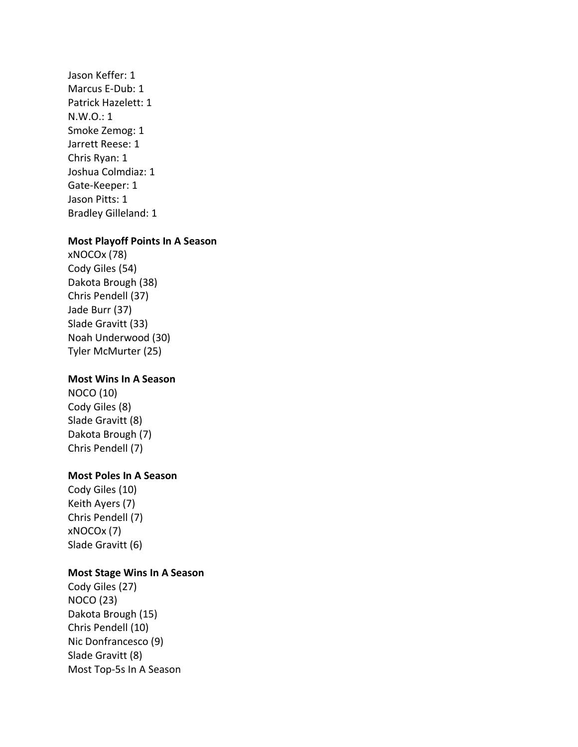Jason Keffer: 1 Marcus E-Dub: 1 Patrick Hazelett: 1 N.W.O.: 1 Smoke Zemog: 1 Jarrett Reese: 1 Chris Ryan: 1 Joshua Colmdiaz: 1 Gate-Keeper: 1 Jason Pitts: 1 Bradley Gilleland: 1

#### **Most Playoff Points In A Season**

xNOCOx (78) Cody Giles (54) Dakota Brough (38) Chris Pendell (37) Jade Burr (37) Slade Gravitt (33) Noah Underwood (30) Tyler McMurter (25)

### **Most Wins In A Season**

NOCO (10) Cody Giles (8) Slade Gravitt (8) Dakota Brough (7) Chris Pendell (7)

### **Most Poles In A Season**

Cody Giles (10) Keith Ayers (7) Chris Pendell (7) xNOCOx (7) Slade Gravitt (6)

### **Most Stage Wins In A Season**

Cody Giles (27) NOCO (23) Dakota Brough (15) Chris Pendell (10) Nic Donfrancesco (9) Slade Gravitt (8) Most Top-5s In A Season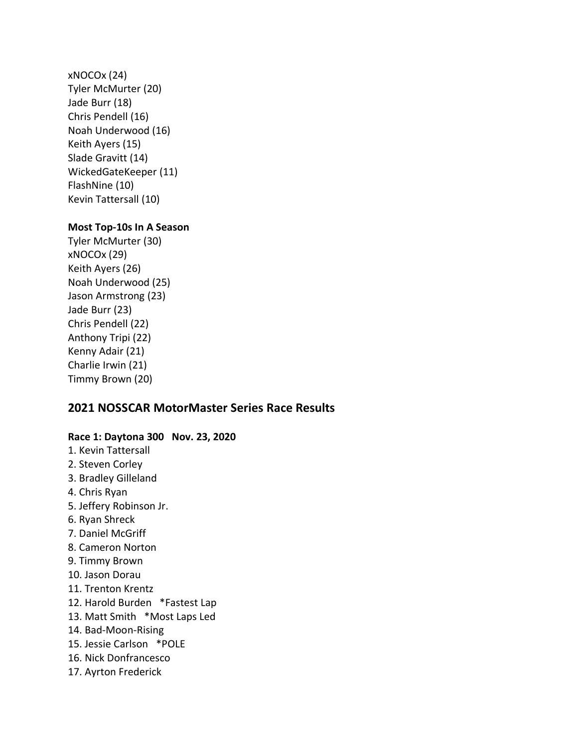xNOCOx (24) Tyler McMurter (20) Jade Burr (18) Chris Pendell (16) Noah Underwood (16) Keith Ayers (15) Slade Gravitt (14) WickedGateKeeper (11) FlashNine (10) Kevin Tattersall (10)

# **Most Top-10s In A Season**

Tyler McMurter (30) xNOCOx (29) Keith Ayers (26) Noah Underwood (25) Jason Armstrong (23) Jade Burr (23) Chris Pendell (22) Anthony Tripi (22) Kenny Adair (21) Charlie Irwin (21) Timmy Brown (20)

# **2021 NOSSCAR MotorMaster Series Race Results**

# **Race 1: Daytona 300 Nov. 23, 2020**

1. Kevin Tattersall 2. Steven Corley 3. Bradley Gilleland 4. Chris Ryan 5. Jeffery Robinson Jr. 6. Ryan Shreck 7. Daniel McGriff 8. Cameron Norton 9. Timmy Brown 10. Jason Dorau 11. Trenton Krentz 12. Harold Burden \*Fastest Lap 13. Matt Smith \*Most Laps Led 14. Bad-Moon-Rising 15. Jessie Carlson \*POLE 16. Nick Donfrancesco 17. Ayrton Frederick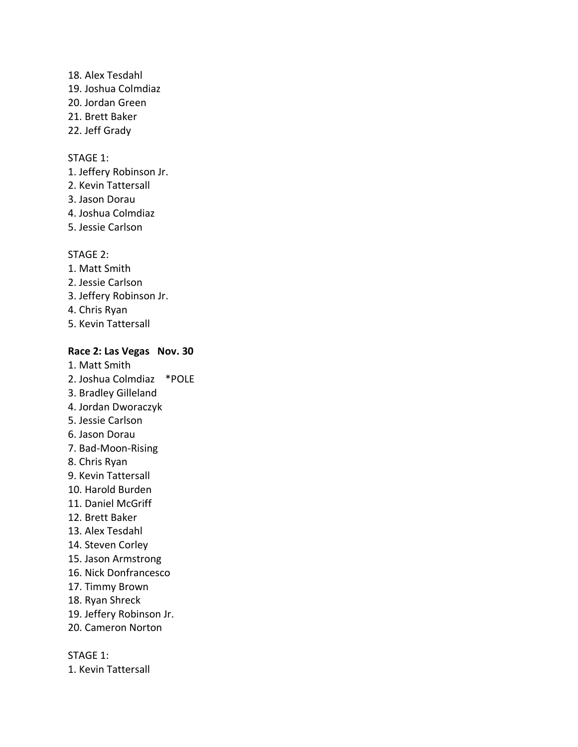18. Alex Tesdahl 19. Joshua Colmdiaz 20. Jordan Green 21. Brett Baker 22. Jeff Grady

### STAGE 1:

1. Jeffery Robinson Jr.

- 2. Kevin Tattersall
- 3. Jason Dorau
- 4. Joshua Colmdiaz
- 5. Jessie Carlson

#### STAGE 2:

- 1. Matt Smith
- 2. Jessie Carlson
- 3. Jeffery Robinson Jr.
- 4. Chris Ryan
- 5. Kevin Tattersall

#### **Race 2: Las Vegas Nov. 30**

- 1. Matt Smith 2. Joshua Colmdiaz \*POLE 3. Bradley Gilleland 4. Jordan Dworaczyk 5. Jessie Carlson
- 6. Jason Dorau
- 7. Bad-Moon-Rising
- 8. Chris Ryan
- 9. Kevin Tattersall
- 10. Harold Burden
- 11. Daniel McGriff
- 12. Brett Baker
- 13. Alex Tesdahl
- 14. Steven Corley
- 15. Jason Armstrong
- 16. Nick Donfrancesco
- 17. Timmy Brown
- 18. Ryan Shreck
- 19. Jeffery Robinson Jr.
- 20. Cameron Norton

STAGE 1:

1. Kevin Tattersall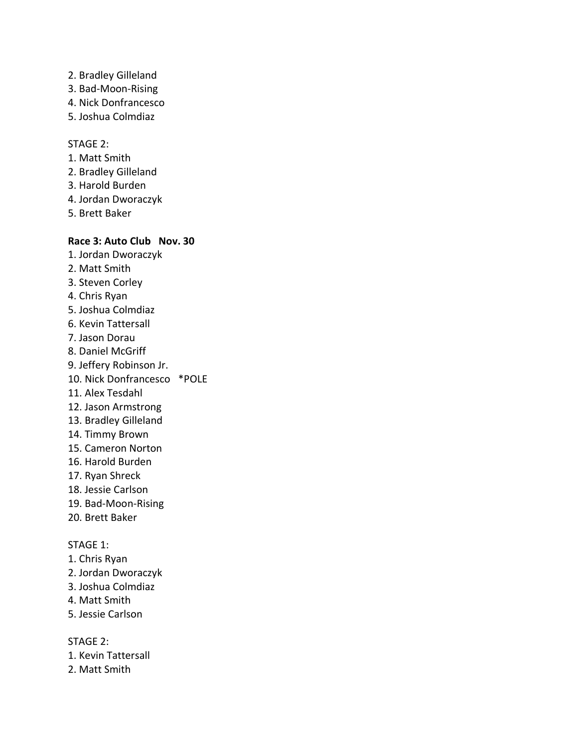- 2. Bradley Gilleland
- 3. Bad-Moon-Rising
- 4. Nick Donfrancesco
- 5. Joshua Colmdiaz

- 1. Matt Smith
- 2. Bradley Gilleland
- 3. Harold Burden
- 4. Jordan Dworaczyk
- 5. Brett Baker

# **Race 3: Auto Club Nov. 30**

- 1. Jordan Dworaczyk
- 2. Matt Smith
- 3. Steven Corley
- 4. Chris Ryan
- 5. Joshua Colmdiaz
- 6. Kevin Tattersall
- 7. Jason Dorau
- 8. Daniel McGriff
- 9. Jeffery Robinson Jr.
- 10. Nick Donfrancesco \*POLE
- 11. Alex Tesdahl
- 12. Jason Armstrong
- 13. Bradley Gilleland
- 14. Timmy Brown
- 15. Cameron Norton
- 16. Harold Burden
- 17. Ryan Shreck
- 18. Jessie Carlson
- 19. Bad-Moon-Rising
- 20. Brett Baker

### STAGE 1:

- 1. Chris Ryan
- 2. Jordan Dworaczyk
- 3. Joshua Colmdiaz
- 4. Matt Smith
- 5. Jessie Carlson

STAGE 2:

- 1. Kevin Tattersall
- 2. Matt Smith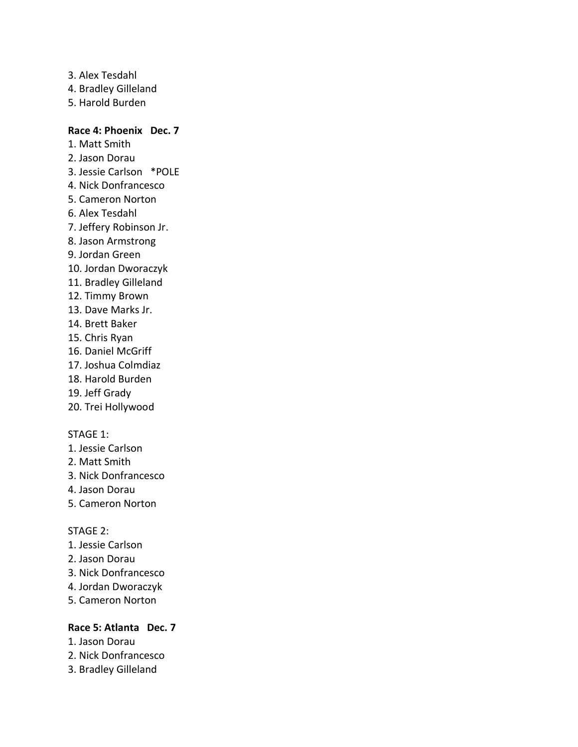3. Alex Tesdahl 4. Bradley Gilleland 5. Harold Burden

### **Race 4: Phoenix Dec. 7**

- 1. Matt Smith
- 2. Jason Dorau
- 3. Jessie Carlson \*POLE
- 4. Nick Donfrancesco
- 5. Cameron Norton
- 6. Alex Tesdahl
- 7. Jeffery Robinson Jr.
- 8. Jason Armstrong
- 9. Jordan Green
- 10. Jordan Dworaczyk
- 11. Bradley Gilleland
- 12. Timmy Brown
- 13. Dave Marks Jr.
- 14. Brett Baker
- 15. Chris Ryan
- 16. Daniel McGriff
- 17. Joshua Colmdiaz
- 18. Harold Burden
- 19. Jeff Grady
- 20. Trei Hollywood

### STAGE 1:

- 1. Jessie Carlson
- 2. Matt Smith
- 3. Nick Donfrancesco
- 4. Jason Dorau
- 5. Cameron Norton

### STAGE 2:

- 1. Jessie Carlson
- 2. Jason Dorau
- 3. Nick Donfrancesco
- 4. Jordan Dworaczyk
- 5. Cameron Norton

# **Race 5: Atlanta Dec. 7**

- 1. Jason Dorau
- 2. Nick Donfrancesco
- 3. Bradley Gilleland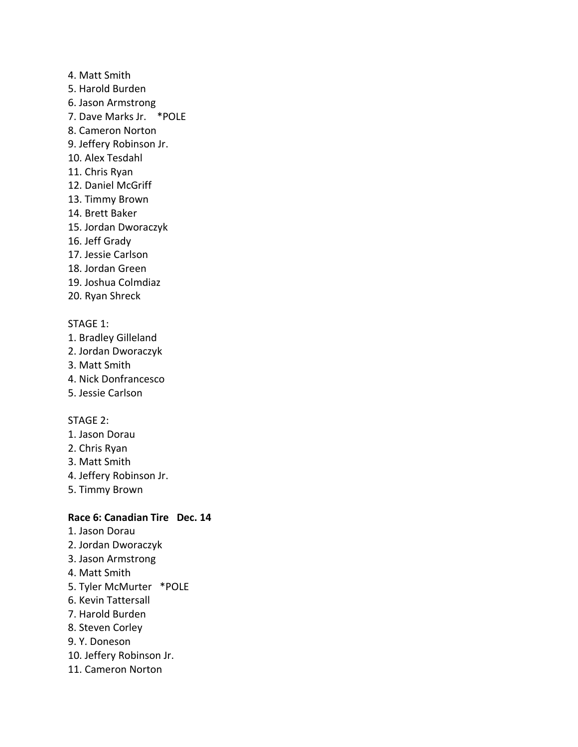- 4. Matt Smith
- 5. Harold Burden
- 6. Jason Armstrong
- 7. Dave Marks Jr. \*POLE
- 8. Cameron Norton
- 9. Jeffery Robinson Jr.
- 10. Alex Tesdahl
- 11. Chris Ryan
- 12. Daniel McGriff
- 13. Timmy Brown
- 14. Brett Baker
- 15. Jordan Dworaczyk
- 16. Jeff Grady
- 17. Jessie Carlson
- 18. Jordan Green
- 19. Joshua Colmdiaz
- 20. Ryan Shreck

### STAGE 1:

- 1. Bradley Gilleland
- 2. Jordan Dworaczyk
- 3. Matt Smith
- 4. Nick Donfrancesco
- 5. Jessie Carlson

### STAGE 2:

- 1. Jason Dorau
- 2. Chris Ryan
- 3. Matt Smith
- 4. Jeffery Robinson Jr.
- 5. Timmy Brown

# **Race 6: Canadian Tire Dec. 14**

- 1. Jason Dorau
- 2. Jordan Dworaczyk
- 3. Jason Armstrong
- 4. Matt Smith
- 5. Tyler McMurter \*POLE
- 6. Kevin Tattersall
- 7. Harold Burden
- 8. Steven Corley
- 9. Y. Doneson
- 10. Jeffery Robinson Jr.
- 11. Cameron Norton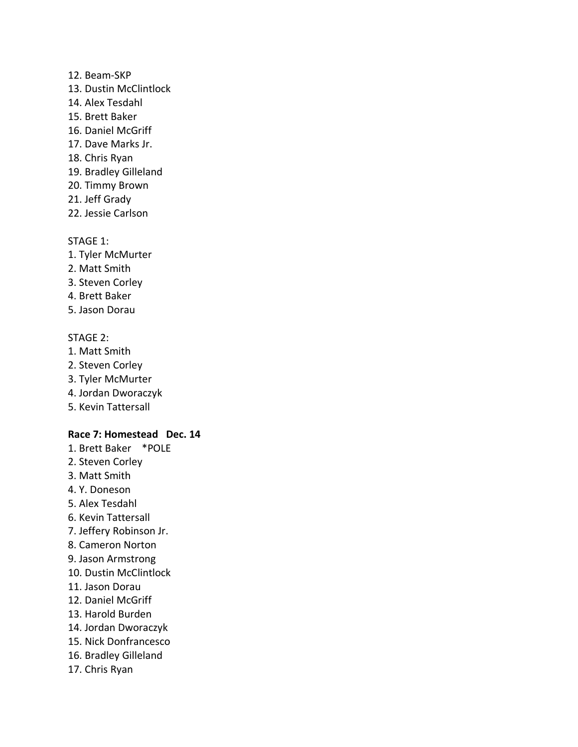### 12. Beam-SKP

- 13. Dustin McClintlock
- 14. Alex Tesdahl
- 15. Brett Baker
- 16. Daniel McGriff
- 17. Dave Marks Jr.
- 18. Chris Ryan
- 19. Bradley Gilleland
- 20. Timmy Brown
- 21. Jeff Grady
- 22. Jessie Carlson

# STAGE 1:

- 1. Tyler McMurter
- 2. Matt Smith
- 3. Steven Corley
- 4. Brett Baker
- 5. Jason Dorau

# STAGE 2:

- 1. Matt Smith
- 2. Steven Corley
- 3. Tyler McMurter
- 4. Jordan Dworaczyk
- 5. Kevin Tattersall

# **Race 7: Homestead Dec. 14**

- 1. Brett Baker \*POLE
- 2. Steven Corley
- 3. Matt Smith
- 4. Y. Doneson
- 5. Alex Tesdahl
- 6. Kevin Tattersall
- 7. Jeffery Robinson Jr.
- 8. Cameron Norton
- 9. Jason Armstrong
- 10. Dustin McClintlock
- 11. Jason Dorau
- 12. Daniel McGriff
- 13. Harold Burden
- 14. Jordan Dworaczyk
- 15. Nick Donfrancesco
- 16. Bradley Gilleland
- 17. Chris Ryan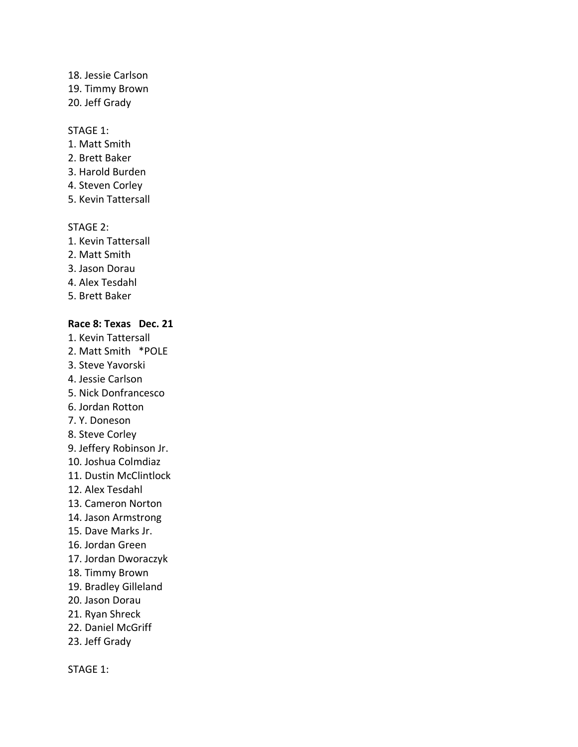### 18. Jessie Carlson 19. Timmy Brown

20. Jeff Grady

### STAGE 1:

- 1. Matt Smith
- 2. Brett Baker
- 3. Harold Burden
- 4. Steven Corley
- 5. Kevin Tattersall

### STAGE 2:

- 1. Kevin Tattersall
- 2. Matt Smith
- 3. Jason Dorau
- 4. Alex Tesdahl
- 5. Brett Baker

# **Race 8: Texas Dec. 21**

- 1. Kevin Tattersall
- 2. Matt Smith \*POLE
- 3. Steve Yavorski
- 4. Jessie Carlson
- 5. Nick Donfrancesco
- 6. Jordan Rotton
- 7. Y. Doneson
- 8. Steve Corley
- 9. Jeffery Robinson Jr.
- 10. Joshua Colmdiaz
- 11. Dustin McClintlock
- 12. Alex Tesdahl
- 13. Cameron Norton
- 14. Jason Armstrong
- 15. Dave Marks Jr.
- 16. Jordan Green
- 17. Jordan Dworaczyk
- 18. Timmy Brown
- 19. Bradley Gilleland
- 20. Jason Dorau
- 21. Ryan Shreck
- 22. Daniel McGriff
- 23. Jeff Grady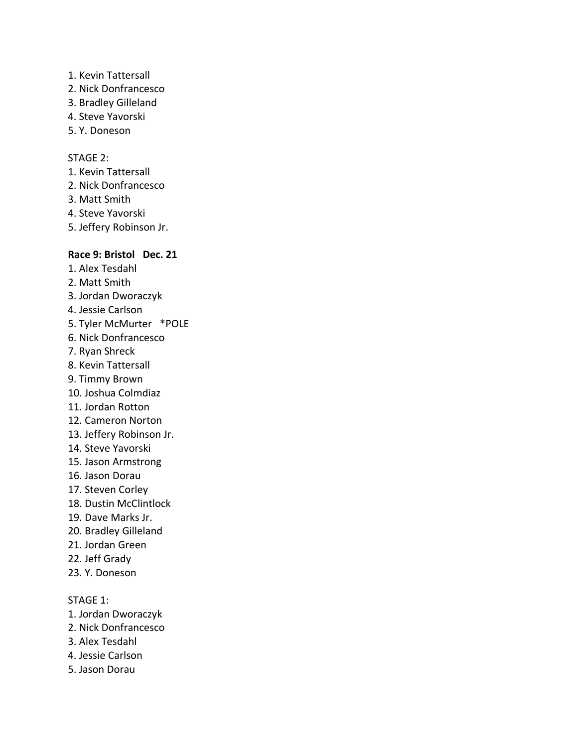- 1. Kevin Tattersall
- 2. Nick Donfrancesco
- 3. Bradley Gilleland
- 4. Steve Yavorski
- 5. Y. Doneson

- 1. Kevin Tattersall
- 2. Nick Donfrancesco
- 3. Matt Smith
- 4. Steve Yavorski
- 5. Jeffery Robinson Jr.

# **Race 9: Bristol Dec. 21**

- 1. Alex Tesdahl
- 2. Matt Smith
- 3. Jordan Dworaczyk
- 4. Jessie Carlson
- 5. Tyler McMurter \*POLE
- 6. Nick Donfrancesco
- 7. Ryan Shreck
- 8. Kevin Tattersall
- 9. Timmy Brown
- 10. Joshua Colmdiaz
- 11. Jordan Rotton
- 12. Cameron Norton
- 13. Jeffery Robinson Jr.
- 14. Steve Yavorski
- 15. Jason Armstrong
- 16. Jason Dorau
- 17. Steven Corley
- 18. Dustin McClintlock
- 19. Dave Marks Jr.
- 20. Bradley Gilleland
- 21. Jordan Green
- 22. Jeff Grady
- 23. Y. Doneson

- 1. Jordan Dworaczyk
- 2. Nick Donfrancesco
- 3. Alex Tesdahl
- 4. Jessie Carlson
- 5. Jason Dorau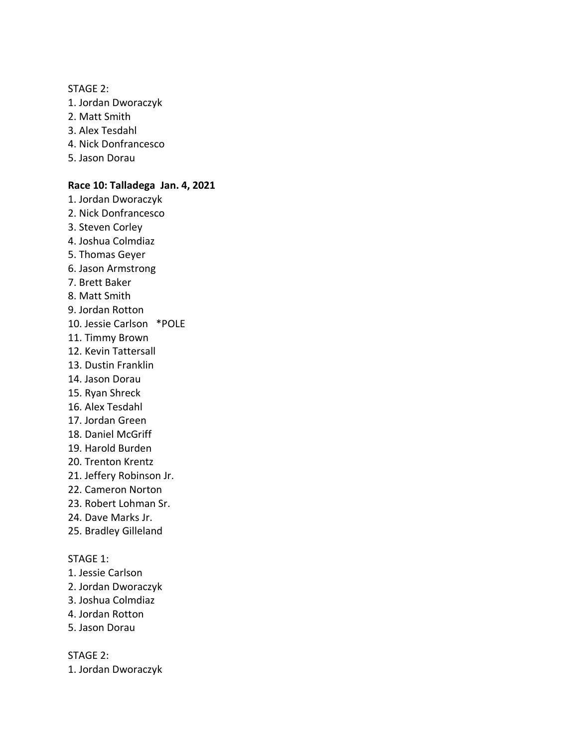STAGE 2: 1. Jordan Dworaczyk 2. Matt Smith 3. Alex Tesdahl 4. Nick Donfrancesco 5. Jason Dorau **Race 10: Talladega Jan. 4, 2021** 1. Jordan Dworaczyk 2. Nick Donfrancesco 3. Steven Corley 4. Joshua Colmdiaz 5. Thomas Geyer 6. Jason Armstrong 7. Brett Baker 8. Matt Smith 9. Jordan Rotton 10. Jessie Carlson \*POLE 11. Timmy Brown 12. Kevin Tattersall 13. Dustin Franklin 14. Jason Dorau 15. Ryan Shreck 16. Alex Tesdahl 17. Jordan Green 18. Daniel McGriff 19. Harold Burden 20. Trenton Krentz 21. Jeffery Robinson Jr. 22. Cameron Norton 23. Robert Lohman Sr. 24. Dave Marks Jr. 25. Bradley Gilleland STAGE 1: 1. Jessie Carlson 2. Jordan Dworaczyk 3. Joshua Colmdiaz 4. Jordan Rotton 5. Jason Dorau

STAGE 2: 1. Jordan Dworaczyk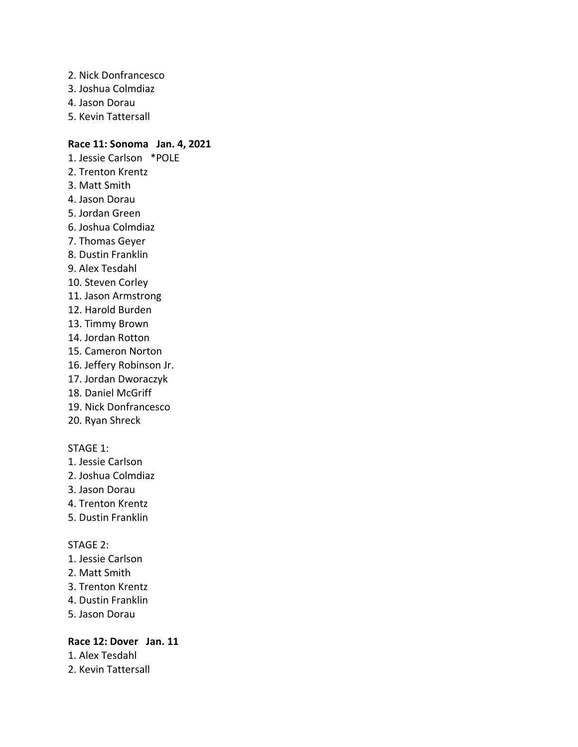- 2. Nick Donfrancesco
- 3. Joshua Colmdiaz
- 4. Jason Dorau
- 5. Kevin Tattersall

# **Race 11: Sonoma Jan. 4, 2021**

- 1. Jessie Carlson \*POLE 2. Trenton Krentz 3. Matt Smith 4. Jason Dorau 5. Jordan Green 6. Joshua Colmdiaz 7. Thomas Geyer 8. Dustin Franklin 9. Alex Tesdahl 10. Steven Corley 11. Jason Armstrong 12. Harold Burden 13. Timmy Brown 14. Jordan Rotton 15. Cameron Norton 16. Jeffery Robinson Jr. 17. Jordan Dworaczyk 18. Daniel McGriff 19. Nick Donfrancesco 20. Ryan Shreck STAGE 1:
- 1. Jessie Carlson
- 2. Joshua Colmdiaz
- 3. Jason Dorau
- 4. Trenton Krentz
- 5. Dustin Franklin

# STAGE 2:

- 1. Jessie Carlson
- 2. Matt Smith
- 3. Trenton Krentz
- 4. Dustin Franklin
- 5. Jason Dorau

# **Race 12: Dover Jan. 11**

1. Alex Tesdahl

2. Kevin Tattersall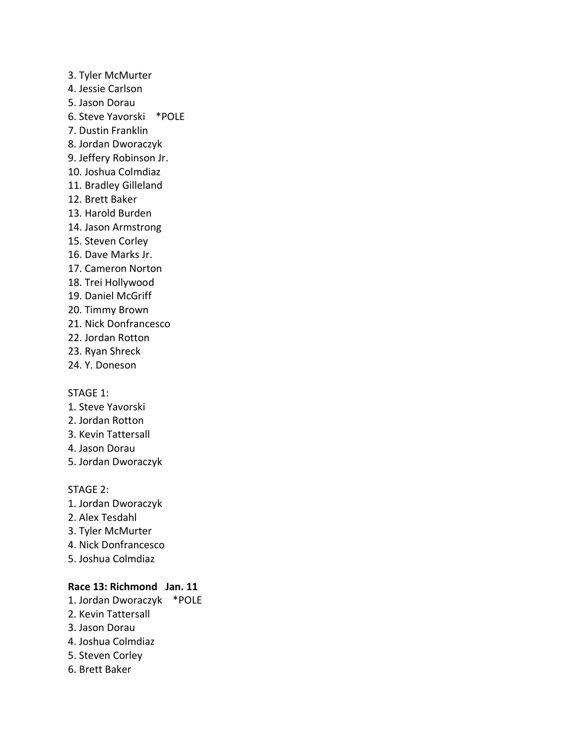3. Tyler McMurter 4. Jessie Carlson 5. Jason Dorau 6. Steve Yavorski \*POLE 7. Dustin Franklin 8. Jordan Dworaczyk 9. Jeffery Robinson Jr. 10. Joshua Colmdiaz 11. Bradley Gilleland 12. Brett Baker 13. Harold Burden 14. Jason Armstrong 15. Steven Corley 16. Dave Marks Jr. 17. Cameron Norton 18. Trei Hollywood 19. Daniel McGriff 20. Timmy Brown 21. Nick Donfrancesco 22. Jordan Rotton

- 23. Ryan Shreck
- 24. Y. Doneson

#### STAGE 1:

- 1. Steve Yavorski
- 2. Jordan Rotton
- 3. Kevin Tattersall
- 4. Jason Dorau
- 5. Jordan Dworaczyk

STAGE 2:

- 1. Jordan Dworaczyk
- 2. Alex Tesdahl
- 3. Tyler McMurter
- 4. Nick Donfrancesco
- 5. Joshua Colmdiaz

# **Race 13: Richmond Jan. 11**

- 1. Jordan Dworaczyk \*POLE
- 2. Kevin Tattersall
- 3. Jason Dorau
- 4. Joshua Colmdiaz
- 5. Steven Corley
- 6. Brett Baker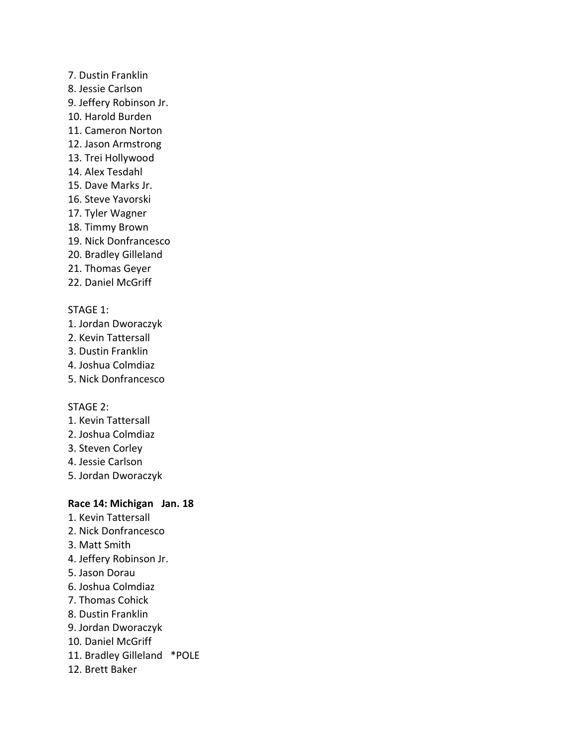- 7. Dustin Franklin
- 8. Jessie Carlson
- 9. Jeffery Robinson Jr.
- 10. Harold Burden
- 11. Cameron Norton
- 12. Jason Armstrong
- 13. Trei Hollywood
- 14. Alex Tesdahl
- 15. Dave Marks Jr.
- 16. Steve Yavorski
- 17. Tyler Wagner
- 18. Timmy Brown
- 19. Nick Donfrancesco
- 20. Bradley Gilleland
- 21. Thomas Geyer
- 22. Daniel McGriff

# STAGE 1:

- 1. Jordan Dworaczyk
- 2. Kevin Tattersall
- 3. Dustin Franklin
- 4. Joshua Colmdiaz
- 5. Nick Donfrancesco

# STAGE 2:

- 1. Kevin Tattersall
- 2. Joshua Colmdiaz
- 3. Steven Corley
- 4. Jessie Carlson
- 5. Jordan Dworaczyk

# **Race 14: Michigan Jan. 18**

- 1. Kevin Tattersall
- 2. Nick Donfrancesco
- 3. Matt Smith
- 4. Jeffery Robinson Jr.
- 5. Jason Dorau
- 6. Joshua Colmdiaz
- 7. Thomas Cohick
- 8. Dustin Franklin
- 9. Jordan Dworaczyk
- 10. Daniel McGriff
- 11. Bradley Gilleland \*POLE
- 12. Brett Baker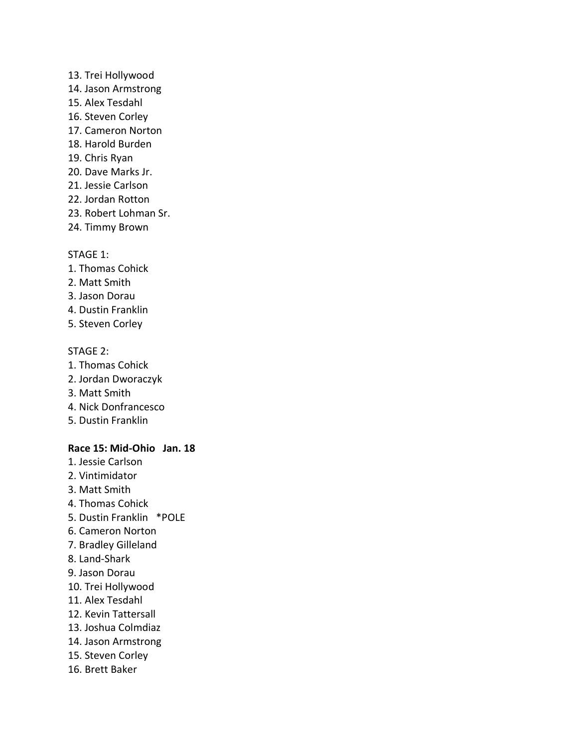### 13. Trei Hollywood

- 14. Jason Armstrong
- 15. Alex Tesdahl
- 16. Steven Corley
- 17. Cameron Norton
- 18. Harold Burden
- 19. Chris Ryan
- 20. Dave Marks Jr.
- 21. Jessie Carlson
- 22. Jordan Rotton
- 23. Robert Lohman Sr.
- 24. Timmy Brown

### STAGE 1:

- 1. Thomas Cohick
- 2. Matt Smith
- 3. Jason Dorau
- 4. Dustin Franklin
- 5. Steven Corley

### STAGE 2:

- 1. Thomas Cohick
- 2. Jordan Dworaczyk
- 3. Matt Smith
- 4. Nick Donfrancesco
- 5. Dustin Franklin

# **Race 15: Mid-Ohio Jan. 18**

- 1. Jessie Carlson
- 2. Vintimidator
- 3. Matt Smith
- 4. Thomas Cohick
- 5. Dustin Franklin \*POLE
- 6. Cameron Norton
- 7. Bradley Gilleland
- 8. Land-Shark
- 9. Jason Dorau
- 10. Trei Hollywood
- 11. Alex Tesdahl
- 12. Kevin Tattersall
- 13. Joshua Colmdiaz
- 14. Jason Armstrong
- 15. Steven Corley
- 16. Brett Baker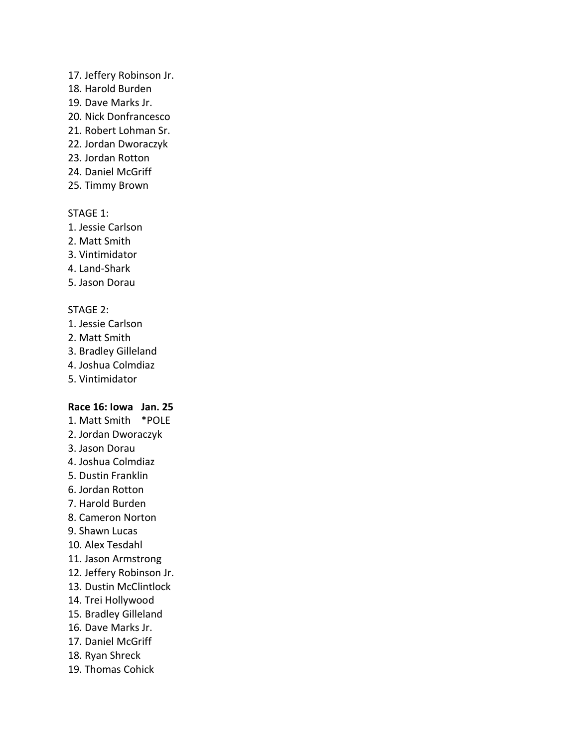### 17. Jeffery Robinson Jr.

- 18. Harold Burden
- 19. Dave Marks Jr.
- 20. Nick Donfrancesco
- 21. Robert Lohman Sr.
- 22. Jordan Dworaczyk
- 23. Jordan Rotton
- 24. Daniel McGriff
- 25. Timmy Brown

# STAGE 1:

- 1. Jessie Carlson
- 2. Matt Smith
- 3. Vintimidator
- 4. Land-Shark
- 5. Jason Dorau

### STAGE 2:

- 1. Jessie Carlson
- 2. Matt Smith
- 3. Bradley Gilleland
- 4. Joshua Colmdiaz
- 5. Vintimidator

# **Race 16: Iowa Jan. 25**

- 1. Matt Smith \*POLE
- 2. Jordan Dworaczyk
- 3. Jason Dorau
- 4. Joshua Colmdiaz
- 5. Dustin Franklin
- 6. Jordan Rotton
- 7. Harold Burden
- 8. Cameron Norton
- 9. Shawn Lucas
- 10. Alex Tesdahl
- 11. Jason Armstrong
- 12. Jeffery Robinson Jr.
- 13. Dustin McClintlock
- 14. Trei Hollywood
- 15. Bradley Gilleland
- 16. Dave Marks Jr.
- 17. Daniel McGriff
- 18. Ryan Shreck
- 19. Thomas Cohick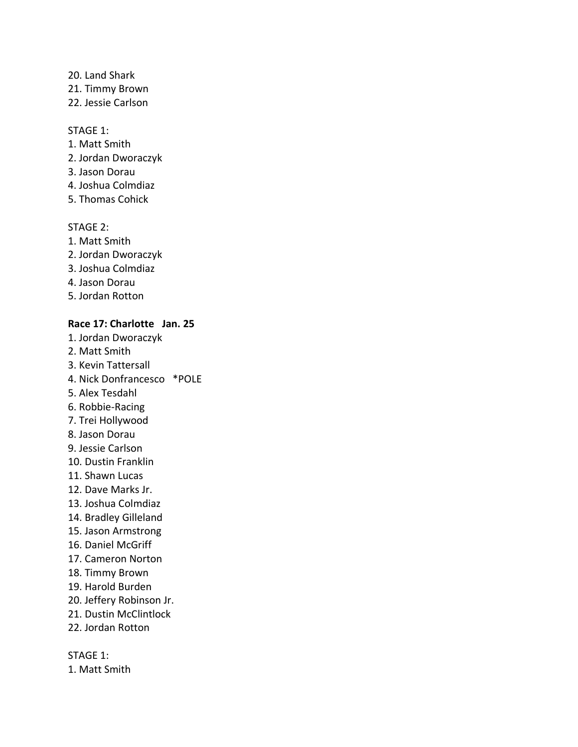#### 20. Land Shark

21. Timmy Brown

22. Jessie Carlson

#### STAGE 1:

- 1. Matt Smith
- 2. Jordan Dworaczyk
- 3. Jason Dorau
- 4. Joshua Colmdiaz
- 5. Thomas Cohick

#### STAGE 2:

- 1. Matt Smith
- 2. Jordan Dworaczyk
- 3. Joshua Colmdiaz
- 4. Jason Dorau
- 5. Jordan Rotton

# **Race 17: Charlotte Jan. 25**

- 1. Jordan Dworaczyk
- 2. Matt Smith
- 3. Kevin Tattersall
- 4. Nick Donfrancesco \*POLE
- 5. Alex Tesdahl
- 6. Robbie-Racing
- 7. Trei Hollywood
- 8. Jason Dorau
- 9. Jessie Carlson
- 10. Dustin Franklin
- 11. Shawn Lucas
- 12. Dave Marks Jr.
- 13. Joshua Colmdiaz
- 14. Bradley Gilleland
- 15. Jason Armstrong
- 16. Daniel McGriff
- 17. Cameron Norton
- 18. Timmy Brown
- 19. Harold Burden
- 20. Jeffery Robinson Jr.
- 21. Dustin McClintlock
- 22. Jordan Rotton

STAGE 1:

1. Matt Smith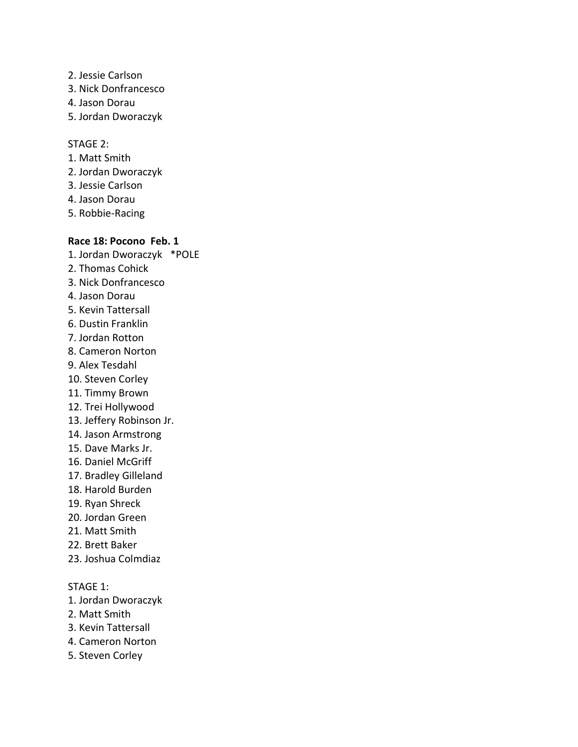- 2. Jessie Carlson
- 3. Nick Donfrancesco
- 4. Jason Dorau
- 5. Jordan Dworaczyk

#### STAGE 2:

- 1. Matt Smith
- 2. Jordan Dworaczyk
- 3. Jessie Carlson
- 4. Jason Dorau
- 5. Robbie-Racing

# **Race 18: Pocono Feb. 1**

- 1. Jordan Dworaczyk \*POLE 2. Thomas Cohick 3. Nick Donfrancesco 4. Jason Dorau 5. Kevin Tattersall 6. Dustin Franklin 7. Jordan Rotton 8. Cameron Norton 9. Alex Tesdahl 10. Steven Corley 11. Timmy Brown 12. Trei Hollywood 13. Jeffery Robinson Jr. 14. Jason Armstrong 15. Dave Marks Jr. 16. Daniel McGriff 17. Bradley Gilleland 18. Harold Burden 19. Ryan Shreck 20. Jordan Green 21. Matt Smith 22. Brett Baker 23. Joshua Colmdiaz STAGE 1:
- 1. Jordan Dworaczyk
- 2. Matt Smith
- 3. Kevin Tattersall
- 4. Cameron Norton
- 5. Steven Corley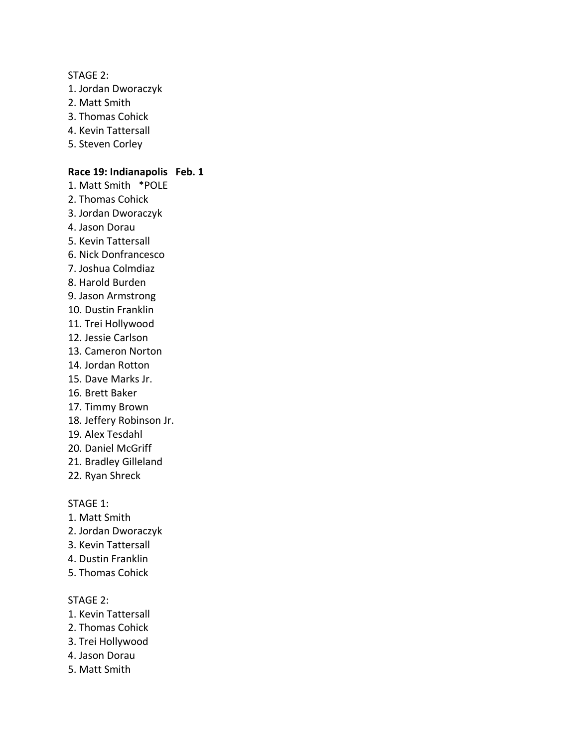STAGE 2:

- 1. Jordan Dworaczyk
- 2. Matt Smith
- 3. Thomas Cohick
- 4. Kevin Tattersall
- 5. Steven Corley

# **Race 19: Indianapolis Feb. 1**

- 1. Matt Smith \*POLE
- 2. Thomas Cohick
- 3. Jordan Dworaczyk
- 4. Jason Dorau
- 5. Kevin Tattersall
- 6. Nick Donfrancesco
- 7. Joshua Colmdiaz
- 8. Harold Burden
- 9. Jason Armstrong
- 10. Dustin Franklin
- 11. Trei Hollywood
- 12. Jessie Carlson
- 13. Cameron Norton
- 14. Jordan Rotton
- 15. Dave Marks Jr.
- 16. Brett Baker
- 17. Timmy Brown
- 18. Jeffery Robinson Jr.
- 19. Alex Tesdahl
- 20. Daniel McGriff
- 21. Bradley Gilleland
- 22. Ryan Shreck

# STAGE 1:

- 1. Matt Smith
- 2. Jordan Dworaczyk
- 3. Kevin Tattersall
- 4. Dustin Franklin
- 5. Thomas Cohick

#### STAGE 2:

- 1. Kevin Tattersall
- 2. Thomas Cohick
- 3. Trei Hollywood
- 4. Jason Dorau
- 5. Matt Smith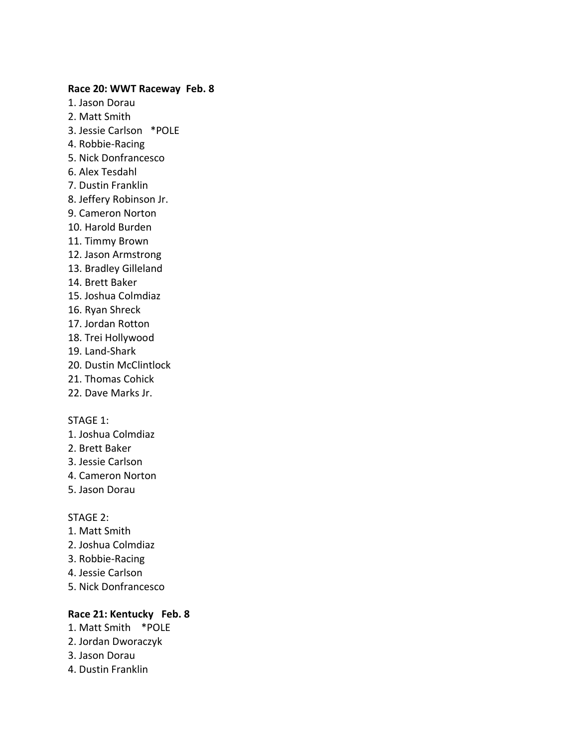#### **Race 20: WWT Raceway Feb. 8**

- 1. Jason Dorau
- 2. Matt Smith
- 3. Jessie Carlson \*POLE
- 4. Robbie-Racing
- 5. Nick Donfrancesco
- 6. Alex Tesdahl
- 7. Dustin Franklin
- 8. Jeffery Robinson Jr.
- 9. Cameron Norton
- 10. Harold Burden
- 11. Timmy Brown
- 12. Jason Armstrong
- 13. Bradley Gilleland
- 14. Brett Baker
- 15. Joshua Colmdiaz
- 16. Ryan Shreck
- 17. Jordan Rotton
- 18. Trei Hollywood
- 19. Land-Shark
- 20. Dustin McClintlock
- 21. Thomas Cohick
- 22. Dave Marks Jr.

#### STAGE 1:

- 1. Joshua Colmdiaz
- 2. Brett Baker
- 3. Jessie Carlson
- 4. Cameron Norton
- 5. Jason Dorau

#### STAGE 2:

- 1. Matt Smith
- 2. Joshua Colmdiaz
- 3. Robbie-Racing
- 4. Jessie Carlson
- 5. Nick Donfrancesco

### **Race 21: Kentucky Feb. 8**

- 1. Matt Smith \*POLE
- 2. Jordan Dworaczyk
- 3. Jason Dorau
- 4. Dustin Franklin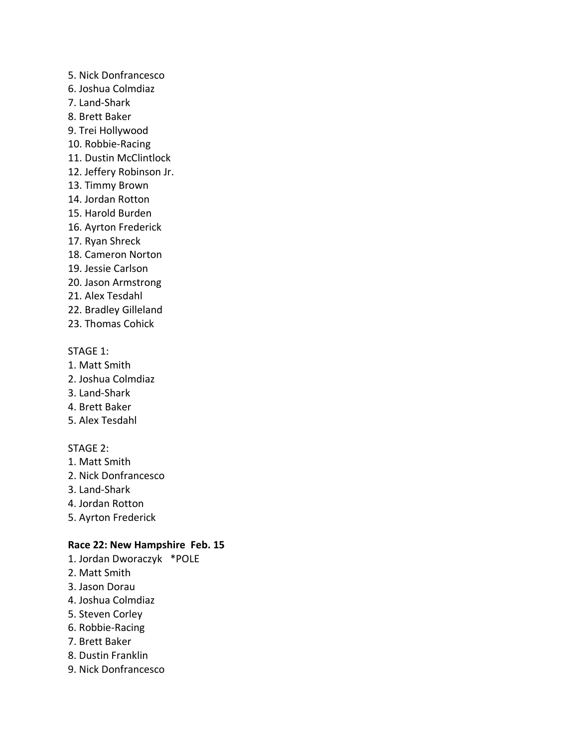- 5. Nick Donfrancesco
- 6. Joshua Colmdiaz
- 7. Land-Shark
- 8. Brett Baker
- 9. Trei Hollywood
- 10. Robbie-Racing
- 11. Dustin McClintlock
- 12. Jeffery Robinson Jr.
- 13. Timmy Brown
- 14. Jordan Rotton
- 15. Harold Burden
- 16. Ayrton Frederick
- 17. Ryan Shreck
- 18. Cameron Norton
- 19. Jessie Carlson
- 20. Jason Armstrong
- 21. Alex Tesdahl
- 22. Bradley Gilleland
- 23. Thomas Cohick

- 1. Matt Smith
- 2. Joshua Colmdiaz
- 3. Land-Shark
- 4. Brett Baker
- 5. Alex Tesdahl

# STAGE 2:

- 1. Matt Smith
- 2. Nick Donfrancesco
- 3. Land-Shark
- 4. Jordan Rotton
- 5. Ayrton Frederick

# **Race 22: New Hampshire Feb. 15**

- 1. Jordan Dworaczyk \*POLE
- 2. Matt Smith
- 3. Jason Dorau
- 4. Joshua Colmdiaz
- 5. Steven Corley
- 6. Robbie-Racing
- 7. Brett Baker
- 8. Dustin Franklin
- 9. Nick Donfrancesco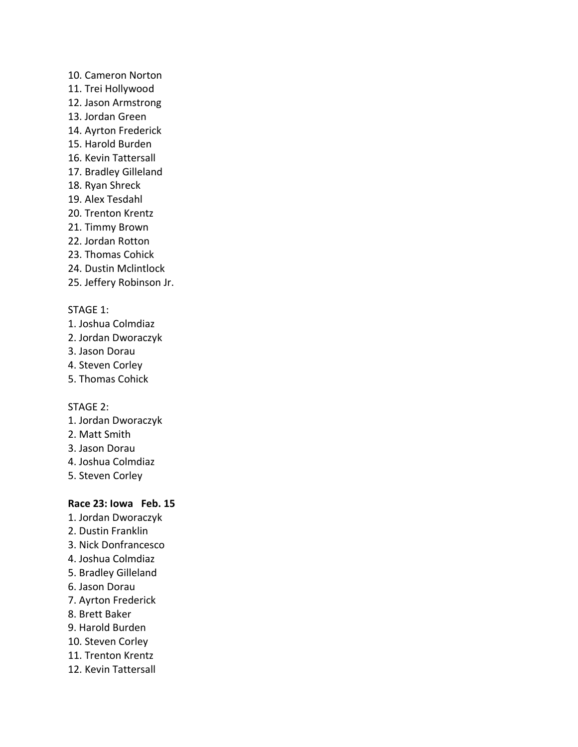- 10. Cameron Norton
- 11. Trei Hollywood
- 12. Jason Armstrong
- 13. Jordan Green
- 14. Ayrton Frederick
- 15. Harold Burden
- 16. Kevin Tattersall
- 17. Bradley Gilleland
- 18. Ryan Shreck
- 19. Alex Tesdahl
- 20. Trenton Krentz
- 21. Timmy Brown
- 22. Jordan Rotton
- 23. Thomas Cohick
- 24. Dustin Mclintlock
- 25. Jeffery Robinson Jr.

- 1. Joshua Colmdiaz
- 2. Jordan Dworaczyk
- 3. Jason Dorau
- 4. Steven Corley
- 5. Thomas Cohick

# STAGE 2:

- 1. Jordan Dworaczyk
- 2. Matt Smith
- 3. Jason Dorau
- 4. Joshua Colmdiaz
- 5. Steven Corley

# **Race 23: Iowa Feb. 15**

- 1. Jordan Dworaczyk
- 2. Dustin Franklin
- 3. Nick Donfrancesco
- 4. Joshua Colmdiaz
- 5. Bradley Gilleland
- 6. Jason Dorau
- 7. Ayrton Frederick
- 8. Brett Baker
- 9. Harold Burden
- 10. Steven Corley
- 11. Trenton Krentz
- 12. Kevin Tattersall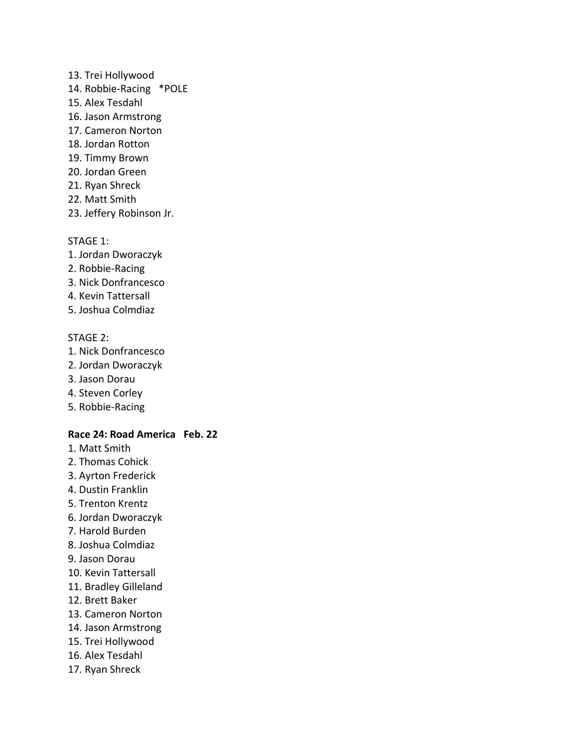- 13. Trei Hollywood
- 14. Robbie-Racing \*POLE
- 15. Alex Tesdahl
- 16. Jason Armstrong
- 17. Cameron Norton
- 18. Jordan Rotton
- 19. Timmy Brown
- 20. Jordan Green
- 21. Ryan Shreck
- 22. Matt Smith
- 23. Jeffery Robinson Jr.

- 1. Jordan Dworaczyk
- 2. Robbie-Racing
- 3. Nick Donfrancesco
- 4. Kevin Tattersall
- 5. Joshua Colmdiaz

### STAGE 2:

- 1. Nick Donfrancesco
- 2. Jordan Dworaczyk
- 3. Jason Dorau
- 4. Steven Corley
- 5. Robbie-Racing

#### **Race 24: Road America Feb. 22**

- 1. Matt Smith
- 2. Thomas Cohick
- 3. Ayrton Frederick
- 4. Dustin Franklin
- 5. Trenton Krentz
- 6. Jordan Dworaczyk
- 7. Harold Burden
- 8. Joshua Colmdiaz
- 9. Jason Dorau
- 10. Kevin Tattersall
- 11. Bradley Gilleland
- 12. Brett Baker
- 13. Cameron Norton
- 14. Jason Armstrong
- 15. Trei Hollywood
- 16. Alex Tesdahl
- 17. Ryan Shreck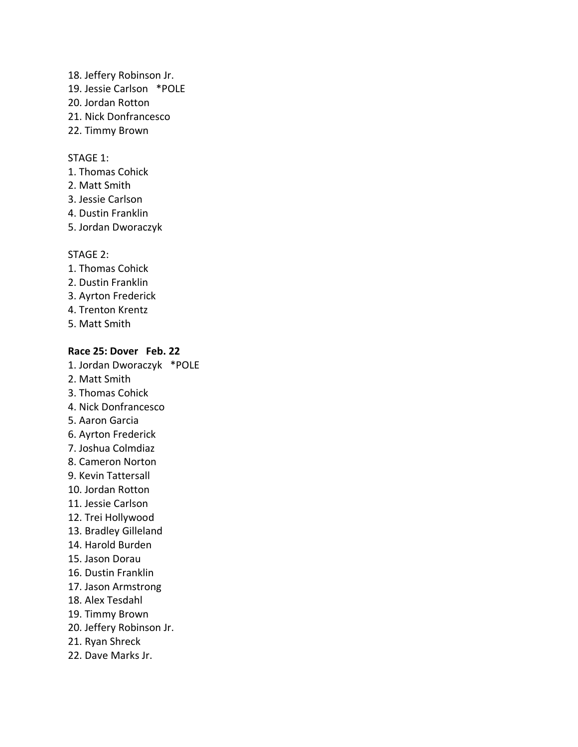- 18. Jeffery Robinson Jr. 19. Jessie Carlson \*POLE 20. Jordan Rotton 21. Nick Donfrancesco
- 22. Timmy Brown

- 1. Thomas Cohick
- 2. Matt Smith
- 3. Jessie Carlson
- 4. Dustin Franklin
- 5. Jordan Dworaczyk

#### STAGE 2:

- 1. Thomas Cohick
- 2. Dustin Franklin
- 3. Ayrton Frederick
- 4. Trenton Krentz
- 5. Matt Smith

#### **Race 25: Dover Feb. 22**

- 1. Jordan Dworaczyk \*POLE
- 2. Matt Smith
- 3. Thomas Cohick
- 4. Nick Donfrancesco
- 5. Aaron Garcia
- 6. Ayrton Frederick
- 7. Joshua Colmdiaz
- 8. Cameron Norton
- 9. Kevin Tattersall
- 10. Jordan Rotton
- 11. Jessie Carlson
- 12. Trei Hollywood
- 13. Bradley Gilleland
- 14. Harold Burden
- 15. Jason Dorau
- 16. Dustin Franklin
- 17. Jason Armstrong
- 18. Alex Tesdahl
- 19. Timmy Brown
- 20. Jeffery Robinson Jr.
- 21. Ryan Shreck
- 22. Dave Marks Jr.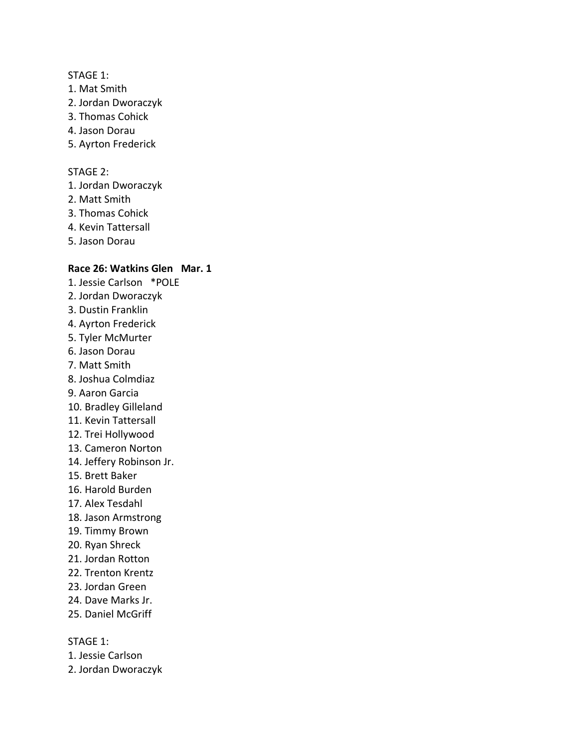- 1. Mat Smith
- 2. Jordan Dworaczyk
- 3. Thomas Cohick
- 4. Jason Dorau
- 5. Ayrton Frederick

### STAGE 2:

- 1. Jordan Dworaczyk
- 2. Matt Smith
- 3. Thomas Cohick
- 4. Kevin Tattersall
- 5. Jason Dorau

## **Race 26: Watkins Glen Mar. 1**

- 1. Jessie Carlson \*POLE
- 2. Jordan Dworaczyk
- 3. Dustin Franklin
- 4. Ayrton Frederick
- 5. Tyler McMurter
- 6. Jason Dorau
- 7. Matt Smith
- 8. Joshua Colmdiaz
- 9. Aaron Garcia
- 10. Bradley Gilleland
- 11. Kevin Tattersall
- 12. Trei Hollywood
- 13. Cameron Norton
- 14. Jeffery Robinson Jr.
- 15. Brett Baker
- 16. Harold Burden
- 17. Alex Tesdahl
- 18. Jason Armstrong
- 19. Timmy Brown
- 20. Ryan Shreck
- 21. Jordan Rotton
- 22. Trenton Krentz
- 23. Jordan Green
- 24. Dave Marks Jr.
- 25. Daniel McGriff

STAGE 1:

- 1. Jessie Carlson
- 2. Jordan Dworaczyk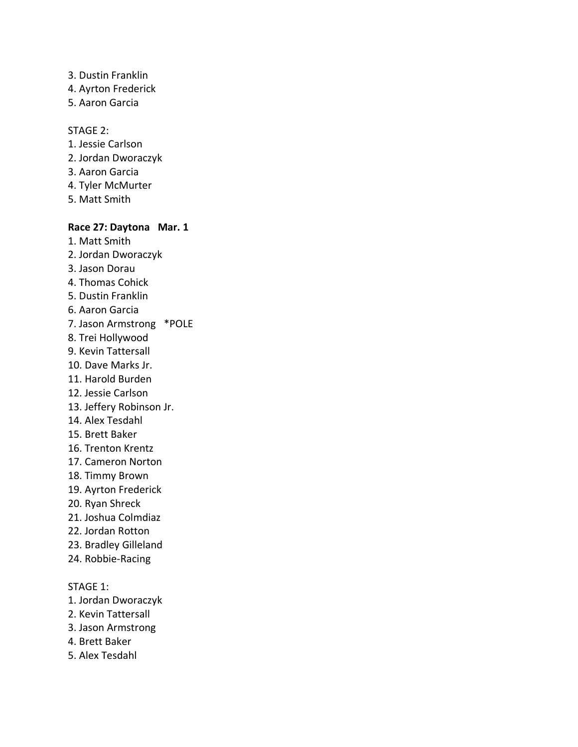- 3. Dustin Franklin
- 4. Ayrton Frederick
- 5. Aaron Garcia

#### STAGE 2:

- 1. Jessie Carlson
- 2. Jordan Dworaczyk
- 3. Aaron Garcia
- 4. Tyler McMurter
- 5. Matt Smith

### **Race 27: Daytona Mar. 1**

- 1. Matt Smith 2. Jordan Dworaczyk 3. Jason Dorau 4. Thomas Cohick 5. Dustin Franklin 6. Aaron Garcia
- 7. Jason Armstrong \*POLE
- 8. Trei Hollywood
- 9. Kevin Tattersall
- 10. Dave Marks Jr.
- 11. Harold Burden
- 12. Jessie Carlson
- 13. Jeffery Robinson Jr.
- 14. Alex Tesdahl
- 15. Brett Baker
- 16. Trenton Krentz
- 17. Cameron Norton
- 18. Timmy Brown
- 19. Ayrton Frederick
- 20. Ryan Shreck
- 21. Joshua Colmdiaz
- 22. Jordan Rotton
- 23. Bradley Gilleland
- 24. Robbie-Racing

# STAGE 1:

- 1. Jordan Dworaczyk
- 2. Kevin Tattersall
- 3. Jason Armstrong
- 4. Brett Baker
- 5. Alex Tesdahl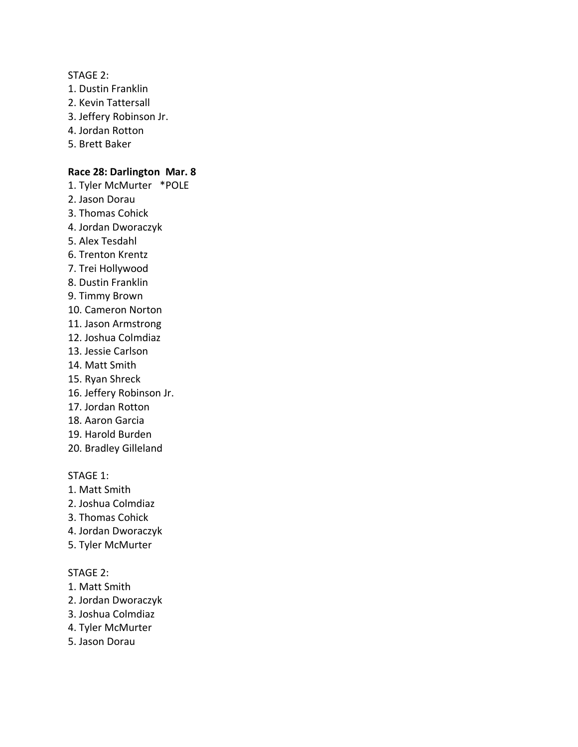#### STAGE 2:

- 1. Dustin Franklin
- 2. Kevin Tattersall
- 3. Jeffery Robinson Jr.
- 4. Jordan Rotton
- 5. Brett Baker

#### **Race 28: Darlington Mar. 8**

- 1. Tyler McMurter \*POLE
- 2. Jason Dorau
- 3. Thomas Cohick
- 4. Jordan Dworaczyk
- 5. Alex Tesdahl
- 6. Trenton Krentz
- 7. Trei Hollywood
- 8. Dustin Franklin
- 9. Timmy Brown
- 10. Cameron Norton
- 11. Jason Armstrong
- 12. Joshua Colmdiaz
- 13. Jessie Carlson
- 14. Matt Smith
- 15. Ryan Shreck
- 16. Jeffery Robinson Jr.
- 17. Jordan Rotton
- 18. Aaron Garcia
- 19. Harold Burden
- 20. Bradley Gilleland

STAGE 1:

- 1. Matt Smith
- 2. Joshua Colmdiaz
- 3. Thomas Cohick
- 4. Jordan Dworaczyk
- 5. Tyler McMurter

### STAGE 2:

- 1. Matt Smith
- 2. Jordan Dworaczyk
- 3. Joshua Colmdiaz
- 4. Tyler McMurter
- 5. Jason Dorau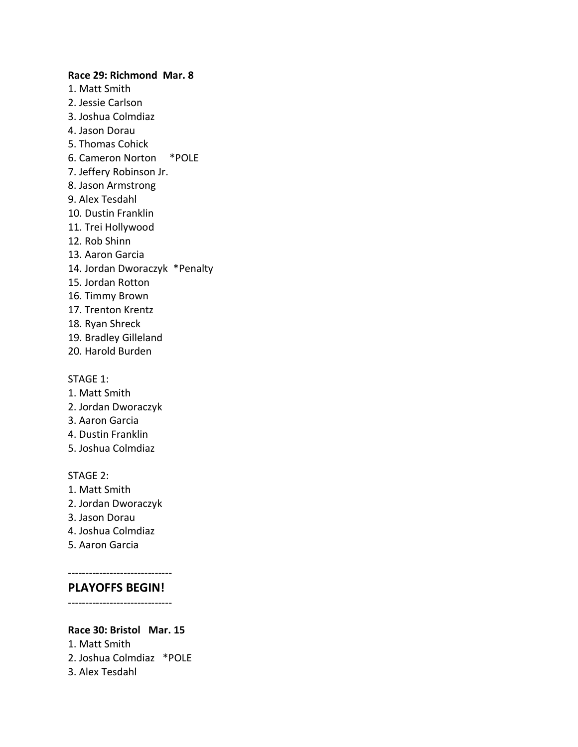**Race 29: Richmond Mar. 8** 1. Matt Smith 2. Jessie Carlson 3. Joshua Colmdiaz 4. Jason Dorau 5. Thomas Cohick 6. Cameron Norton \*POLE 7. Jeffery Robinson Jr. 8. Jason Armstrong 9. Alex Tesdahl 10. Dustin Franklin 11. Trei Hollywood 12. Rob Shinn 13. Aaron Garcia 14. Jordan Dworaczyk \*Penalty 15. Jordan Rotton 16. Timmy Brown 17. Trenton Krentz 18. Ryan Shreck 19. Bradley Gilleland 20. Harold Burden

#### STAGE 1:

- 1. Matt Smith
- 2. Jordan Dworaczyk
- 3. Aaron Garcia
- 4. Dustin Franklin
- 5. Joshua Colmdiaz

#### STAGE 2:

- 1. Matt Smith
- 2. Jordan Dworaczyk
- 3. Jason Dorau
- 4. Joshua Colmdiaz
- 5. Aaron Garcia

# ------------------------------

**PLAYOFFS BEGIN!** ------------------------------

#### **Race 30: Bristol Mar. 15**

- 1. Matt Smith 2. Joshua Colmdiaz \*POLE
- 3. Alex Tesdahl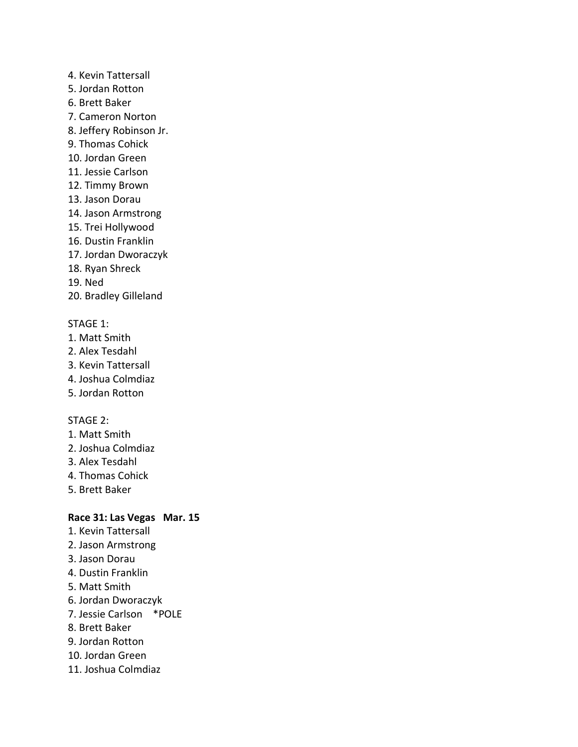- 4. Kevin Tattersall
- 5. Jordan Rotton
- 6. Brett Baker
- 7. Cameron Norton
- 8. Jeffery Robinson Jr.
- 9. Thomas Cohick
- 10. Jordan Green
- 11. Jessie Carlson
- 12. Timmy Brown
- 13. Jason Dorau
- 14. Jason Armstrong
- 15. Trei Hollywood
- 16. Dustin Franklin
- 17. Jordan Dworaczyk
- 18. Ryan Shreck
- 19. Ned
- 20. Bradley Gilleland

- 1. Matt Smith
- 2. Alex Tesdahl
- 3. Kevin Tattersall
- 4. Joshua Colmdiaz
- 5. Jordan Rotton

# STAGE 2:

- 1. Matt Smith
- 2. Joshua Colmdiaz
- 3. Alex Tesdahl
- 4. Thomas Cohick
- 5. Brett Baker

# **Race 31: Las Vegas Mar. 15**

- 1. Kevin Tattersall
- 2. Jason Armstrong
- 3. Jason Dorau
- 4. Dustin Franklin
- 5. Matt Smith
- 6. Jordan Dworaczyk
- 7. Jessie Carlson \*POLE
- 8. Brett Baker
- 9. Jordan Rotton
- 10. Jordan Green
- 11. Joshua Colmdiaz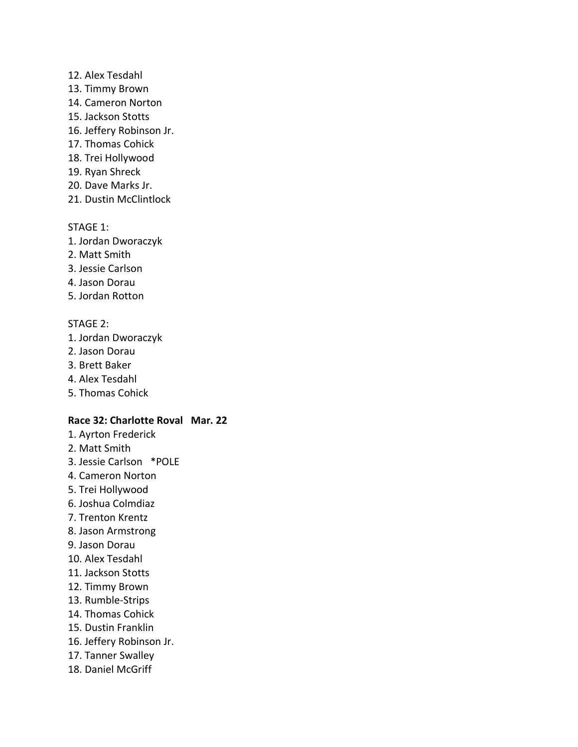### 12. Alex Tesdahl

- 13. Timmy Brown
- 14. Cameron Norton
- 15. Jackson Stotts
- 16. Jeffery Robinson Jr.
- 17. Thomas Cohick
- 18. Trei Hollywood
- 19. Ryan Shreck
- 20. Dave Marks Jr.
- 21. Dustin McClintlock

### STAGE 1:

- 1. Jordan Dworaczyk
- 2. Matt Smith
- 3. Jessie Carlson
- 4. Jason Dorau
- 5. Jordan Rotton

# STAGE 2:

- 1. Jordan Dworaczyk
- 2. Jason Dorau
- 3. Brett Baker
- 4. Alex Tesdahl
- 5. Thomas Cohick

### **Race 32: Charlotte Roval Mar. 22**

- 1. Ayrton Frederick
- 2. Matt Smith
- 3. Jessie Carlson \*POLE
- 4. Cameron Norton
- 5. Trei Hollywood
- 6. Joshua Colmdiaz
- 7. Trenton Krentz
- 8. Jason Armstrong
- 9. Jason Dorau
- 10. Alex Tesdahl
- 11. Jackson Stotts
- 12. Timmy Brown
- 13. Rumble-Strips
- 14. Thomas Cohick
- 15. Dustin Franklin
- 16. Jeffery Robinson Jr.
- 17. Tanner Swalley
- 18. Daniel McGriff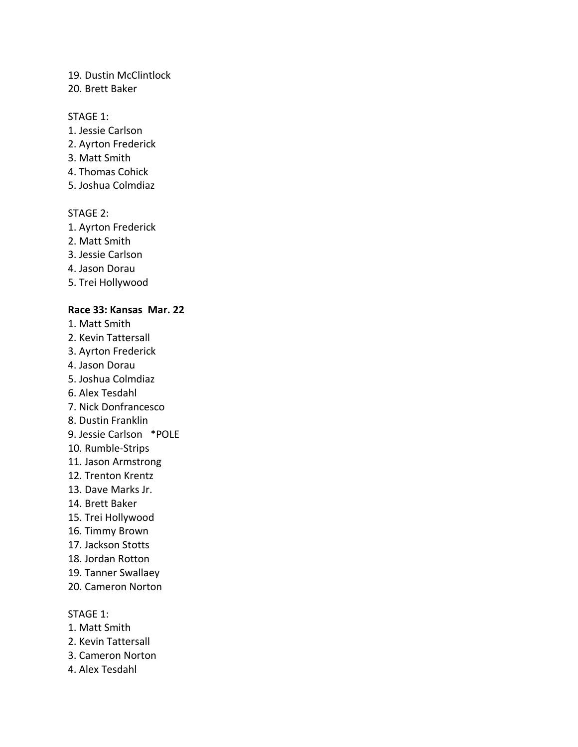### 19. Dustin McClintlock

### 20. Brett Baker

### STAGE 1:

- 1. Jessie Carlson
- 2. Ayrton Frederick
- 3. Matt Smith
- 4. Thomas Cohick
- 5. Joshua Colmdiaz

# STAGE 2:

- 1. Ayrton Frederick
- 2. Matt Smith
- 3. Jessie Carlson
- 4. Jason Dorau
- 5. Trei Hollywood

### **Race 33: Kansas Mar. 22**

- 1. Matt Smith
- 2. Kevin Tattersall
- 3. Ayrton Frederick
- 4. Jason Dorau
- 5. Joshua Colmdiaz
- 6. Alex Tesdahl
- 7. Nick Donfrancesco
- 8. Dustin Franklin
- 9. Jessie Carlson \*POLE
- 10. Rumble-Strips
- 11. Jason Armstrong
- 12. Trenton Krentz
- 13. Dave Marks Jr.
- 14. Brett Baker
- 15. Trei Hollywood
- 16. Timmy Brown
- 17. Jackson Stotts
- 18. Jordan Rotton
- 19. Tanner Swallaey
- 20. Cameron Norton

STAGE 1:

- 1. Matt Smith
- 2. Kevin Tattersall
- 3. Cameron Norton
- 4. Alex Tesdahl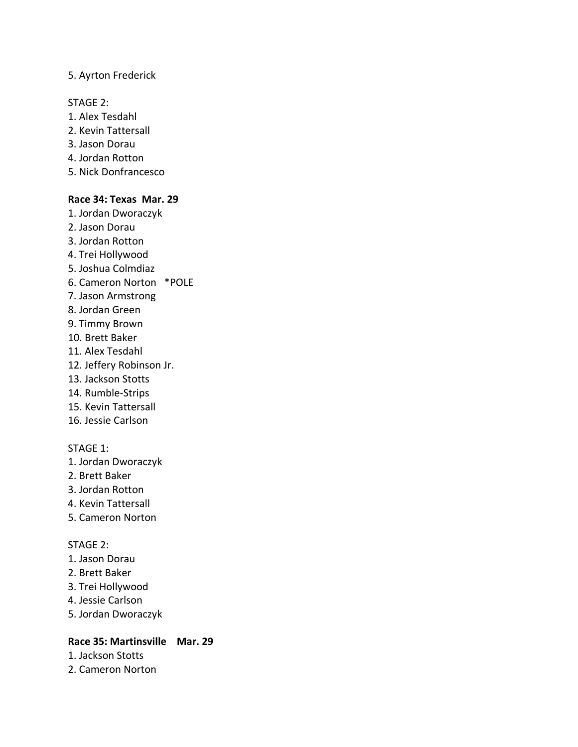### 5. Ayrton Frederick

#### STAGE 2:

- 1. Alex Tesdahl
- 2. Kevin Tattersall
- 3. Jason Dorau
- 4. Jordan Rotton
- 5. Nick Donfrancesco

### **Race 34: Texas Mar. 29**

- 1. Jordan Dworaczyk
- 2. Jason Dorau
- 3. Jordan Rotton
- 4. Trei Hollywood
- 5. Joshua Colmdiaz
- 6. Cameron Norton \*POLE
- 7. Jason Armstrong
- 8. Jordan Green
- 9. Timmy Brown
- 10. Brett Baker
- 11. Alex Tesdahl
- 12. Jeffery Robinson Jr.
- 13. Jackson Stotts
- 14. Rumble-Strips
- 15. Kevin Tattersall
- 16. Jessie Carlson

# STAGE 1:

- 1. Jordan Dworaczyk
- 2. Brett Baker
- 3. Jordan Rotton
- 4. Kevin Tattersall
- 5. Cameron Norton

#### STAGE 2:

- 1. Jason Dorau
- 2. Brett Baker
- 3. Trei Hollywood
- 4. Jessie Carlson
- 5. Jordan Dworaczyk

# **Race 35: Martinsville Mar. 29**

- 1. Jackson Stotts
- 2. Cameron Norton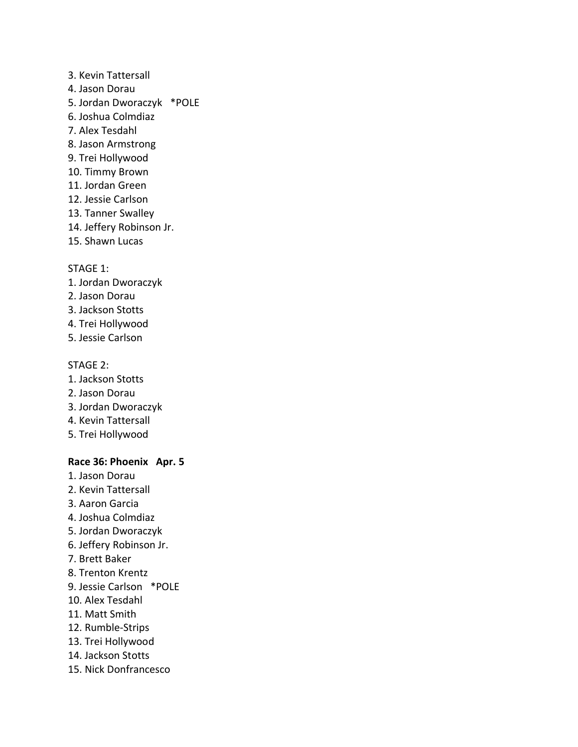3. Kevin Tattersall 4. Jason Dorau 5. Jordan Dworaczyk \*POLE 6. Joshua Colmdiaz 7. Alex Tesdahl 8. Jason Armstrong 9. Trei Hollywood 10. Timmy Brown 11. Jordan Green 12. Jessie Carlson 13. Tanner Swalley 14. Jeffery Robinson Jr. 15. Shawn Lucas

#### STAGE 1:

- 1. Jordan Dworaczyk
- 2. Jason Dorau
- 3. Jackson Stotts
- 4. Trei Hollywood
- 5. Jessie Carlson

#### STAGE 2:

- 1. Jackson Stotts
- 2. Jason Dorau
- 3. Jordan Dworaczyk
- 4. Kevin Tattersall
- 5. Trei Hollywood

### **Race 36: Phoenix Apr. 5**

- 1. Jason Dorau
- 2. Kevin Tattersall
- 3. Aaron Garcia
- 4. Joshua Colmdiaz
- 5. Jordan Dworaczyk
- 6. Jeffery Robinson Jr.
- 7. Brett Baker
- 8. Trenton Krentz
- 9. Jessie Carlson \*POLE
- 10. Alex Tesdahl
- 11. Matt Smith
- 12. Rumble-Strips
- 13. Trei Hollywood
- 14. Jackson Stotts
- 15. Nick Donfrancesco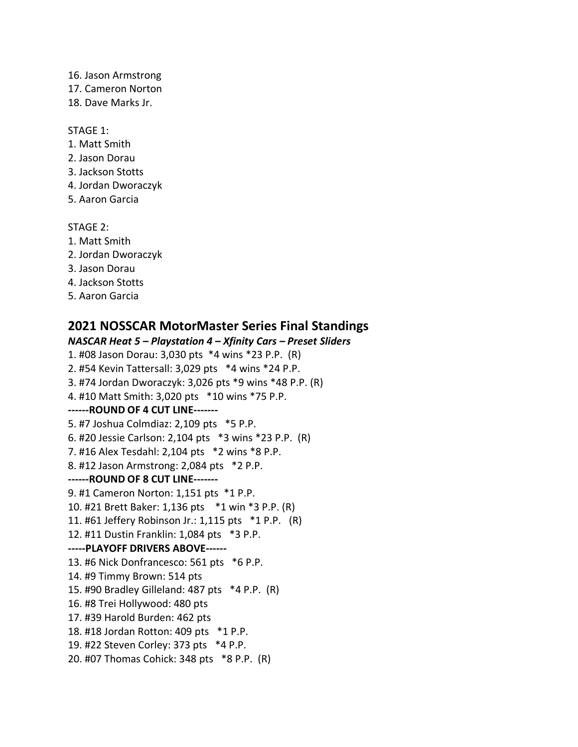- 16. Jason Armstrong
- 17. Cameron Norton
- 18. Dave Marks Jr.

- 1. Matt Smith
- 2. Jason Dorau
- 3. Jackson Stotts
- 4. Jordan Dworaczyk
- 5. Aaron Garcia

STAGE 2:

- 1. Matt Smith
- 2. Jordan Dworaczyk
- 3. Jason Dorau
- 4. Jackson Stotts
- 5. Aaron Garcia

# **2021 NOSSCAR MotorMaster Series Final Standings**

*NASCAR Heat 5 – Playstation 4 – Xfinity Cars – Preset Sliders* 1. #08 Jason Dorau: 3,030 pts \*4 wins \*23 P.P. (R) 2. #54 Kevin Tattersall: 3,029 pts \*4 wins \*24 P.P. 3. #74 Jordan Dworaczyk: 3,026 pts \*9 wins \*48 P.P. (R) 4. #10 Matt Smith: 3,020 pts \*10 wins \*75 P.P. **------ROUND OF 4 CUT LINE-------** 5. #7 Joshua Colmdiaz: 2,109 pts \*5 P.P. 6. #20 Jessie Carlson: 2,104 pts \*3 wins \*23 P.P. (R) 7. #16 Alex Tesdahl: 2,104 pts \*2 wins \*8 P.P. 8. #12 Jason Armstrong: 2,084 pts \*2 P.P. **------ROUND OF 8 CUT LINE-------** 9. #1 Cameron Norton: 1,151 pts \*1 P.P. 10. #21 Brett Baker: 1,136 pts \*1 win \*3 P.P. (R) 11. #61 Jeffery Robinson Jr.: 1,115 pts \*1 P.P. (R) 12. #11 Dustin Franklin: 1,084 pts \*3 P.P. **-----PLAYOFF DRIVERS ABOVE------** 13. #6 Nick Donfrancesco: 561 pts \*6 P.P. 14. #9 Timmy Brown: 514 pts 15. #90 Bradley Gilleland: 487 pts \*4 P.P. (R) 16. #8 Trei Hollywood: 480 pts 17. #39 Harold Burden: 462 pts 18. #18 Jordan Rotton: 409 pts \*1 P.P. 19. #22 Steven Corley: 373 pts \*4 P.P. 20. #07 Thomas Cohick: 348 pts \*8 P.P. (R)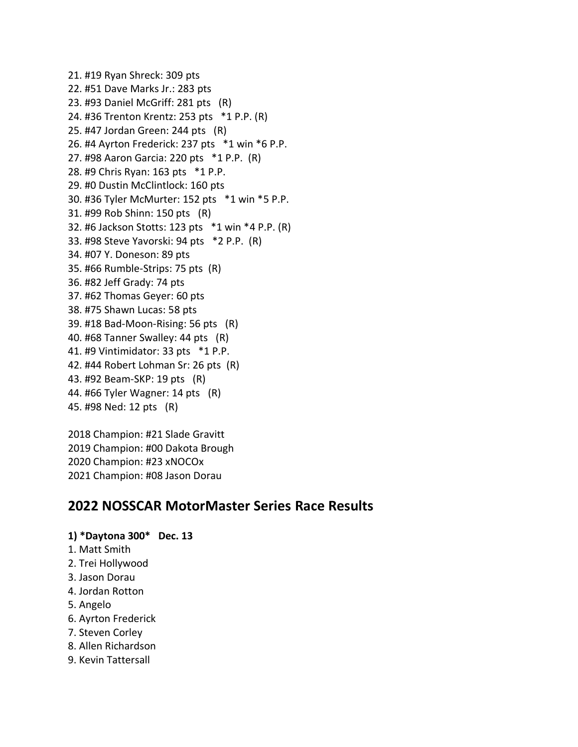21. #19 Ryan Shreck: 309 pts 22. #51 Dave Marks Jr.: 283 pts 23. #93 Daniel McGriff: 281 pts (R) 24. #36 Trenton Krentz: 253 pts \*1 P.P. (R) 25. #47 Jordan Green: 244 pts (R) 26. #4 Ayrton Frederick: 237 pts \*1 win \*6 P.P. 27. #98 Aaron Garcia: 220 pts \*1 P.P. (R) 28. #9 Chris Ryan: 163 pts \*1 P.P. 29. #0 Dustin McClintlock: 160 pts 30. #36 Tyler McMurter: 152 pts \*1 win \*5 P.P. 31. #99 Rob Shinn: 150 pts (R) 32. #6 Jackson Stotts: 123 pts \*1 win \*4 P.P. (R) 33. #98 Steve Yavorski: 94 pts \*2 P.P. (R) 34. #07 Y. Doneson: 89 pts 35. #66 Rumble-Strips: 75 pts (R) 36. #82 Jeff Grady: 74 pts 37. #62 Thomas Geyer: 60 pts 38. #75 Shawn Lucas: 58 pts 39. #18 Bad-Moon-Rising: 56 pts (R) 40. #68 Tanner Swalley: 44 pts (R) 41. #9 Vintimidator: 33 pts \*1 P.P. 42. #44 Robert Lohman Sr: 26 pts (R) 43. #92 Beam-SKP: 19 pts (R) 44. #66 Tyler Wagner: 14 pts (R) 45. #98 Ned: 12 pts (R)

2018 Champion: #21 Slade Gravitt 2019 Champion: #00 Dakota Brough 2020 Champion: #23 xNOCOx 2021 Champion: #08 Jason Dorau

# **2022 NOSSCAR MotorMaster Series Race Results**

# **1) \*Daytona 300\* Dec. 13**

- 1. Matt Smith
- 2. Trei Hollywood
- 3. Jason Dorau
- 4. Jordan Rotton
- 5. Angelo
- 6. Ayrton Frederick
- 7. Steven Corley
- 8. Allen Richardson
- 9. Kevin Tattersall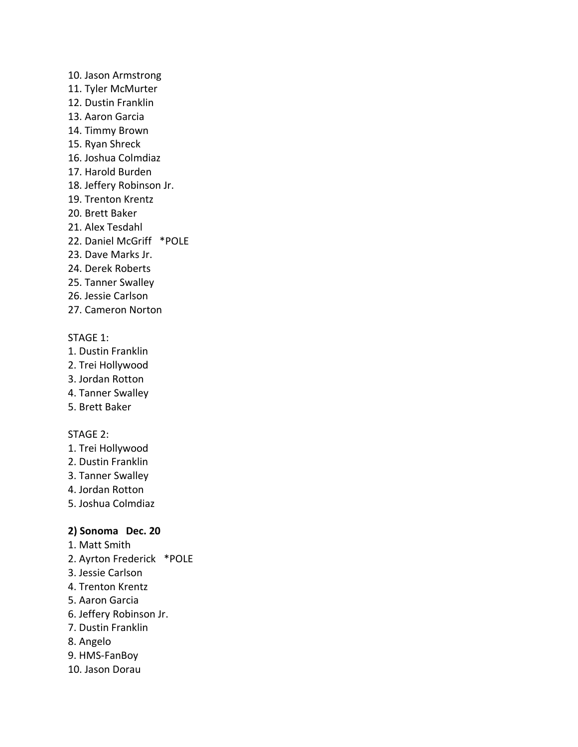- 10. Jason Armstrong
- 11. Tyler McMurter
- 12. Dustin Franklin
- 13. Aaron Garcia
- 14. Timmy Brown
- 15. Ryan Shreck
- 16. Joshua Colmdiaz
- 17. Harold Burden
- 18. Jeffery Robinson Jr.
- 19. Trenton Krentz
- 20. Brett Baker
- 21. Alex Tesdahl
- 22. Daniel McGriff \*POLE
- 23. Dave Marks Jr.
- 24. Derek Roberts
- 25. Tanner Swalley
- 26. Jessie Carlson
- 27. Cameron Norton

- 1. Dustin Franklin
- 2. Trei Hollywood
- 3. Jordan Rotton
- 4. Tanner Swalley
- 5. Brett Baker

# STAGE 2:

- 1. Trei Hollywood
- 2. Dustin Franklin
- 3. Tanner Swalley
- 4. Jordan Rotton
- 5. Joshua Colmdiaz

# **2) Sonoma Dec. 20**

- 1. Matt Smith
- 2. Ayrton Frederick \*POLE
- 3. Jessie Carlson
- 4. Trenton Krentz
- 5. Aaron Garcia
- 6. Jeffery Robinson Jr.
- 7. Dustin Franklin
- 8. Angelo
- 9. HMS-FanBoy
- 10. Jason Dorau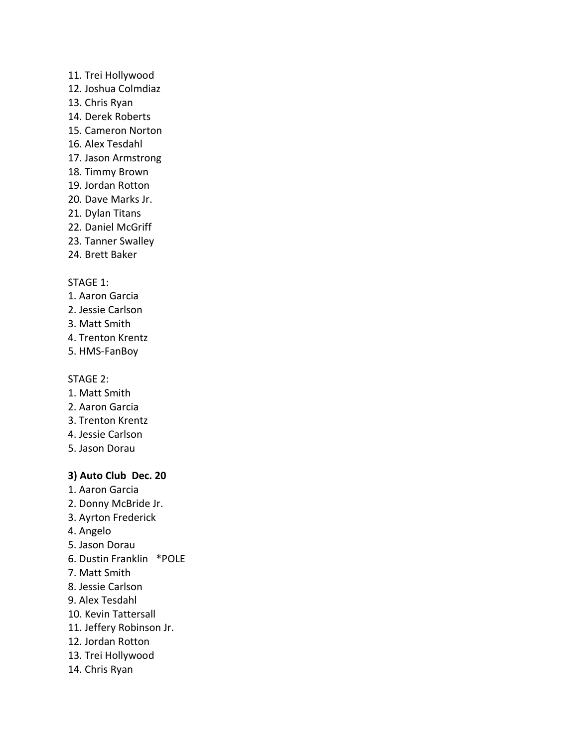### 11. Trei Hollywood

- 12. Joshua Colmdiaz
- 13. Chris Ryan
- 14. Derek Roberts
- 15. Cameron Norton
- 16. Alex Tesdahl
- 17. Jason Armstrong
- 18. Timmy Brown
- 19. Jordan Rotton
- 20. Dave Marks Jr.
- 21. Dylan Titans
- 22. Daniel McGriff
- 23. Tanner Swalley
- 24. Brett Baker

### STAGE 1:

- 1. Aaron Garcia
- 2. Jessie Carlson
- 3. Matt Smith
- 4. Trenton Krentz
- 5. HMS-FanBoy

### STAGE 2:

- 1. Matt Smith
- 2. Aaron Garcia
- 3. Trenton Krentz
- 4. Jessie Carlson
- 5. Jason Dorau

# **3) Auto Club Dec. 20**

- 1. Aaron Garcia
- 2. Donny McBride Jr.
- 3. Ayrton Frederick
- 4. Angelo
- 5. Jason Dorau
- 6. Dustin Franklin \*POLE
- 7. Matt Smith
- 8. Jessie Carlson
- 9. Alex Tesdahl
- 10. Kevin Tattersall
- 11. Jeffery Robinson Jr.
- 12. Jordan Rotton
- 13. Trei Hollywood
- 14. Chris Ryan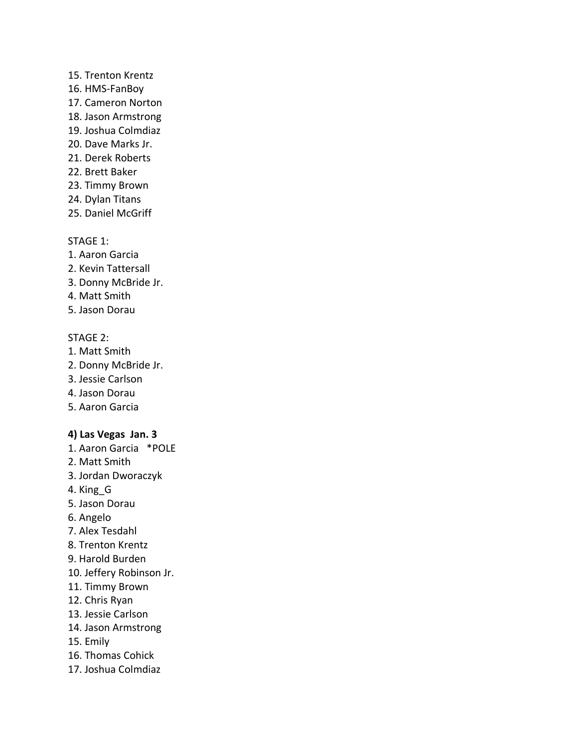### 15. Trenton Krentz

- 16. HMS-FanBoy
- 17. Cameron Norton
- 18. Jason Armstrong
- 19. Joshua Colmdiaz
- 20. Dave Marks Jr.
- 21. Derek Roberts
- 22. Brett Baker
- 23. Timmy Brown
- 24. Dylan Titans
- 25. Daniel McGriff

# STAGE 1:

- 1. Aaron Garcia
- 2. Kevin Tattersall
- 3. Donny McBride Jr.
- 4. Matt Smith
- 5. Jason Dorau

# STAGE 2:

- 1. Matt Smith
- 2. Donny McBride Jr.
- 3. Jessie Carlson
- 4. Jason Dorau
- 5. Aaron Garcia

# **4) Las Vegas Jan. 3**

- 1. Aaron Garcia \*POLE
- 2. Matt Smith
- 3. Jordan Dworaczyk
- 4. King\_G
- 5. Jason Dorau
- 6. Angelo
- 7. Alex Tesdahl
- 8. Trenton Krentz
- 9. Harold Burden
- 10. Jeffery Robinson Jr.
- 11. Timmy Brown
- 12. Chris Ryan
- 13. Jessie Carlson
- 14. Jason Armstrong
- 15. Emily
- 16. Thomas Cohick
- 17. Joshua Colmdiaz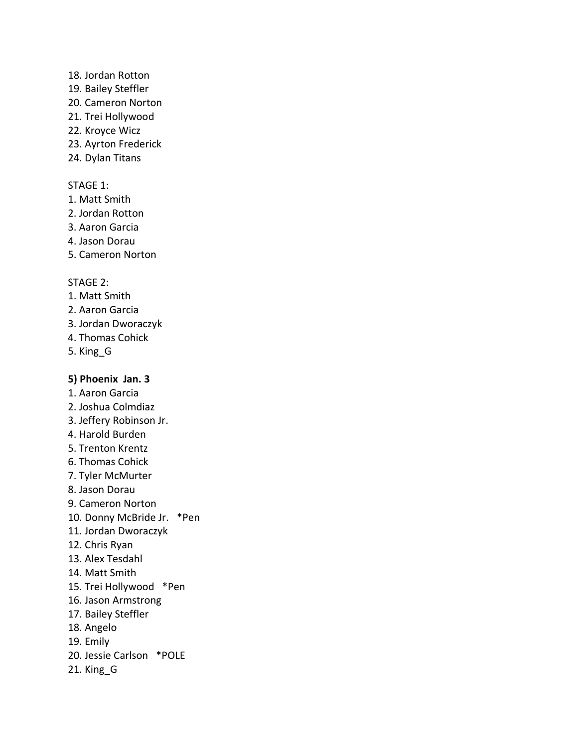### 18. Jordan Rotton

- 19. Bailey Steffler
- 20. Cameron Norton
- 21. Trei Hollywood
- 22. Kroyce Wicz
- 23. Ayrton Frederick
- 24. Dylan Titans

# STAGE 1:

- 1. Matt Smith
- 2. Jordan Rotton
- 3. Aaron Garcia
- 4. Jason Dorau
- 5. Cameron Norton

# STAGE 2:

- 1. Matt Smith
- 2. Aaron Garcia
- 3. Jordan Dworaczyk
- 4. Thomas Cohick
- 5. King\_G

# **5) Phoenix Jan. 3**

- 1. Aaron Garcia
- 2. Joshua Colmdiaz
- 3. Jeffery Robinson Jr.
- 4. Harold Burden
- 5. Trenton Krentz
- 6. Thomas Cohick
- 7. Tyler McMurter
- 8. Jason Dorau
- 9. Cameron Norton
- 10. Donny McBride Jr. \*Pen
- 11. Jordan Dworaczyk
- 12. Chris Ryan
- 13. Alex Tesdahl
- 14. Matt Smith
- 15. Trei Hollywood \*Pen
- 16. Jason Armstrong
- 17. Bailey Steffler
- 18. Angelo
- 19. Emily
- 20. Jessie Carlson \*POLE
- 21. King\_G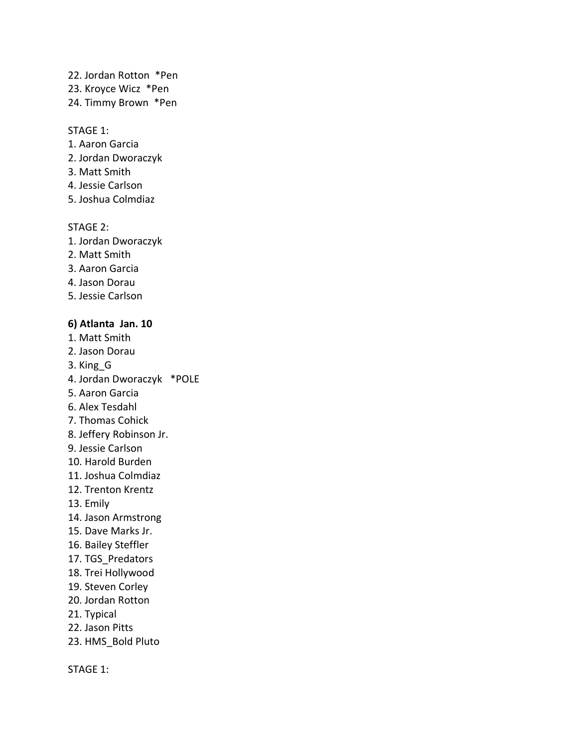- 22. Jordan Rotton \*Pen
- 23. Kroyce Wicz \*Pen
- 24. Timmy Brown \*Pen

- 1. Aaron Garcia
- 2. Jordan Dworaczyk
- 3. Matt Smith
- 4. Jessie Carlson
- 5. Joshua Colmdiaz

#### STAGE 2:

- 1. Jordan Dworaczyk
- 2. Matt Smith
- 3. Aaron Garcia
- 4. Jason Dorau
- 5. Jessie Carlson

#### **6) Atlanta Jan. 10**

- 1. Matt Smith
- 2. Jason Dorau
- 3. King\_G
- 4. Jordan Dworaczyk \*POLE
- 5. Aaron Garcia
- 6. Alex Tesdahl
- 7. Thomas Cohick
- 8. Jeffery Robinson Jr.
- 9. Jessie Carlson
- 10. Harold Burden
- 11. Joshua Colmdiaz
- 12. Trenton Krentz
- 13. Emily
- 14. Jason Armstrong
- 15. Dave Marks Jr.
- 16. Bailey Steffler
- 17. TGS\_Predators
- 18. Trei Hollywood
- 19. Steven Corley
- 20. Jordan Rotton
- 21. Typical
- 22. Jason Pitts
- 23. HMS\_Bold Pluto

STAGE 1: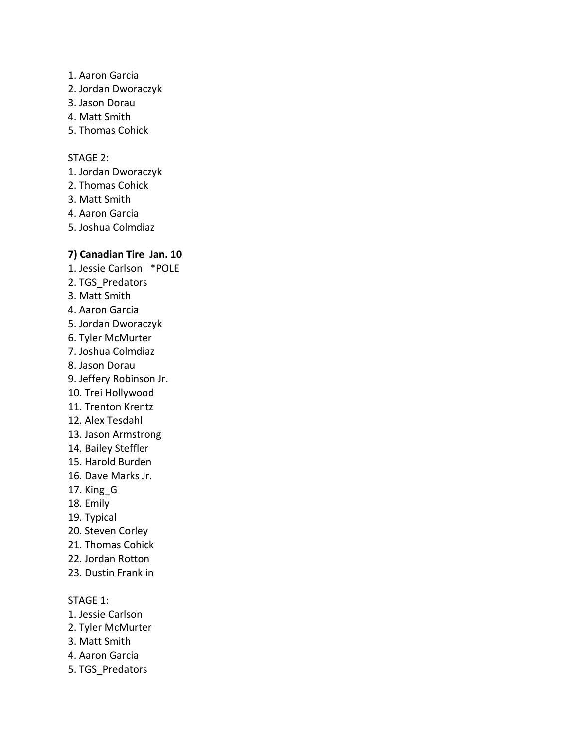- 1. Aaron Garcia
- 2. Jordan Dworaczyk
- 3. Jason Dorau
- 4. Matt Smith
- 5. Thomas Cohick

### STAGE 2:

- 1. Jordan Dworaczyk
- 2. Thomas Cohick
- 3. Matt Smith
- 4. Aaron Garcia
- 5. Joshua Colmdiaz

# **7) Canadian Tire Jan. 10**

- 1. Jessie Carlson \*POLE
- 2. TGS\_Predators
- 3. Matt Smith
- 4. Aaron Garcia
- 5. Jordan Dworaczyk
- 6. Tyler McMurter
- 7. Joshua Colmdiaz
- 8. Jason Dorau
- 9. Jeffery Robinson Jr.
- 10. Trei Hollywood
- 11. Trenton Krentz
- 12. Alex Tesdahl
- 13. Jason Armstrong
- 14. Bailey Steffler
- 15. Harold Burden
- 16. Dave Marks Jr.
- 17. King\_G
- 18. Emily
- 19. Typical
- 20. Steven Corley
- 21. Thomas Cohick
- 22. Jordan Rotton
- 23. Dustin Franklin

#### STAGE 1:

- 1. Jessie Carlson
- 2. Tyler McMurter
- 3. Matt Smith
- 4. Aaron Garcia
- 5. TGS\_Predators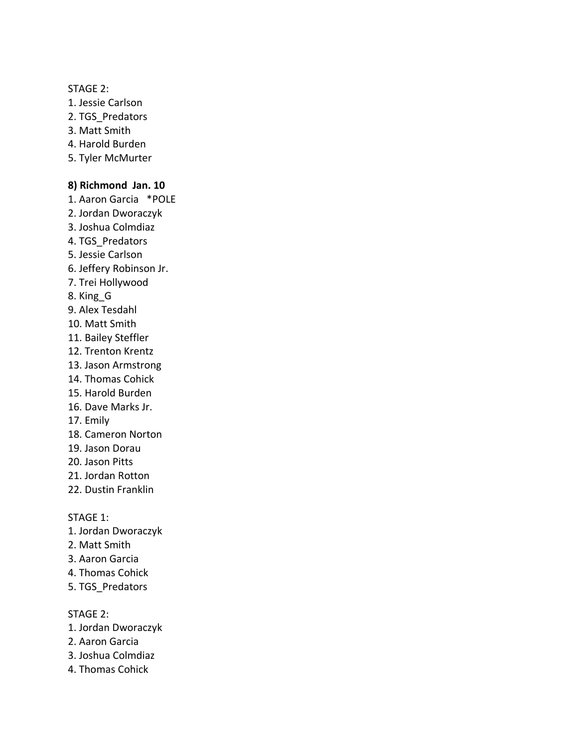## STAGE 2:

- 1. Jessie Carlson
- 2. TGS\_Predators
- 3. Matt Smith
- 4. Harold Burden
- 5. Tyler McMurter

## **8) Richmond Jan. 10**

- 1. Aaron Garcia \*POLE
- 2. Jordan Dworaczyk
- 3. Joshua Colmdiaz
- 4. TGS\_Predators
- 5. Jessie Carlson
- 6. Jeffery Robinson Jr.
- 7. Trei Hollywood
- 8. King\_G
- 9. Alex Tesdahl
- 10. Matt Smith
- 11. Bailey Steffler
- 12. Trenton Krentz
- 13. Jason Armstrong
- 14. Thomas Cohick
- 15. Harold Burden
- 16. Dave Marks Jr.
- 17. Emily
- 18. Cameron Norton
- 19. Jason Dorau
- 20. Jason Pitts
- 21. Jordan Rotton
- 22. Dustin Franklin

STAGE 1:

- 1. Jordan Dworaczyk
- 2. Matt Smith
- 3. Aaron Garcia
- 4. Thomas Cohick
- 5. TGS\_Predators

STAGE 2:

- 1. Jordan Dworaczyk
- 2. Aaron Garcia
- 3. Joshua Colmdiaz
- 4. Thomas Cohick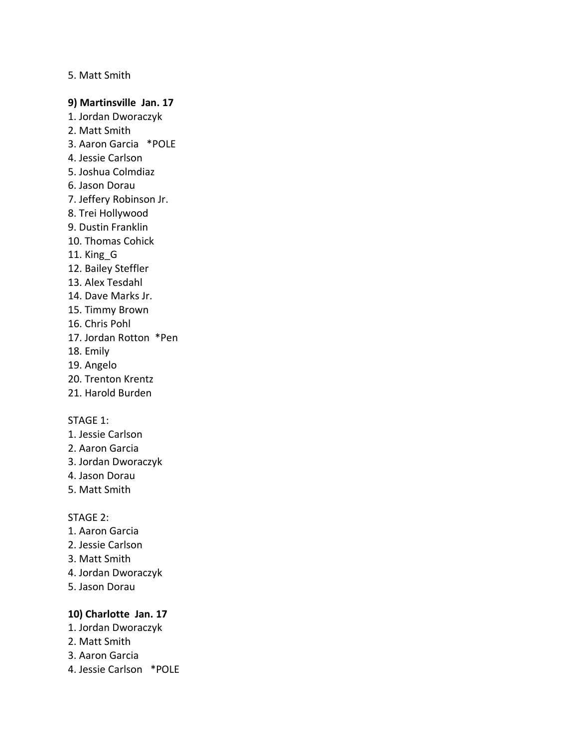### 5. Matt Smith

#### **9) Martinsville Jan. 17**

- 1. Jordan Dworaczyk
- 2. Matt Smith
- 3. Aaron Garcia \*POLE
- 4. Jessie Carlson
- 5. Joshua Colmdiaz
- 6. Jason Dorau
- 7. Jeffery Robinson Jr.
- 8. Trei Hollywood
- 9. Dustin Franklin
- 10. Thomas Cohick
- 11. King\_G
- 12. Bailey Steffler
- 13. Alex Tesdahl
- 14. Dave Marks Jr.
- 15. Timmy Brown
- 16. Chris Pohl
- 17. Jordan Rotton \*Pen
- 18. Emily
- 19. Angelo
- 20. Trenton Krentz
- 21. Harold Burden

#### STAGE 1:

- 1. Jessie Carlson
- 2. Aaron Garcia
- 3. Jordan Dworaczyk
- 4. Jason Dorau
- 5. Matt Smith

#### STAGE 2:

- 1. Aaron Garcia
- 2. Jessie Carlson
- 3. Matt Smith
- 4. Jordan Dworaczyk
- 5. Jason Dorau

# **10) Charlotte Jan. 17**

- 1. Jordan Dworaczyk
- 2. Matt Smith
- 3. Aaron Garcia
- 4. Jessie Carlson \*POLE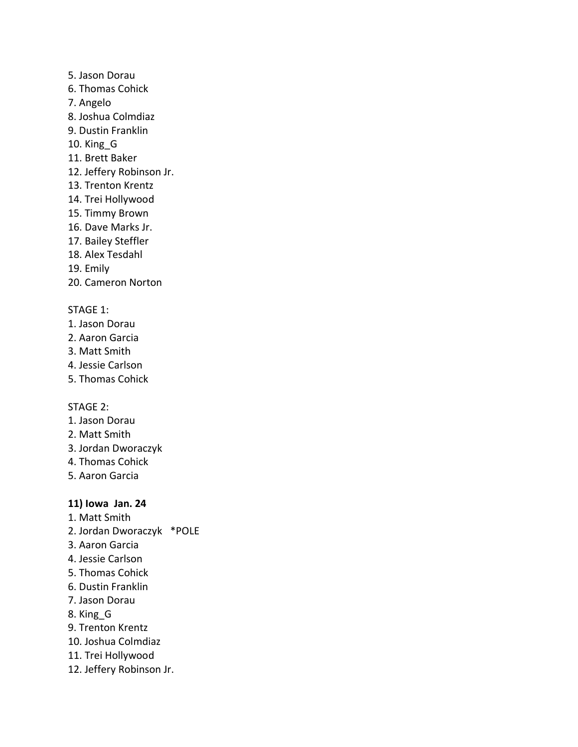- 5. Jason Dorau
- 6. Thomas Cohick
- 7. Angelo
- 8. Joshua Colmdiaz
- 9. Dustin Franklin
- 10. King\_G
- 11. Brett Baker
- 12. Jeffery Robinson Jr.
- 13. Trenton Krentz
- 14. Trei Hollywood
- 15. Timmy Brown
- 16. Dave Marks Jr.
- 17. Bailey Steffler
- 18. Alex Tesdahl
- 19. Emily
- 20. Cameron Norton

- 1. Jason Dorau
- 2. Aaron Garcia
- 3. Matt Smith
- 4. Jessie Carlson
- 5. Thomas Cohick

#### STAGE 2:

- 1. Jason Dorau
- 2. Matt Smith
- 3. Jordan Dworaczyk
- 4. Thomas Cohick
- 5. Aaron Garcia

# **11) Iowa Jan. 24**

- 1. Matt Smith
- 2. Jordan Dworaczyk \*POLE
- 3. Aaron Garcia
- 4. Jessie Carlson
- 5. Thomas Cohick
- 6. Dustin Franklin
- 7. Jason Dorau
- 8. King\_G
- 9. Trenton Krentz
- 10. Joshua Colmdiaz
- 11. Trei Hollywood
- 12. Jeffery Robinson Jr.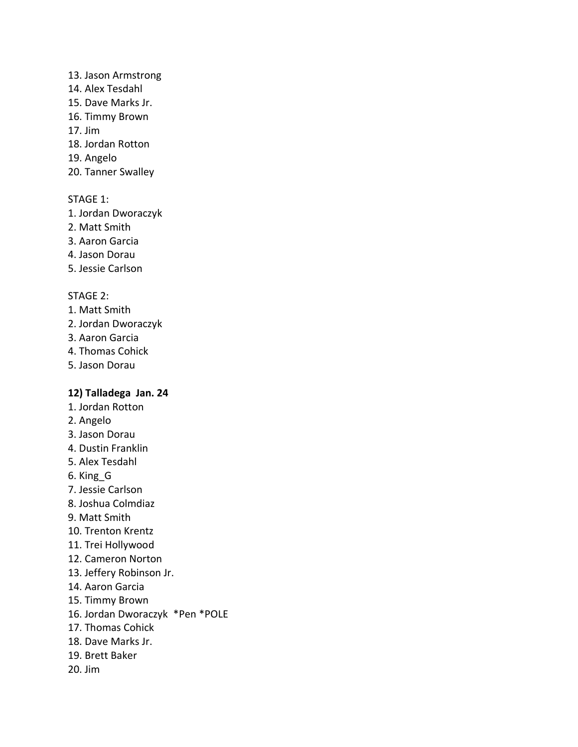### 13. Jason Armstrong

- 14. Alex Tesdahl
- 15. Dave Marks Jr.
- 16. Timmy Brown
- 17. Jim
- 18. Jordan Rotton
- 19. Angelo
- 20. Tanner Swalley

# STAGE 1:

- 1. Jordan Dworaczyk
- 2. Matt Smith
- 3. Aaron Garcia
- 4. Jason Dorau
- 5. Jessie Carlson

# STAGE 2:

- 1. Matt Smith
- 2. Jordan Dworaczyk
- 3. Aaron Garcia
- 4. Thomas Cohick
- 5. Jason Dorau

# **12) Talladega Jan. 24**

- 1. Jordan Rotton
- 2. Angelo
- 3. Jason Dorau
- 4. Dustin Franklin
- 5. Alex Tesdahl
- 6. King\_G
- 7. Jessie Carlson
- 8. Joshua Colmdiaz
- 9. Matt Smith
- 10. Trenton Krentz
- 11. Trei Hollywood
- 12. Cameron Norton
- 13. Jeffery Robinson Jr.
- 14. Aaron Garcia
- 15. Timmy Brown
- 16. Jordan Dworaczyk \*Pen \*POLE
- 17. Thomas Cohick
- 18. Dave Marks Jr.
- 19. Brett Baker
- 20. Jim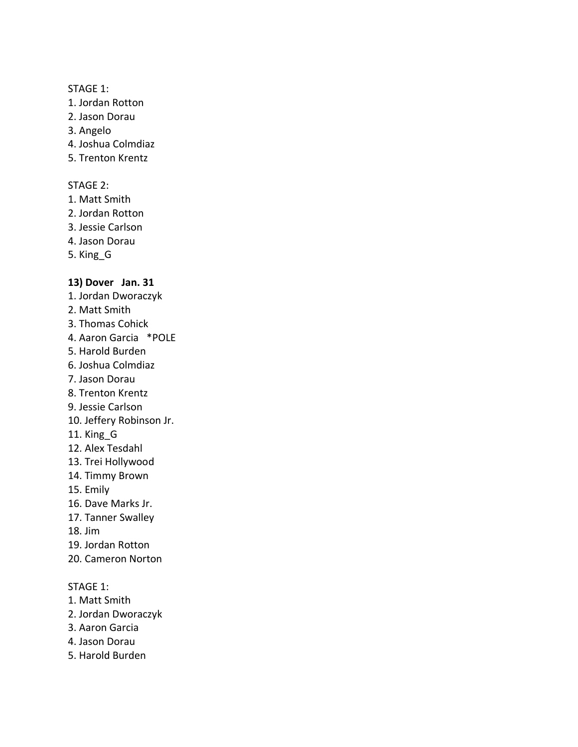- 1. Jordan Rotton
- 2. Jason Dorau
- 3. Angelo
- 4. Joshua Colmdiaz
- 5. Trenton Krentz

### STAGE 2:

- 1. Matt Smith
- 2. Jordan Rotton
- 3. Jessie Carlson
- 4. Jason Dorau
- 5. King\_G

# **13) Dover Jan. 31**

- 1. Jordan Dworaczyk
- 2. Matt Smith
- 3. Thomas Cohick
- 4. Aaron Garcia \*POLE
- 5. Harold Burden
- 6. Joshua Colmdiaz
- 7. Jason Dorau
- 8. Trenton Krentz
- 9. Jessie Carlson
- 10. Jeffery Robinson Jr.
- 11. King\_G
- 12. Alex Tesdahl
- 13. Trei Hollywood
- 14. Timmy Brown
- 15. Emily
- 16. Dave Marks Jr.
- 17. Tanner Swalley
- 18. Jim
- 19. Jordan Rotton
- 20. Cameron Norton

# STAGE 1:

- 1. Matt Smith
- 2. Jordan Dworaczyk
- 3. Aaron Garcia
- 4. Jason Dorau
- 5. Harold Burden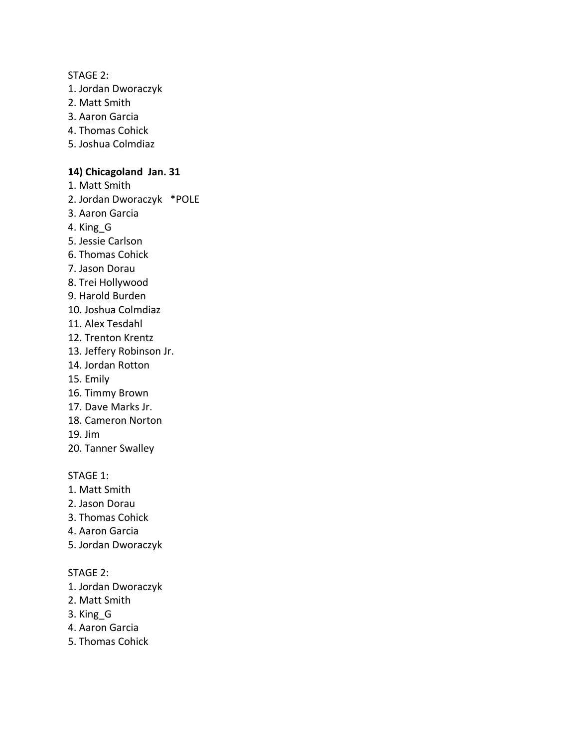#### STAGE 2:

- 1. Jordan Dworaczyk
- 2. Matt Smith
- 3. Aaron Garcia
- 4. Thomas Cohick
- 5. Joshua Colmdiaz

### **14) Chicagoland Jan. 31**

- 1. Matt Smith
- 2. Jordan Dworaczyk \*POLE
- 3. Aaron Garcia
- 4. King\_G
- 5. Jessie Carlson
- 6. Thomas Cohick
- 7. Jason Dorau
- 8. Trei Hollywood
- 9. Harold Burden
- 10. Joshua Colmdiaz
- 11. Alex Tesdahl
- 12. Trenton Krentz
- 13. Jeffery Robinson Jr.
- 14. Jordan Rotton
- 15. Emily
- 16. Timmy Brown
- 17. Dave Marks Jr.
- 18. Cameron Norton
- 19. Jim
- 20. Tanner Swalley

#### STAGE 1:

- 1. Matt Smith
- 2. Jason Dorau
- 3. Thomas Cohick
- 4. Aaron Garcia
- 5. Jordan Dworaczyk

### STAGE 2:

- 1. Jordan Dworaczyk
- 2. Matt Smith
- 3. King\_G
- 4. Aaron Garcia
- 5. Thomas Cohick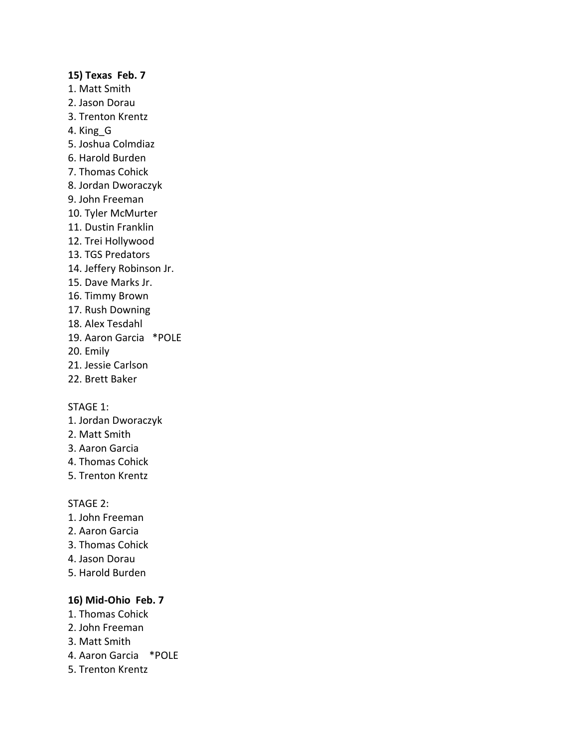# **15) Texas Feb. 7** 1. Matt Smith 2. Jason Dorau 3. Trenton Krentz 4. King\_G 5. Joshua Colmdiaz 6. Harold Burden 7. Thomas Cohick 8. Jordan Dworaczyk 9. John Freeman 10. Tyler McMurter 11. Dustin Franklin 12. Trei Hollywood 13. TGS Predators 14. Jeffery Robinson Jr. 15. Dave Marks Jr. 16. Timmy Brown 17. Rush Downing 18. Alex Tesdahl 19. Aaron Garcia \*POLE 20. Emily 21. Jessie Carlson 22. Brett Baker

#### STAGE 1:

- 1. Jordan Dworaczyk
- 2. Matt Smith
- 3. Aaron Garcia
- 4. Thomas Cohick
- 5. Trenton Krentz

#### STAGE 2:

- 1. John Freeman
- 2. Aaron Garcia
- 3. Thomas Cohick
- 4. Jason Dorau
- 5. Harold Burden

# **16) Mid-Ohio Feb. 7**

- 1. Thomas Cohick
- 2. John Freeman
- 3. Matt Smith
- 4. Aaron Garcia \*POLE
- 5. Trenton Krentz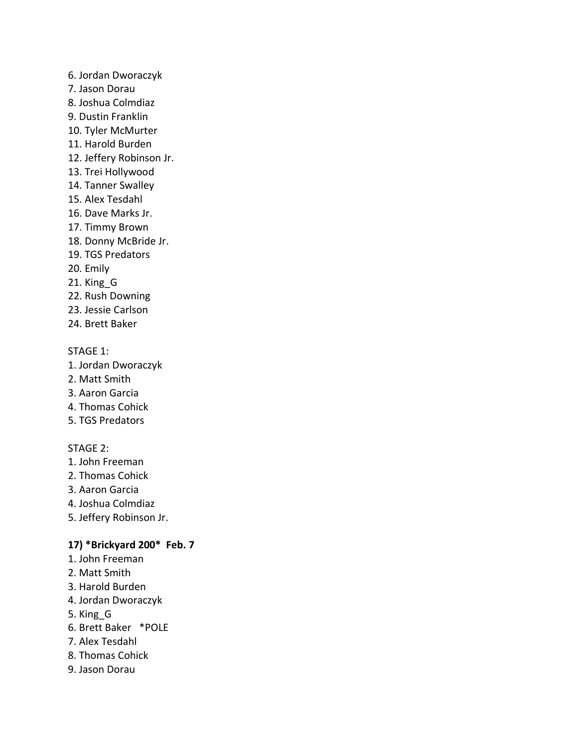- 6. Jordan Dworaczyk
- 7. Jason Dorau
- 8. Joshua Colmdiaz
- 9. Dustin Franklin
- 10. Tyler McMurter
- 11. Harold Burden
- 12. Jeffery Robinson Jr.
- 13. Trei Hollywood
- 14. Tanner Swalley
- 15. Alex Tesdahl
- 16. Dave Marks Jr.
- 17. Timmy Brown
- 18. Donny McBride Jr.
- 19. TGS Predators
- 20. Emily
- 21. King\_G
- 22. Rush Downing
- 23. Jessie Carlson
- 24. Brett Baker

- 1. Jordan Dworaczyk
- 2. Matt Smith
- 3. Aaron Garcia
- 4. Thomas Cohick
- 5. TGS Predators

# STAGE 2:

- 1. John Freeman
- 2. Thomas Cohick
- 3. Aaron Garcia
- 4. Joshua Colmdiaz
- 5. Jeffery Robinson Jr.

### **17) \*Brickyard 200\* Feb. 7**

- 1. John Freeman
- 2. Matt Smith
- 3. Harold Burden
- 4. Jordan Dworaczyk
- 5. King\_G
- 6. Brett Baker \*POLE
- 7. Alex Tesdahl
- 8. Thomas Cohick
- 9. Jason Dorau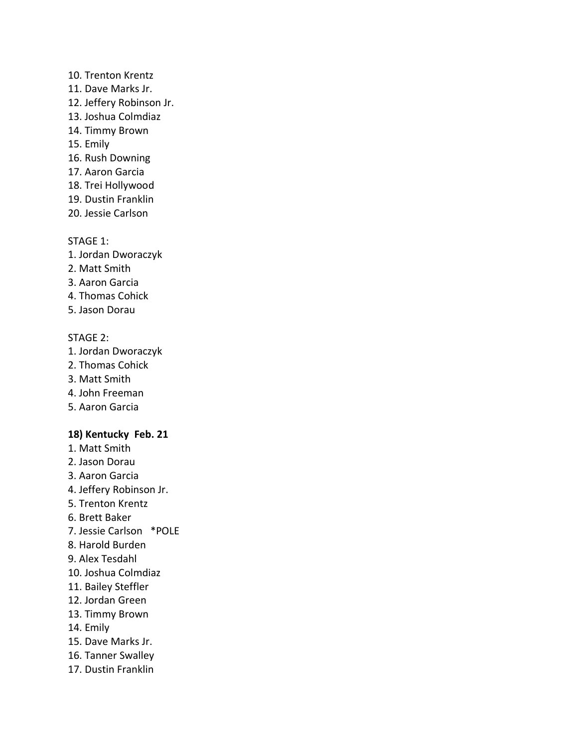## 10. Trenton Krentz

- 11. Dave Marks Jr.
- 12. Jeffery Robinson Jr.
- 13. Joshua Colmdiaz
- 14. Timmy Brown
- 15. Emily
- 16. Rush Downing
- 17. Aaron Garcia
- 18. Trei Hollywood
- 19. Dustin Franklin
- 20. Jessie Carlson

# STAGE 1:

- 1. Jordan Dworaczyk
- 2. Matt Smith
- 3. Aaron Garcia
- 4. Thomas Cohick
- 5. Jason Dorau

# STAGE 2:

- 1. Jordan Dworaczyk
- 2. Thomas Cohick
- 3. Matt Smith
- 4. John Freeman
- 5. Aaron Garcia

# **18) Kentucky Feb. 21**

- 1. Matt Smith
- 2. Jason Dorau
- 3. Aaron Garcia
- 4. Jeffery Robinson Jr.
- 5. Trenton Krentz
- 6. Brett Baker
- 7. Jessie Carlson \*POLE
- 8. Harold Burden
- 9. Alex Tesdahl
- 10. Joshua Colmdiaz
- 11. Bailey Steffler
- 12. Jordan Green
- 13. Timmy Brown
- 14. Emily
- 15. Dave Marks Jr.
- 16. Tanner Swalley
- 17. Dustin Franklin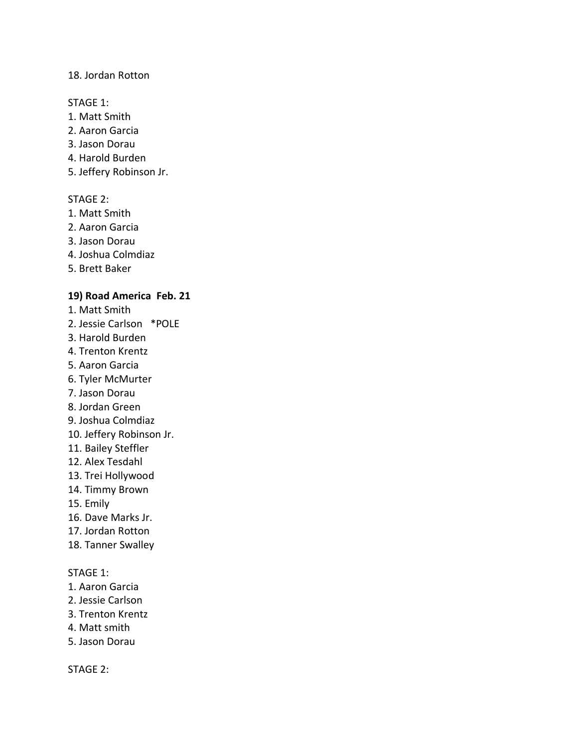### 18. Jordan Rotton

#### STAGE 1:

- 1. Matt Smith
- 2. Aaron Garcia
- 3. Jason Dorau
- 4. Harold Burden
- 5. Jeffery Robinson Jr.

# STAGE 2:

- 1. Matt Smith
- 2. Aaron Garcia
- 3. Jason Dorau
- 4. Joshua Colmdiaz
- 5. Brett Baker

### **19) Road America Feb. 21**

- 1. Matt Smith
- 2. Jessie Carlson \*POLE
- 3. Harold Burden
- 4. Trenton Krentz
- 5. Aaron Garcia
- 6. Tyler McMurter
- 7. Jason Dorau
- 8. Jordan Green
- 9. Joshua Colmdiaz
- 10. Jeffery Robinson Jr.
- 11. Bailey Steffler
- 12. Alex Tesdahl
- 13. Trei Hollywood
- 14. Timmy Brown
- 15. Emily
- 16. Dave Marks Jr.
- 17. Jordan Rotton
- 18. Tanner Swalley

## STAGE 1:

- 1. Aaron Garcia
- 2. Jessie Carlson
- 3. Trenton Krentz
- 4. Matt smith
- 5. Jason Dorau

STAGE 2: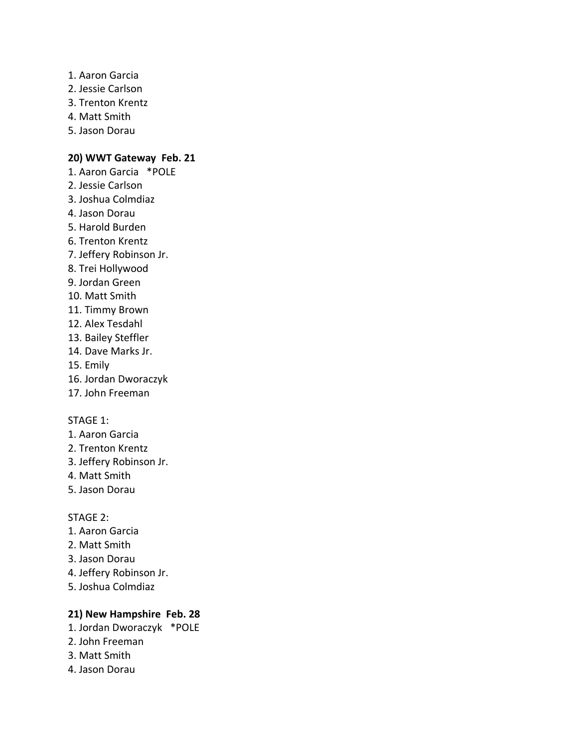- 1. Aaron Garcia
- 2. Jessie Carlson
- 3. Trenton Krentz
- 4. Matt Smith
- 5. Jason Dorau

# **20) WWT Gateway Feb. 21**

- 1. Aaron Garcia \*POLE
- 2. Jessie Carlson
- 3. Joshua Colmdiaz
- 4. Jason Dorau
- 5. Harold Burden
- 6. Trenton Krentz
- 7. Jeffery Robinson Jr.
- 8. Trei Hollywood
- 9. Jordan Green
- 10. Matt Smith
- 11. Timmy Brown
- 12. Alex Tesdahl
- 13. Bailey Steffler
- 14. Dave Marks Jr.
- 15. Emily
- 16. Jordan Dworaczyk
- 17. John Freeman

## STAGE 1:

- 1. Aaron Garcia
- 2. Trenton Krentz
- 3. Jeffery Robinson Jr.
- 4. Matt Smith
- 5. Jason Dorau

#### STAGE 2:

- 1. Aaron Garcia
- 2. Matt Smith
- 3. Jason Dorau
- 4. Jeffery Robinson Jr.
- 5. Joshua Colmdiaz

# **21) New Hampshire Feb. 28**

- 1. Jordan Dworaczyk \*POLE
- 2. John Freeman
- 3. Matt Smith
- 4. Jason Dorau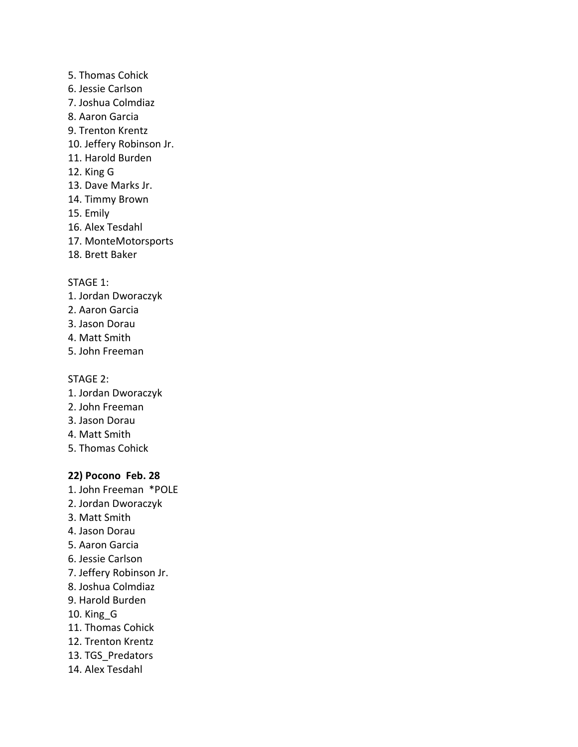- 5. Thomas Cohick
- 6. Jessie Carlson
- 7. Joshua Colmdiaz
- 8. Aaron Garcia
- 9. Trenton Krentz
- 10. Jeffery Robinson Jr.
- 11. Harold Burden
- 12. King G
- 13. Dave Marks Jr.
- 14. Timmy Brown
- 15. Emily
- 16. Alex Tesdahl
- 17. MonteMotorsports
- 18. Brett Baker

- 1. Jordan Dworaczyk
- 2. Aaron Garcia
- 3. Jason Dorau
- 4. Matt Smith
- 5. John Freeman

### STAGE 2:

- 1. Jordan Dworaczyk
- 2. John Freeman
- 3. Jason Dorau
- 4. Matt Smith
- 5. Thomas Cohick

# **22) Pocono Feb. 28**

- 1. John Freeman \*POLE
- 2. Jordan Dworaczyk
- 3. Matt Smith
- 4. Jason Dorau
- 5. Aaron Garcia
- 6. Jessie Carlson
- 7. Jeffery Robinson Jr.
- 8. Joshua Colmdiaz
- 9. Harold Burden
- 10. King\_G
- 11. Thomas Cohick
- 12. Trenton Krentz
- 13. TGS Predators
- 14. Alex Tesdahl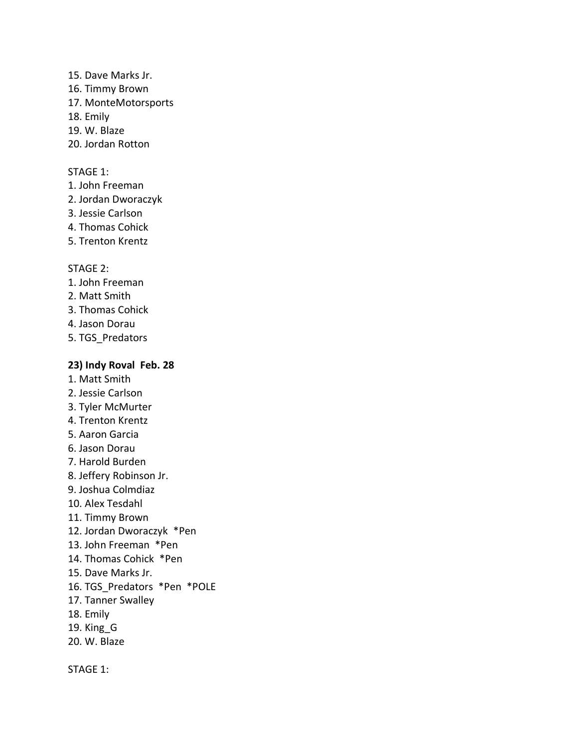- 15. Dave Marks Jr.
- 16. Timmy Brown
- 17. MonteMotorsports
- 18. Emily
- 19. W. Blaze
- 20. Jordan Rotton

- 1. John Freeman
- 2. Jordan Dworaczyk
- 3. Jessie Carlson
- 4. Thomas Cohick
- 5. Trenton Krentz

# STAGE 2:

- 1. John Freeman
- 2. Matt Smith
- 3. Thomas Cohick
- 4. Jason Dorau
- 5. TGS\_Predators

# **23) Indy Roval Feb. 28**

- 1. Matt Smith
- 2. Jessie Carlson
- 3. Tyler McMurter
- 4. Trenton Krentz
- 5. Aaron Garcia
- 6. Jason Dorau
- 7. Harold Burden
- 8. Jeffery Robinson Jr.
- 9. Joshua Colmdiaz
- 10. Alex Tesdahl
- 11. Timmy Brown
- 12. Jordan Dworaczyk \*Pen
- 13. John Freeman \*Pen
- 14. Thomas Cohick \*Pen
- 15. Dave Marks Jr.
- 16. TGS\_Predators \*Pen \*POLE
- 17. Tanner Swalley
- 18. Emily
- 19. King\_G
- 20. W. Blaze

STAGE 1: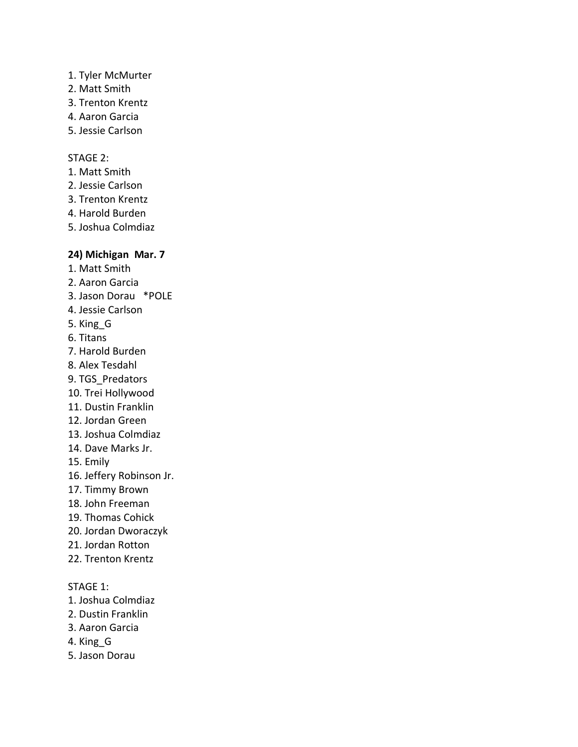# 1. Tyler McMurter

- 2. Matt Smith
- 3. Trenton Krentz
- 4. Aaron Garcia
- 5. Jessie Carlson

# STAGE 2:

- 1. Matt Smith
- 2. Jessie Carlson
- 3. Trenton Krentz
- 4. Harold Burden
- 5. Joshua Colmdiaz

# **24) Michigan Mar. 7**

- 1. Matt Smith
- 2. Aaron Garcia
- 3. Jason Dorau \*POLE
- 4. Jessie Carlson
- 5. King\_G
- 6. Titans
- 7. Harold Burden
- 8. Alex Tesdahl
- 9. TGS\_Predators
- 10. Trei Hollywood
- 11. Dustin Franklin
- 12. Jordan Green
- 13. Joshua Colmdiaz
- 14. Dave Marks Jr.
- 15. Emily
- 16. Jeffery Robinson Jr.
- 17. Timmy Brown
- 18. John Freeman
- 19. Thomas Cohick
- 20. Jordan Dworaczyk
- 21. Jordan Rotton
- 22. Trenton Krentz

# STAGE 1:

- 1. Joshua Colmdiaz
- 2. Dustin Franklin
- 3. Aaron Garcia
- 4. King\_G
- 5. Jason Dorau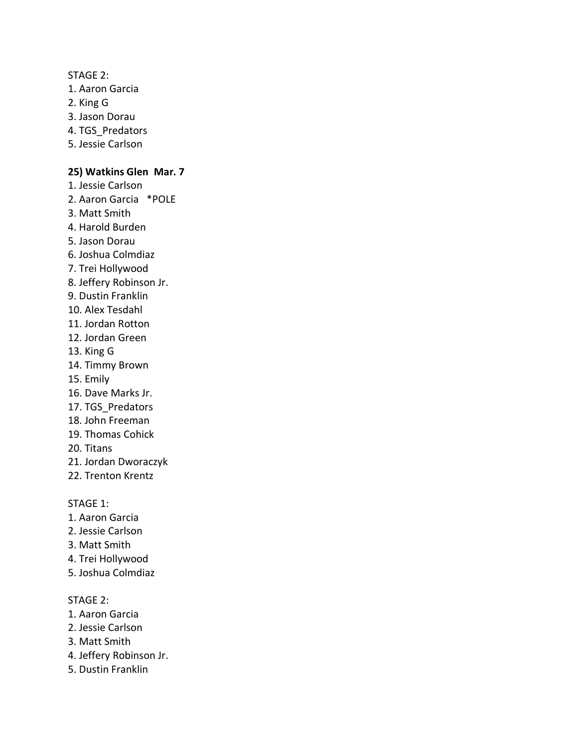STAGE 2:

- 1. Aaron Garcia
- 2. King G
- 3. Jason Dorau
- 4. TGS\_Predators
- 5. Jessie Carlson

# **25) Watkins Glen Mar. 7**

- 1. Jessie Carlson
- 2. Aaron Garcia \*POLE
- 3. Matt Smith
- 4. Harold Burden
- 5. Jason Dorau
- 6. Joshua Colmdiaz
- 7. Trei Hollywood
- 8. Jeffery Robinson Jr.
- 9. Dustin Franklin
- 10. Alex Tesdahl
- 11. Jordan Rotton
- 12. Jordan Green
- 13. King G
- 14. Timmy Brown
- 15. Emily
- 16. Dave Marks Jr.
- 17. TGS Predators
- 18. John Freeman
- 19. Thomas Cohick
- 20. Titans
- 21. Jordan Dworaczyk
- 22. Trenton Krentz

# STAGE 1:

- 1. Aaron Garcia
- 2. Jessie Carlson
- 3. Matt Smith
- 4. Trei Hollywood
- 5. Joshua Colmdiaz

### STAGE 2:

- 1. Aaron Garcia
- 2. Jessie Carlson
- 3. Matt Smith
- 4. Jeffery Robinson Jr.
- 5. Dustin Franklin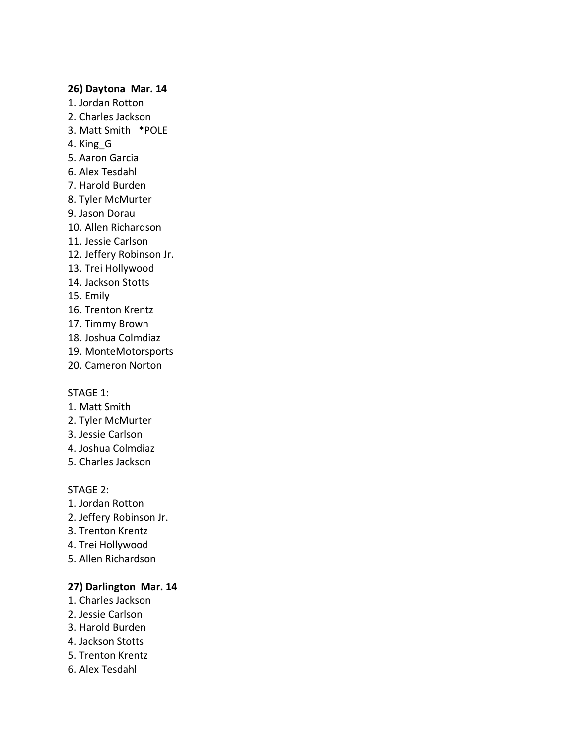### **26) Daytona Mar. 14**

- 1. Jordan Rotton
- 2. Charles Jackson
- 3. Matt Smith \*POLE
- 4. King\_G
- 5. Aaron Garcia
- 6. Alex Tesdahl
- 7. Harold Burden
- 8. Tyler McMurter
- 9. Jason Dorau
- 10. Allen Richardson
- 11. Jessie Carlson
- 12. Jeffery Robinson Jr.
- 13. Trei Hollywood
- 14. Jackson Stotts
- 15. Emily
- 16. Trenton Krentz
- 17. Timmy Brown
- 18. Joshua Colmdiaz
- 19. MonteMotorsports
- 20. Cameron Norton

#### STAGE 1:

- 1. Matt Smith
- 2. Tyler McMurter
- 3. Jessie Carlson
- 4. Joshua Colmdiaz
- 5. Charles Jackson

## STAGE 2:

- 1. Jordan Rotton
- 2. Jeffery Robinson Jr.
- 3. Trenton Krentz
- 4. Trei Hollywood
- 5. Allen Richardson

# **27) Darlington Mar. 14**

- 1. Charles Jackson
- 2. Jessie Carlson
- 3. Harold Burden
- 4. Jackson Stotts
- 5. Trenton Krentz
- 6. Alex Tesdahl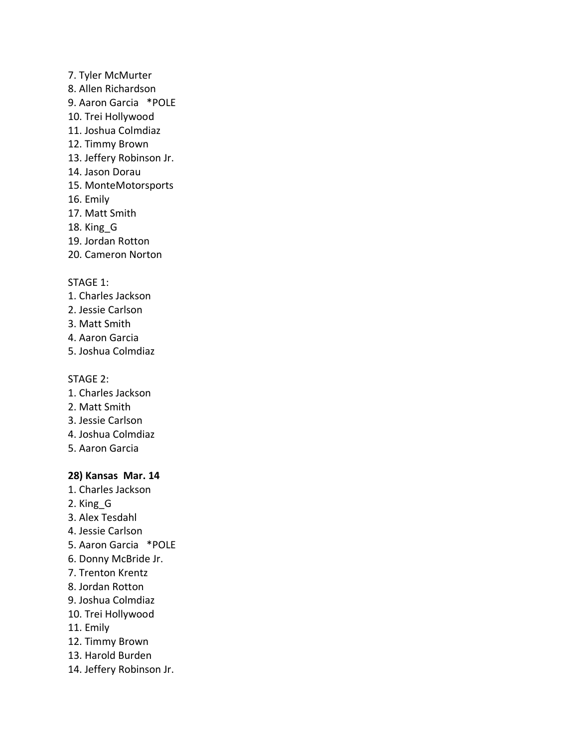- 7. Tyler McMurter 8. Allen Richardson 9. Aaron Garcia \*POLE 10. Trei Hollywood 11. Joshua Colmdiaz
- 12. Timmy Brown
- 13. Jeffery Robinson Jr.
- 14. Jason Dorau
- 15. MonteMotorsports
- 16. Emily
- 17. Matt Smith
- 18. King\_G
- 19. Jordan Rotton
- 20. Cameron Norton

- 1. Charles Jackson
- 2. Jessie Carlson
- 3. Matt Smith
- 4. Aaron Garcia
- 5. Joshua Colmdiaz

### STAGE 2:

- 1. Charles Jackson
- 2. Matt Smith
- 3. Jessie Carlson
- 4. Joshua Colmdiaz
- 5. Aaron Garcia

# **28) Kansas Mar. 14**

- 1. Charles Jackson
- 2. King\_G
- 3. Alex Tesdahl
- 4. Jessie Carlson
- 5. Aaron Garcia \*POLE
- 6. Donny McBride Jr.
- 7. Trenton Krentz
- 8. Jordan Rotton
- 9. Joshua Colmdiaz
- 10. Trei Hollywood
- 11. Emily
- 12. Timmy Brown
- 13. Harold Burden
- 14. Jeffery Robinson Jr.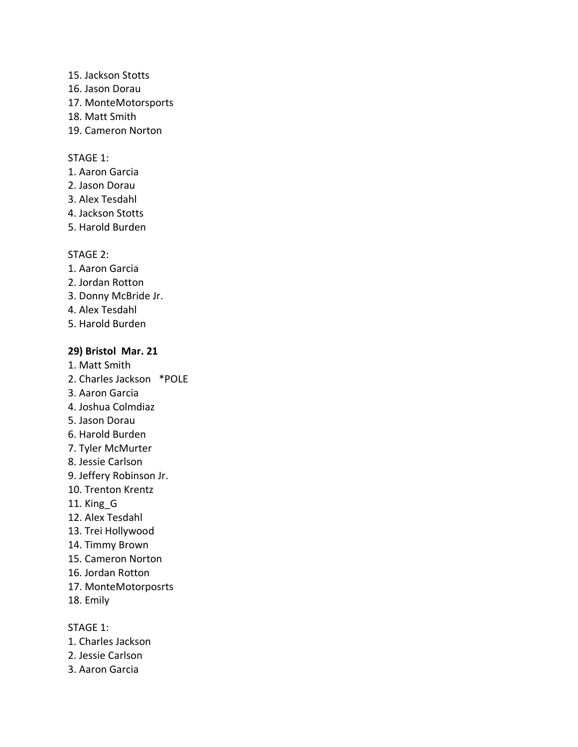- 15. Jackson Stotts
- 16. Jason Dorau
- 17. MonteMotorsports
- 18. Matt Smith
- 19. Cameron Norton

- 1. Aaron Garcia
- 2. Jason Dorau
- 3. Alex Tesdahl
- 4. Jackson Stotts
- 5. Harold Burden

# STAGE 2:

- 1. Aaron Garcia
- 2. Jordan Rotton
- 3. Donny McBride Jr.
- 4. Alex Tesdahl
- 5. Harold Burden

# **29) Bristol Mar. 21**

- 1. Matt Smith
- 2. Charles Jackson \*POLE
- 3. Aaron Garcia
- 4. Joshua Colmdiaz
- 5. Jason Dorau
- 6. Harold Burden
- 7. Tyler McMurter
- 8. Jessie Carlson
- 9. Jeffery Robinson Jr.
- 10. Trenton Krentz
- 11. King\_G
- 12. Alex Tesdahl
- 13. Trei Hollywood
- 14. Timmy Brown
- 15. Cameron Norton
- 16. Jordan Rotton
- 17. MonteMotorposrts
- 18. Emily

# STAGE 1:

- 1. Charles Jackson
- 2. Jessie Carlson
- 3. Aaron Garcia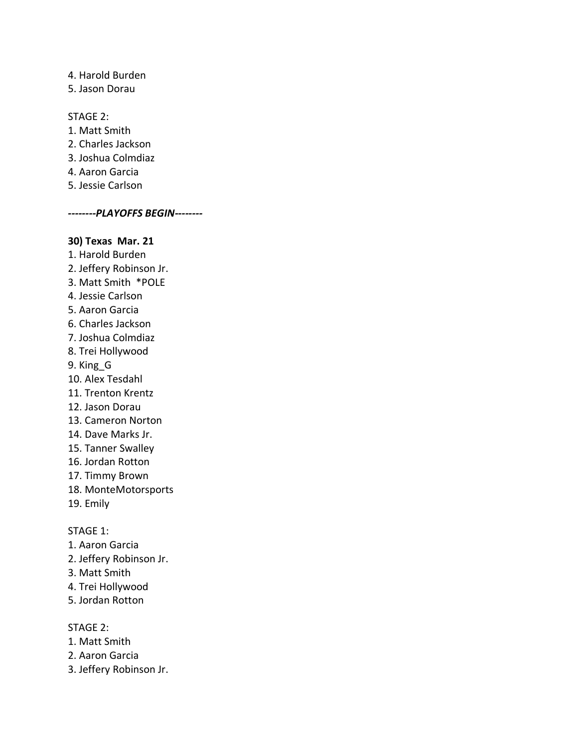4. Harold Burden 5. Jason Dorau

STAGE 2:

- 1. Matt Smith
- 2. Charles Jackson
- 3. Joshua Colmdiaz
- 4. Aaron Garcia
- 5. Jessie Carlson

*--------PLAYOFFS BEGIN--------*

### **30) Texas Mar. 21**

1. Harold Burden 2. Jeffery Robinson Jr. 3. Matt Smith \*POLE 4. Jessie Carlson 5. Aaron Garcia 6. Charles Jackson 7. Joshua Colmdiaz 8. Trei Hollywood 9. King\_G 10. Alex Tesdahl 11. Trenton Krentz 12. Jason Dorau 13. Cameron Norton 14. Dave Marks Jr. 15. Tanner Swalley 16. Jordan Rotton 17. Timmy Brown 18. MonteMotorsports 19. Emily STAGE 1:

# 1. Aaron Garcia

- 2. Jeffery Robinson Jr.
- 3. Matt Smith
- 4. Trei Hollywood
- 5. Jordan Rotton

### STAGE 2:

- 1. Matt Smith
- 2. Aaron Garcia
- 3. Jeffery Robinson Jr.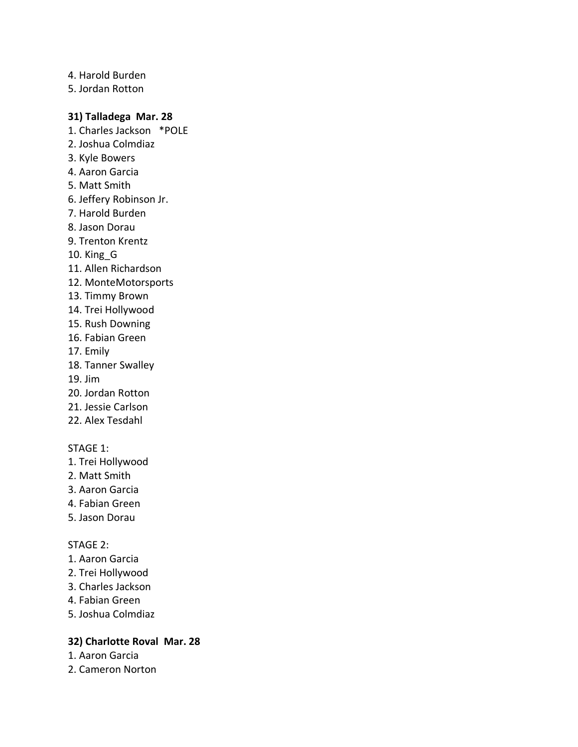4. Harold Burden 5. Jordan Rotton

# **31) Talladega Mar. 28**

- 1. Charles Jackson \*POLE
- 2. Joshua Colmdiaz
- 3. Kyle Bowers
- 4. Aaron Garcia
- 5. Matt Smith
- 6. Jeffery Robinson Jr.
- 7. Harold Burden
- 8. Jason Dorau
- 9. Trenton Krentz
- 10. King\_G
- 11. Allen Richardson
- 12. MonteMotorsports
- 13. Timmy Brown
- 14. Trei Hollywood
- 15. Rush Downing
- 16. Fabian Green
- 17. Emily
- 18. Tanner Swalley
- 19. Jim
- 20. Jordan Rotton
- 21. Jessie Carlson
- 22. Alex Tesdahl

# STAGE 1:

- 1. Trei Hollywood
- 2. Matt Smith
- 3. Aaron Garcia
- 4. Fabian Green
- 5. Jason Dorau

#### STAGE 2:

- 1. Aaron Garcia
- 2. Trei Hollywood
- 3. Charles Jackson
- 4. Fabian Green
- 5. Joshua Colmdiaz

# **32) Charlotte Roval Mar. 28**

- 1. Aaron Garcia
- 2. Cameron Norton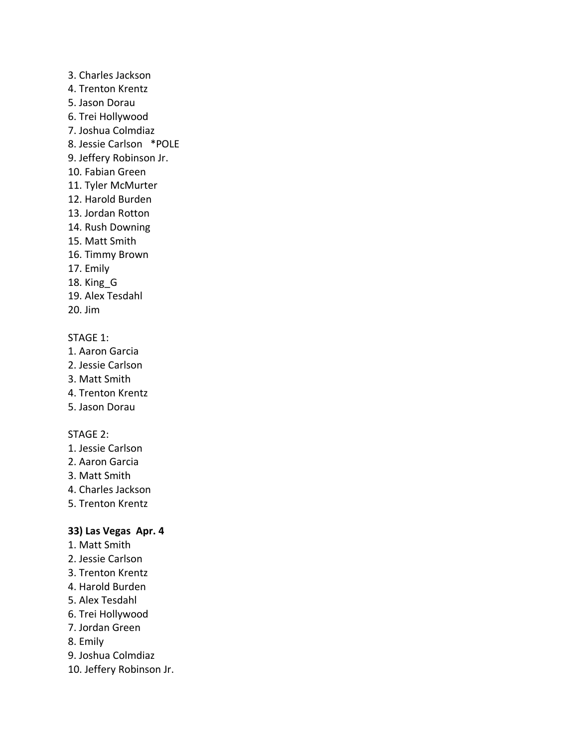- 3. Charles Jackson 4. Trenton Krentz 5. Jason Dorau 6. Trei Hollywood 7. Joshua Colmdiaz 8. Jessie Carlson \*POLE 9. Jeffery Robinson Jr. 10. Fabian Green 11. Tyler McMurter 12. Harold Burden 13. Jordan Rotton 14. Rush Downing 15. Matt Smith 16. Timmy Brown 17. Emily
- 18. King\_G
- 19. Alex Tesdahl
- 20. Jim

- 1. Aaron Garcia
- 2. Jessie Carlson
- 3. Matt Smith
- 4. Trenton Krentz
- 5. Jason Dorau

# STAGE 2:

- 1. Jessie Carlson
- 2. Aaron Garcia
- 3. Matt Smith
- 4. Charles Jackson
- 5. Trenton Krentz

# **33) Las Vegas Apr. 4**

- 1. Matt Smith
- 2. Jessie Carlson
- 3. Trenton Krentz
- 4. Harold Burden
- 5. Alex Tesdahl
- 6. Trei Hollywood
- 7. Jordan Green
- 8. Emily
- 9. Joshua Colmdiaz
- 10. Jeffery Robinson Jr.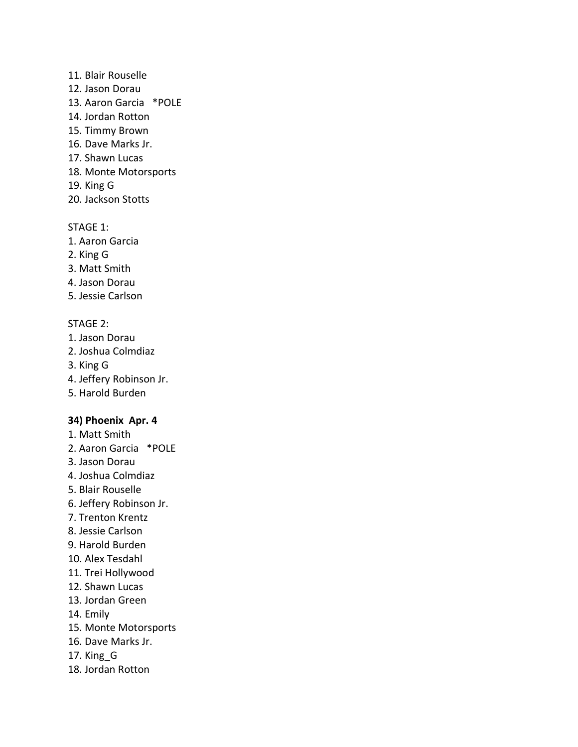### 11. Blair Rouselle

- 12. Jason Dorau
- 13. Aaron Garcia \*POLE
- 14. Jordan Rotton
- 15. Timmy Brown
- 16. Dave Marks Jr.
- 17. Shawn Lucas
- 18. Monte Motorsports
- 19. King G
- 20. Jackson Stotts

# STAGE 1:

- 1. Aaron Garcia
- 2. King G
- 3. Matt Smith
- 4. Jason Dorau
- 5. Jessie Carlson

# STAGE 2:

- 1. Jason Dorau
- 2. Joshua Colmdiaz
- 3. King G
- 4. Jeffery Robinson Jr.
- 5. Harold Burden

# **34) Phoenix Apr. 4**

- 1. Matt Smith
- 2. Aaron Garcia \*POLE
- 3. Jason Dorau
- 4. Joshua Colmdiaz
- 5. Blair Rouselle
- 6. Jeffery Robinson Jr.
- 7. Trenton Krentz
- 8. Jessie Carlson
- 9. Harold Burden
- 10. Alex Tesdahl
- 11. Trei Hollywood
- 12. Shawn Lucas
- 13. Jordan Green
- 14. Emily
- 15. Monte Motorsports
- 16. Dave Marks Jr.
- 17. King\_G
- 18. Jordan Rotton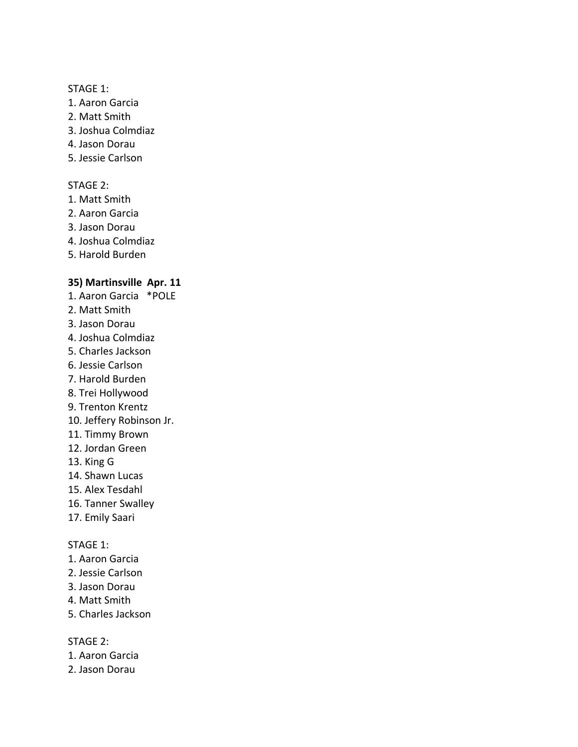- 1. Aaron Garcia
- 2. Matt Smith
- 3. Joshua Colmdiaz
- 4. Jason Dorau
- 5. Jessie Carlson

# STAGE 2:

- 1. Matt Smith
- 2. Aaron Garcia
- 3. Jason Dorau
- 4. Joshua Colmdiaz
- 5. Harold Burden

## **35) Martinsville Apr. 11**

- 1. Aaron Garcia \*POLE
- 2. Matt Smith
- 3. Jason Dorau
- 4. Joshua Colmdiaz
- 5. Charles Jackson
- 6. Jessie Carlson
- 7. Harold Burden
- 8. Trei Hollywood
- 9. Trenton Krentz
- 10. Jeffery Robinson Jr.
- 11. Timmy Brown
- 12. Jordan Green
- 13. King G
- 14. Shawn Lucas
- 15. Alex Tesdahl
- 16. Tanner Swalley
- 17. Emily Saari

### STAGE 1:

- 1. Aaron Garcia
- 2. Jessie Carlson
- 3. Jason Dorau
- 4. Matt Smith
- 5. Charles Jackson

## STAGE 2:

- 1. Aaron Garcia
- 2. Jason Dorau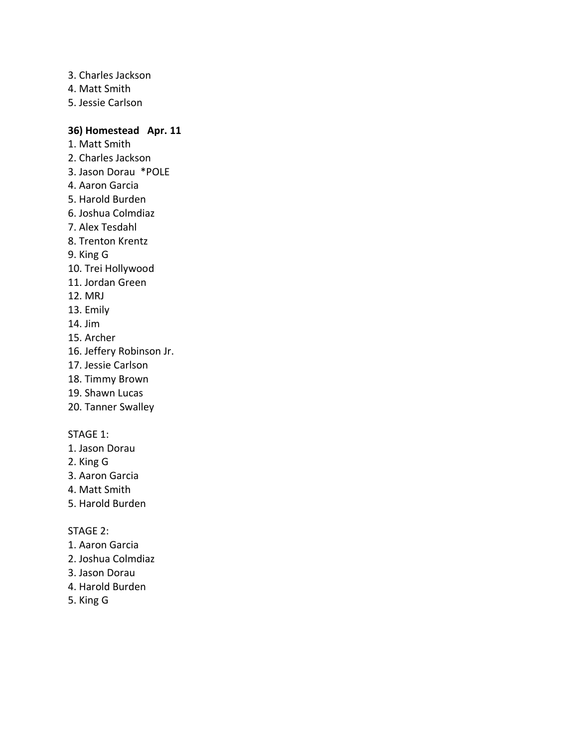- 3. Charles Jackson
- 4. Matt Smith
- 5. Jessie Carlson

# **36) Homestead Apr. 11**

- 1. Matt Smith
- 2. Charles Jackson
- 3. Jason Dorau \*POLE
- 4. Aaron Garcia
- 5. Harold Burden
- 6. Joshua Colmdiaz
- 7. Alex Tesdahl
- 8. Trenton Krentz
- 9. King G
- 10. Trei Hollywood
- 11. Jordan Green
- 12. MRJ
- 13. Emily
- 14. Jim
- 15. Archer
- 16. Jeffery Robinson Jr.
- 17. Jessie Carlson
- 18. Timmy Brown
- 19. Shawn Lucas
- 20. Tanner Swalley

# STAGE 1:

- 1. Jason Dorau
- 2. King G
- 3. Aaron Garcia
- 4. Matt Smith
- 5. Harold Burden

### STAGE 2:

- 1. Aaron Garcia
- 2. Joshua Colmdiaz
- 3. Jason Dorau
- 4. Harold Burden
- 5. King G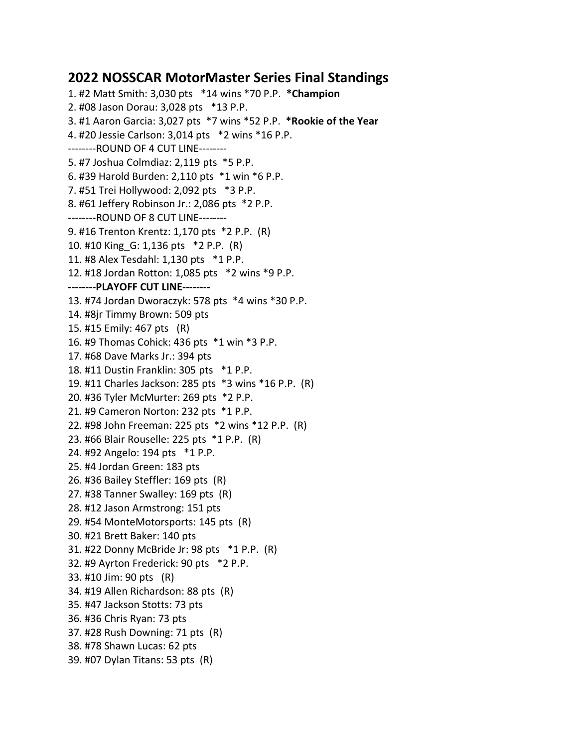# **2022 NOSSCAR MotorMaster Series Final Standings**

1. #2 Matt Smith: 3,030 pts \*14 wins \*70 P.P. **\*Champion** 2. #08 Jason Dorau: 3,028 pts \*13 P.P. 3. #1 Aaron Garcia: 3,027 pts \*7 wins \*52 P.P. **\*Rookie of the Year** 4. #20 Jessie Carlson: 3,014 pts \*2 wins \*16 P.P. --------ROUND OF 4 CUT LINE-------- 5. #7 Joshua Colmdiaz: 2,119 pts \*5 P.P. 6. #39 Harold Burden: 2,110 pts \*1 win \*6 P.P. 7. #51 Trei Hollywood: 2,092 pts \*3 P.P. 8. #61 Jeffery Robinson Jr.: 2,086 pts \*2 P.P. --------ROUND OF 8 CUT LINE-------- 9. #16 Trenton Krentz: 1,170 pts \*2 P.P. (R) 10. #10 King\_G: 1,136 pts \*2 P.P. (R) 11. #8 Alex Tesdahl: 1,130 pts \*1 P.P. 12. #18 Jordan Rotton: 1,085 pts \*2 wins \*9 P.P. **--------PLAYOFF CUT LINE--------** 13. #74 Jordan Dworaczyk: 578 pts \*4 wins \*30 P.P. 14. #8jr Timmy Brown: 509 pts 15. #15 Emily: 467 pts (R) 16. #9 Thomas Cohick: 436 pts \*1 win \*3 P.P. 17. #68 Dave Marks Jr.: 394 pts 18. #11 Dustin Franklin: 305 pts \*1 P.P. 19. #11 Charles Jackson: 285 pts \*3 wins \*16 P.P. (R) 20. #36 Tyler McMurter: 269 pts \*2 P.P. 21. #9 Cameron Norton: 232 pts \*1 P.P. 22. #98 John Freeman: 225 pts \*2 wins \*12 P.P. (R) 23. #66 Blair Rouselle: 225 pts \*1 P.P. (R) 24. #92 Angelo: 194 pts \*1 P.P. 25. #4 Jordan Green: 183 pts 26. #36 Bailey Steffler: 169 pts (R) 27. #38 Tanner Swalley: 169 pts (R) 28. #12 Jason Armstrong: 151 pts 29. #54 MonteMotorsports: 145 pts (R) 30. #21 Brett Baker: 140 pts 31. #22 Donny McBride Jr: 98 pts \*1 P.P. (R) 32. #9 Ayrton Frederick: 90 pts \*2 P.P. 33. #10 Jim: 90 pts (R) 34. #19 Allen Richardson: 88 pts (R) 35. #47 Jackson Stotts: 73 pts 36. #36 Chris Ryan: 73 pts 37. #28 Rush Downing: 71 pts (R) 38. #78 Shawn Lucas: 62 pts 39. #07 Dylan Titans: 53 pts (R)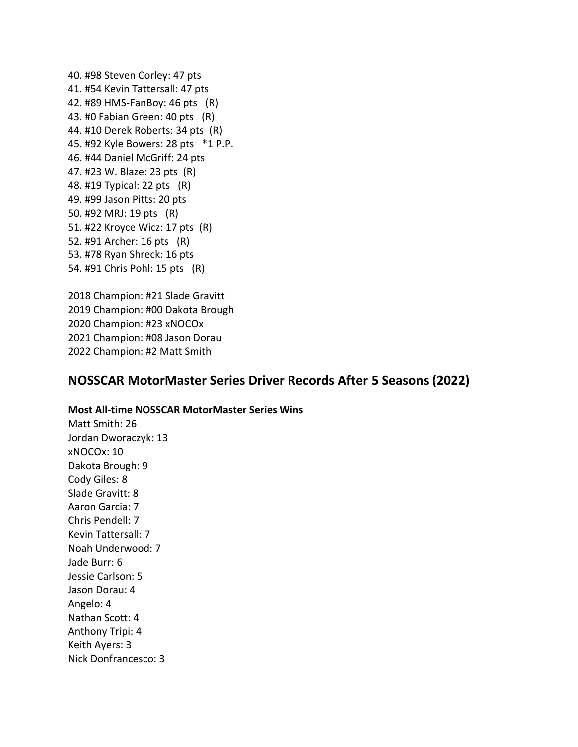40. #98 Steven Corley: 47 pts 41. #54 Kevin Tattersall: 47 pts 42. #89 HMS-FanBoy: 46 pts (R) 43. #0 Fabian Green: 40 pts (R) 44. #10 Derek Roberts: 34 pts (R) 45. #92 Kyle Bowers: 28 pts \*1 P.P. 46. #44 Daniel McGriff: 24 pts 47. #23 W. Blaze: 23 pts (R) 48. #19 Typical: 22 pts (R) 49. #99 Jason Pitts: 20 pts 50. #92 MRJ: 19 pts (R) 51. #22 Kroyce Wicz: 17 pts (R) 52. #91 Archer: 16 pts (R) 53. #78 Ryan Shreck: 16 pts 54. #91 Chris Pohl: 15 pts (R)

2018 Champion: #21 Slade Gravitt 2019 Champion: #00 Dakota Brough 2020 Champion: #23 xNOCOx 2021 Champion: #08 Jason Dorau 2022 Champion: #2 Matt Smith

# **NOSSCAR MotorMaster Series Driver Records After 5 Seasons (2022)**

#### **Most All-time NOSSCAR MotorMaster Series Wins**

Matt Smith: 26 Jordan Dworaczyk: 13 xNOCOx: 10 Dakota Brough: 9 Cody Giles: 8 Slade Gravitt: 8 Aaron Garcia: 7 Chris Pendell: 7 Kevin Tattersall: 7 Noah Underwood: 7 Jade Burr: 6 Jessie Carlson: 5 Jason Dorau: 4 Angelo: 4 Nathan Scott: 4 Anthony Tripi: 4 Keith Ayers: 3 Nick Donfrancesco: 3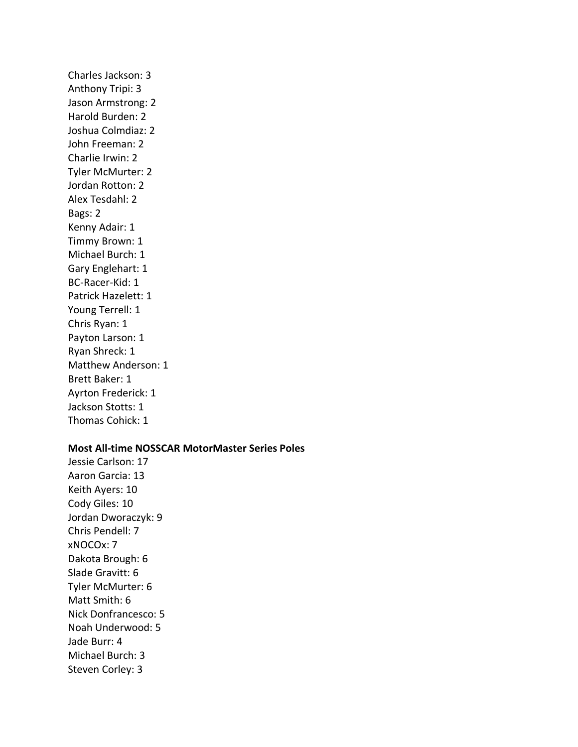Charles Jackson: 3 Anthony Tripi: 3 Jason Armstrong: 2 Harold Burden: 2 Joshua Colmdiaz: 2 John Freeman: 2 Charlie Irwin: 2 Tyler McMurter: 2 Jordan Rotton: 2 Alex Tesdahl: 2 Bags: 2 Kenny Adair: 1 Timmy Brown: 1 Michael Burch: 1 Gary Englehart: 1 BC-Racer-Kid: 1 Patrick Hazelett: 1 Young Terrell: 1 Chris Ryan: 1 Payton Larson: 1 Ryan Shreck: 1 Matthew Anderson: 1 Brett Baker: 1 Ayrton Frederick: 1 Jackson Stotts: 1 Thomas Cohick: 1

# **Most All-time NOSSCAR MotorMaster Series Poles**

Jessie Carlson: 17 Aaron Garcia: 13 Keith Ayers: 10 Cody Giles: 10 Jordan Dworaczyk: 9 Chris Pendell: 7 xNOCOx: 7 Dakota Brough: 6 Slade Gravitt: 6 Tyler McMurter: 6 Matt Smith: 6 Nick Donfrancesco: 5 Noah Underwood: 5 Jade Burr: 4 Michael Burch: 3 Steven Corley: 3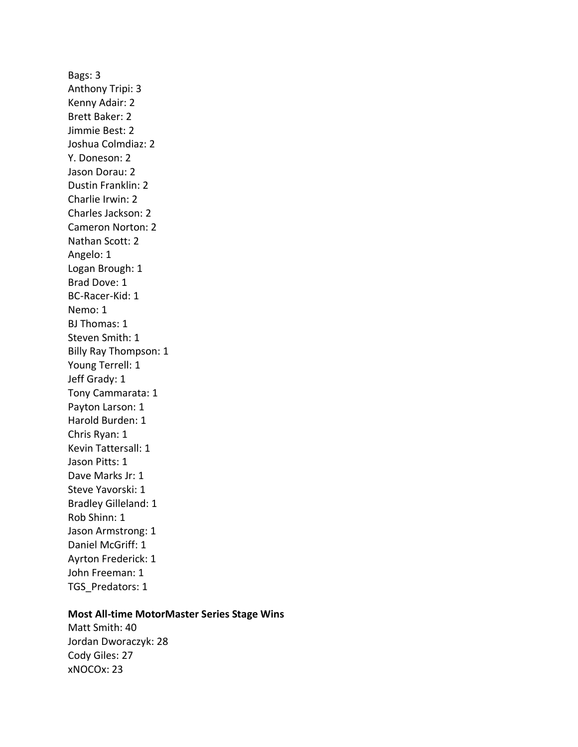Bags: 3 Anthony Tripi: 3 Kenny Adair: 2 Brett Baker: 2 Jimmie Best: 2 Joshua Colmdiaz: 2 Y. Doneson: 2 Jason Dorau: 2 Dustin Franklin: 2 Charlie Irwin: 2 Charles Jackson: 2 Cameron Norton: 2 Nathan Scott: 2 Angelo: 1 Logan Brough: 1 Brad Dove: 1 BC-Racer-Kid: 1 Nemo: 1 BJ Thomas: 1 Steven Smith: 1 Billy Ray Thompson: 1 Young Terrell: 1 Jeff Grady: 1 Tony Cammarata: 1 Payton Larson: 1 Harold Burden: 1 Chris Ryan: 1 Kevin Tattersall: 1 Jason Pitts: 1 Dave Marks Jr: 1 Steve Yavorski: 1 Bradley Gilleland: 1 Rob Shinn: 1 Jason Armstrong: 1 Daniel McGriff: 1 Ayrton Frederick: 1 John Freeman: 1 TGS\_Predators: 1

### **Most All-time MotorMaster Series Stage Wins**

Matt Smith: 40 Jordan Dworaczyk: 28 Cody Giles: 27 xNOCOx: 23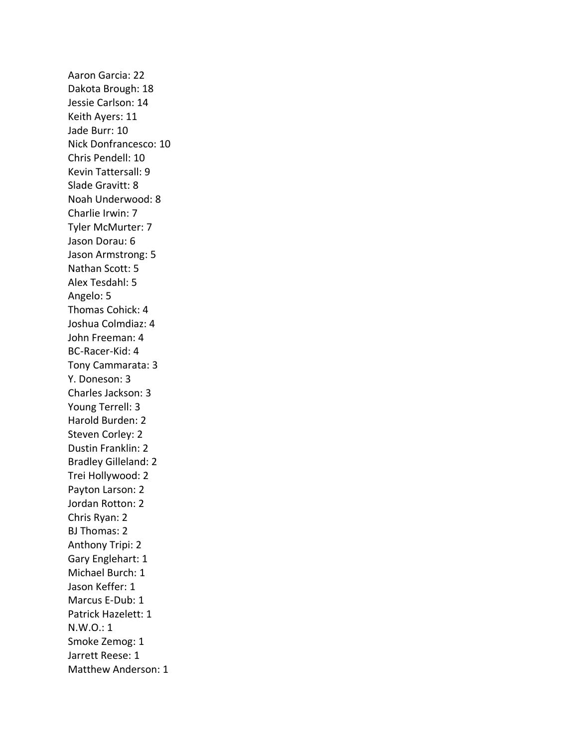Aaron Garcia: 22 Dakota Brough: 18 Jessie Carlson: 14 Keith Ayers: 11 Jade Burr: 10 Nick Donfrancesco: 10 Chris Pendell: 10 Kevin Tattersall: 9 Slade Gravitt: 8 Noah Underwood: 8 Charlie Irwin: 7 Tyler McMurter: 7 Jason Dorau: 6 Jason Armstrong: 5 Nathan Scott: 5 Alex Tesdahl: 5 Angelo: 5 Thomas Cohick: 4 Joshua Colmdiaz: 4 John Freeman: 4 BC-Racer-Kid: 4 Tony Cammarata: 3 Y. Doneson: 3 Charles Jackson: 3 Young Terrell: 3 Harold Burden: 2 Steven Corley: 2 Dustin Franklin: 2 Bradley Gilleland: 2 Trei Hollywood: 2 Payton Larson: 2 Jordan Rotton: 2 Chris Ryan: 2 BJ Thomas: 2 Anthony Tripi: 2 Gary Englehart: 1 Michael Burch: 1 Jason Keffer: 1 Marcus E-Dub: 1 Patrick Hazelett: 1 N.W.O.: 1 Smoke Zemog: 1 Jarrett Reese: 1 Matthew Anderson: 1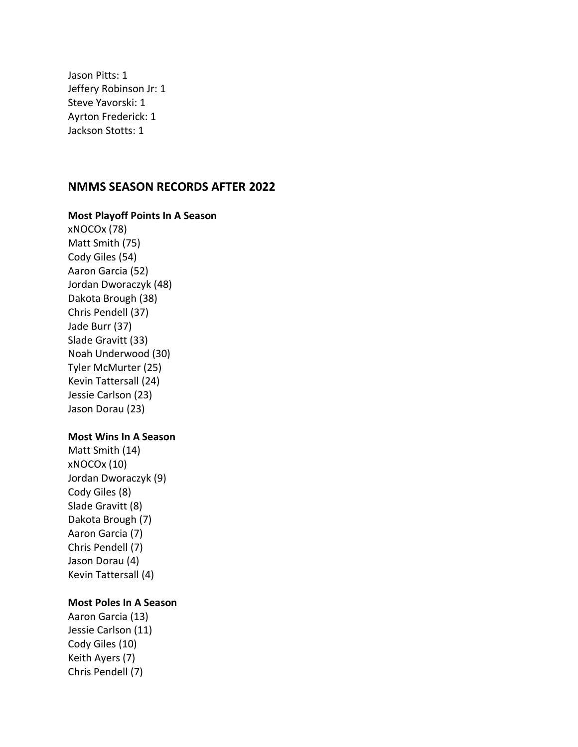Jason Pitts: 1 Jeffery Robinson Jr: 1 Steve Yavorski: 1 Ayrton Frederick: 1 Jackson Stotts: 1

# **NMMS SEASON RECORDS AFTER 2022**

**Most Playoff Points In A Season**

xNOCOx (78) Matt Smith (75) Cody Giles (54) Aaron Garcia (52) Jordan Dworaczyk (48) Dakota Brough (38) Chris Pendell (37) Jade Burr (37) Slade Gravitt (33) Noah Underwood (30) Tyler McMurter (25) Kevin Tattersall (24) Jessie Carlson (23) Jason Dorau (23)

### **Most Wins In A Season**

Matt Smith (14) xNOCOx (10) Jordan Dworaczyk (9) Cody Giles (8) Slade Gravitt (8) Dakota Brough (7) Aaron Garcia (7) Chris Pendell (7) Jason Dorau (4) Kevin Tattersall (4)

### **Most Poles In A Season**

Aaron Garcia (13) Jessie Carlson (11) Cody Giles (10) Keith Ayers (7) Chris Pendell (7)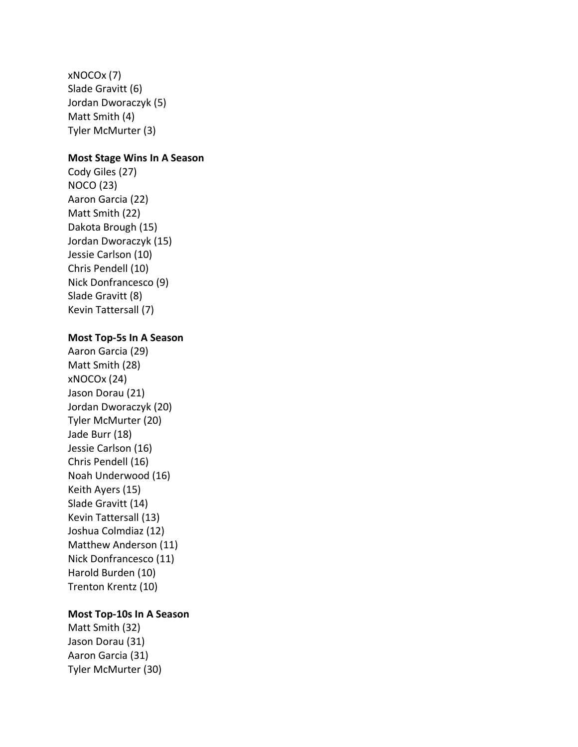xNOCOx (7) Slade Gravitt (6) Jordan Dworaczyk (5) Matt Smith (4) Tyler McMurter (3)

## **Most Stage Wins In A Season**

Cody Giles (27) NOCO (23) Aaron Garcia (22) Matt Smith (22) Dakota Brough (15) Jordan Dworaczyk (15) Jessie Carlson (10) Chris Pendell (10) Nick Donfrancesco (9) Slade Gravitt (8) Kevin Tattersall (7)

### **Most Top-5s In A Season**

Aaron Garcia (29) Matt Smith (28) xNOCOx (24) Jason Dorau (21) Jordan Dworaczyk (20) Tyler McMurter (20) Jade Burr (18) Jessie Carlson (16) Chris Pendell (16) Noah Underwood (16) Keith Ayers (15) Slade Gravitt (14) Kevin Tattersall (13) Joshua Colmdiaz (12) Matthew Anderson (11) Nick Donfrancesco (11) Harold Burden (10) Trenton Krentz (10)

# **Most Top-10s In A Season**

Matt Smith (32) Jason Dorau (31) Aaron Garcia (31) Tyler McMurter (30)